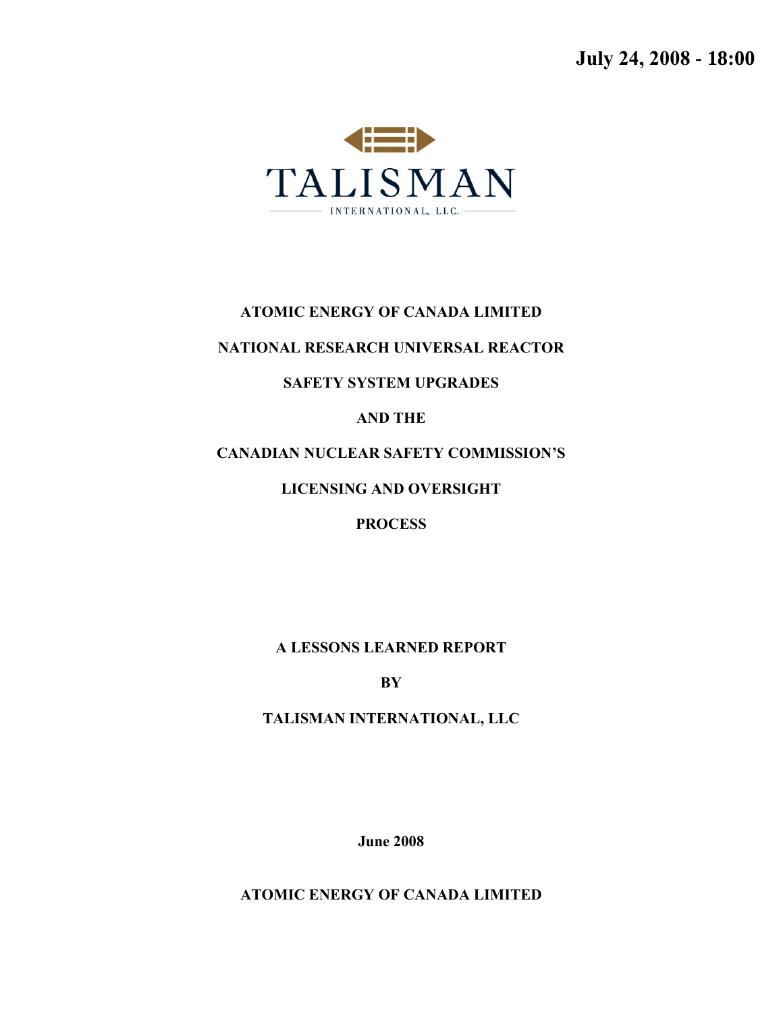**July 24, 2008 - 18:00**



#### **ATOMIC ENERGY OF CANADA LIMITED**

#### **NATIONAL RESEARCH UNIVERSAL REACTOR**

#### **SAFETY SYSTEM UPGRADES**

#### **AND THE**

### **CANADIAN NUCLEAR SAFETY COMMISSION'S**

### **LICENSING AND OVERSIGHT**

#### **PROCESS**

### **A LESSONS LEARNED REPORT**

**BY** 

### **TALISMAN INTERNATIONAL, LLC**

**June 2008**

**ATOMIC ENERGY OF CANADA LIMITED**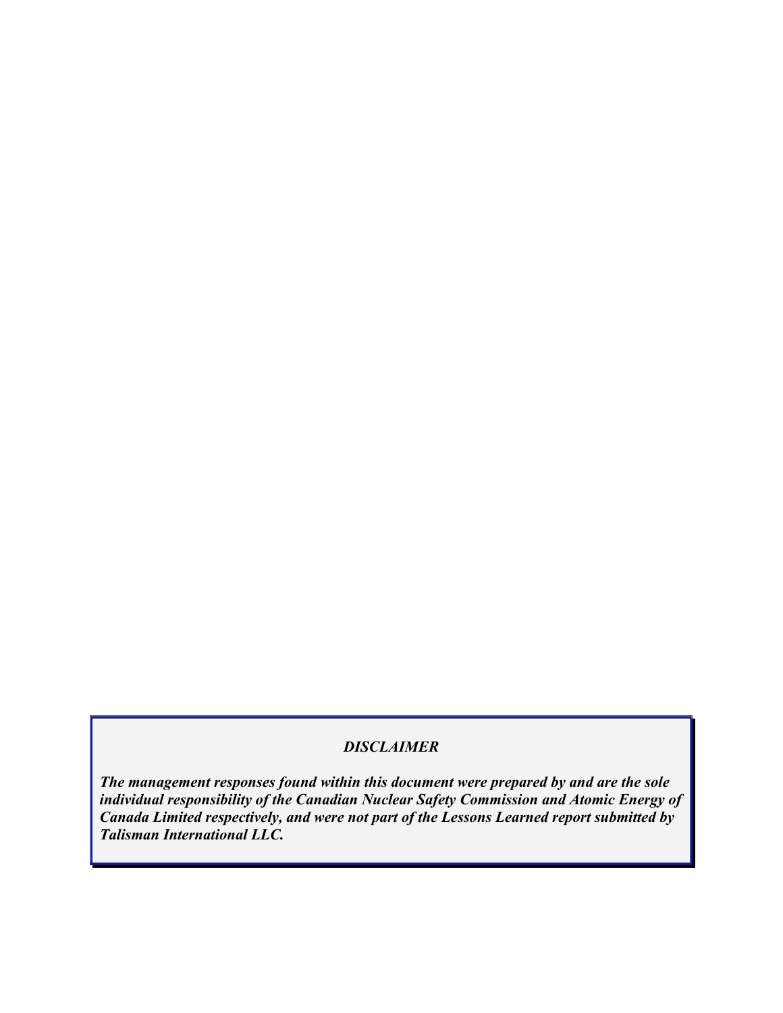## *DISCLAIMER*

*The management responses found within this document were prepared by and are the sole individual responsibility of the Canadian Nuclear Safety Commission and Atomic Energy of Canada Limited respectively, and were not part of the Lessons Learned report submitted by Talisman International LLC.*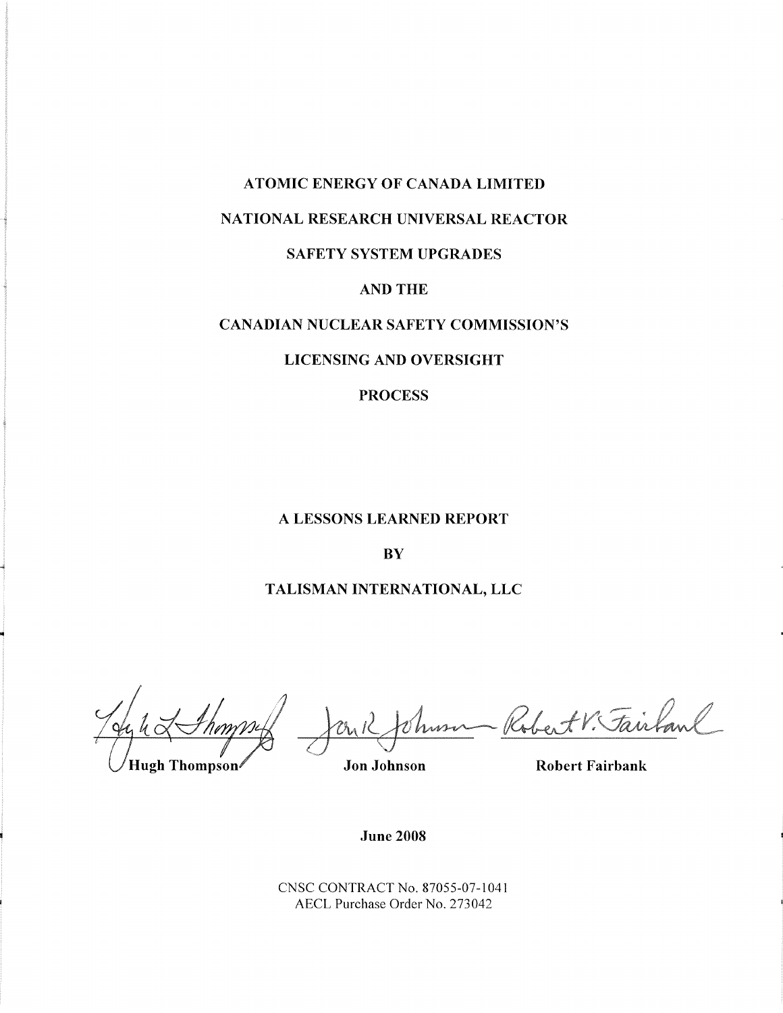# ATOMIC ENERGY OF CANADA LIMITED

### NATIONAL RESEARCH UNIVERSAL REACTOR

#### SAFETY SYSTEM UPGRADES

#### AND THE

#### **CANADIAN NUCLEAR SAFETY COMMISSION'S**

#### **LICENSING AND OVERSIGHT**

### **PROCESS**

#### A LESSONS LEARNED REPORT

#### **BY**

#### TALISMAN INTERNATIONAL, LLC

Kobert

**Hugh Thompson** 

**Jon Johnson** 

**Robert Fairbank** 

**June 2008** 

CNSC CONTRACT No. 87055-07-1041 AECL Purchase Order No. 273042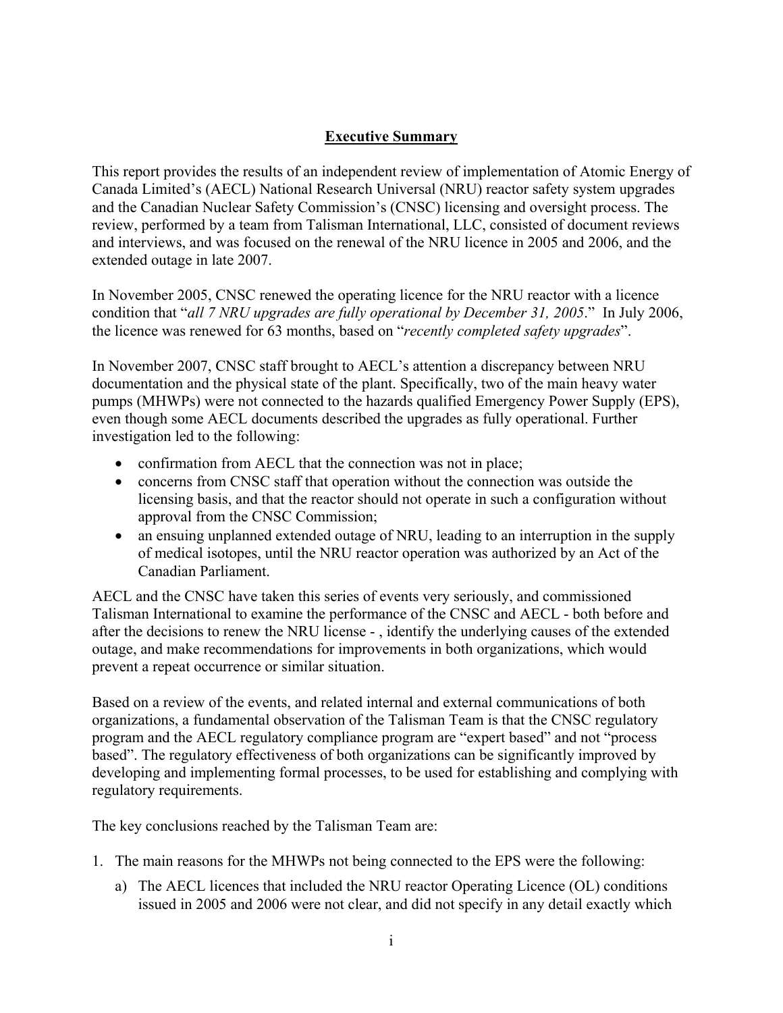## **Executive Summary**

<span id="page-4-0"></span>This report provides the results of an independent review of implementation of Atomic Energy of Canada Limited's (AECL) National Research Universal (NRU) reactor safety system upgrades and the Canadian Nuclear Safety Commission's (CNSC) licensing and oversight process. The review, performed by a team from Talisman International, LLC, consisted of document reviews and interviews, and was focused on the renewal of the NRU licence in 2005 and 2006, and the extended outage in late 2007.

In November 2005, CNSC renewed the operating licence for the NRU reactor with a licence condition that "*all 7 NRU upgrades are fully operational by December 31, 2005*." In July 2006, the licence was renewed for 63 months, based on "*recently completed safety upgrades*".

In November 2007, CNSC staff brought to AECL's attention a discrepancy between NRU documentation and the physical state of the plant. Specifically, two of the main heavy water pumps (MHWPs) were not connected to the hazards qualified Emergency Power Supply (EPS), even though some AECL documents described the upgrades as fully operational. Further investigation led to the following:

- confirmation from AECL that the connection was not in place;
- concerns from CNSC staff that operation without the connection was outside the licensing basis, and that the reactor should not operate in such a configuration without approval from the CNSC Commission;
- an ensuing unplanned extended outage of NRU, leading to an interruption in the supply of medical isotopes, until the NRU reactor operation was authorized by an Act of the Canadian Parliament.

AECL and the CNSC have taken this series of events very seriously, and commissioned Talisman International to examine the performance of the CNSC and AECL - both before and after the decisions to renew the NRU license - , identify the underlying causes of the extended outage, and make recommendations for improvements in both organizations, which would prevent a repeat occurrence or similar situation.

Based on a review of the events, and related internal and external communications of both organizations, a fundamental observation of the Talisman Team is that the CNSC regulatory program and the AECL regulatory compliance program are "expert based" and not "process based". The regulatory effectiveness of both organizations can be significantly improved by developing and implementing formal processes, to be used for establishing and complying with regulatory requirements.

The key conclusions reached by the Talisman Team are:

- 1. The main reasons for the MHWPs not being connected to the EPS were the following:
	- a) The AECL licences that included the NRU reactor Operating Licence (OL) conditions issued in 2005 and 2006 were not clear, and did not specify in any detail exactly which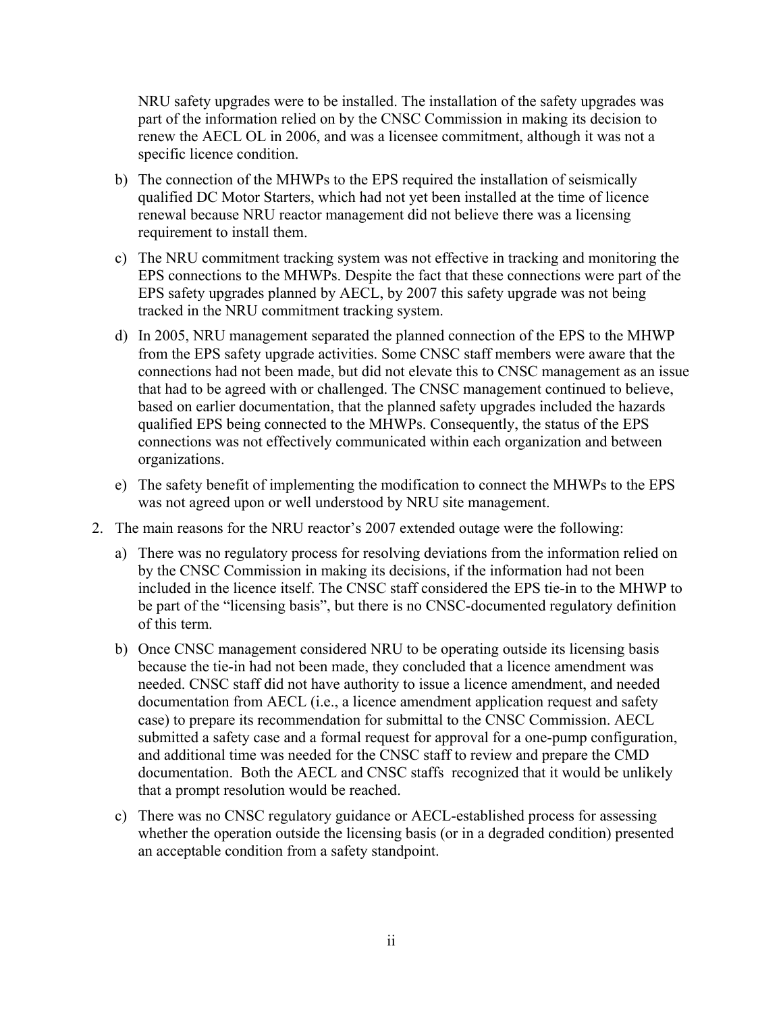NRU safety upgrades were to be installed. The installation of the safety upgrades was part of the information relied on by the CNSC Commission in making its decision to renew the AECL OL in 2006, and was a licensee commitment, although it was not a specific licence condition.

- b) The connection of the MHWPs to the EPS required the installation of seismically qualified DC Motor Starters, which had not yet been installed at the time of licence renewal because NRU reactor management did not believe there was a licensing requirement to install them.
- c) The NRU commitment tracking system was not effective in tracking and monitoring the EPS connections to the MHWPs. Despite the fact that these connections were part of the EPS safety upgrades planned by AECL, by 2007 this safety upgrade was not being tracked in the NRU commitment tracking system.
- d) In 2005, NRU management separated the planned connection of the EPS to the MHWP from the EPS safety upgrade activities. Some CNSC staff members were aware that the connections had not been made, but did not elevate this to CNSC management as an issue that had to be agreed with or challenged. The CNSC management continued to believe, based on earlier documentation, that the planned safety upgrades included the hazards qualified EPS being connected to the MHWPs. Consequently, the status of the EPS connections was not effectively communicated within each organization and between organizations.
- e) The safety benefit of implementing the modification to connect the MHWPs to the EPS was not agreed upon or well understood by NRU site management.
- 2. The main reasons for the NRU reactor's 2007 extended outage were the following:
	- a) There was no regulatory process for resolving deviations from the information relied on by the CNSC Commission in making its decisions, if the information had not been included in the licence itself. The CNSC staff considered the EPS tie-in to the MHWP to be part of the "licensing basis", but there is no CNSC-documented regulatory definition of this term.
	- b) Once CNSC management considered NRU to be operating outside its licensing basis because the tie-in had not been made, they concluded that a licence amendment was needed. CNSC staff did not have authority to issue a licence amendment, and needed documentation from AECL (i.e., a licence amendment application request and safety case) to prepare its recommendation for submittal to the CNSC Commission. AECL submitted a safety case and a formal request for approval for a one-pump configuration, and additional time was needed for the CNSC staff to review and prepare the CMD documentation. Both the AECL and CNSC staffs recognized that it would be unlikely that a prompt resolution would be reached.
	- c) There was no CNSC regulatory guidance or AECL-established process for assessing whether the operation outside the licensing basis (or in a degraded condition) presented an acceptable condition from a safety standpoint.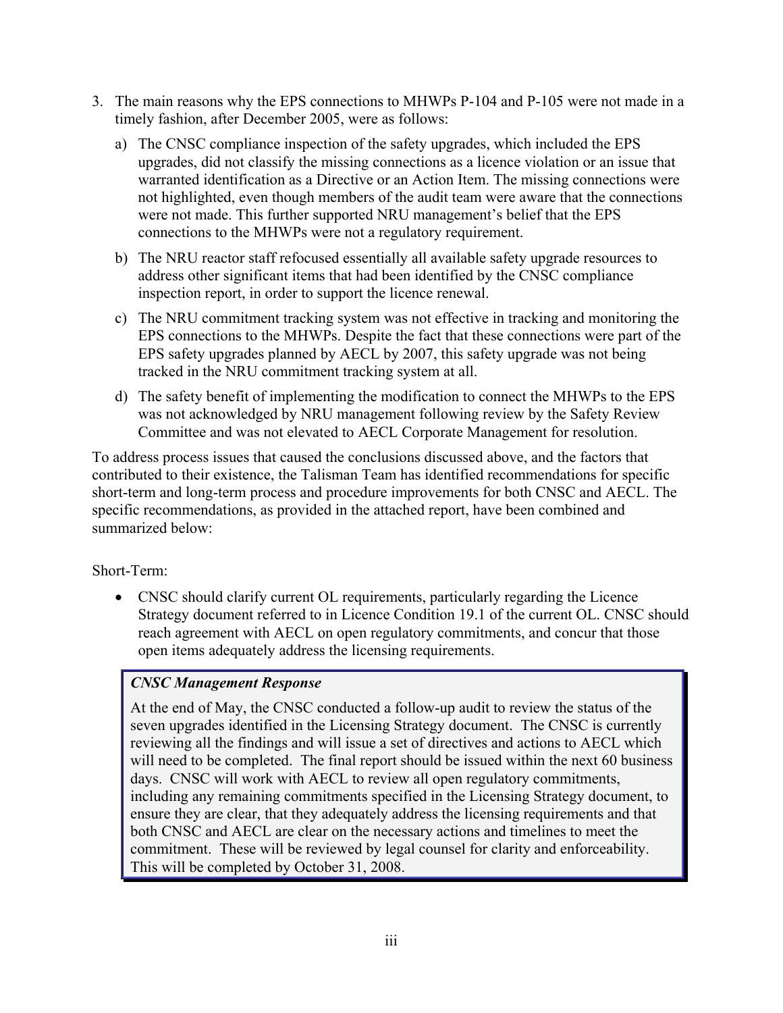- 3. The main reasons why the EPS connections to MHWPs P-104 and P-105 were not made in a timely fashion, after December 2005, were as follows:
	- a) The CNSC compliance inspection of the safety upgrades, which included the EPS upgrades, did not classify the missing connections as a licence violation or an issue that warranted identification as a Directive or an Action Item. The missing connections were not highlighted, even though members of the audit team were aware that the connections were not made. This further supported NRU management's belief that the EPS connections to the MHWPs were not a regulatory requirement.
	- b) The NRU reactor staff refocused essentially all available safety upgrade resources to address other significant items that had been identified by the CNSC compliance inspection report, in order to support the licence renewal.
	- c) The NRU commitment tracking system was not effective in tracking and monitoring the EPS connections to the MHWPs. Despite the fact that these connections were part of the EPS safety upgrades planned by AECL by 2007, this safety upgrade was not being tracked in the NRU commitment tracking system at all.
	- d) The safety benefit of implementing the modification to connect the MHWPs to the EPS was not acknowledged by NRU management following review by the Safety Review Committee and was not elevated to AECL Corporate Management for resolution.

To address process issues that caused the conclusions discussed above, and the factors that contributed to their existence, the Talisman Team has identified recommendations for specific short-term and long-term process and procedure improvements for both CNSC and AECL. The specific recommendations, as provided in the attached report, have been combined and summarized below:

Short-Term:

• CNSC should clarify current OL requirements, particularly regarding the Licence Strategy document referred to in Licence Condition 19.1 of the current OL. CNSC should reach agreement with AECL on open regulatory commitments, and concur that those open items adequately address the licensing requirements.

# *CNSC Management Response*

At the end of May, the CNSC conducted a follow-up audit to review the status of the seven upgrades identified in the Licensing Strategy document. The CNSC is currently reviewing all the findings and will issue a set of directives and actions to AECL which will need to be completed. The final report should be issued within the next 60 business days. CNSC will work with AECL to review all open regulatory commitments, including any remaining commitments specified in the Licensing Strategy document, to ensure they are clear, that they adequately address the licensing requirements and that both CNSC and AECL are clear on the necessary actions and timelines to meet the commitment. These will be reviewed by legal counsel for clarity and enforceability. This will be completed by October 31, 2008.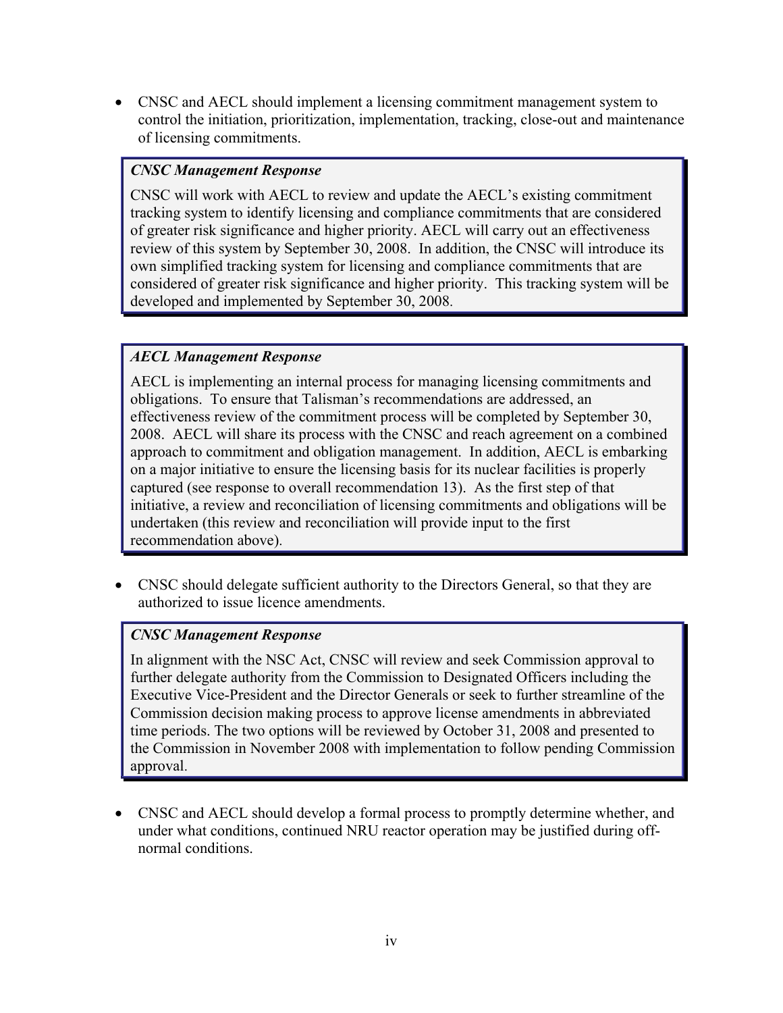• CNSC and AECL should implement a licensing commitment management system to control the initiation, prioritization, implementation, tracking, close-out and maintenance of licensing commitments.

### *CNSC Management Response*

CNSC will work with AECL to review and update the AECL's existing commitment tracking system to identify licensing and compliance commitments that are considered of greater risk significance and higher priority. AECL will carry out an effectiveness review of this system by September 30, 2008. In addition, the CNSC will introduce its own simplified tracking system for licensing and compliance commitments that are considered of greater risk significance and higher priority. This tracking system will be developed and implemented by September 30, 2008.

## *AECL Management Response*

AECL is implementing an internal process for managing licensing commitments and obligations. To ensure that Talisman's recommendations are addressed, an effectiveness review of the commitment process will be completed by September 30, 2008. AECL will share its process with the CNSC and reach agreement on a combined approach to commitment and obligation management. In addition, AECL is embarking on a major initiative to ensure the licensing basis for its nuclear facilities is properly captured (see response to overall recommendation 13). As the first step of that initiative, a review and reconciliation of licensing commitments and obligations will be undertaken (this review and reconciliation will provide input to the first recommendation above).

• CNSC should delegate sufficient authority to the Directors General, so that they are authorized to issue licence amendments.

# *CNSC Management Response*

In alignment with the NSC Act, CNSC will review and seek Commission approval to further delegate authority from the Commission to Designated Officers including the Executive Vice-President and the Director Generals or seek to further streamline of the Commission decision making process to approve license amendments in abbreviated time periods. The two options will be reviewed by October 31, 2008 and presented to the Commission in November 2008 with implementation to follow pending Commission approval.

• CNSC and AECL should develop a formal process to promptly determine whether, and under what conditions, continued NRU reactor operation may be justified during offnormal conditions.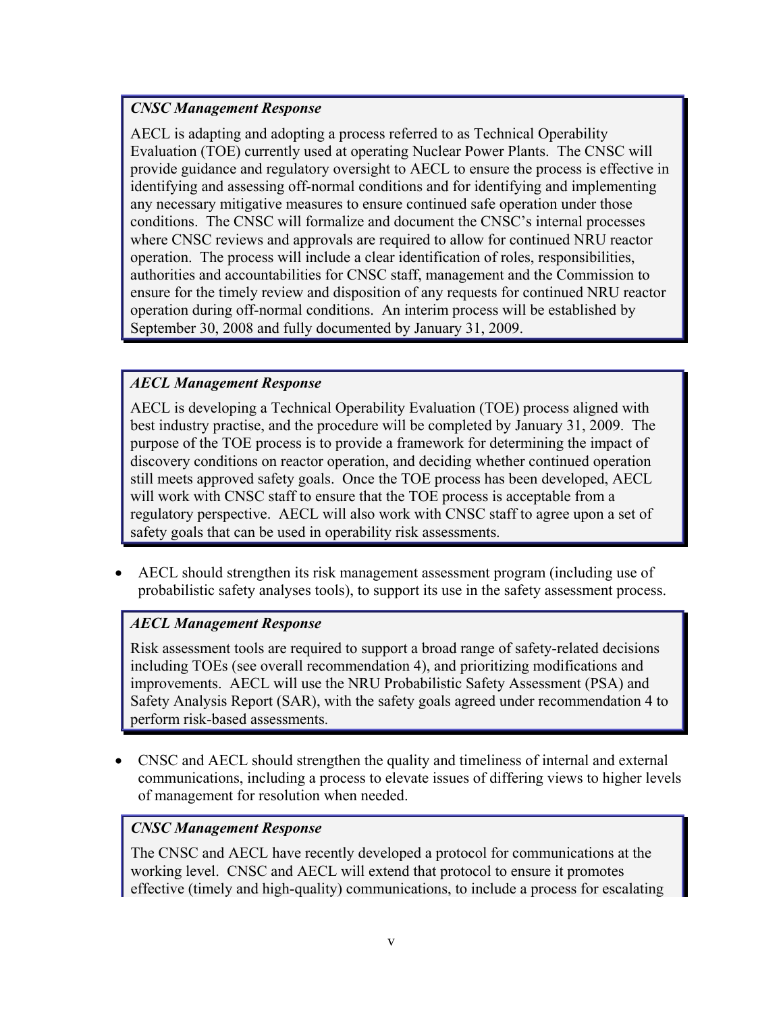## *CNSC Management Response*

AECL is adapting and adopting a process referred to as Technical Operability Evaluation (TOE) currently used at operating Nuclear Power Plants. The CNSC will provide guidance and regulatory oversight to AECL to ensure the process is effective in identifying and assessing off-normal conditions and for identifying and implementing any necessary mitigative measures to ensure continued safe operation under those conditions. The CNSC will formalize and document the CNSC's internal processes where CNSC reviews and approvals are required to allow for continued NRU reactor operation. The process will include a clear identification of roles, responsibilities, authorities and accountabilities for CNSC staff, management and the Commission to ensure for the timely review and disposition of any requests for continued NRU reactor operation during off-normal conditions. An interim process will be established by September 30, 2008 and fully documented by January 31, 2009.

## *AECL Management Response*

AECL is developing a Technical Operability Evaluation (TOE) process aligned with best industry practise, and the procedure will be completed by January 31, 2009. The purpose of the TOE process is to provide a framework for determining the impact of discovery conditions on reactor operation, and deciding whether continued operation still meets approved safety goals. Once the TOE process has been developed, AECL will work with CNSC staff to ensure that the TOE process is acceptable from a regulatory perspective. AECL will also work with CNSC staff to agree upon a set of safety goals that can be used in operability risk assessments.

• AECL should strengthen its risk management assessment program (including use of probabilistic safety analyses tools), to support its use in the safety assessment process.

# *AECL Management Response*

Risk assessment tools are required to support a broad range of safety-related decisions including TOEs (see overall recommendation 4), and prioritizing modifications and improvements. AECL will use the NRU Probabilistic Safety Assessment (PSA) and Safety Analysis Report (SAR), with the safety goals agreed under recommendation 4 to perform risk-based assessments.

• CNSC and AECL should strengthen the quality and timeliness of internal and external communications, including a process to elevate issues of differing views to higher levels of management for resolution when needed.

### *CNSC Management Response*

The CNSC and AECL have recently developed a protocol for communications at the working level. CNSC and AECL will extend that protocol to ensure it promotes effective (timely and high-quality) communications, to include a process for escalating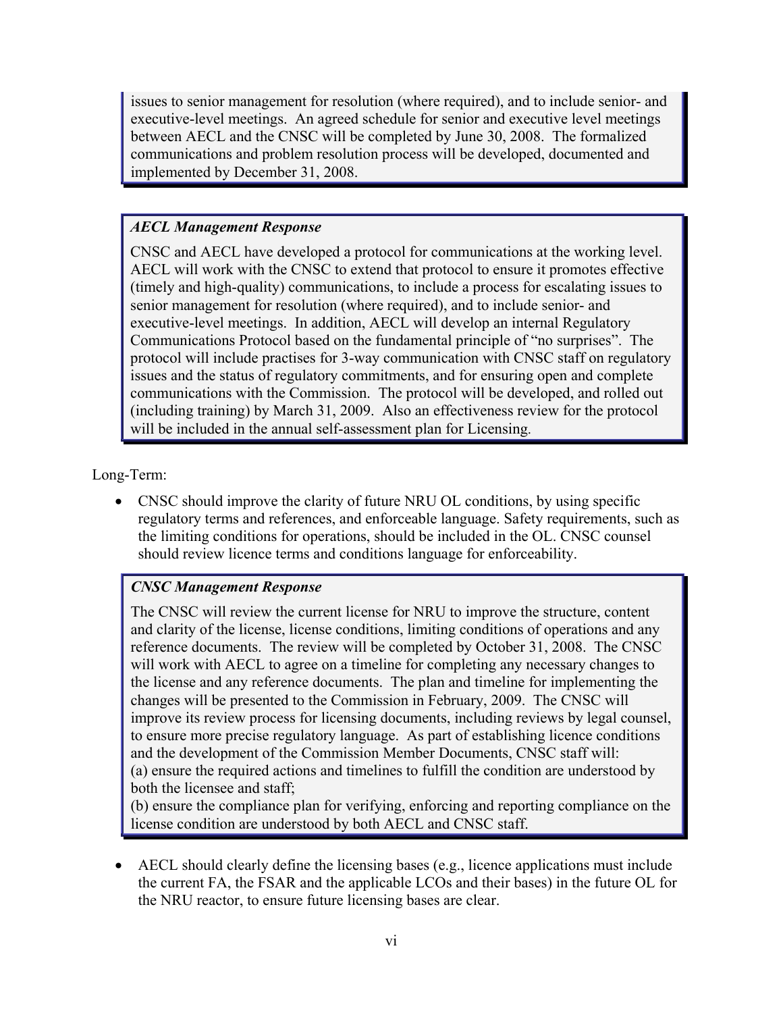issues to senior management for resolution (where required), and to include senior- and executive-level meetings. An agreed schedule for senior and executive level meetings between AECL and the CNSC will be completed by June 30, 2008. The formalized communications and problem resolution process will be developed, documented and implemented by December 31, 2008.

# *AECL Management Response*

CNSC and AECL have developed a protocol for communications at the working level. AECL will work with the CNSC to extend that protocol to ensure it promotes effective (timely and high-quality) communications, to include a process for escalating issues to senior management for resolution (where required), and to include senior- and executive-level meetings. In addition, AECL will develop an internal Regulatory Communications Protocol based on the fundamental principle of "no surprises". The protocol will include practises for 3-way communication with CNSC staff on regulatory issues and the status of regulatory commitments, and for ensuring open and complete communications with the Commission. The protocol will be developed, and rolled out (including training) by March 31, 2009. Also an effectiveness review for the protocol will be included in the annual self-assessment plan for Licensing.

Long-Term:

• CNSC should improve the clarity of future NRU OL conditions, by using specific regulatory terms and references, and enforceable language. Safety requirements, such as the limiting conditions for operations, should be included in the OL. CNSC counsel should review licence terms and conditions language for enforceability.

# *CNSC Management Response*

The CNSC will review the current license for NRU to improve the structure, content and clarity of the license, license conditions, limiting conditions of operations and any reference documents. The review will be completed by October 31, 2008. The CNSC will work with AECL to agree on a timeline for completing any necessary changes to the license and any reference documents. The plan and timeline for implementing the changes will be presented to the Commission in February, 2009. The CNSC will improve its review process for licensing documents, including reviews by legal counsel, to ensure more precise regulatory language. As part of establishing licence conditions and the development of the Commission Member Documents, CNSC staff will: (a) ensure the required actions and timelines to fulfill the condition are understood by both the licensee and staff;

(b) ensure the compliance plan for verifying, enforcing and reporting compliance on the license condition are understood by both AECL and CNSC staff.

• AECL should clearly define the licensing bases (e.g., licence applications must include the current FA, the FSAR and the applicable LCOs and their bases) in the future OL for the NRU reactor, to ensure future licensing bases are clear.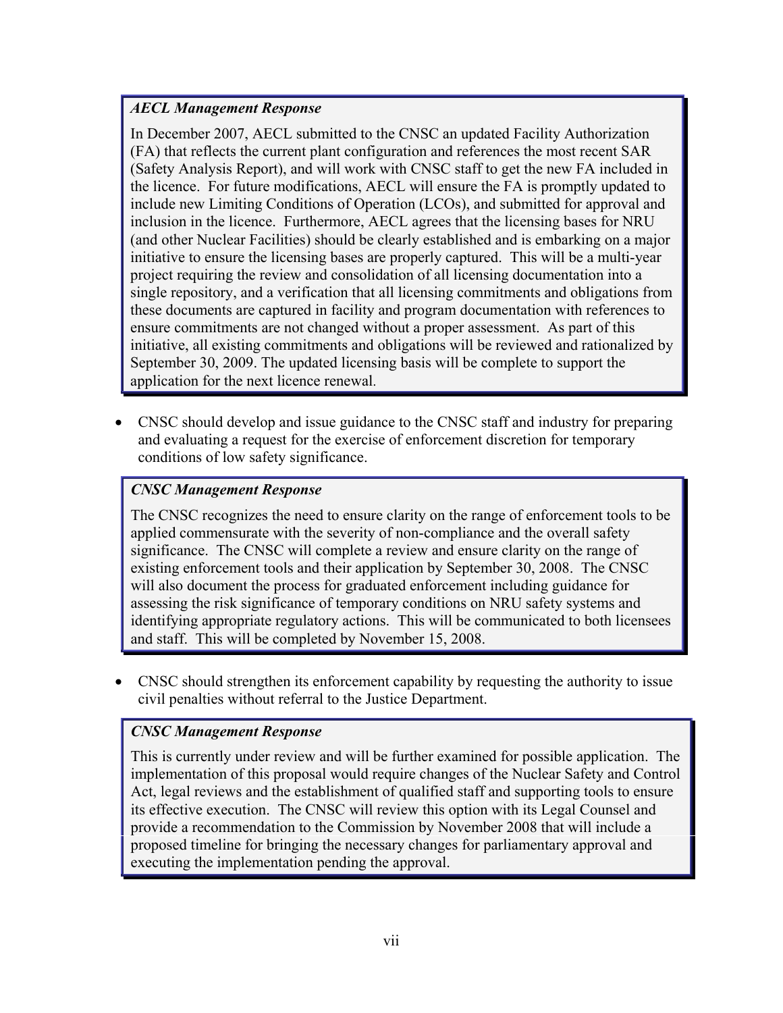## *AECL Management Response*

In December 2007, AECL submitted to the CNSC an updated Facility Authorization (FA) that reflects the current plant configuration and references the most recent SAR (Safety Analysis Report), and will work with CNSC staff to get the new FA included in the licence. For future modifications, AECL will ensure the FA is promptly updated to include new Limiting Conditions of Operation (LCOs), and submitted for approval and inclusion in the licence. Furthermore, AECL agrees that the licensing bases for NRU (and other Nuclear Facilities) should be clearly established and is embarking on a major initiative to ensure the licensing bases are properly captured. This will be a multi-year project requiring the review and consolidation of all licensing documentation into a single repository, and a verification that all licensing commitments and obligations from these documents are captured in facility and program documentation with references to ensure commitments are not changed without a proper assessment. As part of this initiative, all existing commitments and obligations will be reviewed and rationalized by September 30, 2009. The updated licensing basis will be complete to support the application for the next licence renewal.

• CNSC should develop and issue guidance to the CNSC staff and industry for preparing and evaluating a request for the exercise of enforcement discretion for temporary conditions of low safety significance.

# *CNSC Management Response*

The CNSC recognizes the need to ensure clarity on the range of enforcement tools to be applied commensurate with the severity of non-compliance and the overall safety significance. The CNSC will complete a review and ensure clarity on the range of existing enforcement tools and their application by September 30, 2008. The CNSC will also document the process for graduated enforcement including guidance for assessing the risk significance of temporary conditions on NRU safety systems and identifying appropriate regulatory actions. This will be communicated to both licensees and staff. This will be completed by November 15, 2008.

• CNSC should strengthen its enforcement capability by requesting the authority to issue civil penalties without referral to the Justice Department.

# *CNSC Management Response*

This is currently under review and will be further examined for possible application. The implementation of this proposal would require changes of the Nuclear Safety and Control Act, legal reviews and the establishment of qualified staff and supporting tools to ensure its effective execution. The CNSC will review this option with its Legal Counsel and provide a recommendation to the Commission by November 2008 that will include a proposed timeline for bringing the necessary changes for parliamentary approval and executing the implementation pending the approval.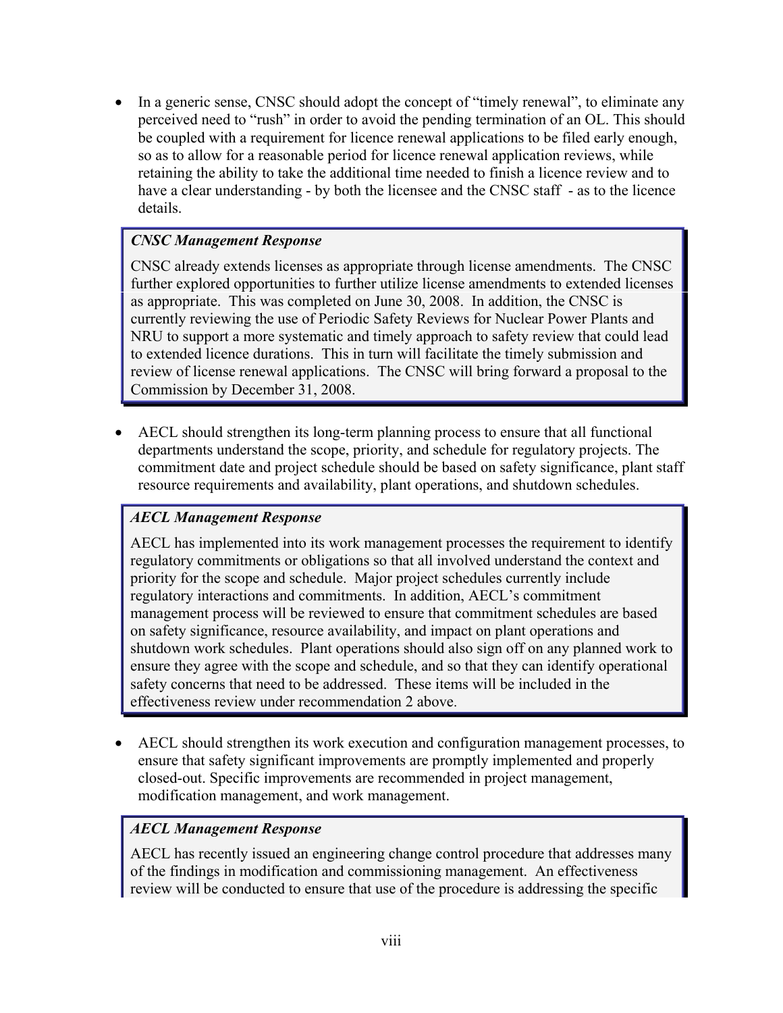• In a generic sense, CNSC should adopt the concept of "timely renewal", to eliminate any perceived need to "rush" in order to avoid the pending termination of an OL. This should be coupled with a requirement for licence renewal applications to be filed early enough, so as to allow for a reasonable period for licence renewal application reviews, while retaining the ability to take the additional time needed to finish a licence review and to have a clear understanding - by both the licensee and the CNSC staff - as to the licence details.

## *CNSC Management Response*

CNSC already extends licenses as appropriate through license amendments. The CNSC further explored opportunities to further utilize license amendments to extended licenses as appropriate. This was completed on June 30, 2008. In addition, the CNSC is currently reviewing the use of Periodic Safety Reviews for Nuclear Power Plants and NRU to support a more systematic and timely approach to safety review that could lead to extended licence durations. This in turn will facilitate the timely submission and review of license renewal applications. The CNSC will bring forward a proposal to the Commission by December 31, 2008.

• AECL should strengthen its long-term planning process to ensure that all functional departments understand the scope, priority, and schedule for regulatory projects. The commitment date and project schedule should be based on safety significance, plant staff resource requirements and availability, plant operations, and shutdown schedules.

# *AECL Management Response*

AECL has implemented into its work management processes the requirement to identify regulatory commitments or obligations so that all involved understand the context and priority for the scope and schedule. Major project schedules currently include regulatory interactions and commitments. In addition, AECL's commitment management process will be reviewed to ensure that commitment schedules are based on safety significance, resource availability, and impact on plant operations and shutdown work schedules. Plant operations should also sign off on any planned work to ensure they agree with the scope and schedule, and so that they can identify operational safety concerns that need to be addressed. These items will be included in the effectiveness review under recommendation 2 above.

• AECL should strengthen its work execution and configuration management processes, to ensure that safety significant improvements are promptly implemented and properly closed-out. Specific improvements are recommended in project management, modification management, and work management.

### *AECL Management Response*

AECL has recently issued an engineering change control procedure that addresses many of the findings in modification and commissioning management. An effectiveness review will be conducted to ensure that use of the procedure is addressing the specific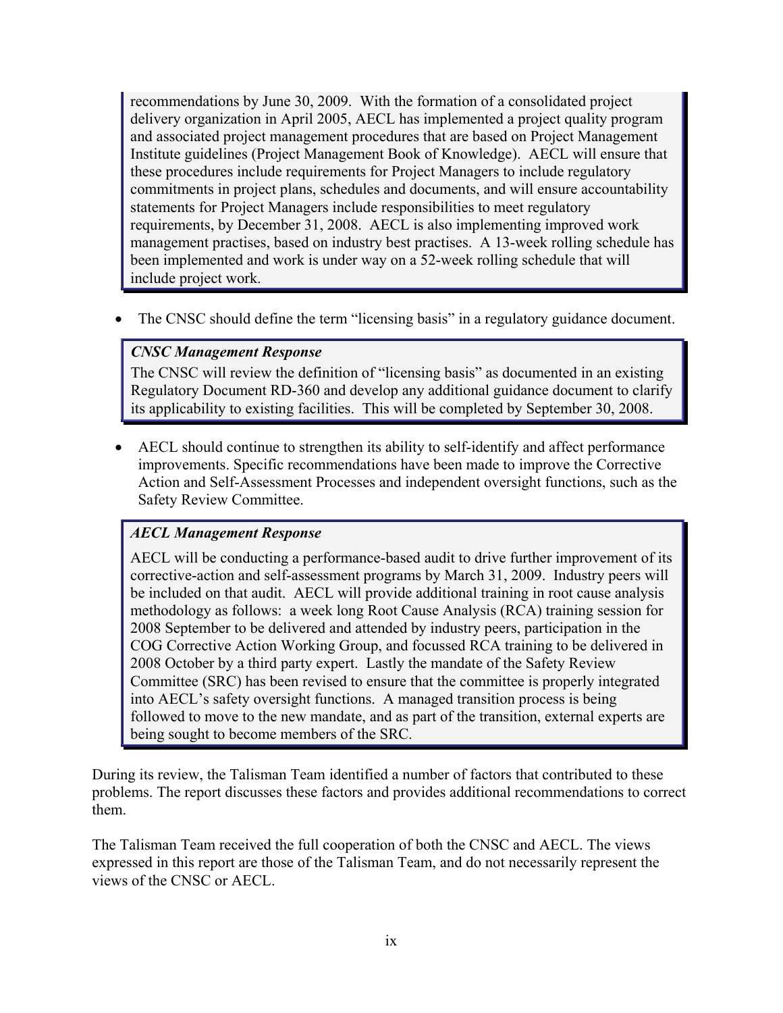recommendations by June 30, 2009. With the formation of a consolidated project delivery organization in April 2005, AECL has implemented a project quality program and associated project management procedures that are based on Project Management Institute guidelines (Project Management Book of Knowledge). AECL will ensure that these procedures include requirements for Project Managers to include regulatory commitments in project plans, schedules and documents, and will ensure accountability statements for Project Managers include responsibilities to meet regulatory requirements, by December 31, 2008. AECL is also implementing improved work management practises, based on industry best practises. A 13-week rolling schedule has been implemented and work is under way on a 52-week rolling schedule that will include project work.

• The CNSC should define the term "licensing basis" in a regulatory guidance document.

# *CNSC Management Response*

The CNSC will review the definition of "licensing basis" as documented in an existing Regulatory Document RD-360 and develop any additional guidance document to clarify its applicability to existing facilities. This will be completed by September 30, 2008.

• AECL should continue to strengthen its ability to self-identify and affect performance improvements. Specific recommendations have been made to improve the Corrective Action and Self-Assessment Processes and independent oversight functions, such as the Safety Review Committee.

# *AECL Management Response*

AECL will be conducting a performance-based audit to drive further improvement of its corrective-action and self-assessment programs by March 31, 2009. Industry peers will be included on that audit. AECL will provide additional training in root cause analysis methodology as follows: a week long Root Cause Analysis (RCA) training session for 2008 September to be delivered and attended by industry peers, participation in the COG Corrective Action Working Group, and focussed RCA training to be delivered in 2008 October by a third party expert. Lastly the mandate of the Safety Review Committee (SRC) has been revised to ensure that the committee is properly integrated into AECL's safety oversight functions. A managed transition process is being followed to move to the new mandate, and as part of the transition, external experts are being sought to become members of the SRC.

During its review, the Talisman Team identified a number of factors that contributed to these problems. The report discusses these factors and provides additional recommendations to correct them.

The Talisman Team received the full cooperation of both the CNSC and AECL. The views expressed in this report are those of the Talisman Team, and do not necessarily represent the views of the CNSC or AECL.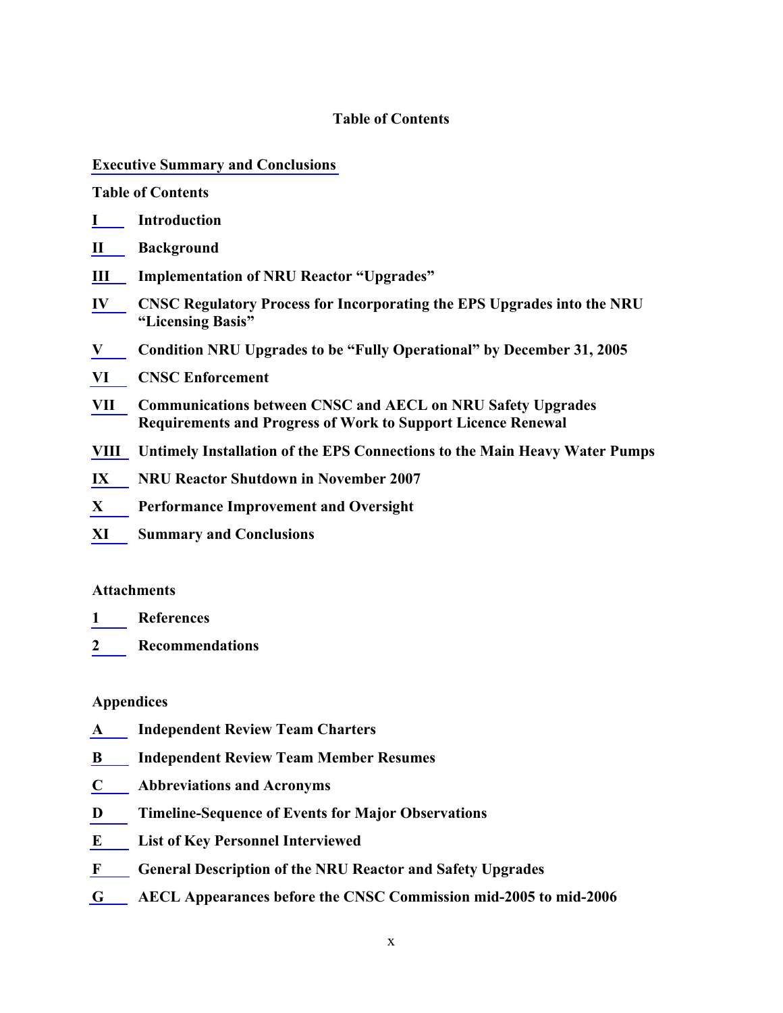#### **Table of Contents**

#### **[Executive Summary and Conclusions](#page-4-0)**

#### **Table of Contents**

- **[I](#page-16-0) Introduction**
- **[II](#page-17-0) Background**
- **[III](#page-18-0) Implementation of NRU Reactor "Upgrades"**
- **[IV](#page-19-0) CNSC Regulatory Process for Incorporating the EPS Upgrades into the NRU "Licensing Basis"**
- **[V](#page-25-0) Condition NRU Upgrades to be "Fully Operational" by December 31, 2005**
- **[VI](#page-37-0) CNSC Enforcement**
- **[VII](#page-40-0) Communications between CNSC and AECL on NRU Safety Upgrades Requirements and Progress of Work to Support Licence Renewal**
- **[VIII](#page-53-0) Untimely Installation of the EPS Connections to the Main Heavy Water Pumps**
- **[IX](#page-56-0) NRU Reactor Shutdown in November 2007**
- **[X](#page-63-0) Performance Improvement and Oversight**
- **[XI](#page-64-0) Summary and Conclusions**

#### **Attachments**

- **[1](#page-68-0) References**
- **[2](#page-72-0) Recommendations**

#### **Appendices**

- **[A](#page-78-0) Independent Review Team Charters**
- **[B](#page-82-0) Independent Review Team Member Resumes**
- **[C](#page-98-0) Abbreviations and Acronyms**
- **[D](#page-100-0) Timeline-Sequence of Events for Major Observations**
- **[E](#page-112-0) List of Key Personnel Interviewed**
- **[F](#page-114-0) General Description of the NRU Reactor and Safety Upgrades**
- **[G](#page-118-0) AECL Appearances before the CNSC Commission mid-2005 to mid-2006**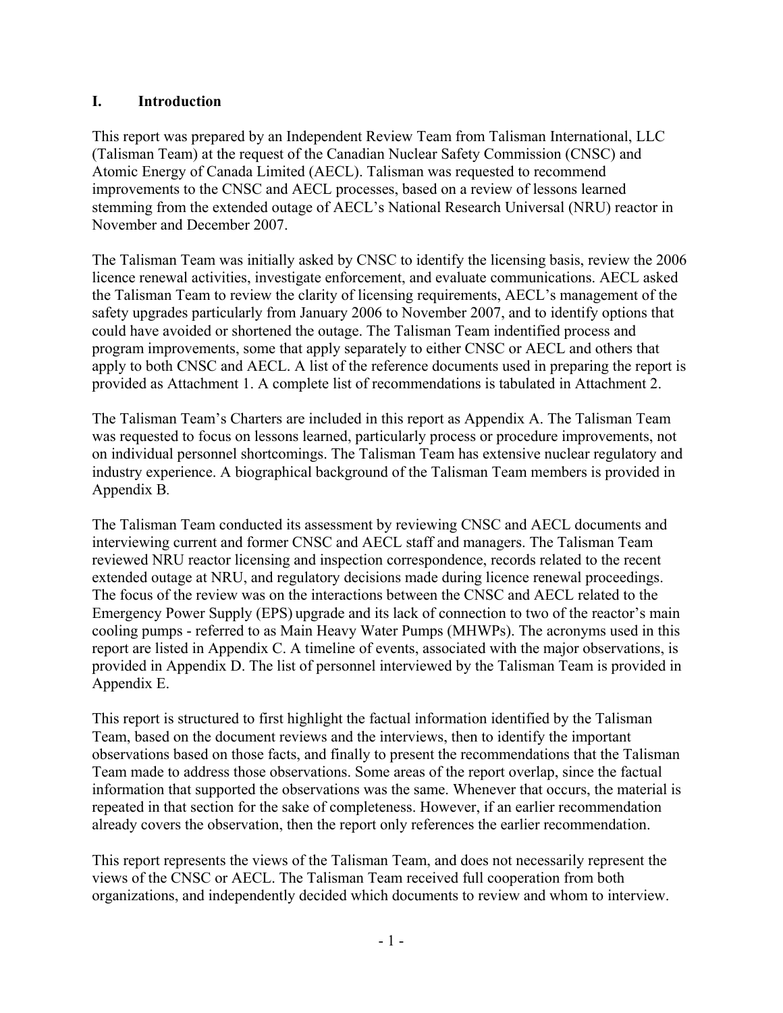## <span id="page-16-0"></span>**I. Introduction**

This report was prepared by an Independent Review Team from Talisman International, LLC (Talisman Team) at the request of the Canadian Nuclear Safety Commission (CNSC) and Atomic Energy of Canada Limited (AECL). Talisman was requested to recommend improvements to the CNSC and AECL processes, based on a review of lessons learned stemming from the extended outage of AECL's National Research Universal (NRU) reactor in November and December 2007.

The Talisman Team was initially asked by CNSC to identify the licensing basis, review the 2006 licence renewal activities, investigate enforcement, and evaluate communications. AECL asked the Talisman Team to review the clarity of licensing requirements, AECL's management of the safety upgrades particularly from January 2006 to November 2007, and to identify options that could have avoided or shortened the outage. The Talisman Team indentified process and program improvements, some that apply separately to either CNSC or AECL and others that apply to both CNSC and AECL. A list of the reference documents used in preparing the report is provided as Attachment 1. A complete list of recommendations is tabulated in Attachment 2.

The Talisman Team's Charters are included in this report as Appendix A. The Talisman Team was requested to focus on lessons learned, particularly process or procedure improvements, not on individual personnel shortcomings. The Talisman Team has extensive nuclear regulatory and industry experience. A biographical background of the Talisman Team members is provided in Appendix B*.*

The Talisman Team conducted its assessment by reviewing CNSC and AECL documents and interviewing current and former CNSC and AECL staff and managers. The Talisman Team reviewed NRU reactor licensing and inspection correspondence, records related to the recent extended outage at NRU, and regulatory decisions made during licence renewal proceedings. The focus of the review was on the interactions between the CNSC and AECL related to the Emergency Power Supply (EPS) upgrade and its lack of connection to two of the reactor's main cooling pumps - referred to as Main Heavy Water Pumps (MHWPs). The acronyms used in this report are listed in Appendix C. A timeline of events, associated with the major observations, is provided in Appendix D. The list of personnel interviewed by the Talisman Team is provided in Appendix E.

This report is structured to first highlight the factual information identified by the Talisman Team, based on the document reviews and the interviews, then to identify the important observations based on those facts, and finally to present the recommendations that the Talisman Team made to address those observations. Some areas of the report overlap, since the factual information that supported the observations was the same. Whenever that occurs, the material is repeated in that section for the sake of completeness. However, if an earlier recommendation already covers the observation, then the report only references the earlier recommendation.

This report represents the views of the Talisman Team, and does not necessarily represent the views of the CNSC or AECL. The Talisman Team received full cooperation from both organizations, and independently decided which documents to review and whom to interview.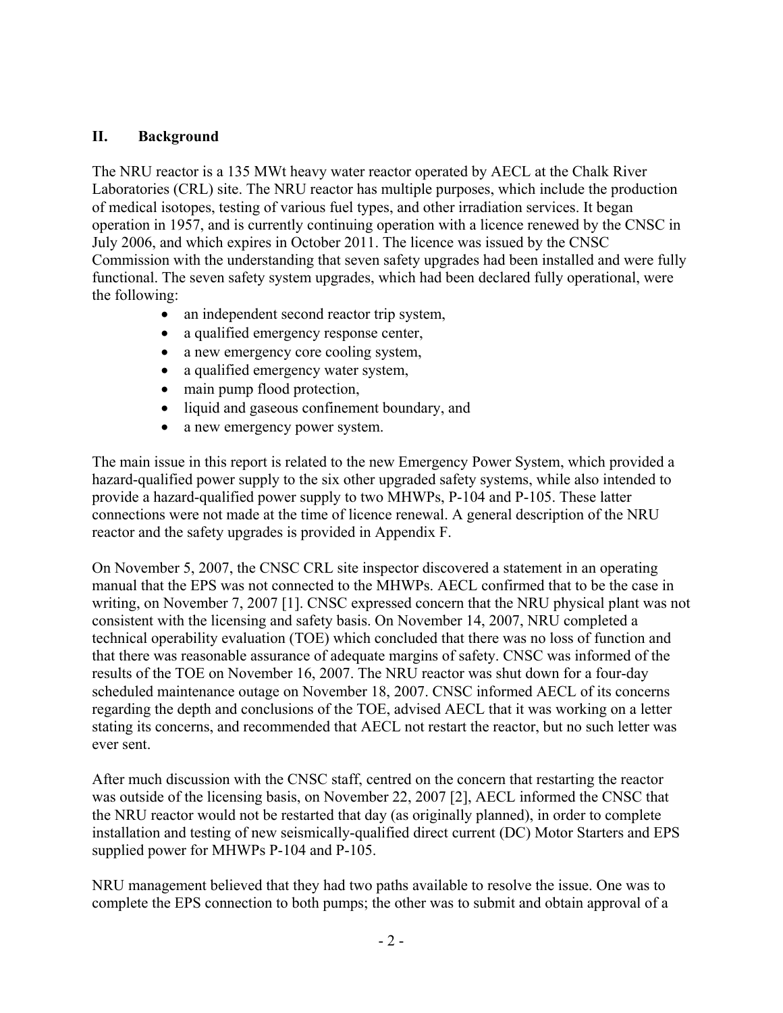## <span id="page-17-0"></span>**II. Background**

The NRU reactor is a 135 MWt heavy water reactor operated by AECL at the Chalk River Laboratories (CRL) site. The NRU reactor has multiple purposes, which include the production of medical isotopes, testing of various fuel types, and other irradiation services. It began operation in 1957, and is currently continuing operation with a licence renewed by the CNSC in July 2006, and which expires in October 2011. The licence was issued by the CNSC Commission with the understanding that seven safety upgrades had been installed and were fully functional. The seven safety system upgrades, which had been declared fully operational, were the following:

- an independent second reactor trip system,
- a qualified emergency response center,
- a new emergency core cooling system,
- a qualified emergency water system,
- main pump flood protection,
- liquid and gaseous confinement boundary, and
- a new emergency power system.

The main issue in this report is related to the new Emergency Power System, which provided a hazard-qualified power supply to the six other upgraded safety systems, while also intended to provide a hazard-qualified power supply to two MHWPs, P-104 and P-105. These latter connections were not made at the time of licence renewal. A general description of the NRU reactor and the safety upgrades is provided in Appendix F.

On November 5, 2007, the CNSC CRL site inspector discovered a statement in an operating manual that the EPS was not connected to the MHWPs. AECL confirmed that to be the case in writing, on November 7, 2007 [1]. CNSC expressed concern that the NRU physical plant was not consistent with the licensing and safety basis. On November 14, 2007, NRU completed a technical operability evaluation (TOE) which concluded that there was no loss of function and that there was reasonable assurance of adequate margins of safety. CNSC was informed of the results of the TOE on November 16, 2007. The NRU reactor was shut down for a four-day scheduled maintenance outage on November 18, 2007. CNSC informed AECL of its concerns regarding the depth and conclusions of the TOE, advised AECL that it was working on a letter stating its concerns, and recommended that AECL not restart the reactor, but no such letter was ever sent.

After much discussion with the CNSC staff, centred on the concern that restarting the reactor was outside of the licensing basis, on November 22, 2007 [2], AECL informed the CNSC that the NRU reactor would not be restarted that day (as originally planned), in order to complete installation and testing of new seismically-qualified direct current (DC) Motor Starters and EPS supplied power for MHWPs P-104 and P-105.

NRU management believed that they had two paths available to resolve the issue. One was to complete the EPS connection to both pumps; the other was to submit and obtain approval of a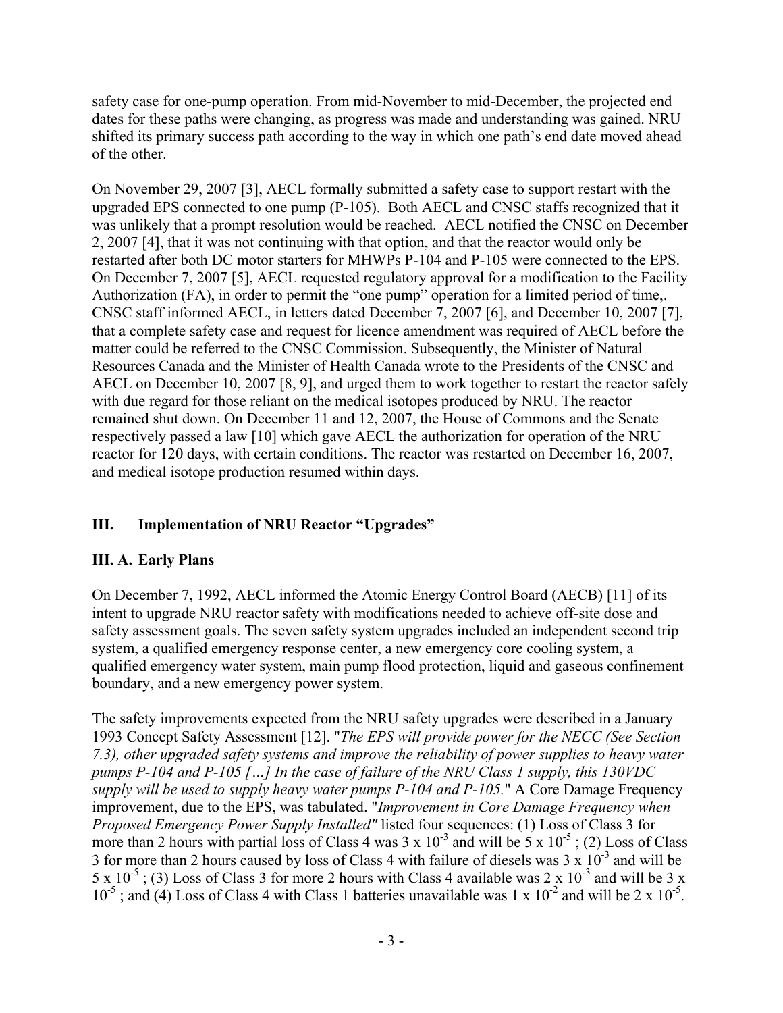<span id="page-18-0"></span>safety case for one-pump operation. From mid-November to mid-December, the projected end dates for these paths were changing, as progress was made and understanding was gained. NRU shifted its primary success path according to the way in which one path's end date moved ahead of the other.

On November 29, 2007 [3], AECL formally submitted a safety case to support restart with the upgraded EPS connected to one pump (P-105). Both AECL and CNSC staffs recognized that it was unlikely that a prompt resolution would be reached. AECL notified the CNSC on December 2, 2007 [4], that it was not continuing with that option, and that the reactor would only be restarted after both DC motor starters for MHWPs P-104 and P-105 were connected to the EPS. On December 7, 2007 [5], AECL requested regulatory approval for a modification to the Facility Authorization (FA), in order to permit the "one pump" operation for a limited period of time,. CNSC staff informed AECL, in letters dated December 7, 2007 [6], and December 10, 2007 [7], that a complete safety case and request for licence amendment was required of AECL before the matter could be referred to the CNSC Commission. Subsequently, the Minister of Natural Resources Canada and the Minister of Health Canada wrote to the Presidents of the CNSC and AECL on December 10, 2007 [8, 9], and urged them to work together to restart the reactor safely with due regard for those reliant on the medical isotopes produced by NRU. The reactor remained shut down. On December 11 and 12, 2007, the House of Commons and the Senate respectively passed a law [10] which gave AECL the authorization for operation of the NRU reactor for 120 days, with certain conditions. The reactor was restarted on December 16, 2007, and medical isotope production resumed within days.

# **III. Implementation of NRU Reactor "Upgrades"**

# **III. A. Early Plans**

On December 7, 1992, AECL informed the Atomic Energy Control Board (AECB) [11] of its intent to upgrade NRU reactor safety with modifications needed to achieve off-site dose and safety assessment goals. The seven safety system upgrades included an independent second trip system, a qualified emergency response center, a new emergency core cooling system, a qualified emergency water system, main pump flood protection, liquid and gaseous confinement boundary, and a new emergency power system.

The safety improvements expected from the NRU safety upgrades were described in a January 1993 Concept Safety Assessment [12]. "*The EPS will provide power for the NECC (See Section 7.3), other upgraded safety systems and improve the reliability of power supplies to heavy water pumps P-104 and P-105 […] In the case of failure of the NRU Class 1 supply, this 130VDC supply will be used to supply heavy water pumps P-104 and P-105.*" A Core Damage Frequency improvement, due to the EPS, was tabulated. "*Improvement in Core Damage Frequency when Proposed Emergency Power Supply Installed"* listed four sequences: (1) Loss of Class 3 for more than 2 hours with partial loss of Class 4 was  $3 \times 10^{-3}$  and will be  $5 \times 10^{-5}$ ; (2) Loss of Class 3 for more than 2 hours caused by loss of Class 4 with failure of diesels was  $3 \times 10^{-3}$  and will be 5 x  $10^{-5}$ ; (3) Loss of Class 3 for more 2 hours with Class 4 available was 2 x  $10^{-3}$  and will be 3 x  $10^{-5}$ ; and (4) Loss of Class 4 with Class 1 batteries unavailable was 1 x  $10^{-2}$  and will be 2 x  $10^{-5}$ .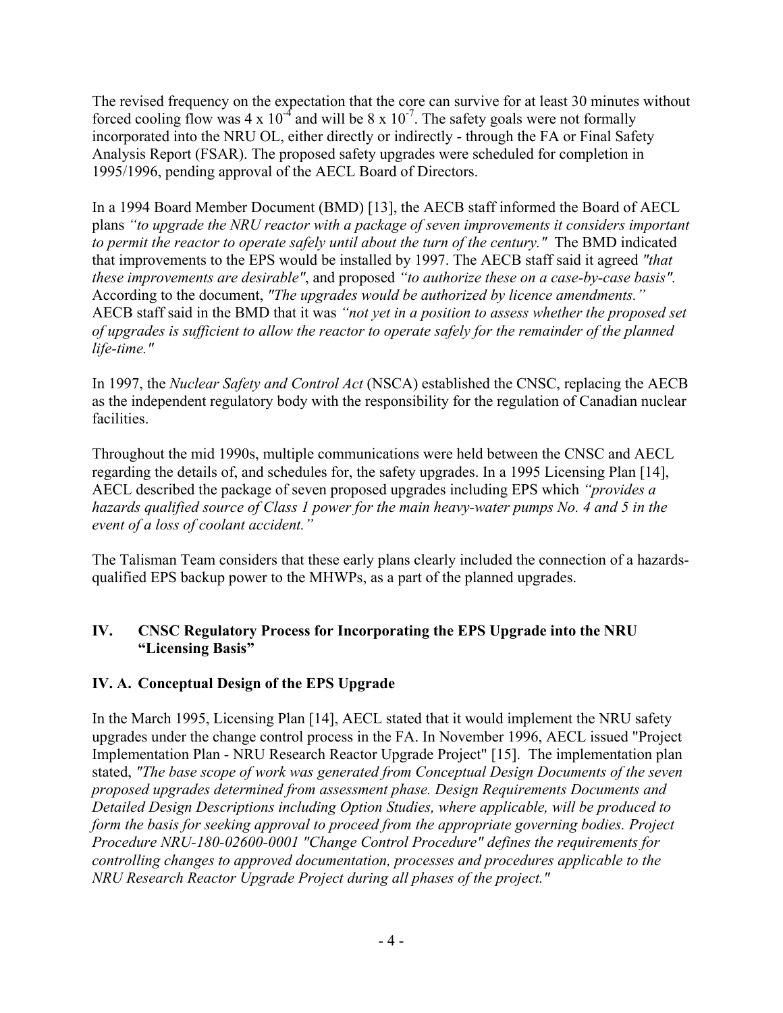<span id="page-19-0"></span>The revised frequency on the expectation that the core can survive for at least 30 minutes without forced cooling flow was 4 x  $10^{-4}$  and will be 8 x  $10^{-7}$ . The safety goals were not formally incorporated into the NRU OL, either directly or indirectly - through the FA or Final Safety Analysis Report (FSAR). The proposed safety upgrades were scheduled for completion in 1995/1996, pending approval of the AECL Board of Directors.

In a 1994 Board Member Document (BMD) [13], the AECB staff informed the Board of AECL plans *"to upgrade the NRU reactor with a package of seven improvements it considers important to permit the reactor to operate safely until about the turn of the century."* The BMD indicated that improvements to the EPS would be installed by 1997. The AECB staff said it agreed *"that these improvements are desirable"*, and proposed *"to authorize these on a case-by-case basis".*  According to the document, *"The upgrades would be authorized by licence amendments."* AECB staff said in the BMD that it was *"not yet in a position to assess whether the proposed set of upgrades is sufficient to allow the reactor to operate safely for the remainder of the planned life-time."*

In 1997, the *Nuclear Safety and Control Act* (NSCA) established the CNSC, replacing the AECB as the independent regulatory body with the responsibility for the regulation of Canadian nuclear facilities.

Throughout the mid 1990s, multiple communications were held between the CNSC and AECL regarding the details of, and schedules for, the safety upgrades. In a 1995 Licensing Plan [14], AECL described the package of seven proposed upgrades including EPS which *"provides a hazards qualified source of Class 1 power for the main heavy-water pumps No. 4 and 5 in the event of a loss of coolant accident."*

The Talisman Team considers that these early plans clearly included the connection of a hazardsqualified EPS backup power to the MHWPs, as a part of the planned upgrades.

# **IV. CNSC Regulatory Process for Incorporating the EPS Upgrade into the NRU "Licensing Basis"**

# **IV. A. Conceptual Design of the EPS Upgrade**

In the March 1995, Licensing Plan [14], AECL stated that it would implement the NRU safety upgrades under the change control process in the FA. In November 1996, AECL issued "Project Implementation Plan - NRU Research Reactor Upgrade Project" [15]. The implementation plan stated, *"The base scope of work was generated from Conceptual Design Documents of the seven proposed upgrades determined from assessment phase. Design Requirements Documents and Detailed Design Descriptions including Option Studies, where applicable, will be produced to form the basis for seeking approval to proceed from the appropriate governing bodies. Project Procedure NRU-180-02600-0001 "Change Control Procedure" defines the requirements for controlling changes to approved documentation, processes and procedures applicable to the NRU Research Reactor Upgrade Project during all phases of the project."*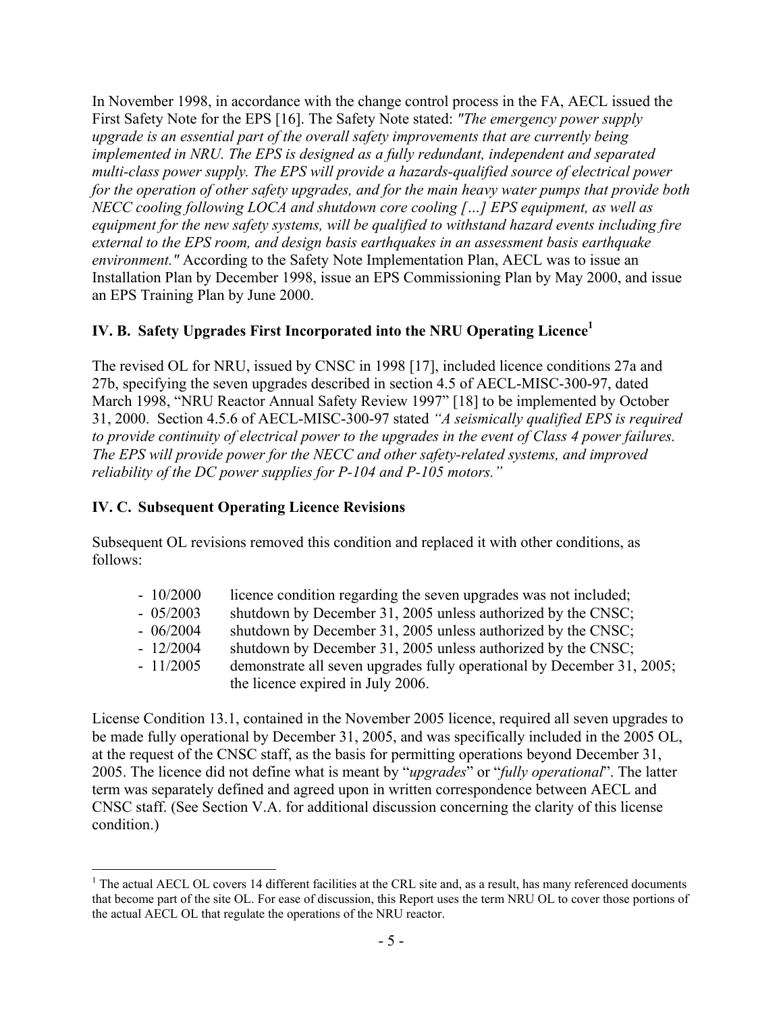In November 1998, in accordance with the change control process in the FA, AECL issued the First Safety Note for the EPS [16]. The Safety Note stated: *"The emergency power supply upgrade is an essential part of the overall safety improvements that are currently being implemented in NRU. The EPS is designed as a fully redundant, independent and separated multi-class power supply. The EPS will provide a hazards-qualified source of electrical power for the operation of other safety upgrades, and for the main heavy water pumps that provide both NECC cooling following LOCA and shutdown core cooling […] EPS equipment, as well as equipment for the new safety systems, will be qualified to withstand hazard events including fire external to the EPS room, and design basis earthquakes in an assessment basis earthquake environment."* According to the Safety Note Implementation Plan, AECL was to issue an Installation Plan by December 1998, issue an EPS Commissioning Plan by May 2000, and issue an EPS Training Plan by June 2000.

# **IV. B. Safety Upgrades First Incorporated into the NRU Operating Licence**<sup>1</sup>

The revised OL for NRU, issued by CNSC in 1998 [17], included licence conditions 27a and 27b, specifying the seven upgrades described in section 4.5 of AECL-MISC-300-97, dated March 1998, "NRU Reactor Annual Safety Review 1997" [18] to be implemented by October 31, 2000. Section 4.5.6 of AECL-MISC-300-97 stated *"A seismically qualified EPS is required to provide continuity of electrical power to the upgrades in the event of Class 4 power failures. The EPS will provide power for the NECC and other safety-related systems, and improved reliability of the DC power supplies for P-104 and P-105 motors."*

# **IV. C. Subsequent Operating Licence Revisions**

 $\overline{a}$ 

Subsequent OL revisions removed this condition and replaced it with other conditions, as follows:

| $-10/2000$ | licence condition regarding the seven upgrades was not included;       |
|------------|------------------------------------------------------------------------|
| $-05/2003$ | shutdown by December 31, 2005 unless authorized by the CNSC;           |
| $-06/2004$ | shutdown by December 31, 2005 unless authorized by the CNSC;           |
| $-12/2004$ | shutdown by December 31, 2005 unless authorized by the CNSC;           |
| $-11/2005$ | demonstrate all seven upgrades fully operational by December 31, 2005; |
|            | the licence expired in July 2006.                                      |

License Condition 13.1, contained in the November 2005 licence, required all seven upgrades to be made fully operational by December 31, 2005, and was specifically included in the 2005 OL, at the request of the CNSC staff, as the basis for permitting operations beyond December 31, 2005. The licence did not define what is meant by "*upgrades*" or "*fully operational*". The latter term was separately defined and agreed upon in written correspondence between AECL and CNSC staff. (See Section V.A. for additional discussion concerning the clarity of this license condition.)

<sup>&</sup>lt;sup>1</sup> The actual AECL OL covers 14 different facilities at the CRL site and, as a result, has many referenced documents that become part of the site OL. For ease of discussion, this Report uses the term NRU OL to cover those portions of the actual AECL OL that regulate the operations of the NRU reactor.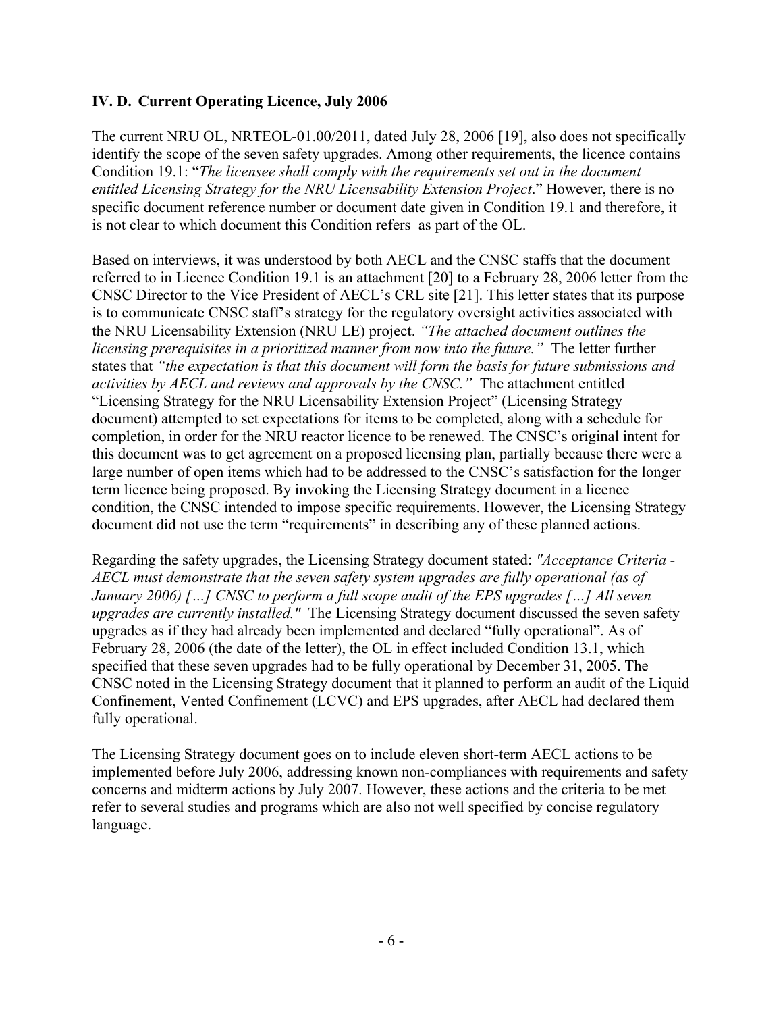## **IV. D. Current Operating Licence, July 2006**

The current NRU OL, NRTEOL-01.00/2011, dated July 28, 2006 [19], also does not specifically identify the scope of the seven safety upgrades. Among other requirements, the licence contains Condition 19.1: "*The licensee shall comply with the requirements set out in the document entitled Licensing Strategy for the NRU Licensability Extension Project*." However, there is no specific document reference number or document date given in Condition 19.1 and therefore, it is not clear to which document this Condition refers as part of the OL.

Based on interviews, it was understood by both AECL and the CNSC staffs that the document referred to in Licence Condition 19.1 is an attachment [20] to a February 28, 2006 letter from the CNSC Director to the Vice President of AECL's CRL site [21]. This letter states that its purpose is to communicate CNSC staff's strategy for the regulatory oversight activities associated with the NRU Licensability Extension (NRU LE) project. *"The attached document outlines the licensing prerequisites in a prioritized manner from now into the future."* The letter further states that *"the expectation is that this document will form the basis for future submissions and activities by AECL and reviews and approvals by the CNSC."* The attachment entitled "Licensing Strategy for the NRU Licensability Extension Project" (Licensing Strategy document) attempted to set expectations for items to be completed, along with a schedule for completion, in order for the NRU reactor licence to be renewed. The CNSC's original intent for this document was to get agreement on a proposed licensing plan, partially because there were a large number of open items which had to be addressed to the CNSC's satisfaction for the longer term licence being proposed. By invoking the Licensing Strategy document in a licence condition, the CNSC intended to impose specific requirements. However, the Licensing Strategy document did not use the term "requirements" in describing any of these planned actions.

Regarding the safety upgrades, the Licensing Strategy document stated: *"Acceptance Criteria - AECL must demonstrate that the seven safety system upgrades are fully operational (as of January 2006) […] CNSC to perform a full scope audit of the EPS upgrades […] All seven upgrades are currently installed."* The Licensing Strategy document discussed the seven safety upgrades as if they had already been implemented and declared "fully operational". As of February 28, 2006 (the date of the letter), the OL in effect included Condition 13.1, which specified that these seven upgrades had to be fully operational by December 31, 2005. The CNSC noted in the Licensing Strategy document that it planned to perform an audit of the Liquid Confinement, Vented Confinement (LCVC) and EPS upgrades, after AECL had declared them fully operational.

The Licensing Strategy document goes on to include eleven short-term AECL actions to be implemented before July 2006, addressing known non-compliances with requirements and safety concerns and midterm actions by July 2007. However, these actions and the criteria to be met refer to several studies and programs which are also not well specified by concise regulatory language.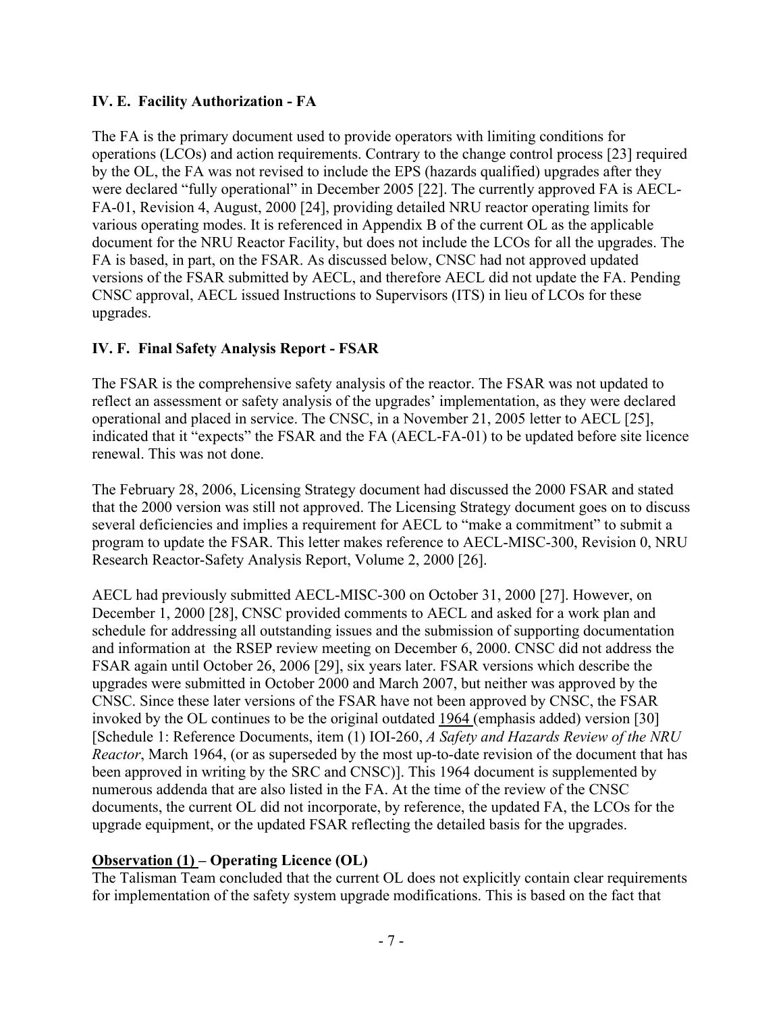## **IV. E. Facility Authorization - FA**

The FA is the primary document used to provide operators with limiting conditions for operations (LCOs) and action requirements. Contrary to the change control process [23] required by the OL, the FA was not revised to include the EPS (hazards qualified) upgrades after they were declared "fully operational" in December 2005 [22]. The currently approved FA is AECL-FA-01, Revision 4, August, 2000 [24], providing detailed NRU reactor operating limits for various operating modes. It is referenced in Appendix B of the current OL as the applicable document for the NRU Reactor Facility, but does not include the LCOs for all the upgrades. The FA is based, in part, on the FSAR. As discussed below, CNSC had not approved updated versions of the FSAR submitted by AECL, and therefore AECL did not update the FA. Pending CNSC approval, AECL issued Instructions to Supervisors (ITS) in lieu of LCOs for these upgrades.

# **IV. F. Final Safety Analysis Report - FSAR**

The FSAR is the comprehensive safety analysis of the reactor. The FSAR was not updated to reflect an assessment or safety analysis of the upgrades' implementation, as they were declared operational and placed in service. The CNSC, in a November 21, 2005 letter to AECL [25], indicated that it "expects" the FSAR and the FA (AECL-FA-01) to be updated before site licence renewal. This was not done.

The February 28, 2006, Licensing Strategy document had discussed the 2000 FSAR and stated that the 2000 version was still not approved. The Licensing Strategy document goes on to discuss several deficiencies and implies a requirement for AECL to "make a commitment" to submit a program to update the FSAR. This letter makes reference to AECL-MISC-300, Revision 0, NRU Research Reactor-Safety Analysis Report, Volume 2, 2000 [26].

AECL had previously submitted AECL-MISC-300 on October 31, 2000 [27]. However, on December 1, 2000 [28], CNSC provided comments to AECL and asked for a work plan and schedule for addressing all outstanding issues and the submission of supporting documentation and information at the RSEP review meeting on December 6, 2000. CNSC did not address the FSAR again until October 26, 2006 [29], six years later. FSAR versions which describe the upgrades were submitted in October 2000 and March 2007, but neither was approved by the CNSC. Since these later versions of the FSAR have not been approved by CNSC, the FSAR invoked by the OL continues to be the original outdated 1964 (emphasis added) version [30] [Schedule 1: Reference Documents, item (1) IOI-260, *A Safety and Hazards Review of the NRU Reactor*, March 1964, (or as superseded by the most up-to-date revision of the document that has been approved in writing by the SRC and CNSC)]. This 1964 document is supplemented by numerous addenda that are also listed in the FA. At the time of the review of the CNSC documents, the current OL did not incorporate, by reference, the updated FA, the LCOs for the upgrade equipment, or the updated FSAR reflecting the detailed basis for the upgrades.

### **Observation (1) – Operating Licence (OL)**

The Talisman Team concluded that the current OL does not explicitly contain clear requirements for implementation of the safety system upgrade modifications. This is based on the fact that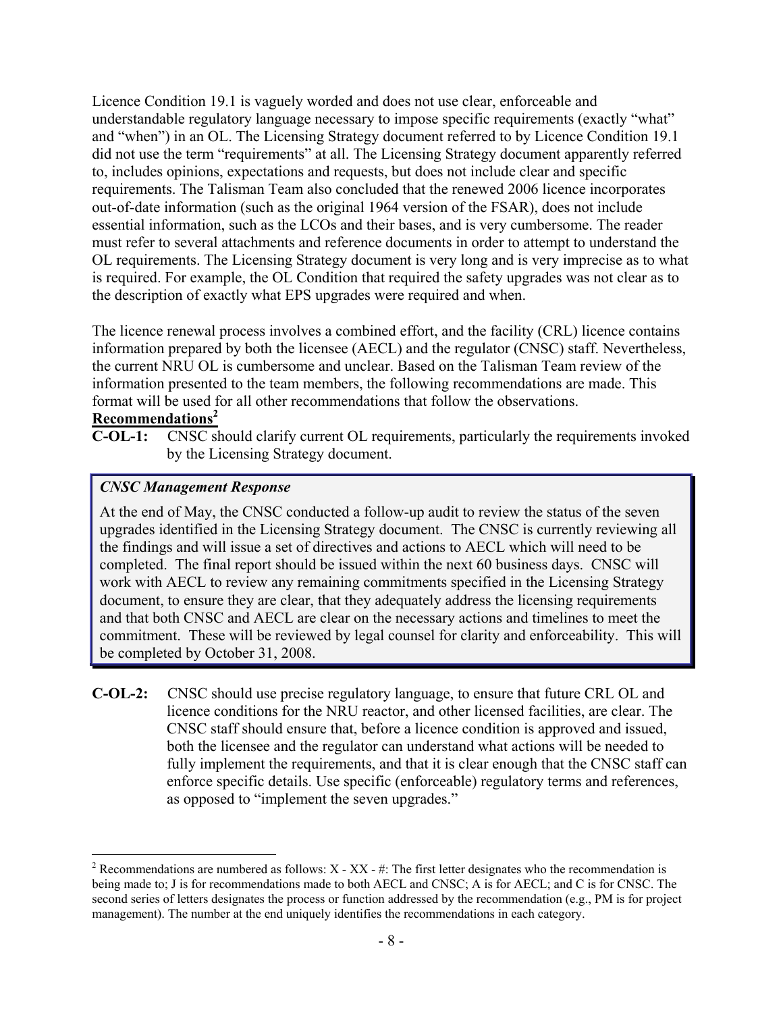Licence Condition 19.1 is vaguely worded and does not use clear, enforceable and understandable regulatory language necessary to impose specific requirements (exactly "what" and "when") in an OL. The Licensing Strategy document referred to by Licence Condition 19.1 did not use the term "requirements" at all. The Licensing Strategy document apparently referred to, includes opinions, expectations and requests, but does not include clear and specific requirements. The Talisman Team also concluded that the renewed 2006 licence incorporates out-of-date information (such as the original 1964 version of the FSAR), does not include essential information, such as the LCOs and their bases, and is very cumbersome. The reader must refer to several attachments and reference documents in order to attempt to understand the OL requirements. The Licensing Strategy document is very long and is very imprecise as to what is required. For example, the OL Condition that required the safety upgrades was not clear as to the description of exactly what EPS upgrades were required and when.

The licence renewal process involves a combined effort, and the facility (CRL) licence contains information prepared by both the licensee (AECL) and the regulator (CNSC) staff. Nevertheless, the current NRU OL is cumbersome and unclear. Based on the Talisman Team review of the information presented to the team members, the following recommendations are made. This format will be used for all other recommendations that follow the observations.

## **Recommendations2**

<u>.</u>

**C-OL-1:** CNSC should clarify current OL requirements, particularly the requirements invoked by the Licensing Strategy document.

### *CNSC Management Response*

At the end of May, the CNSC conducted a follow-up audit to review the status of the seven upgrades identified in the Licensing Strategy document. The CNSC is currently reviewing all the findings and will issue a set of directives and actions to AECL which will need to be completed. The final report should be issued within the next 60 business days. CNSC will work with AECL to review any remaining commitments specified in the Licensing Strategy document, to ensure they are clear, that they adequately address the licensing requirements and that both CNSC and AECL are clear on the necessary actions and timelines to meet the commitment. These will be reviewed by legal counsel for clarity and enforceability. This will be completed by October 31, 2008.

**C-OL-2:** CNSC should use precise regulatory language, to ensure that future CRL OL and licence conditions for the NRU reactor, and other licensed facilities, are clear. The CNSC staff should ensure that, before a licence condition is approved and issued, both the licensee and the regulator can understand what actions will be needed to fully implement the requirements, and that it is clear enough that the CNSC staff can enforce specific details. Use specific (enforceable) regulatory terms and references, as opposed to "implement the seven upgrades."

<sup>&</sup>lt;sup>2</sup> Recommendations are numbered as follows:  $X - XX - #$ : The first letter designates who the recommendation is being made to; J is for recommendations made to both AECL and CNSC; A is for AECL; and C is for CNSC. The second series of letters designates the process or function addressed by the recommendation (e.g., PM is for project management). The number at the end uniquely identifies the recommendations in each category.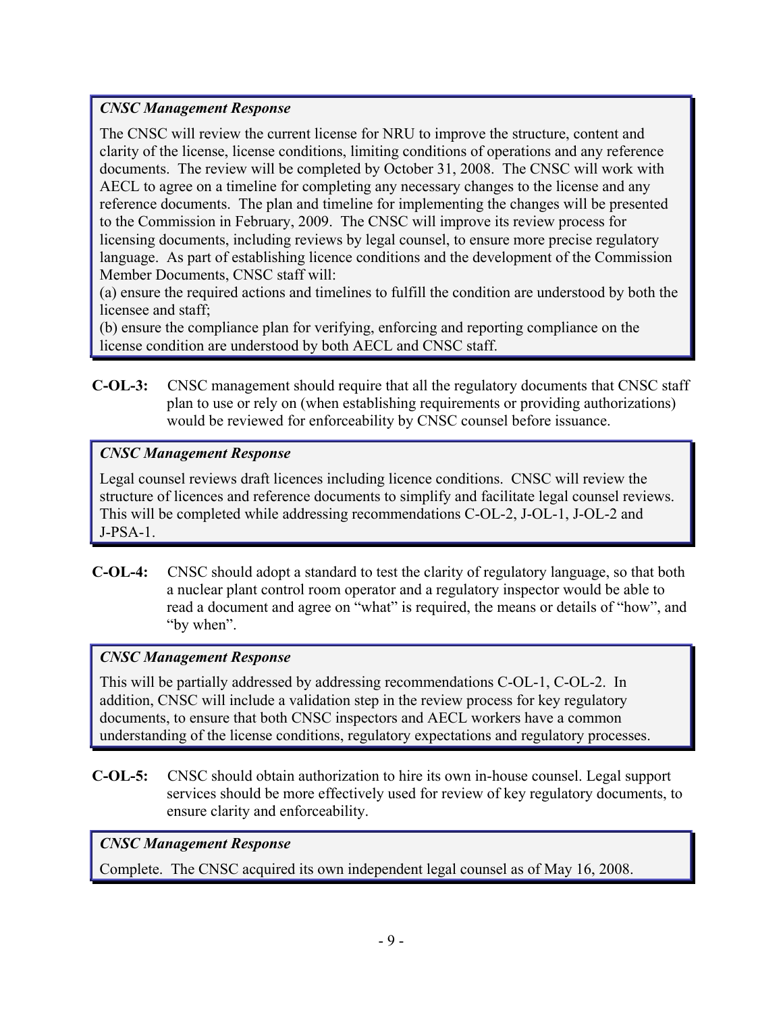## *CNSC Management Response*

The CNSC will review the current license for NRU to improve the structure, content and clarity of the license, license conditions, limiting conditions of operations and any reference documents. The review will be completed by October 31, 2008. The CNSC will work with AECL to agree on a timeline for completing any necessary changes to the license and any reference documents. The plan and timeline for implementing the changes will be presented to the Commission in February, 2009. The CNSC will improve its review process for licensing documents, including reviews by legal counsel, to ensure more precise regulatory language. As part of establishing licence conditions and the development of the Commission Member Documents, CNSC staff will:

(a) ensure the required actions and timelines to fulfill the condition are understood by both the licensee and staff;

(b) ensure the compliance plan for verifying, enforcing and reporting compliance on the license condition are understood by both AECL and CNSC staff.

**C-OL-3:** CNSC management should require that all the regulatory documents that CNSC staff plan to use or rely on (when establishing requirements or providing authorizations) would be reviewed for enforceability by CNSC counsel before issuance.

# *CNSC Management Response*

Legal counsel reviews draft licences including licence conditions. CNSC will review the structure of licences and reference documents to simplify and facilitate legal counsel reviews. This will be completed while addressing recommendations C-OL-2, J-OL-1, J-OL-2 and J-PSA-1.

**C-OL-4:** CNSC should adopt a standard to test the clarity of regulatory language, so that both a nuclear plant control room operator and a regulatory inspector would be able to read a document and agree on "what" is required, the means or details of "how", and "by when".

# *CNSC Management Response*

This will be partially addressed by addressing recommendations C-OL-1, C-OL-2. In addition, CNSC will include a validation step in the review process for key regulatory documents, to ensure that both CNSC inspectors and AECL workers have a common understanding of the license conditions, regulatory expectations and regulatory processes.

**C-OL-5:** CNSC should obtain authorization to hire its own in-house counsel. Legal support services should be more effectively used for review of key regulatory documents, to ensure clarity and enforceability.

# *CNSC Management Response*

Complete. The CNSC acquired its own independent legal counsel as of May 16, 2008.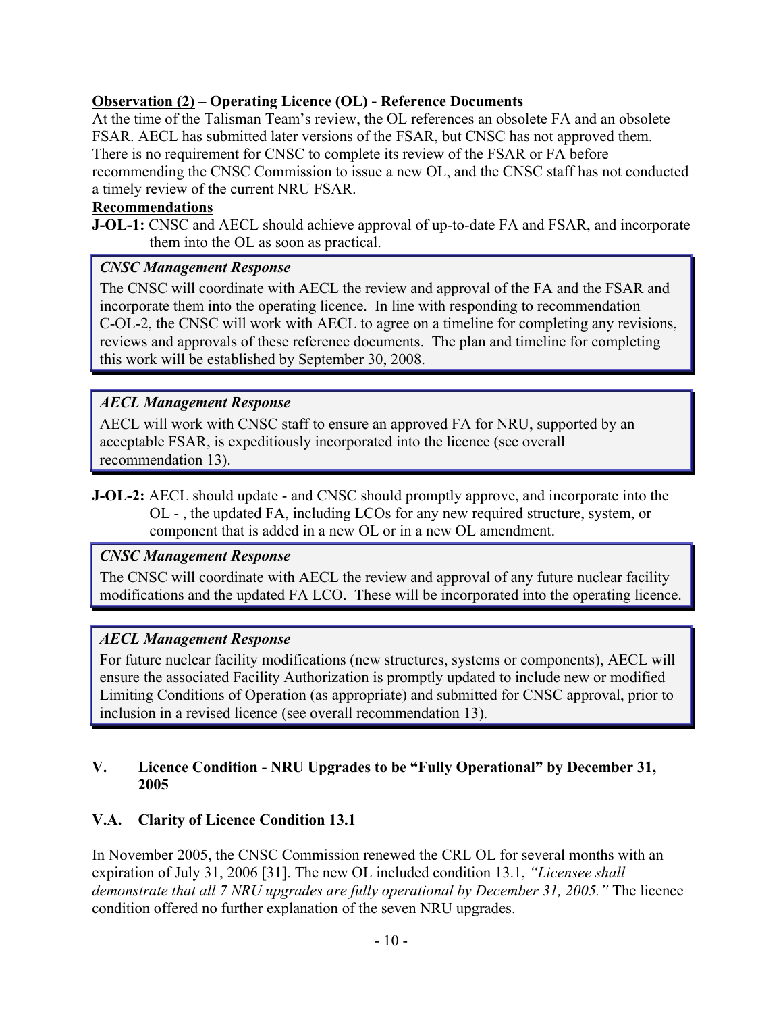## <span id="page-25-0"></span>**Observation (2) – Operating Licence (OL) - Reference Documents**

At the time of the Talisman Team's review, the OL references an obsolete FA and an obsolete FSAR. AECL has submitted later versions of the FSAR, but CNSC has not approved them. There is no requirement for CNSC to complete its review of the FSAR or FA before recommending the CNSC Commission to issue a new OL, and the CNSC staff has not conducted a timely review of the current NRU FSAR.

## **Recommendations**

**J-OL-1:** CNSC and AECL should achieve approval of up-to-date FA and FSAR, and incorporate them into the OL as soon as practical.

## *CNSC Management Response*

The CNSC will coordinate with AECL the review and approval of the FA and the FSAR and incorporate them into the operating licence. In line with responding to recommendation C-OL-2, the CNSC will work with AECL to agree on a timeline for completing any revisions, reviews and approvals of these reference documents. The plan and timeline for completing this work will be established by September 30, 2008.

## *AECL Management Response*

AECL will work with CNSC staff to ensure an approved FA for NRU, supported by an acceptable FSAR, is expeditiously incorporated into the licence (see overall recommendation 13).

**J-OL-2:** AECL should update - and CNSC should promptly approve, and incorporate into the OL - , the updated FA, including LCOs for any new required structure, system, or component that is added in a new OL or in a new OL amendment.

# *CNSC Management Response*

The CNSC will coordinate with AECL the review and approval of any future nuclear facility modifications and the updated FA LCO. These will be incorporated into the operating licence.

# *AECL Management Response*

For future nuclear facility modifications (new structures, systems or components), AECL will ensure the associated Facility Authorization is promptly updated to include new or modified Limiting Conditions of Operation (as appropriate) and submitted for CNSC approval, prior to inclusion in a revised licence (see overall recommendation 13).

### **V. Licence Condition - NRU Upgrades to be "Fully Operational" by December 31, 2005**

# **V.A. Clarity of Licence Condition 13.1**

In November 2005, the CNSC Commission renewed the CRL OL for several months with an expiration of July 31, 2006 [31]. The new OL included condition 13.1, *"Licensee shall demonstrate that all 7 NRU upgrades are fully operational by December 31, 2005."* The licence condition offered no further explanation of the seven NRU upgrades.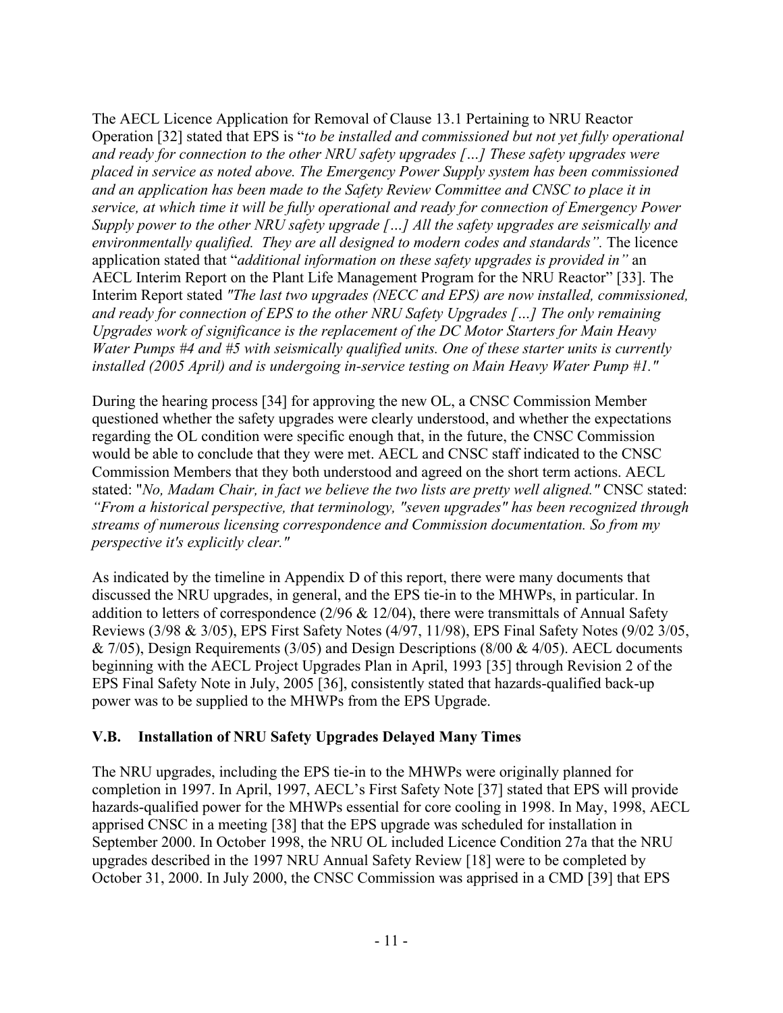The AECL Licence Application for Removal of Clause 13.1 Pertaining to NRU Reactor Operation [32] stated that EPS is "*to be installed and commissioned but not yet fully operational and ready for connection to the other NRU safety upgrades […] These safety upgrades were placed in service as noted above. The Emergency Power Supply system has been commissioned and an application has been made to the Safety Review Committee and CNSC to place it in service, at which time it will be fully operational and ready for connection of Emergency Power Supply power to the other NRU safety upgrade […] All the safety upgrades are seismically and environmentally qualified. They are all designed to modern codes and standards".* The licence application stated that "*additional information on these safety upgrades is provided in"* an AECL Interim Report on the Plant Life Management Program for the NRU Reactor" [33]. The Interim Report stated *"The last two upgrades (NECC and EPS) are now installed, commissioned, and ready for connection of EPS to the other NRU Safety Upgrades […] The only remaining Upgrades work of significance is the replacement of the DC Motor Starters for Main Heavy Water Pumps #4 and #5 with seismically qualified units. One of these starter units is currently installed (2005 April) and is undergoing in-service testing on Main Heavy Water Pump #1."*

During the hearing process [34] for approving the new OL, a CNSC Commission Member questioned whether the safety upgrades were clearly understood, and whether the expectations regarding the OL condition were specific enough that, in the future, the CNSC Commission would be able to conclude that they were met. AECL and CNSC staff indicated to the CNSC Commission Members that they both understood and agreed on the short term actions. AECL stated: "*No, Madam Chair, in fact we believe the two lists are pretty well aligned."* CNSC stated: *"From a historical perspective, that terminology, "seven upgrades" has been recognized through streams of numerous licensing correspondence and Commission documentation. So from my perspective it's explicitly clear."*

As indicated by the timeline in Appendix D of this report, there were many documents that discussed the NRU upgrades, in general, and the EPS tie-in to the MHWPs, in particular. In addition to letters of correspondence ( $2/96 \& 12/04$ ), there were transmittals of Annual Safety Reviews (3/98 & 3/05), EPS First Safety Notes (4/97, 11/98), EPS Final Safety Notes (9/02 3/05,  $& 7/05$ ), Design Requirements (3/05) and Design Descriptions (8/00  $& 4/05$ ). AECL documents beginning with the AECL Project Upgrades Plan in April, 1993 [35] through Revision 2 of the EPS Final Safety Note in July, 2005 [36], consistently stated that hazards-qualified back-up power was to be supplied to the MHWPs from the EPS Upgrade.

# **V.B. Installation of NRU Safety Upgrades Delayed Many Times**

The NRU upgrades, including the EPS tie-in to the MHWPs were originally planned for completion in 1997. In April, 1997, AECL's First Safety Note [37] stated that EPS will provide hazards-qualified power for the MHWPs essential for core cooling in 1998. In May, 1998, AECL apprised CNSC in a meeting [38] that the EPS upgrade was scheduled for installation in September 2000. In October 1998, the NRU OL included Licence Condition 27a that the NRU upgrades described in the 1997 NRU Annual Safety Review [18] were to be completed by October 31, 2000. In July 2000, the CNSC Commission was apprised in a CMD [39] that EPS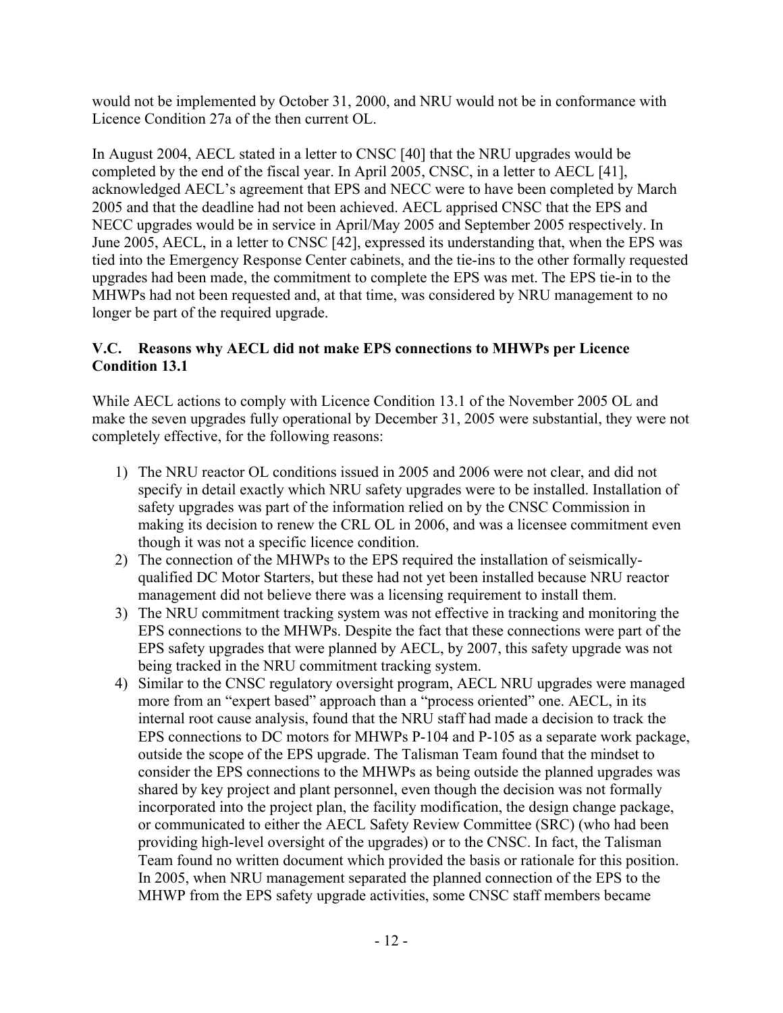would not be implemented by October 31, 2000, and NRU would not be in conformance with Licence Condition 27a of the then current OL.

In August 2004, AECL stated in a letter to CNSC [40] that the NRU upgrades would be completed by the end of the fiscal year. In April 2005, CNSC, in a letter to AECL [41], acknowledged AECL's agreement that EPS and NECC were to have been completed by March 2005 and that the deadline had not been achieved. AECL apprised CNSC that the EPS and NECC upgrades would be in service in April/May 2005 and September 2005 respectively. In June 2005, AECL, in a letter to CNSC [42], expressed its understanding that, when the EPS was tied into the Emergency Response Center cabinets, and the tie-ins to the other formally requested upgrades had been made, the commitment to complete the EPS was met. The EPS tie-in to the MHWPs had not been requested and, at that time, was considered by NRU management to no longer be part of the required upgrade.

# **V.C. Reasons why AECL did not make EPS connections to MHWPs per Licence Condition 13.1**

While AECL actions to comply with Licence Condition 13.1 of the November 2005 OL and make the seven upgrades fully operational by December 31, 2005 were substantial, they were not completely effective, for the following reasons:

- 1) The NRU reactor OL conditions issued in 2005 and 2006 were not clear, and did not specify in detail exactly which NRU safety upgrades were to be installed. Installation of safety upgrades was part of the information relied on by the CNSC Commission in making its decision to renew the CRL OL in 2006, and was a licensee commitment even though it was not a specific licence condition.
- 2) The connection of the MHWPs to the EPS required the installation of seismicallyqualified DC Motor Starters, but these had not yet been installed because NRU reactor management did not believe there was a licensing requirement to install them.
- 3) The NRU commitment tracking system was not effective in tracking and monitoring the EPS connections to the MHWPs. Despite the fact that these connections were part of the EPS safety upgrades that were planned by AECL, by 2007, this safety upgrade was not being tracked in the NRU commitment tracking system.
- 4) Similar to the CNSC regulatory oversight program, AECL NRU upgrades were managed more from an "expert based" approach than a "process oriented" one. AECL, in its internal root cause analysis, found that the NRU staff had made a decision to track the EPS connections to DC motors for MHWPs P-104 and P-105 as a separate work package, outside the scope of the EPS upgrade. The Talisman Team found that the mindset to consider the EPS connections to the MHWPs as being outside the planned upgrades was shared by key project and plant personnel, even though the decision was not formally incorporated into the project plan, the facility modification, the design change package, or communicated to either the AECL Safety Review Committee (SRC) (who had been providing high-level oversight of the upgrades) or to the CNSC. In fact, the Talisman Team found no written document which provided the basis or rationale for this position. In 2005, when NRU management separated the planned connection of the EPS to the MHWP from the EPS safety upgrade activities, some CNSC staff members became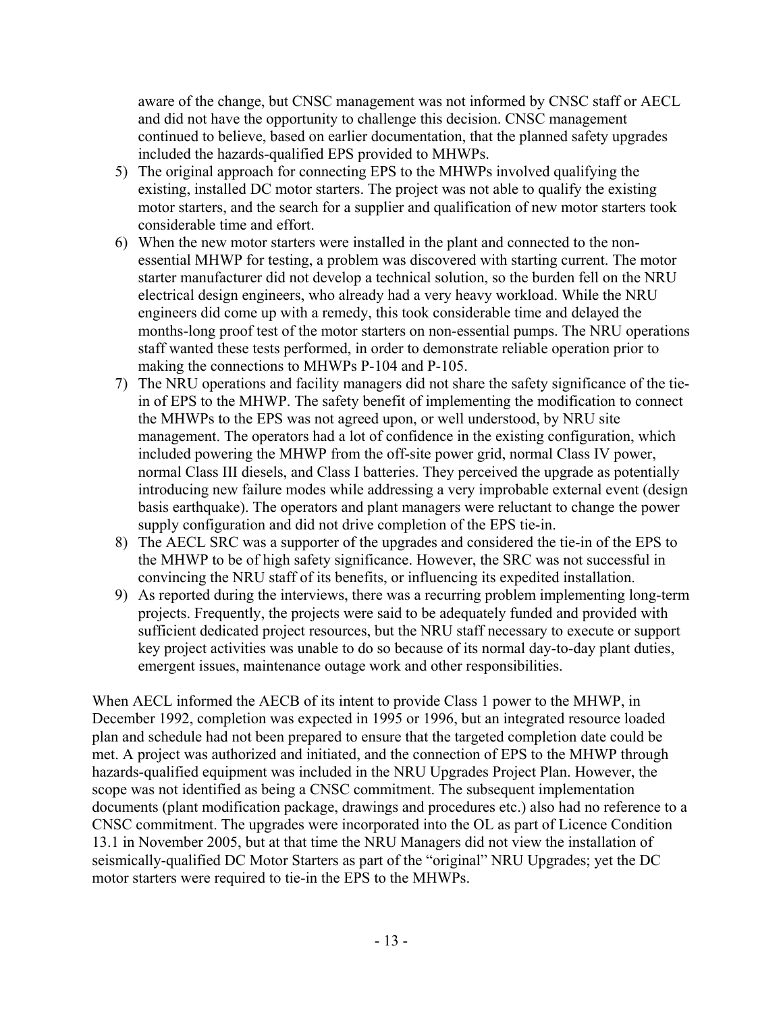aware of the change, but CNSC management was not informed by CNSC staff or AECL and did not have the opportunity to challenge this decision. CNSC management continued to believe, based on earlier documentation, that the planned safety upgrades included the hazards-qualified EPS provided to MHWPs.

- 5) The original approach for connecting EPS to the MHWPs involved qualifying the existing, installed DC motor starters. The project was not able to qualify the existing motor starters, and the search for a supplier and qualification of new motor starters took considerable time and effort.
- 6) When the new motor starters were installed in the plant and connected to the nonessential MHWP for testing, a problem was discovered with starting current. The motor starter manufacturer did not develop a technical solution, so the burden fell on the NRU electrical design engineers, who already had a very heavy workload. While the NRU engineers did come up with a remedy, this took considerable time and delayed the months-long proof test of the motor starters on non-essential pumps. The NRU operations staff wanted these tests performed, in order to demonstrate reliable operation prior to making the connections to MHWPs P-104 and P-105.
- 7) The NRU operations and facility managers did not share the safety significance of the tiein of EPS to the MHWP. The safety benefit of implementing the modification to connect the MHWPs to the EPS was not agreed upon, or well understood, by NRU site management. The operators had a lot of confidence in the existing configuration, which included powering the MHWP from the off-site power grid, normal Class IV power, normal Class III diesels, and Class I batteries. They perceived the upgrade as potentially introducing new failure modes while addressing a very improbable external event (design basis earthquake). The operators and plant managers were reluctant to change the power supply configuration and did not drive completion of the EPS tie-in.
- 8) The AECL SRC was a supporter of the upgrades and considered the tie-in of the EPS to the MHWP to be of high safety significance. However, the SRC was not successful in convincing the NRU staff of its benefits, or influencing its expedited installation.
- 9) As reported during the interviews, there was a recurring problem implementing long-term projects. Frequently, the projects were said to be adequately funded and provided with sufficient dedicated project resources, but the NRU staff necessary to execute or support key project activities was unable to do so because of its normal day-to-day plant duties, emergent issues, maintenance outage work and other responsibilities.

When AECL informed the AECB of its intent to provide Class 1 power to the MHWP, in December 1992, completion was expected in 1995 or 1996, but an integrated resource loaded plan and schedule had not been prepared to ensure that the targeted completion date could be met. A project was authorized and initiated, and the connection of EPS to the MHWP through hazards-qualified equipment was included in the NRU Upgrades Project Plan. However, the scope was not identified as being a CNSC commitment. The subsequent implementation documents (plant modification package, drawings and procedures etc.) also had no reference to a CNSC commitment. The upgrades were incorporated into the OL as part of Licence Condition 13.1 in November 2005, but at that time the NRU Managers did not view the installation of seismically-qualified DC Motor Starters as part of the "original" NRU Upgrades; yet the DC motor starters were required to tie-in the EPS to the MHWPs.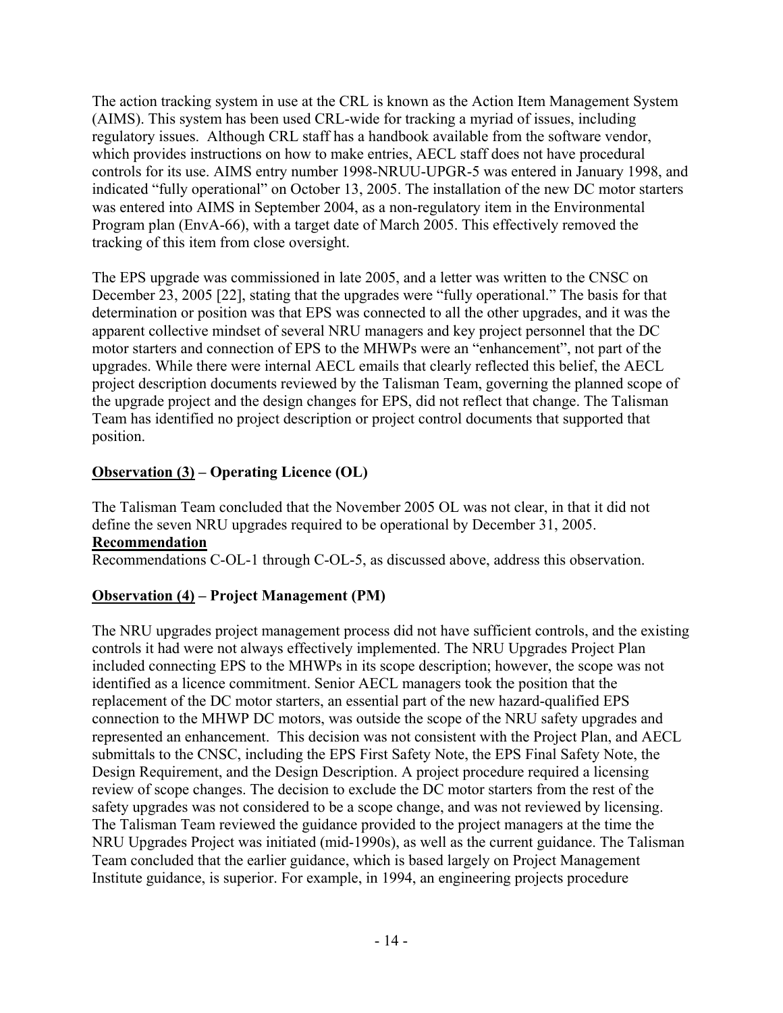The action tracking system in use at the CRL is known as the Action Item Management System (AIMS). This system has been used CRL-wide for tracking a myriad of issues, including regulatory issues. Although CRL staff has a handbook available from the software vendor, which provides instructions on how to make entries, AECL staff does not have procedural controls for its use. AIMS entry number 1998-NRUU-UPGR-5 was entered in January 1998, and indicated "fully operational" on October 13, 2005. The installation of the new DC motor starters was entered into AIMS in September 2004, as a non-regulatory item in the Environmental Program plan (EnvA-66), with a target date of March 2005. This effectively removed the tracking of this item from close oversight.

The EPS upgrade was commissioned in late 2005, and a letter was written to the CNSC on December 23, 2005 [22], stating that the upgrades were "fully operational." The basis for that determination or position was that EPS was connected to all the other upgrades, and it was the apparent collective mindset of several NRU managers and key project personnel that the DC motor starters and connection of EPS to the MHWPs were an "enhancement", not part of the upgrades. While there were internal AECL emails that clearly reflected this belief, the AECL project description documents reviewed by the Talisman Team, governing the planned scope of the upgrade project and the design changes for EPS, did not reflect that change. The Talisman Team has identified no project description or project control documents that supported that position.

# **Observation (3) – Operating Licence (OL)**

The Talisman Team concluded that the November 2005 OL was not clear, in that it did not define the seven NRU upgrades required to be operational by December 31, 2005. **Recommendation** 

Recommendations C-OL-1 through C-OL-5, as discussed above, address this observation.

# **Observation (4) – Project Management (PM)**

The NRU upgrades project management process did not have sufficient controls, and the existing controls it had were not always effectively implemented. The NRU Upgrades Project Plan included connecting EPS to the MHWPs in its scope description; however, the scope was not identified as a licence commitment. Senior AECL managers took the position that the replacement of the DC motor starters, an essential part of the new hazard-qualified EPS connection to the MHWP DC motors, was outside the scope of the NRU safety upgrades and represented an enhancement. This decision was not consistent with the Project Plan, and AECL submittals to the CNSC, including the EPS First Safety Note, the EPS Final Safety Note, the Design Requirement, and the Design Description. A project procedure required a licensing review of scope changes. The decision to exclude the DC motor starters from the rest of the safety upgrades was not considered to be a scope change, and was not reviewed by licensing. The Talisman Team reviewed the guidance provided to the project managers at the time the NRU Upgrades Project was initiated (mid-1990s), as well as the current guidance. The Talisman Team concluded that the earlier guidance, which is based largely on Project Management Institute guidance, is superior. For example, in 1994, an engineering projects procedure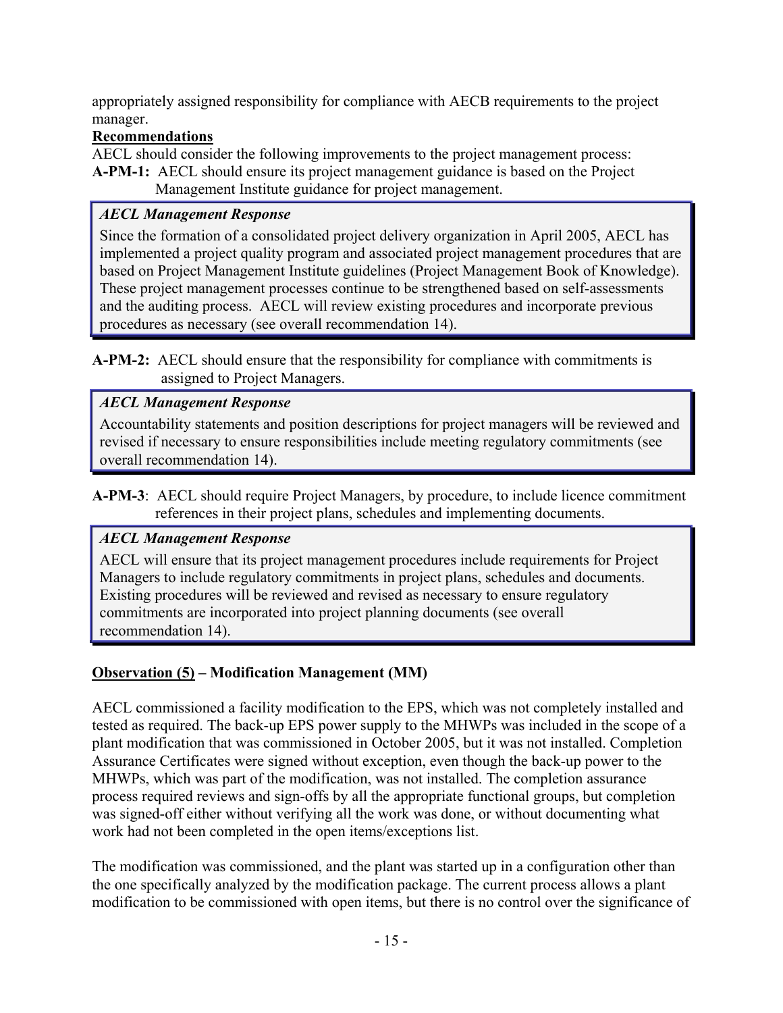appropriately assigned responsibility for compliance with AECB requirements to the project manager.

# **Recommendations**

AECL should consider the following improvements to the project management process: **A-PM-1:** AECL should ensure its project management guidance is based on the Project Management Institute guidance for project management.

# *AECL Management Response*

Since the formation of a consolidated project delivery organization in April 2005, AECL has implemented a project quality program and associated project management procedures that are based on Project Management Institute guidelines (Project Management Book of Knowledge). These project management processes continue to be strengthened based on self-assessments and the auditing process. AECL will review existing procedures and incorporate previous procedures as necessary (see overall recommendation 14).

**A-PM-2:** AECL should ensure that the responsibility for compliance with commitments is assigned to Project Managers.

# *AECL Management Response*

Accountability statements and position descriptions for project managers will be reviewed and revised if necessary to ensure responsibilities include meeting regulatory commitments (see overall recommendation 14).

# *AECL Management Response*

AECL will ensure that its project management procedures include requirements for Project Managers to include regulatory commitments in project plans, schedules and documents. Existing procedures will be reviewed and revised as necessary to ensure regulatory commitments are incorporated into project planning documents (see overall recommendation 14).

# **Observation (5) – Modification Management (MM)**

AECL commissioned a facility modification to the EPS, which was not completely installed and tested as required. The back-up EPS power supply to the MHWPs was included in the scope of a plant modification that was commissioned in October 2005, but it was not installed. Completion Assurance Certificates were signed without exception, even though the back-up power to the MHWPs, which was part of the modification, was not installed. The completion assurance process required reviews and sign-offs by all the appropriate functional groups, but completion was signed-off either without verifying all the work was done, or without documenting what work had not been completed in the open items/exceptions list.

The modification was commissioned, and the plant was started up in a configuration other than the one specifically analyzed by the modification package. The current process allows a plant modification to be commissioned with open items, but there is no control over the significance of

**A-PM-3**: AECL should require Project Managers, by procedure, to include licence commitment references in their project plans, schedules and implementing documents.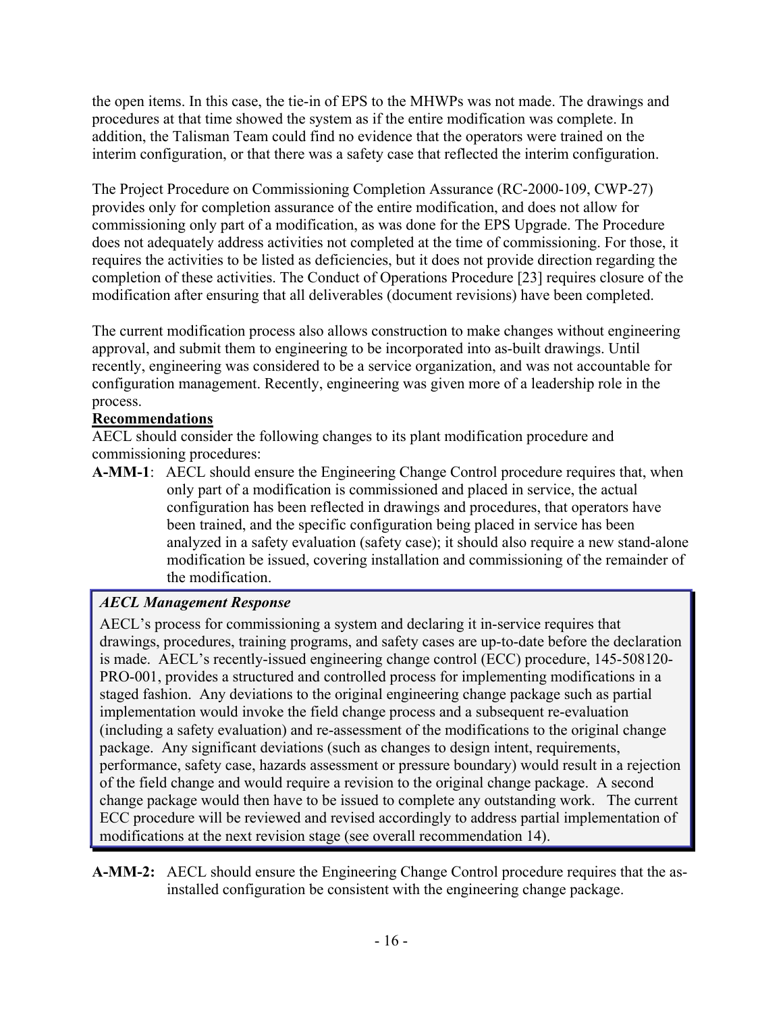the open items. In this case, the tie-in of EPS to the MHWPs was not made. The drawings and procedures at that time showed the system as if the entire modification was complete. In addition, the Talisman Team could find no evidence that the operators were trained on the interim configuration, or that there was a safety case that reflected the interim configuration.

The Project Procedure on Commissioning Completion Assurance (RC-2000-109, CWP-27) provides only for completion assurance of the entire modification, and does not allow for commissioning only part of a modification, as was done for the EPS Upgrade. The Procedure does not adequately address activities not completed at the time of commissioning. For those, it requires the activities to be listed as deficiencies, but it does not provide direction regarding the completion of these activities. The Conduct of Operations Procedure [23] requires closure of the modification after ensuring that all deliverables (document revisions) have been completed.

The current modification process also allows construction to make changes without engineering approval, and submit them to engineering to be incorporated into as-built drawings. Until recently, engineering was considered to be a service organization, and was not accountable for configuration management. Recently, engineering was given more of a leadership role in the process.

# **Recommendations**

AECL should consider the following changes to its plant modification procedure and commissioning procedures:

**A-MM-1**: AECL should ensure the Engineering Change Control procedure requires that, when only part of a modification is commissioned and placed in service, the actual configuration has been reflected in drawings and procedures, that operators have been trained, and the specific configuration being placed in service has been analyzed in a safety evaluation (safety case); it should also require a new stand-alone modification be issued, covering installation and commissioning of the remainder of the modification.

# *AECL Management Response*

AECL's process for commissioning a system and declaring it in-service requires that drawings, procedures, training programs, and safety cases are up-to-date before the declaration is made. AECL's recently-issued engineering change control (ECC) procedure, 145-508120- PRO-001, provides a structured and controlled process for implementing modifications in a staged fashion. Any deviations to the original engineering change package such as partial implementation would invoke the field change process and a subsequent re-evaluation (including a safety evaluation) and re-assessment of the modifications to the original change package. Any significant deviations (such as changes to design intent, requirements, performance, safety case, hazards assessment or pressure boundary) would result in a rejection of the field change and would require a revision to the original change package. A second change package would then have to be issued to complete any outstanding work. The current ECC procedure will be reviewed and revised accordingly to address partial implementation of modifications at the next revision stage (see overall recommendation 14).

**A-MM-2:** AECL should ensure the Engineering Change Control procedure requires that the asinstalled configuration be consistent with the engineering change package.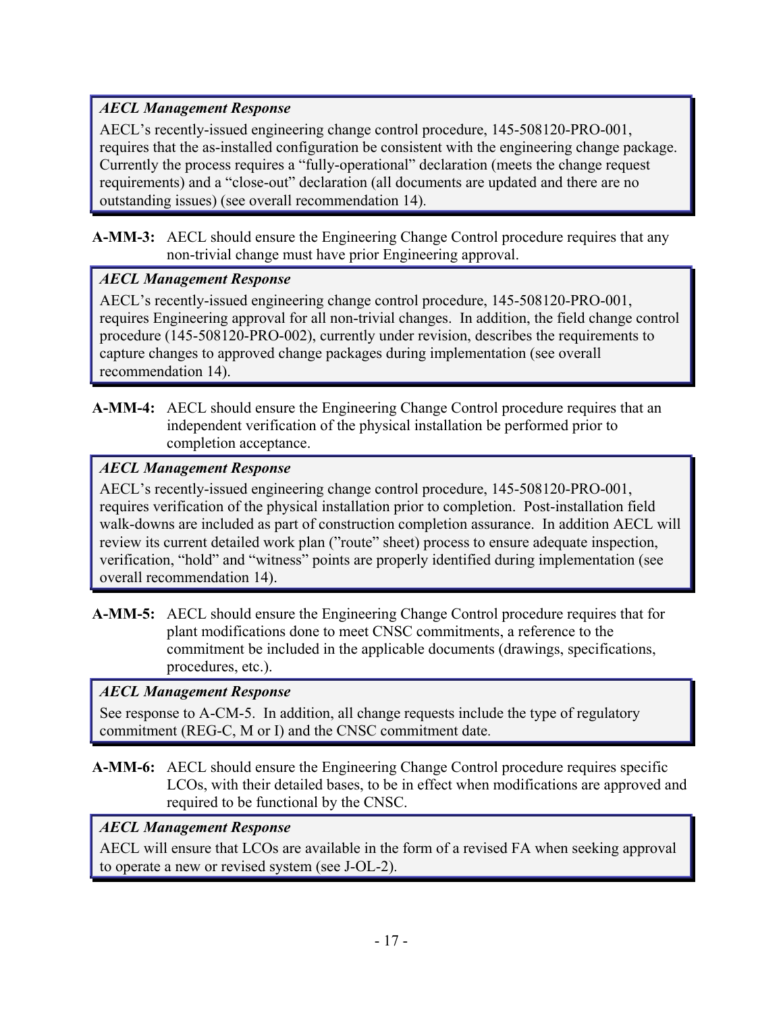# *AECL Management Response*

AECL's recently-issued engineering change control procedure, 145-508120-PRO-001, requires that the as-installed configuration be consistent with the engineering change package. Currently the process requires a "fully-operational" declaration (meets the change request requirements) and a "close-out" declaration (all documents are updated and there are no outstanding issues) (see overall recommendation 14).

**A-MM-3:** AECL should ensure the Engineering Change Control procedure requires that any non-trivial change must have prior Engineering approval.

# *AECL Management Response*

AECL's recently-issued engineering change control procedure, 145-508120-PRO-001, requires Engineering approval for all non-trivial changes. In addition, the field change control procedure (145-508120-PRO-002), currently under revision, describes the requirements to capture changes to approved change packages during implementation (see overall recommendation 14).

**A-MM-4:** AECL should ensure the Engineering Change Control procedure requires that an independent verification of the physical installation be performed prior to completion acceptance.

# *AECL Management Response*

AECL's recently-issued engineering change control procedure, 145-508120-PRO-001, requires verification of the physical installation prior to completion. Post-installation field walk-downs are included as part of construction completion assurance. In addition AECL will review its current detailed work plan ("route" sheet) process to ensure adequate inspection, verification, "hold" and "witness" points are properly identified during implementation (see overall recommendation 14).

**A-MM-5:** AECL should ensure the Engineering Change Control procedure requires that for plant modifications done to meet CNSC commitments, a reference to the commitment be included in the applicable documents (drawings, specifications, procedures, etc.).

# *AECL Management Response*

See response to A-CM-5. In addition, all change requests include the type of regulatory commitment (REG-C, M or I) and the CNSC commitment date.

**A-MM-6:** AECL should ensure the Engineering Change Control procedure requires specific LCOs, with their detailed bases, to be in effect when modifications are approved and required to be functional by the CNSC.

# *AECL Management Response*

AECL will ensure that LCOs are available in the form of a revised FA when seeking approval to operate a new or revised system (see J-OL-2).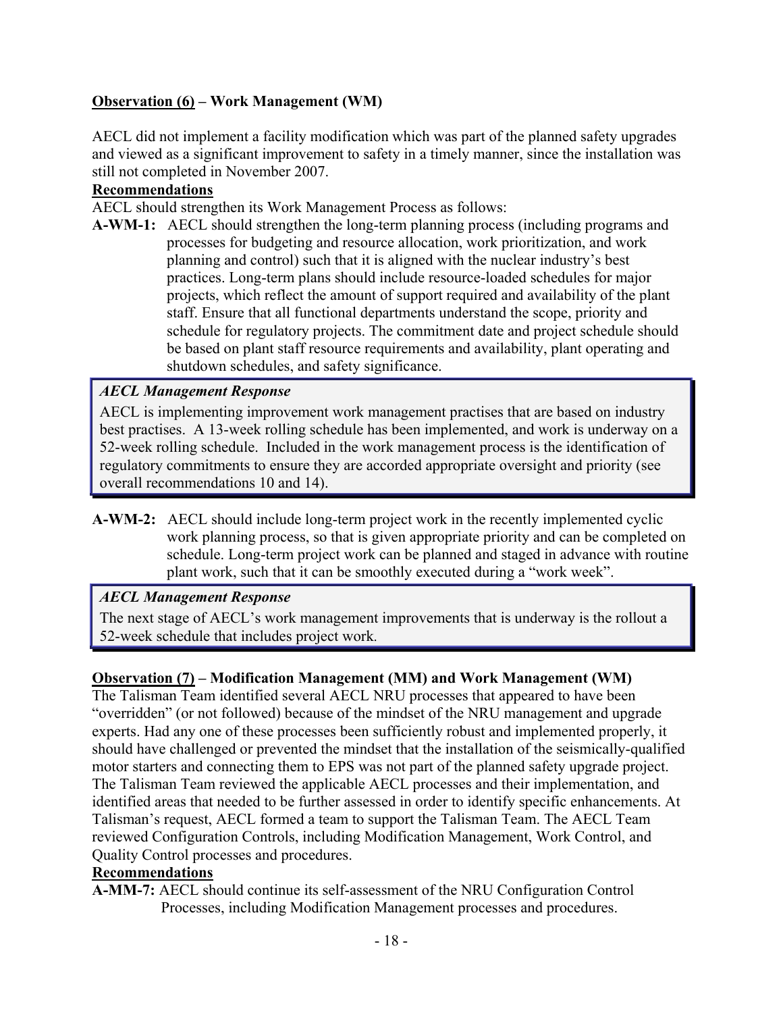## **Observation (6) – Work Management (WM)**

AECL did not implement a facility modification which was part of the planned safety upgrades and viewed as a significant improvement to safety in a timely manner, since the installation was still not completed in November 2007.

### **Recommendations**

AECL should strengthen its Work Management Process as follows:

**A-WM-1:** AECL should strengthen the long-term planning process (including programs and processes for budgeting and resource allocation, work prioritization, and work planning and control) such that it is aligned with the nuclear industry's best practices. Long-term plans should include resource-loaded schedules for major projects, which reflect the amount of support required and availability of the plant staff. Ensure that all functional departments understand the scope, priority and schedule for regulatory projects. The commitment date and project schedule should be based on plant staff resource requirements and availability, plant operating and shutdown schedules, and safety significance.

### *AECL Management Response*

AECL is implementing improvement work management practises that are based on industry best practises. A 13-week rolling schedule has been implemented, and work is underway on a 52-week rolling schedule. Included in the work management process is the identification of regulatory commitments to ensure they are accorded appropriate oversight and priority (see overall recommendations 10 and 14).

**A-WM-2:** AECL should include long-term project work in the recently implemented cyclic work planning process, so that is given appropriate priority and can be completed on schedule. Long-term project work can be planned and staged in advance with routine plant work, such that it can be smoothly executed during a "work week".

## *AECL Management Response*

The next stage of AECL's work management improvements that is underway is the rollout a 52-week schedule that includes project work.

### **Observation (7) – Modification Management (MM) and Work Management (WM)**

The Talisman Team identified several AECL NRU processes that appeared to have been "overridden" (or not followed) because of the mindset of the NRU management and upgrade experts. Had any one of these processes been sufficiently robust and implemented properly, it should have challenged or prevented the mindset that the installation of the seismically-qualified motor starters and connecting them to EPS was not part of the planned safety upgrade project. The Talisman Team reviewed the applicable AECL processes and their implementation, and identified areas that needed to be further assessed in order to identify specific enhancements. At Talisman's request, AECL formed a team to support the Talisman Team. The AECL Team reviewed Configuration Controls, including Modification Management, Work Control, and Quality Control processes and procedures.

#### **Recommendations**

**A-MM-7:** AECL should continue its self-assessment of the NRU Configuration Control Processes, including Modification Management processes and procedures.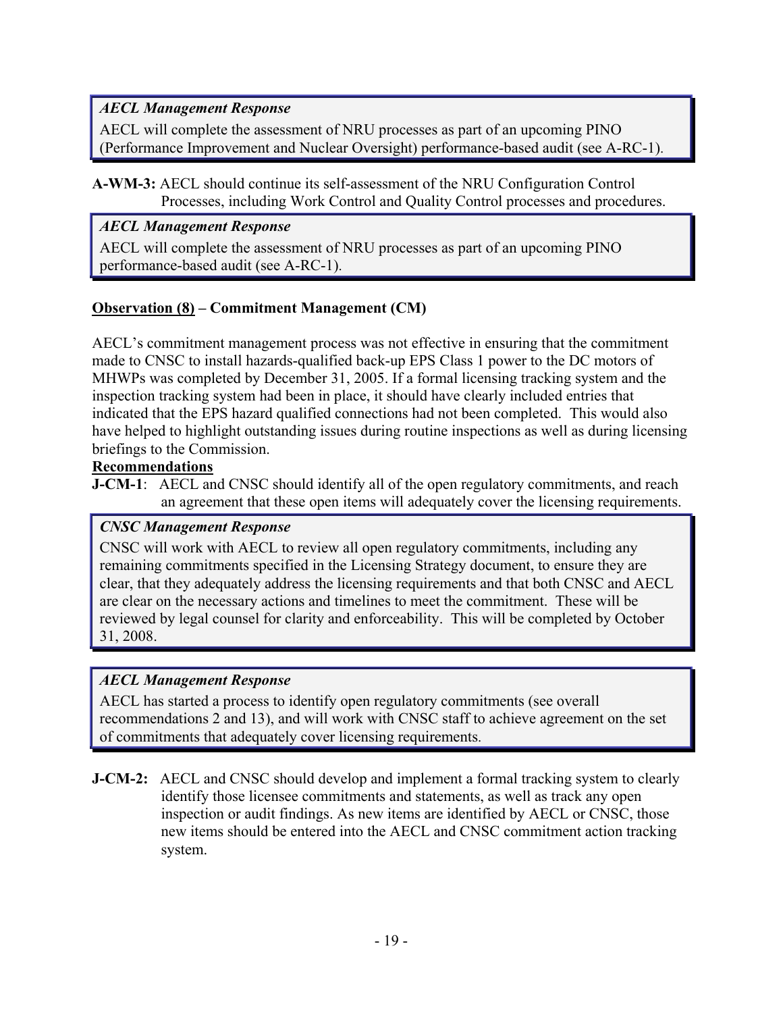# *AECL Management Response*

AECL will complete the assessment of NRU processes as part of an upcoming PINO (Performance Improvement and Nuclear Oversight) performance-based audit (see A-RC-1).

## **A-WM-3:** AECL should continue its self-assessment of the NRU Configuration Control Processes, including Work Control and Quality Control processes and procedures.

# *AECL Management Response*

AECL will complete the assessment of NRU processes as part of an upcoming PINO performance-based audit (see A-RC-1).

# **Observation (8) – Commitment Management (CM)**

AECL's commitment management process was not effective in ensuring that the commitment made to CNSC to install hazards-qualified back-up EPS Class 1 power to the DC motors of MHWPs was completed by December 31, 2005. If a formal licensing tracking system and the inspection tracking system had been in place, it should have clearly included entries that indicated that the EPS hazard qualified connections had not been completed. This would also have helped to highlight outstanding issues during routine inspections as well as during licensing briefings to the Commission.

# **Recommendations**

**J-CM-1**: AECL and CNSC should identify all of the open regulatory commitments, and reach an agreement that these open items will adequately cover the licensing requirements.

# *CNSC Management Response*

CNSC will work with AECL to review all open regulatory commitments, including any remaining commitments specified in the Licensing Strategy document, to ensure they are clear, that they adequately address the licensing requirements and that both CNSC and AECL are clear on the necessary actions and timelines to meet the commitment. These will be reviewed by legal counsel for clarity and enforceability. This will be completed by October 31, 2008.

# *AECL Management Response*

AECL has started a process to identify open regulatory commitments (see overall recommendations 2 and 13), and will work with CNSC staff to achieve agreement on the set of commitments that adequately cover licensing requirements.

**J-CM-2:** AECL and CNSC should develop and implement a formal tracking system to clearly identify those licensee commitments and statements, as well as track any open inspection or audit findings. As new items are identified by AECL or CNSC, those new items should be entered into the AECL and CNSC commitment action tracking system.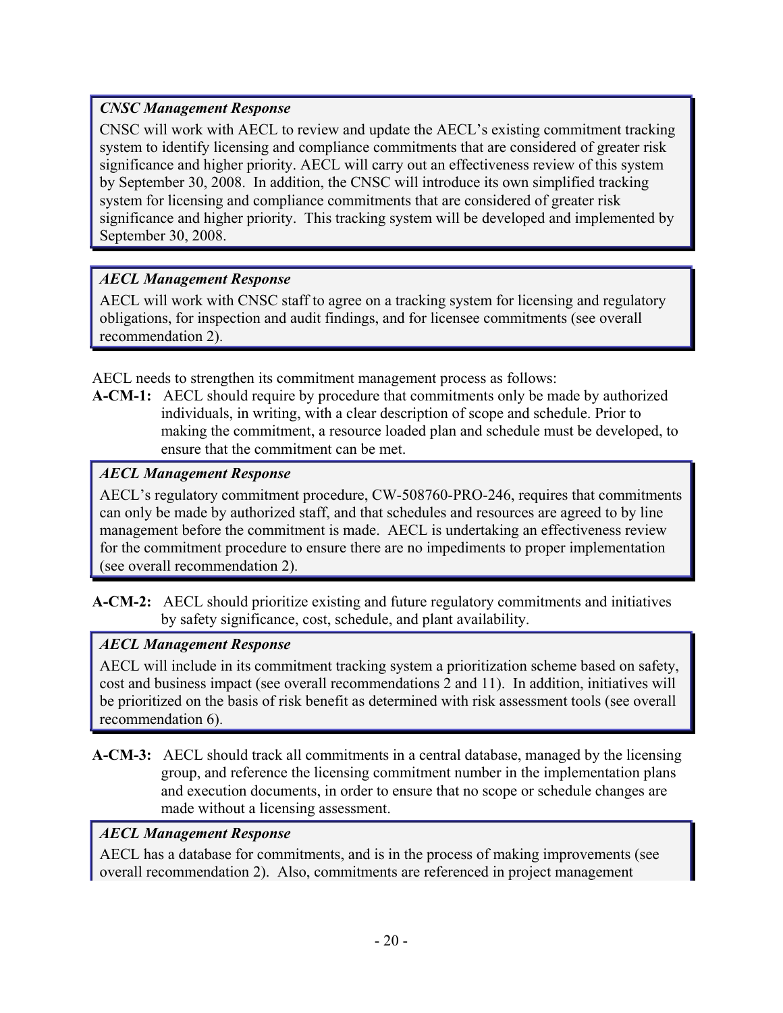# *CNSC Management Response*

CNSC will work with AECL to review and update the AECL's existing commitment tracking system to identify licensing and compliance commitments that are considered of greater risk significance and higher priority. AECL will carry out an effectiveness review of this system by September 30, 2008. In addition, the CNSC will introduce its own simplified tracking system for licensing and compliance commitments that are considered of greater risk significance and higher priority. This tracking system will be developed and implemented by September 30, 2008.

# *AECL Management Response*

AECL will work with CNSC staff to agree on a tracking system for licensing and regulatory obligations, for inspection and audit findings, and for licensee commitments (see overall recommendation 2).

AECL needs to strengthen its commitment management process as follows:

**A-CM-1:** AECL should require by procedure that commitments only be made by authorized individuals, in writing, with a clear description of scope and schedule. Prior to making the commitment, a resource loaded plan and schedule must be developed, to ensure that the commitment can be met.

## *AECL Management Response*

AECL's regulatory commitment procedure, CW-508760-PRO-246, requires that commitments can only be made by authorized staff, and that schedules and resources are agreed to by line management before the commitment is made. AECL is undertaking an effectiveness review for the commitment procedure to ensure there are no impediments to proper implementation (see overall recommendation 2).

**A-CM-2:** AECL should prioritize existing and future regulatory commitments and initiatives by safety significance, cost, schedule, and plant availability.

# *AECL Management Response*

AECL will include in its commitment tracking system a prioritization scheme based on safety, cost and business impact (see overall recommendations 2 and 11). In addition, initiatives will be prioritized on the basis of risk benefit as determined with risk assessment tools (see overall recommendation 6).

**A-CM-3:** AECL should track all commitments in a central database, managed by the licensing group, and reference the licensing commitment number in the implementation plans and execution documents, in order to ensure that no scope or schedule changes are made without a licensing assessment.

# *AECL Management Response*

AECL has a database for commitments, and is in the process of making improvements (see overall recommendation 2). Also, commitments are referenced in project management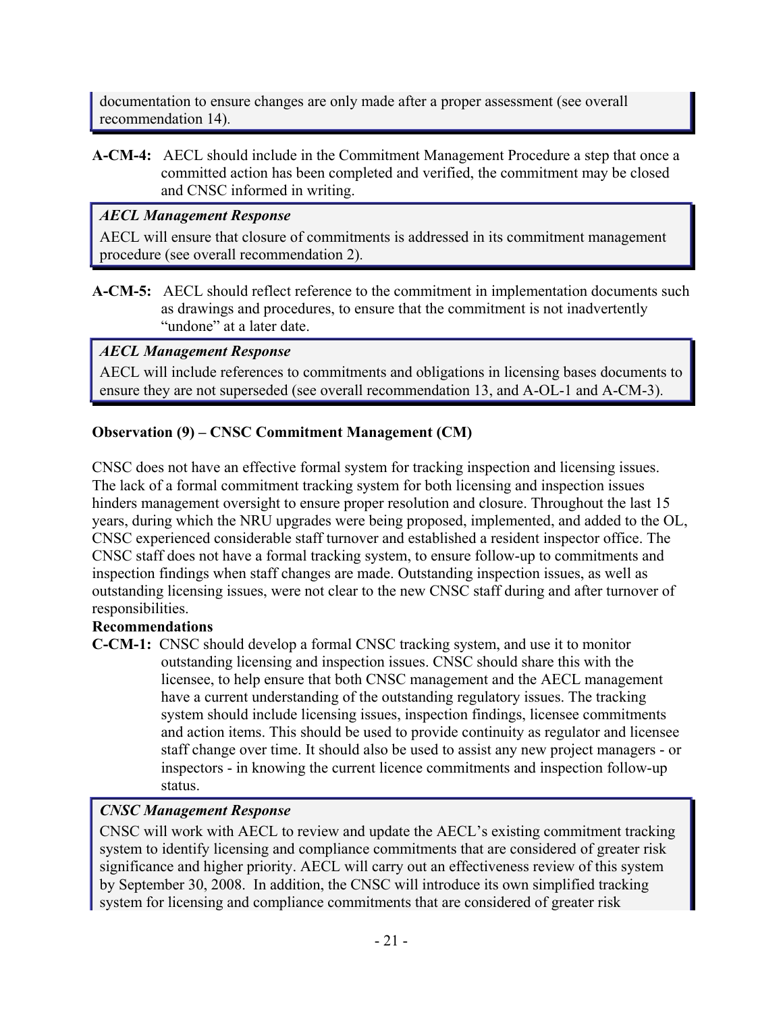documentation to ensure changes are only made after a proper assessment (see overall recommendation 14).

**A-CM-4:** AECL should include in the Commitment Management Procedure a step that once a committed action has been completed and verified, the commitment may be closed and CNSC informed in writing.

## *AECL Management Response*

AECL will ensure that closure of commitments is addressed in its commitment management procedure (see overall recommendation 2).

**A-CM-5:** AECL should reflect reference to the commitment in implementation documents such as drawings and procedures, to ensure that the commitment is not inadvertently "undone" at a later date.

# *AECL Management Response*

AECL will include references to commitments and obligations in licensing bases documents to ensure they are not superseded (see overall recommendation 13, and A-OL-1 and A-CM-3).

# **Observation (9) – CNSC Commitment Management (CM)**

CNSC does not have an effective formal system for tracking inspection and licensing issues. The lack of a formal commitment tracking system for both licensing and inspection issues hinders management oversight to ensure proper resolution and closure. Throughout the last 15 years, during which the NRU upgrades were being proposed, implemented, and added to the OL, CNSC experienced considerable staff turnover and established a resident inspector office. The CNSC staff does not have a formal tracking system, to ensure follow-up to commitments and inspection findings when staff changes are made. Outstanding inspection issues, as well as outstanding licensing issues, were not clear to the new CNSC staff during and after turnover of responsibilities.

## **Recommendations**

**C-CM-1:** CNSC should develop a formal CNSC tracking system, and use it to monitor outstanding licensing and inspection issues. CNSC should share this with the licensee, to help ensure that both CNSC management and the AECL management have a current understanding of the outstanding regulatory issues. The tracking system should include licensing issues, inspection findings, licensee commitments and action items. This should be used to provide continuity as regulator and licensee staff change over time. It should also be used to assist any new project managers - or inspectors - in knowing the current licence commitments and inspection follow-up status.

# *CNSC Management Response*

CNSC will work with AECL to review and update the AECL's existing commitment tracking system to identify licensing and compliance commitments that are considered of greater risk significance and higher priority. AECL will carry out an effectiveness review of this system by September 30, 2008. In addition, the CNSC will introduce its own simplified tracking system for licensing and compliance commitments that are considered of greater risk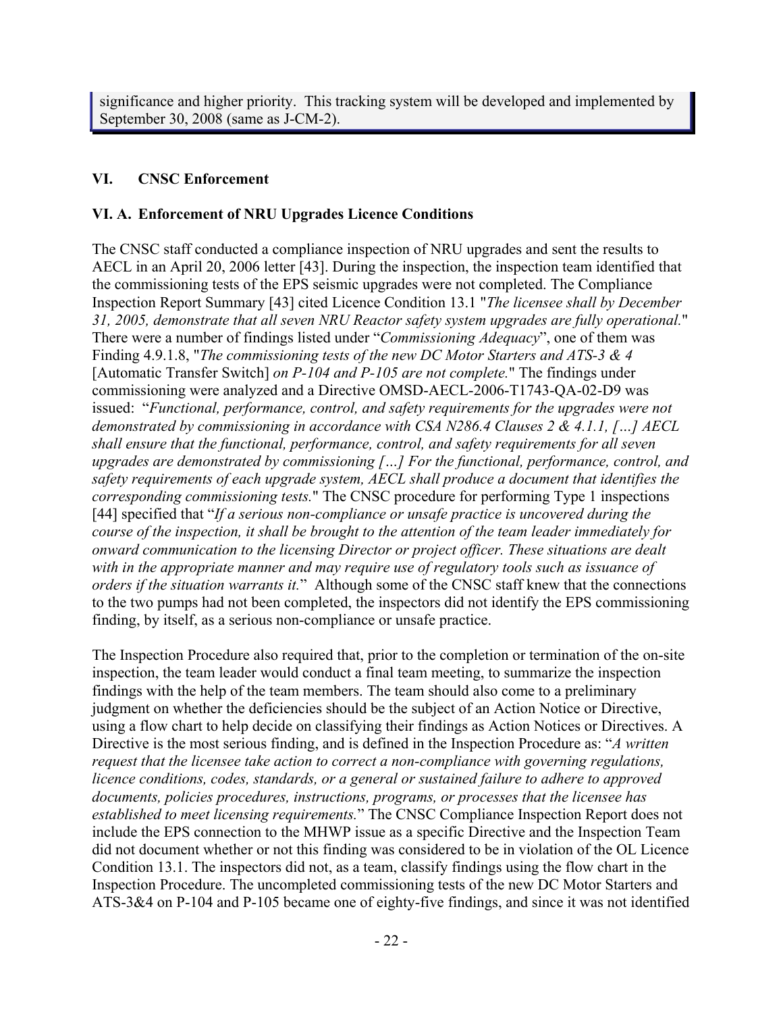significance and higher priority. This tracking system will be developed and implemented by September 30, 2008 (same as J-CM-2).

### **VI. CNSC Enforcement**

### **VI. A. Enforcement of NRU Upgrades Licence Conditions**

The CNSC staff conducted a compliance inspection of NRU upgrades and sent the results to AECL in an April 20, 2006 letter [43]. During the inspection, the inspection team identified that the commissioning tests of the EPS seismic upgrades were not completed. The Compliance Inspection Report Summary [43] cited Licence Condition 13.1 "*The licensee shall by December 31, 2005, demonstrate that all seven NRU Reactor safety system upgrades are fully operational.*" There were a number of findings listed under "*Commissioning Adequacy*", one of them was Finding 4.9.1.8, "*The commissioning tests of the new DC Motor Starters and ATS-3 & 4*  [Automatic Transfer Switch] *on P-104 and P-105 are not complete.*" The findings under commissioning were analyzed and a Directive OMSD-AECL-2006-T1743-QA-02-D9 was issued: "*Functional, performance, control, and safety requirements for the upgrades were not demonstrated by commissioning in accordance with CSA N286.4 Clauses 2 & 4.1.1, […] AECL shall ensure that the functional, performance, control, and safety requirements for all seven upgrades are demonstrated by commissioning […] For the functional, performance, control, and safety requirements of each upgrade system, AECL shall produce a document that identifies the corresponding commissioning tests.*" The CNSC procedure for performing Type 1 inspections [44] specified that "*If a serious non-compliance or unsafe practice is uncovered during the course of the inspection, it shall be brought to the attention of the team leader immediately for onward communication to the licensing Director or project officer. These situations are dealt with in the appropriate manner and may require use of regulatory tools such as issuance of orders if the situation warrants it.*" Although some of the CNSC staff knew that the connections to the two pumps had not been completed, the inspectors did not identify the EPS commissioning finding, by itself, as a serious non-compliance or unsafe practice.

The Inspection Procedure also required that, prior to the completion or termination of the on-site inspection, the team leader would conduct a final team meeting, to summarize the inspection findings with the help of the team members. The team should also come to a preliminary judgment on whether the deficiencies should be the subject of an Action Notice or Directive, using a flow chart to help decide on classifying their findings as Action Notices or Directives. A Directive is the most serious finding, and is defined in the Inspection Procedure as: "*A written request that the licensee take action to correct a non-compliance with governing regulations, licence conditions, codes, standards, or a general or sustained failure to adhere to approved documents, policies procedures, instructions, programs, or processes that the licensee has established to meet licensing requirements.*" The CNSC Compliance Inspection Report does not include the EPS connection to the MHWP issue as a specific Directive and the Inspection Team did not document whether or not this finding was considered to be in violation of the OL Licence Condition 13.1. The inspectors did not, as a team, classify findings using the flow chart in the Inspection Procedure. The uncompleted commissioning tests of the new DC Motor Starters and ATS-3&4 on P-104 and P-105 became one of eighty-five findings, and since it was not identified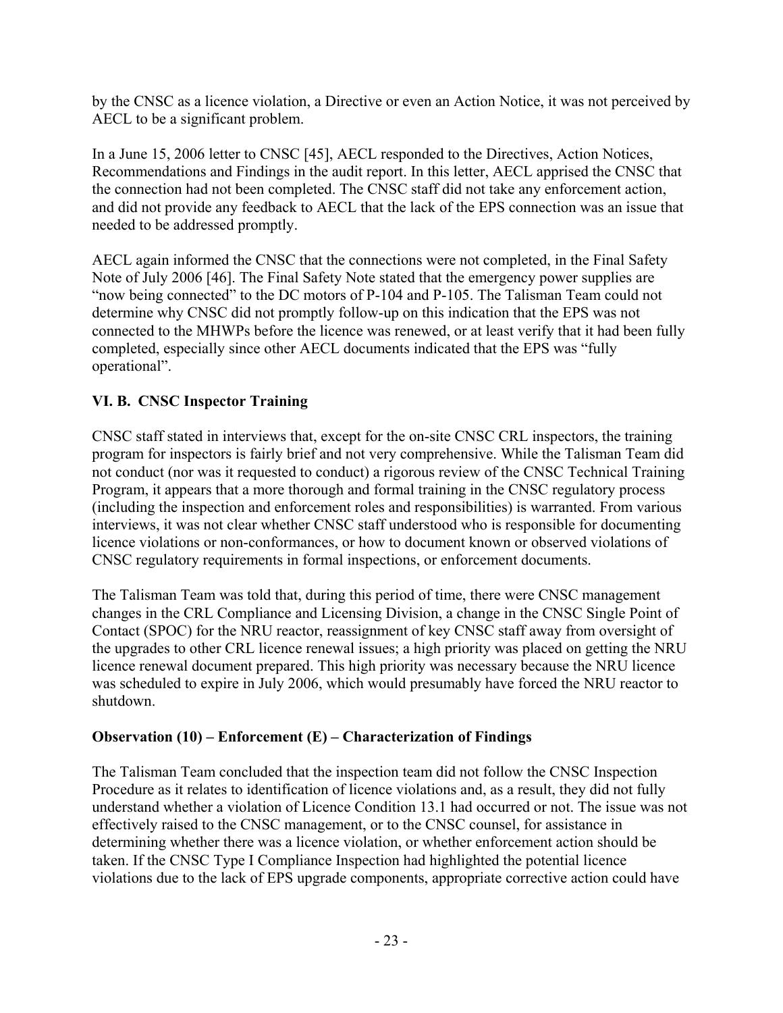by the CNSC as a licence violation, a Directive or even an Action Notice, it was not perceived by AECL to be a significant problem.

In a June 15, 2006 letter to CNSC [45], AECL responded to the Directives, Action Notices, Recommendations and Findings in the audit report. In this letter, AECL apprised the CNSC that the connection had not been completed. The CNSC staff did not take any enforcement action, and did not provide any feedback to AECL that the lack of the EPS connection was an issue that needed to be addressed promptly.

AECL again informed the CNSC that the connections were not completed, in the Final Safety Note of July 2006 [46]. The Final Safety Note stated that the emergency power supplies are "now being connected" to the DC motors of P-104 and P-105. The Talisman Team could not determine why CNSC did not promptly follow-up on this indication that the EPS was not connected to the MHWPs before the licence was renewed, or at least verify that it had been fully completed, especially since other AECL documents indicated that the EPS was "fully operational".

# **VI. B. CNSC Inspector Training**

CNSC staff stated in interviews that, except for the on-site CNSC CRL inspectors, the training program for inspectors is fairly brief and not very comprehensive. While the Talisman Team did not conduct (nor was it requested to conduct) a rigorous review of the CNSC Technical Training Program, it appears that a more thorough and formal training in the CNSC regulatory process (including the inspection and enforcement roles and responsibilities) is warranted. From various interviews, it was not clear whether CNSC staff understood who is responsible for documenting licence violations or non-conformances, or how to document known or observed violations of CNSC regulatory requirements in formal inspections, or enforcement documents.

The Talisman Team was told that, during this period of time, there were CNSC management changes in the CRL Compliance and Licensing Division, a change in the CNSC Single Point of Contact (SPOC) for the NRU reactor, reassignment of key CNSC staff away from oversight of the upgrades to other CRL licence renewal issues; a high priority was placed on getting the NRU licence renewal document prepared. This high priority was necessary because the NRU licence was scheduled to expire in July 2006, which would presumably have forced the NRU reactor to shutdown.

## **Observation (10) – Enforcement (E) – Characterization of Findings**

The Talisman Team concluded that the inspection team did not follow the CNSC Inspection Procedure as it relates to identification of licence violations and, as a result, they did not fully understand whether a violation of Licence Condition 13.1 had occurred or not. The issue was not effectively raised to the CNSC management, or to the CNSC counsel, for assistance in determining whether there was a licence violation, or whether enforcement action should be taken. If the CNSC Type I Compliance Inspection had highlighted the potential licence violations due to the lack of EPS upgrade components, appropriate corrective action could have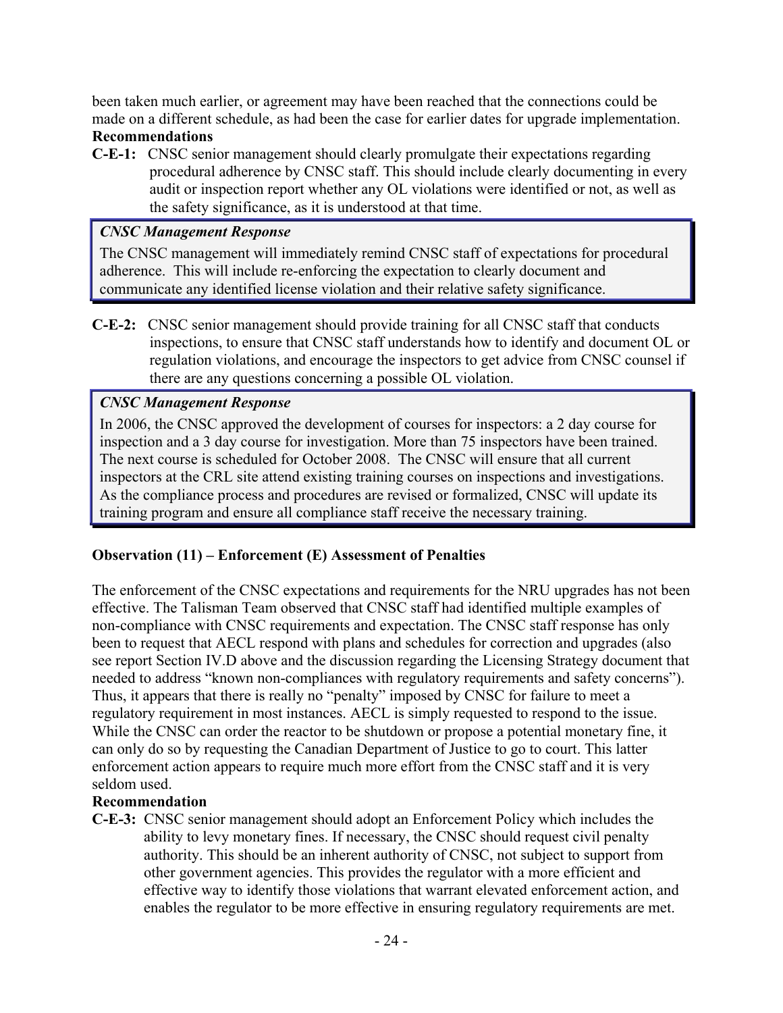been taken much earlier, or agreement may have been reached that the connections could be made on a different schedule, as had been the case for earlier dates for upgrade implementation.

### **Recommendations**

**C-E-1:** CNSC senior management should clearly promulgate their expectations regarding procedural adherence by CNSC staff. This should include clearly documenting in every audit or inspection report whether any OL violations were identified or not, as well as the safety significance, as it is understood at that time.

### *CNSC Management Response*

The CNSC management will immediately remind CNSC staff of expectations for procedural adherence. This will include re-enforcing the expectation to clearly document and communicate any identified license violation and their relative safety significance.

**C-E-2:** CNSC senior management should provide training for all CNSC staff that conducts inspections, to ensure that CNSC staff understands how to identify and document OL or regulation violations, and encourage the inspectors to get advice from CNSC counsel if there are any questions concerning a possible OL violation.

## *CNSC Management Response*

In 2006, the CNSC approved the development of courses for inspectors: a 2 day course for inspection and a 3 day course for investigation. More than 75 inspectors have been trained. The next course is scheduled for October 2008. The CNSC will ensure that all current inspectors at the CRL site attend existing training courses on inspections and investigations. As the compliance process and procedures are revised or formalized, CNSC will update its training program and ensure all compliance staff receive the necessary training.

## **Observation (11) – Enforcement (E) Assessment of Penalties**

The enforcement of the CNSC expectations and requirements for the NRU upgrades has not been effective. The Talisman Team observed that CNSC staff had identified multiple examples of non-compliance with CNSC requirements and expectation. The CNSC staff response has only been to request that AECL respond with plans and schedules for correction and upgrades (also see report Section IV.D above and the discussion regarding the Licensing Strategy document that needed to address "known non-compliances with regulatory requirements and safety concerns"). Thus, it appears that there is really no "penalty" imposed by CNSC for failure to meet a regulatory requirement in most instances. AECL is simply requested to respond to the issue. While the CNSC can order the reactor to be shutdown or propose a potential monetary fine, it can only do so by requesting the Canadian Department of Justice to go to court. This latter enforcement action appears to require much more effort from the CNSC staff and it is very seldom used.

## **Recommendation**

**C-E-3:** CNSC senior management should adopt an Enforcement Policy which includes the ability to levy monetary fines. If necessary, the CNSC should request civil penalty authority. This should be an inherent authority of CNSC, not subject to support from other government agencies. This provides the regulator with a more efficient and effective way to identify those violations that warrant elevated enforcement action, and enables the regulator to be more effective in ensuring regulatory requirements are met.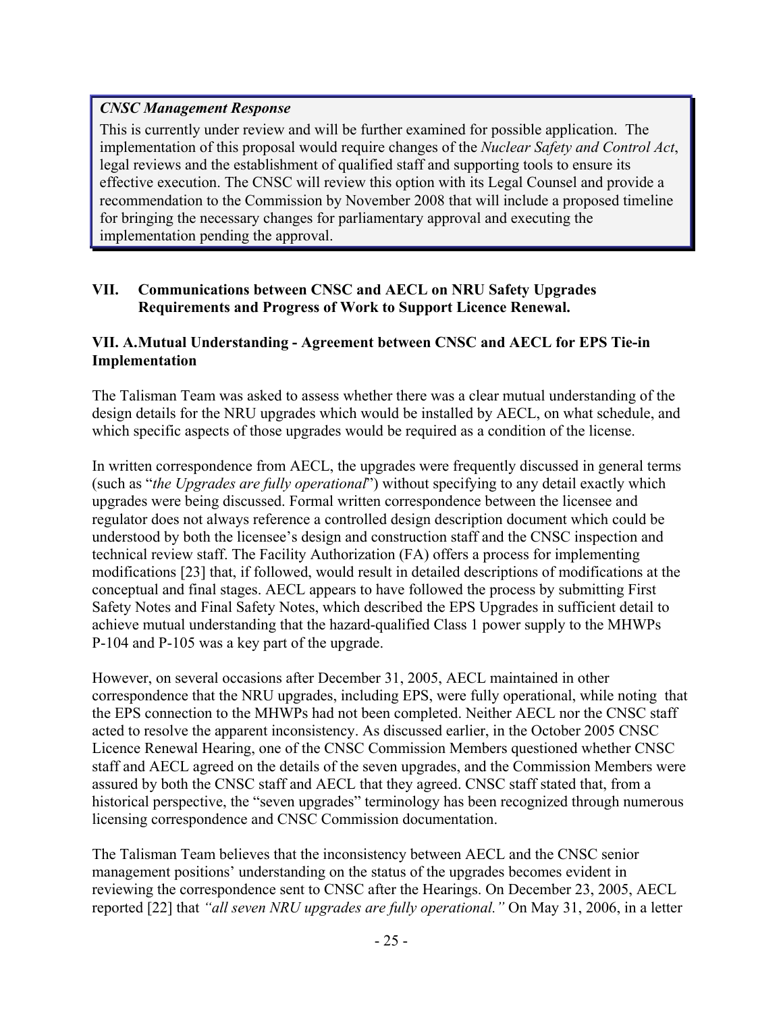### *CNSC Management Response*

This is currently under review and will be further examined for possible application. The implementation of this proposal would require changes of the *Nuclear Safety and Control Act*, legal reviews and the establishment of qualified staff and supporting tools to ensure its effective execution. The CNSC will review this option with its Legal Counsel and provide a recommendation to the Commission by November 2008 that will include a proposed timeline for bringing the necessary changes for parliamentary approval and executing the implementation pending the approval.

### **VII. Communications between CNSC and AECL on NRU Safety Upgrades Requirements and Progress of Work to Support Licence Renewal.**

### **VII. A. Mutual Understanding - Agreement between CNSC and AECL for EPS Tie-in Implementation**

The Talisman Team was asked to assess whether there was a clear mutual understanding of the design details for the NRU upgrades which would be installed by AECL, on what schedule, and which specific aspects of those upgrades would be required as a condition of the license.

In written correspondence from AECL, the upgrades were frequently discussed in general terms (such as "*the Upgrades are fully operational*") without specifying to any detail exactly which upgrades were being discussed. Formal written correspondence between the licensee and regulator does not always reference a controlled design description document which could be understood by both the licensee's design and construction staff and the CNSC inspection and technical review staff. The Facility Authorization (FA) offers a process for implementing modifications [23] that, if followed, would result in detailed descriptions of modifications at the conceptual and final stages. AECL appears to have followed the process by submitting First Safety Notes and Final Safety Notes, which described the EPS Upgrades in sufficient detail to achieve mutual understanding that the hazard-qualified Class 1 power supply to the MHWPs P-104 and P-105 was a key part of the upgrade.

However, on several occasions after December 31, 2005, AECL maintained in other correspondence that the NRU upgrades, including EPS, were fully operational, while noting that the EPS connection to the MHWPs had not been completed. Neither AECL nor the CNSC staff acted to resolve the apparent inconsistency. As discussed earlier, in the October 2005 CNSC Licence Renewal Hearing, one of the CNSC Commission Members questioned whether CNSC staff and AECL agreed on the details of the seven upgrades, and the Commission Members were assured by both the CNSC staff and AECL that they agreed. CNSC staff stated that, from a historical perspective, the "seven upgrades" terminology has been recognized through numerous licensing correspondence and CNSC Commission documentation.

The Talisman Team believes that the inconsistency between AECL and the CNSC senior management positions' understanding on the status of the upgrades becomes evident in reviewing the correspondence sent to CNSC after the Hearings. On December 23, 2005, AECL reported [22] that *"all seven NRU upgrades are fully operational."* On May 31, 2006, in a letter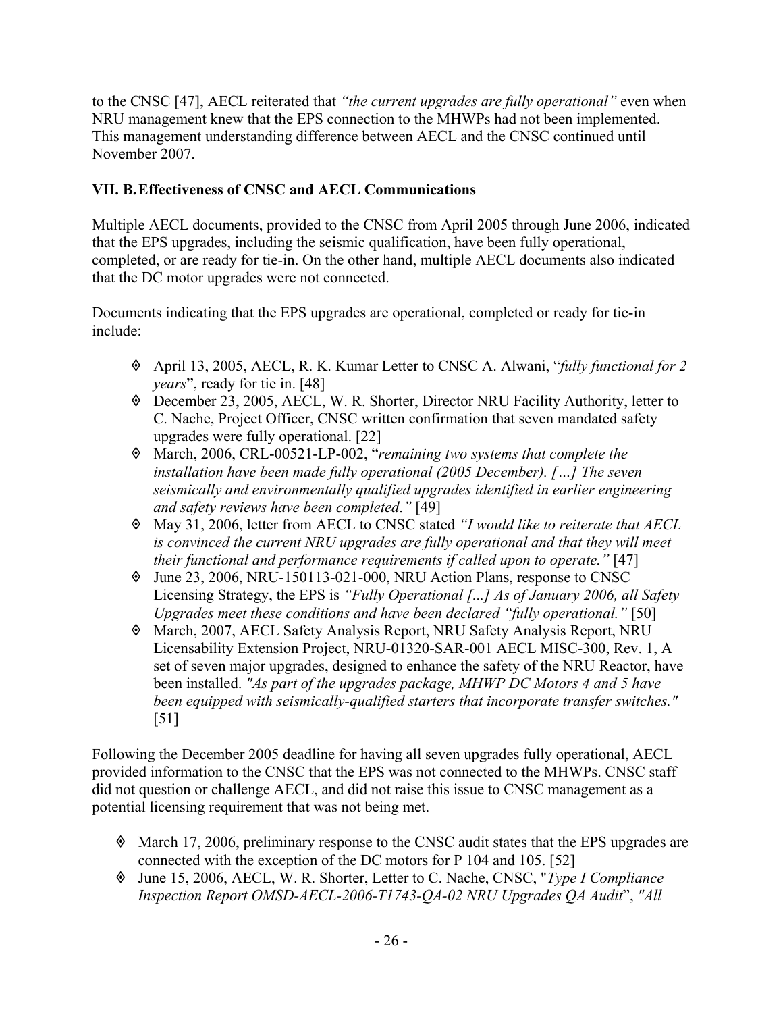to the CNSC [47], AECL reiterated that *"the current upgrades are fully operational"* even when NRU management knew that the EPS connection to the MHWPs had not been implemented. This management understanding difference between AECL and the CNSC continued until November 2007.

## **VII. B. Effectiveness of CNSC and AECL Communications**

Multiple AECL documents, provided to the CNSC from April 2005 through June 2006, indicated that the EPS upgrades, including the seismic qualification, have been fully operational, completed, or are ready for tie-in. On the other hand, multiple AECL documents also indicated that the DC motor upgrades were not connected.

Documents indicating that the EPS upgrades are operational, completed or ready for tie-in include:

- April 13, 2005, AECL, R. K. Kumar Letter to CNSC A. Alwani, "*fully functional for 2 years*", ready for tie in. [48]
- December 23, 2005, AECL, W. R. Shorter, Director NRU Facility Authority, letter to C. Nache, Project Officer, CNSC written confirmation that seven mandated safety upgrades were fully operational. [22]
- March, 2006, CRL-00521-LP-002, "*remaining two systems that complete the installation have been made fully operational (2005 December). […] The seven seismically and environmentally qualified upgrades identified in earlier engineering and safety reviews have been completed*.*"* [49]
- May 31, 2006, letter from AECL to CNSC stated *"I would like to reiterate that AECL*  is convinced the current NRU upgrades are fully operational and that they will meet *their functional and performance requirements if called upon to operate."* [47]
- June 23, 2006, NRU-150113-021-000, NRU Action Plans, response to CNSC Licensing Strategy, the EPS is *"Fully Operational [...] As of January 2006, all Safety Upgrades meet these conditions and have been declared "fully operational."* [50]
- March, 2007, AECL Safety Analysis Report, NRU Safety Analysis Report, NRU Licensability Extension Project, NRU-01320-SAR-001 AECL MISC-300, Rev. 1, A set of seven major upgrades, designed to enhance the safety of the NRU Reactor, have been installed. *"As part of the upgrades package, MHWP DC Motors 4 and 5 have been equipped with seismically-qualified starters that incorporate transfer switches."* [51]

Following the December 2005 deadline for having all seven upgrades fully operational, AECL provided information to the CNSC that the EPS was not connected to the MHWPs. CNSC staff did not question or challenge AECL, and did not raise this issue to CNSC management as a potential licensing requirement that was not being met.

- March 17, 2006, preliminary response to the CNSC audit states that the EPS upgrades are connected with the exception of the DC motors for P 104 and 105. [52]
- June 15, 2006, AECL, W. R. Shorter, Letter to C. Nache, CNSC, "*Type I Compliance Inspection Report OMSD-AECL-2006-T1743-QA-02 NRU Upgrades QA Audit*", *"All*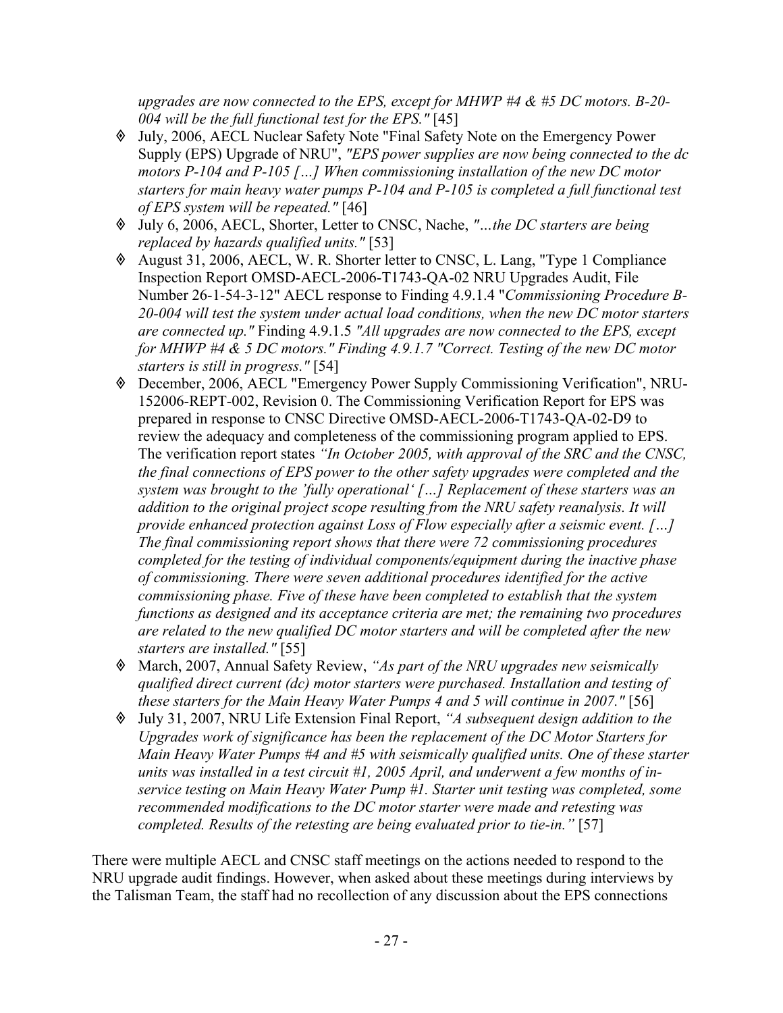*upgrades are now connected to the EPS, except for MHWP #4 & #5 DC motors. B-20- 004 will be the full functional test for the EPS."* [45]

- July, 2006, AECL Nuclear Safety Note "Final Safety Note on the Emergency Power Supply (EPS) Upgrade of NRU", *"EPS power supplies are now being connected to the dc motors P-104 and P-105 […] When commissioning installation of the new DC motor starters for main heavy water pumps P-104 and P-105 is completed a full functional test of EPS system will be repeated."* [46]
- July 6, 2006, AECL, Shorter, Letter to CNSC, Nache, *"…the DC starters are being replaced by hazards qualified units."* [53]
- August 31, 2006, AECL, W. R. Shorter letter to CNSC, L. Lang, "Type 1 Compliance Inspection Report OMSD-AECL-2006-T1743-QA-02 NRU Upgrades Audit, File Number 26-1-54-3-12" AECL response to Finding 4.9.1.4 "*Commissioning Procedure B-20-004 will test the system under actual load conditions, when the new DC motor starters are connected up."* Finding 4.9.1.5 *"All upgrades are now connected to the EPS, except for MHWP #4 & 5 DC motors." Finding 4.9.1.7 "Correct. Testing of the new DC motor starters is still in progress."* [54]
- December, 2006, AECL "Emergency Power Supply Commissioning Verification", NRU-152006-REPT-002, Revision 0. The Commissioning Verification Report for EPS was prepared in response to CNSC Directive OMSD-AECL-2006-T1743-QA-02-D9 to review the adequacy and completeness of the commissioning program applied to EPS. The verification report states *"In October 2005, with approval of the SRC and the CNSC, the final connections of EPS power to the other safety upgrades were completed and the system was brought to the 'fully operational' […] Replacement of these starters was an addition to the original project scope resulting from the NRU safety reanalysis. It will provide enhanced protection against Loss of Flow especially after a seismic event. […] The final commissioning report shows that there were 72 commissioning procedures completed for the testing of individual components/equipment during the inactive phase of commissioning. There were seven additional procedures identified for the active commissioning phase. Five of these have been completed to establish that the system functions as designed and its acceptance criteria are met; the remaining two procedures are related to the new qualified DC motor starters and will be completed after the new starters are installed."* [55]
- March, 2007, Annual Safety Review, *"As part of the NRU upgrades new seismically qualified direct current (dc) motor starters were purchased. Installation and testing of these starters for the Main Heavy Water Pumps 4 and 5 will continue in 2007."* [56]
- July 31, 2007, NRU Life Extension Final Report, *"A subsequent design addition to the Upgrades work of significance has been the replacement of the DC Motor Starters for Main Heavy Water Pumps #4 and #5 with seismically qualified units. One of these starter units was installed in a test circuit #1, 2005 April, and underwent a few months of inservice testing on Main Heavy Water Pump #1. Starter unit testing was completed, some recommended modifications to the DC motor starter were made and retesting was completed. Results of the retesting are being evaluated prior to tie-in."* [57]

There were multiple AECL and CNSC staff meetings on the actions needed to respond to the NRU upgrade audit findings. However, when asked about these meetings during interviews by the Talisman Team, the staff had no recollection of any discussion about the EPS connections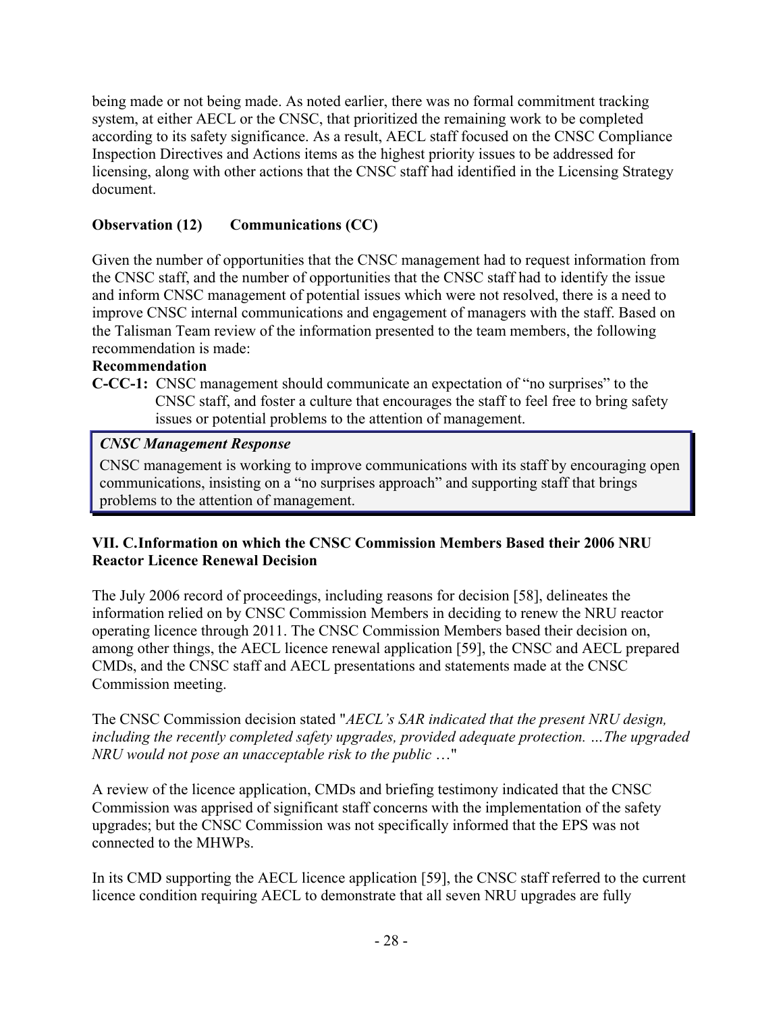being made or not being made. As noted earlier, there was no formal commitment tracking system, at either AECL or the CNSC, that prioritized the remaining work to be completed according to its safety significance. As a result, AECL staff focused on the CNSC Compliance Inspection Directives and Actions items as the highest priority issues to be addressed for licensing, along with other actions that the CNSC staff had identified in the Licensing Strategy document.

## **Observation (12) Communications (CC)**

Given the number of opportunities that the CNSC management had to request information from the CNSC staff, and the number of opportunities that the CNSC staff had to identify the issue and inform CNSC management of potential issues which were not resolved, there is a need to improve CNSC internal communications and engagement of managers with the staff. Based on the Talisman Team review of the information presented to the team members, the following recommendation is made:

### **Recommendation**

**C-CC-1:** CNSC management should communicate an expectation of "no surprises" to the CNSC staff, and foster a culture that encourages the staff to feel free to bring safety issues or potential problems to the attention of management.

## *CNSC Management Response*

CNSC management is working to improve communications with its staff by encouraging open communications, insisting on a "no surprises approach" and supporting staff that brings problems to the attention of management.

### **VII. C. Information on which the CNSC Commission Members Based their 2006 NRU Reactor Licence Renewal Decision**

The July 2006 record of proceedings, including reasons for decision [58], delineates the information relied on by CNSC Commission Members in deciding to renew the NRU reactor operating licence through 2011. The CNSC Commission Members based their decision on, among other things, the AECL licence renewal application [59], the CNSC and AECL prepared CMDs, and the CNSC staff and AECL presentations and statements made at the CNSC Commission meeting.

The CNSC Commission decision stated "*AECL's SAR indicated that the present NRU design, including the recently completed safety upgrades, provided adequate protection. …The upgraded NRU would not pose an unacceptable risk to the public* …"

A review of the licence application, CMDs and briefing testimony indicated that the CNSC Commission was apprised of significant staff concerns with the implementation of the safety upgrades; but the CNSC Commission was not specifically informed that the EPS was not connected to the MHWPs.

In its CMD supporting the AECL licence application [59], the CNSC staff referred to the current licence condition requiring AECL to demonstrate that all seven NRU upgrades are fully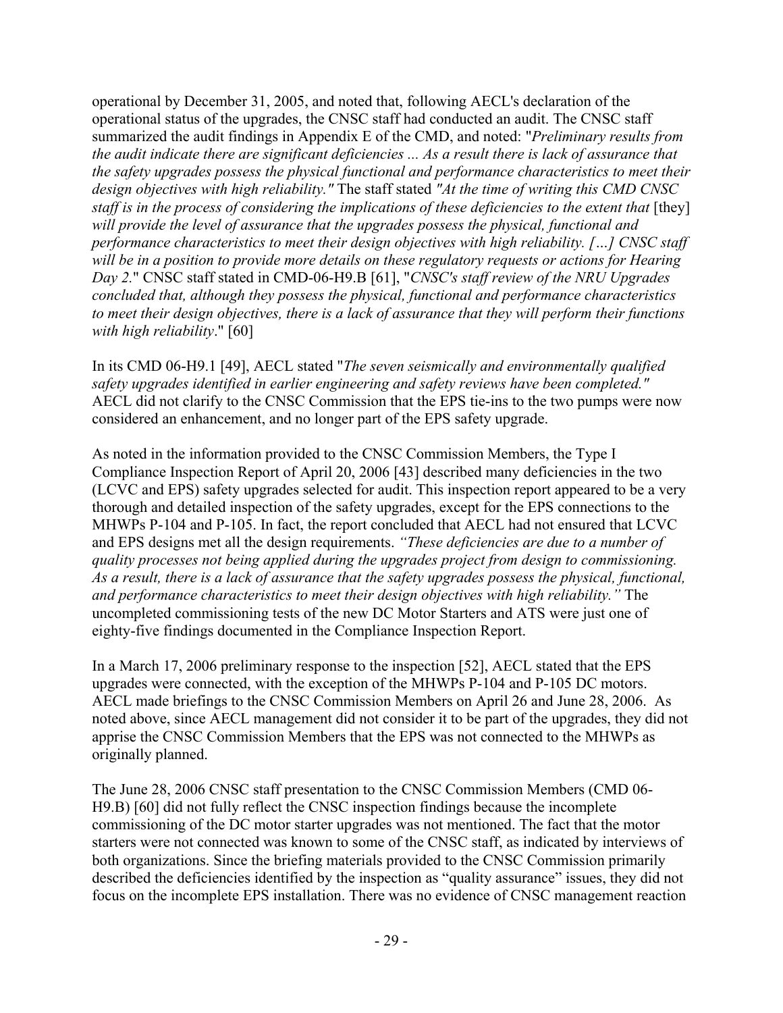operational by December 31, 2005, and noted that, following AECL's declaration of the operational status of the upgrades, the CNSC staff had conducted an audit. The CNSC staff summarized the audit findings in Appendix E of the CMD, and noted: "*Preliminary results from the audit indicate there are significant deficiencies ... As a result there is lack of assurance that the safety upgrades possess the physical functional and performance characteristics to meet their design objectives with high reliability."* The staff stated *"At the time of writing this CMD CNSC staff is in the process of considering the implications of these deficiencies to the extent that* [they] *will provide the level of assurance that the upgrades possess the physical, functional and performance characteristics to meet their design objectives with high reliability. […] CNSC staff will be in a position to provide more details on these regulatory requests or actions for Hearing Day 2.*" CNSC staff stated in CMD-06-H9.B [61], "*CNSC's staff review of the NRU Upgrades concluded that, although they possess the physical, functional and performance characteristics to meet their design objectives, there is a lack of assurance that they will perform their functions with high reliability*." [60]

In its CMD 06-H9.1 [49], AECL stated "*The seven seismically and environmentally qualified safety upgrades identified in earlier engineering and safety reviews have been completed."* AECL did not clarify to the CNSC Commission that the EPS tie-ins to the two pumps were now considered an enhancement, and no longer part of the EPS safety upgrade.

As noted in the information provided to the CNSC Commission Members, the Type I Compliance Inspection Report of April 20, 2006 [43] described many deficiencies in the two (LCVC and EPS) safety upgrades selected for audit. This inspection report appeared to be a very thorough and detailed inspection of the safety upgrades, except for the EPS connections to the MHWPs P-104 and P-105. In fact, the report concluded that AECL had not ensured that LCVC and EPS designs met all the design requirements. *"These deficiencies are due to a number of quality processes not being applied during the upgrades project from design to commissioning. As a result, there is a lack of assurance that the safety upgrades possess the physical, functional, and performance characteristics to meet their design objectives with high reliability."* The uncompleted commissioning tests of the new DC Motor Starters and ATS were just one of eighty-five findings documented in the Compliance Inspection Report.

In a March 17, 2006 preliminary response to the inspection [52], AECL stated that the EPS upgrades were connected, with the exception of the MHWPs P-104 and P-105 DC motors. AECL made briefings to the CNSC Commission Members on April 26 and June 28, 2006. As noted above, since AECL management did not consider it to be part of the upgrades, they did not apprise the CNSC Commission Members that the EPS was not connected to the MHWPs as originally planned.

The June 28, 2006 CNSC staff presentation to the CNSC Commission Members (CMD 06- H9.B) [60] did not fully reflect the CNSC inspection findings because the incomplete commissioning of the DC motor starter upgrades was not mentioned. The fact that the motor starters were not connected was known to some of the CNSC staff, as indicated by interviews of both organizations. Since the briefing materials provided to the CNSC Commission primarily described the deficiencies identified by the inspection as "quality assurance" issues, they did not focus on the incomplete EPS installation. There was no evidence of CNSC management reaction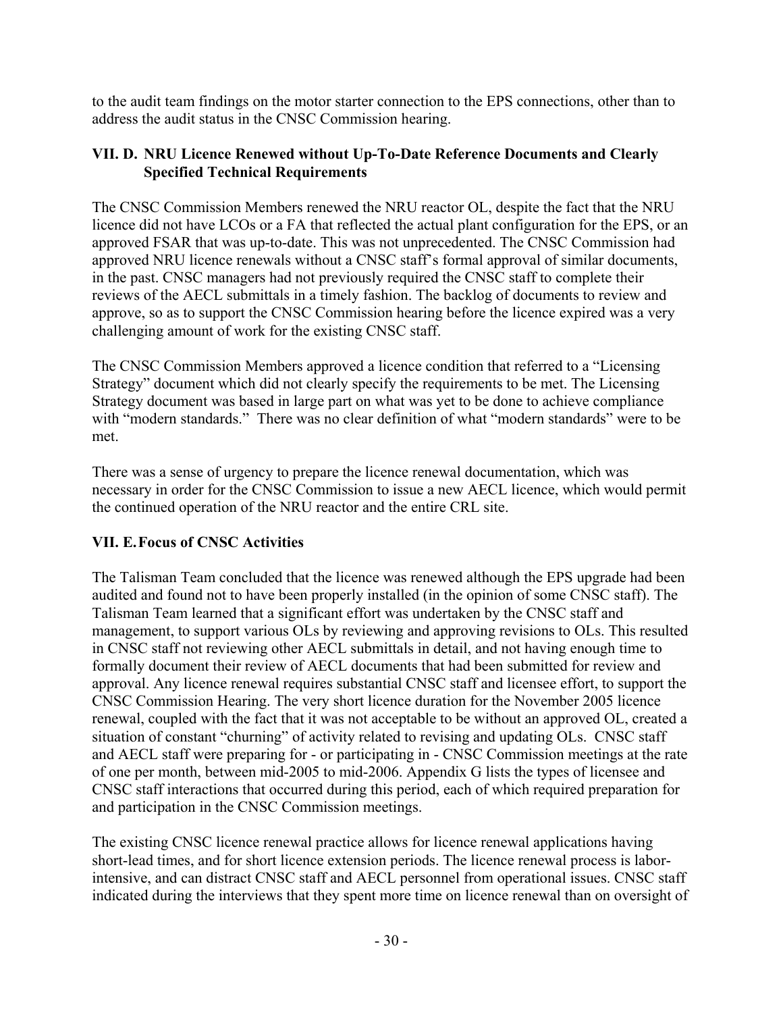to the audit team findings on the motor starter connection to the EPS connections, other than to address the audit status in the CNSC Commission hearing.

### **VII. D. NRU Licence Renewed without Up-To-Date Reference Documents and Clearly Specified Technical Requirements**

The CNSC Commission Members renewed the NRU reactor OL, despite the fact that the NRU licence did not have LCOs or a FA that reflected the actual plant configuration for the EPS, or an approved FSAR that was up-to-date. This was not unprecedented. The CNSC Commission had approved NRU licence renewals without a CNSC staff's formal approval of similar documents, in the past. CNSC managers had not previously required the CNSC staff to complete their reviews of the AECL submittals in a timely fashion. The backlog of documents to review and approve, so as to support the CNSC Commission hearing before the licence expired was a very challenging amount of work for the existing CNSC staff.

The CNSC Commission Members approved a licence condition that referred to a "Licensing Strategy" document which did not clearly specify the requirements to be met. The Licensing Strategy document was based in large part on what was yet to be done to achieve compliance with "modern standards." There was no clear definition of what "modern standards" were to be met.

There was a sense of urgency to prepare the licence renewal documentation, which was necessary in order for the CNSC Commission to issue a new AECL licence, which would permit the continued operation of the NRU reactor and the entire CRL site.

## **VII. E. Focus of CNSC Activities**

The Talisman Team concluded that the licence was renewed although the EPS upgrade had been audited and found not to have been properly installed (in the opinion of some CNSC staff). The Talisman Team learned that a significant effort was undertaken by the CNSC staff and management, to support various OLs by reviewing and approving revisions to OLs. This resulted in CNSC staff not reviewing other AECL submittals in detail, and not having enough time to formally document their review of AECL documents that had been submitted for review and approval. Any licence renewal requires substantial CNSC staff and licensee effort, to support the CNSC Commission Hearing. The very short licence duration for the November 2005 licence renewal, coupled with the fact that it was not acceptable to be without an approved OL, created a situation of constant "churning" of activity related to revising and updating OLs. CNSC staff and AECL staff were preparing for - or participating in - CNSC Commission meetings at the rate of one per month, between mid-2005 to mid-2006. Appendix G lists the types of licensee and CNSC staff interactions that occurred during this period, each of which required preparation for and participation in the CNSC Commission meetings.

The existing CNSC licence renewal practice allows for licence renewal applications having short-lead times, and for short licence extension periods. The licence renewal process is laborintensive, and can distract CNSC staff and AECL personnel from operational issues. CNSC staff indicated during the interviews that they spent more time on licence renewal than on oversight of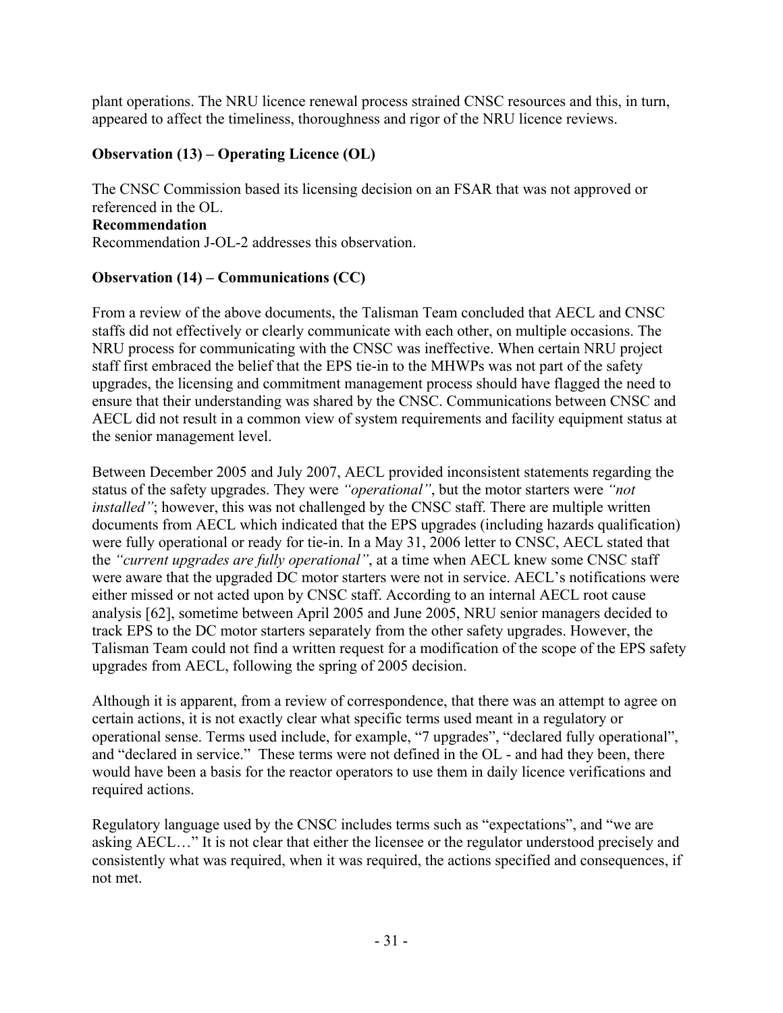plant operations. The NRU licence renewal process strained CNSC resources and this, in turn, appeared to affect the timeliness, thoroughness and rigor of the NRU licence reviews.

### **Observation (13) – Operating Licence (OL)**

The CNSC Commission based its licensing decision on an FSAR that was not approved or referenced in the OL. **Recommendation** 

Recommendation J-OL-2 addresses this observation.

### **Observation (14) – Communications (CC)**

From a review of the above documents, the Talisman Team concluded that AECL and CNSC staffs did not effectively or clearly communicate with each other, on multiple occasions. The NRU process for communicating with the CNSC was ineffective. When certain NRU project staff first embraced the belief that the EPS tie-in to the MHWPs was not part of the safety upgrades, the licensing and commitment management process should have flagged the need to ensure that their understanding was shared by the CNSC. Communications between CNSC and AECL did not result in a common view of system requirements and facility equipment status at the senior management level.

Between December 2005 and July 2007, AECL provided inconsistent statements regarding the status of the safety upgrades. They were *"operational"*, but the motor starters were *"not installed*"; however, this was not challenged by the CNSC staff. There are multiple written documents from AECL which indicated that the EPS upgrades (including hazards qualification) were fully operational or ready for tie-in. In a May 31, 2006 letter to CNSC, AECL stated that the *"current upgrades are fully operational"*, at a time when AECL knew some CNSC staff were aware that the upgraded DC motor starters were not in service. AECL's notifications were either missed or not acted upon by CNSC staff. According to an internal AECL root cause analysis [62], sometime between April 2005 and June 2005, NRU senior managers decided to track EPS to the DC motor starters separately from the other safety upgrades. However, the Talisman Team could not find a written request for a modification of the scope of the EPS safety upgrades from AECL, following the spring of 2005 decision.

Although it is apparent, from a review of correspondence, that there was an attempt to agree on certain actions, it is not exactly clear what specific terms used meant in a regulatory or operational sense. Terms used include, for example, "7 upgrades", "declared fully operational", and "declared in service." These terms were not defined in the OL - and had they been, there would have been a basis for the reactor operators to use them in daily licence verifications and required actions.

Regulatory language used by the CNSC includes terms such as "expectations", and "we are asking AECL…" It is not clear that either the licensee or the regulator understood precisely and consistently what was required, when it was required, the actions specified and consequences, if not met.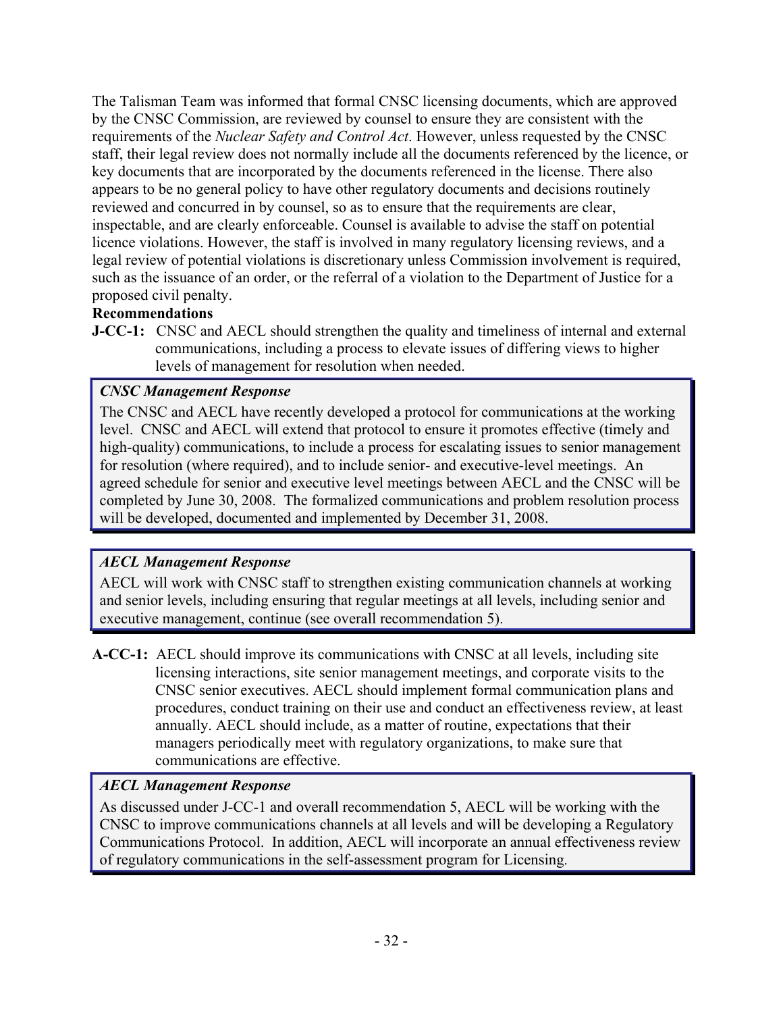The Talisman Team was informed that formal CNSC licensing documents, which are approved by the CNSC Commission, are reviewed by counsel to ensure they are consistent with the requirements of the *Nuclear Safety and Control Act*. However, unless requested by the CNSC staff, their legal review does not normally include all the documents referenced by the licence, or key documents that are incorporated by the documents referenced in the license. There also appears to be no general policy to have other regulatory documents and decisions routinely reviewed and concurred in by counsel, so as to ensure that the requirements are clear, inspectable, and are clearly enforceable. Counsel is available to advise the staff on potential licence violations. However, the staff is involved in many regulatory licensing reviews, and a legal review of potential violations is discretionary unless Commission involvement is required, such as the issuance of an order, or the referral of a violation to the Department of Justice for a proposed civil penalty.

## **Recommendations**

**J-CC-1:** CNSC and AECL should strengthen the quality and timeliness of internal and external communications, including a process to elevate issues of differing views to higher levels of management for resolution when needed.

## *CNSC Management Response*

The CNSC and AECL have recently developed a protocol for communications at the working level. CNSC and AECL will extend that protocol to ensure it promotes effective (timely and high-quality) communications, to include a process for escalating issues to senior management for resolution (where required), and to include senior- and executive-level meetings. An agreed schedule for senior and executive level meetings between AECL and the CNSC will be completed by June 30, 2008. The formalized communications and problem resolution process will be developed, documented and implemented by December 31, 2008.

## *AECL Management Response*

AECL will work with CNSC staff to strengthen existing communication channels at working and senior levels, including ensuring that regular meetings at all levels, including senior and executive management, continue (see overall recommendation 5).

**A-CC-1:** AECL should improve its communications with CNSC at all levels, including site licensing interactions, site senior management meetings, and corporate visits to the CNSC senior executives. AECL should implement formal communication plans and procedures, conduct training on their use and conduct an effectiveness review, at least annually. AECL should include, as a matter of routine, expectations that their managers periodically meet with regulatory organizations, to make sure that communications are effective.

## *AECL Management Response*

As discussed under J-CC-1 and overall recommendation 5, AECL will be working with the CNSC to improve communications channels at all levels and will be developing a Regulatory Communications Protocol. In addition, AECL will incorporate an annual effectiveness review of regulatory communications in the self-assessment program for Licensing.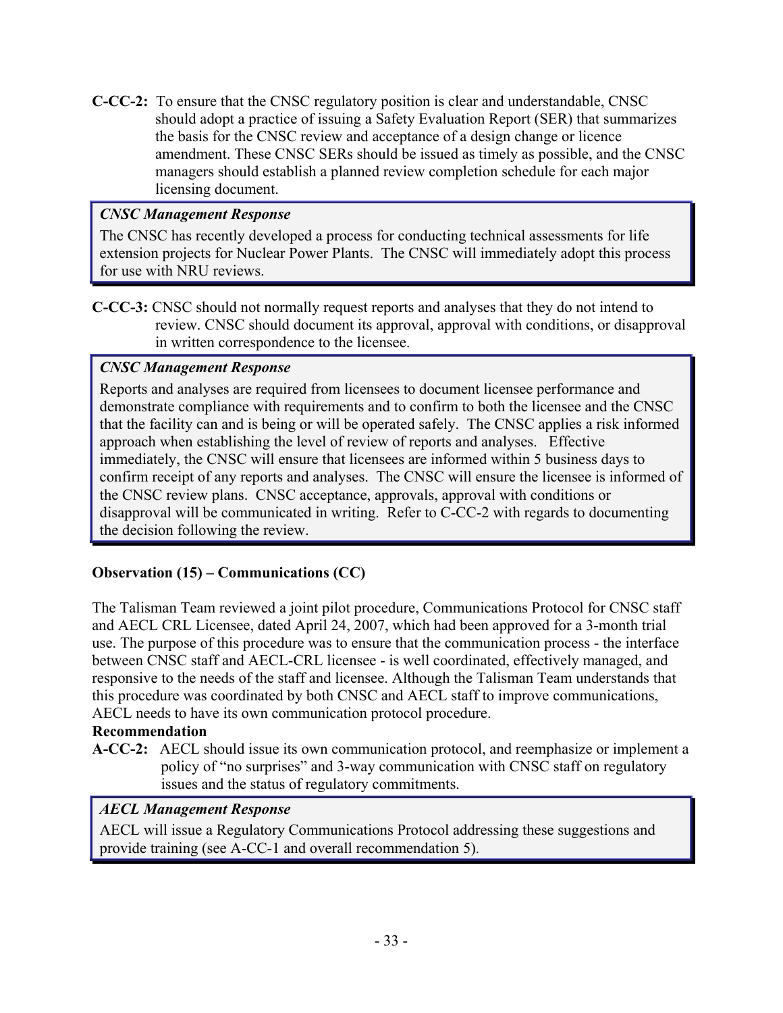**C-CC-2:** To ensure that the CNSC regulatory position is clear and understandable, CNSC should adopt a practice of issuing a Safety Evaluation Report (SER) that summarizes the basis for the CNSC review and acceptance of a design change or licence amendment. These CNSC SERs should be issued as timely as possible, and the CNSC managers should establish a planned review completion schedule for each major licensing document.

### *CNSC Management Response*

The CNSC has recently developed a process for conducting technical assessments for life extension projects for Nuclear Power Plants. The CNSC will immediately adopt this process for use with NRU reviews.

**C-CC-3:** CNSC should not normally request reports and analyses that they do not intend to review. CNSC should document its approval, approval with conditions, or disapproval in written correspondence to the licensee.

### *CNSC Management Response*

Reports and analyses are required from licensees to document licensee performance and demonstrate compliance with requirements and to confirm to both the licensee and the CNSC that the facility can and is being or will be operated safely. The CNSC applies a risk informed approach when establishing the level of review of reports and analyses. Effective immediately, the CNSC will ensure that licensees are informed within 5 business days to confirm receipt of any reports and analyses. The CNSC will ensure the licensee is informed of the CNSC review plans. CNSC acceptance, approvals, approval with conditions or disapproval will be communicated in writing. Refer to C-CC-2 with regards to documenting the decision following the review.

## **Observation (15) – Communications (CC)**

The Talisman Team reviewed a joint pilot procedure, Communications Protocol for CNSC staff and AECL CRL Licensee, dated April 24, 2007, which had been approved for a 3-month trial use. The purpose of this procedure was to ensure that the communication process - the interface between CNSC staff and AECL-CRL licensee - is well coordinated, effectively managed, and responsive to the needs of the staff and licensee. Although the Talisman Team understands that this procedure was coordinated by both CNSC and AECL staff to improve communications, AECL needs to have its own communication protocol procedure.

## **Recommendation**

**A-CC-2:** AECL should issue its own communication protocol, and reemphasize or implement a policy of "no surprises" and 3-way communication with CNSC staff on regulatory issues and the status of regulatory commitments.

## *AECL Management Response*

AECL will issue a Regulatory Communications Protocol addressing these suggestions and provide training (see A-CC-1 and overall recommendation 5).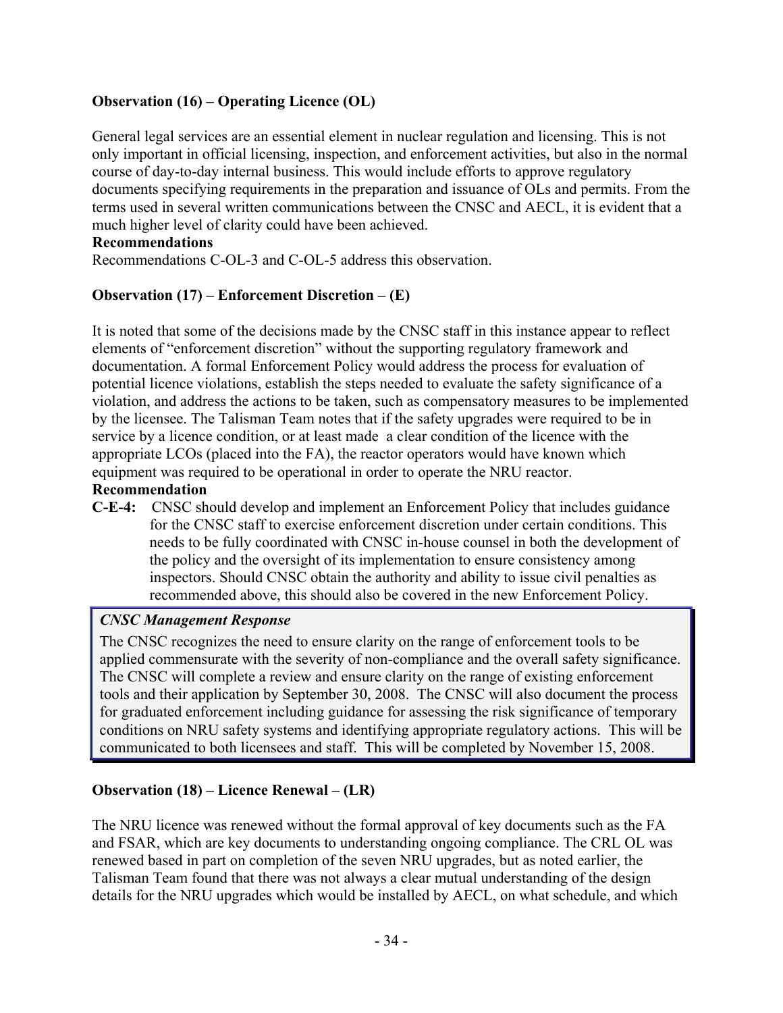## **Observation (16) – Operating Licence (OL)**

General legal services are an essential element in nuclear regulation and licensing. This is not only important in official licensing, inspection, and enforcement activities, but also in the normal course of day-to-day internal business. This would include efforts to approve regulatory documents specifying requirements in the preparation and issuance of OLs and permits. From the terms used in several written communications between the CNSC and AECL, it is evident that a much higher level of clarity could have been achieved.

#### **Recommendations**

Recommendations C-OL-3 and C-OL-5 address this observation.

### **Observation (17) – Enforcement Discretion – (E)**

It is noted that some of the decisions made by the CNSC staff in this instance appear to reflect elements of "enforcement discretion" without the supporting regulatory framework and documentation. A formal Enforcement Policy would address the process for evaluation of potential licence violations, establish the steps needed to evaluate the safety significance of a violation, and address the actions to be taken, such as compensatory measures to be implemented by the licensee. The Talisman Team notes that if the safety upgrades were required to be in service by a licence condition, or at least made a clear condition of the licence with the appropriate LCOs (placed into the FA), the reactor operators would have known which equipment was required to be operational in order to operate the NRU reactor.

#### **Recommendation**

**C-E-4:** CNSC should develop and implement an Enforcement Policy that includes guidance for the CNSC staff to exercise enforcement discretion under certain conditions. This needs to be fully coordinated with CNSC in-house counsel in both the development of the policy and the oversight of its implementation to ensure consistency among inspectors. Should CNSC obtain the authority and ability to issue civil penalties as recommended above, this should also be covered in the new Enforcement Policy.

### *CNSC Management Response*

The CNSC recognizes the need to ensure clarity on the range of enforcement tools to be applied commensurate with the severity of non-compliance and the overall safety significance. The CNSC will complete a review and ensure clarity on the range of existing enforcement tools and their application by September 30, 2008. The CNSC will also document the process for graduated enforcement including guidance for assessing the risk significance of temporary conditions on NRU safety systems and identifying appropriate regulatory actions. This will be communicated to both licensees and staff. This will be completed by November 15, 2008.

### **Observation (18) – Licence Renewal – (LR)**

The NRU licence was renewed without the formal approval of key documents such as the FA and FSAR, which are key documents to understanding ongoing compliance. The CRL OL was renewed based in part on completion of the seven NRU upgrades, but as noted earlier, the Talisman Team found that there was not always a clear mutual understanding of the design details for the NRU upgrades which would be installed by AECL, on what schedule, and which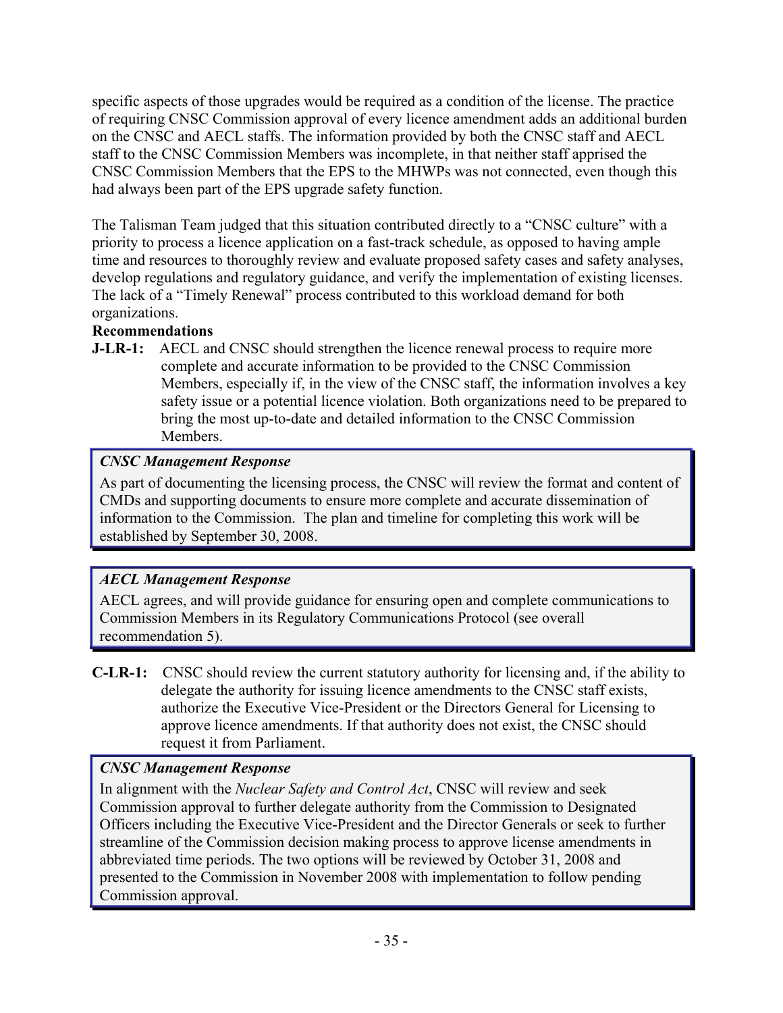specific aspects of those upgrades would be required as a condition of the license. The practice of requiring CNSC Commission approval of every licence amendment adds an additional burden on the CNSC and AECL staffs. The information provided by both the CNSC staff and AECL staff to the CNSC Commission Members was incomplete, in that neither staff apprised the CNSC Commission Members that the EPS to the MHWPs was not connected, even though this had always been part of the EPS upgrade safety function.

The Talisman Team judged that this situation contributed directly to a "CNSC culture" with a priority to process a licence application on a fast-track schedule, as opposed to having ample time and resources to thoroughly review and evaluate proposed safety cases and safety analyses, develop regulations and regulatory guidance, and verify the implementation of existing licenses. The lack of a "Timely Renewal" process contributed to this workload demand for both organizations.

# **Recommendations**

**J-LR-1:** AECL and CNSC should strengthen the licence renewal process to require more complete and accurate information to be provided to the CNSC Commission Members, especially if, in the view of the CNSC staff, the information involves a key safety issue or a potential licence violation. Both organizations need to be prepared to bring the most up-to-date and detailed information to the CNSC Commission Members.

# *CNSC Management Response*

As part of documenting the licensing process, the CNSC will review the format and content of CMDs and supporting documents to ensure more complete and accurate dissemination of information to the Commission. The plan and timeline for completing this work will be established by September 30, 2008.

# *AECL Management Response*

AECL agrees, and will provide guidance for ensuring open and complete communications to Commission Members in its Regulatory Communications Protocol (see overall recommendation 5).

**C-LR-1:** CNSC should review the current statutory authority for licensing and, if the ability to delegate the authority for issuing licence amendments to the CNSC staff exists, authorize the Executive Vice-President or the Directors General for Licensing to approve licence amendments. If that authority does not exist, the CNSC should request it from Parliament.

# *CNSC Management Response*

In alignment with the *Nuclear Safety and Control Act*, CNSC will review and seek Commission approval to further delegate authority from the Commission to Designated Officers including the Executive Vice-President and the Director Generals or seek to further streamline of the Commission decision making process to approve license amendments in abbreviated time periods. The two options will be reviewed by October 31, 2008 and presented to the Commission in November 2008 with implementation to follow pending Commission approval.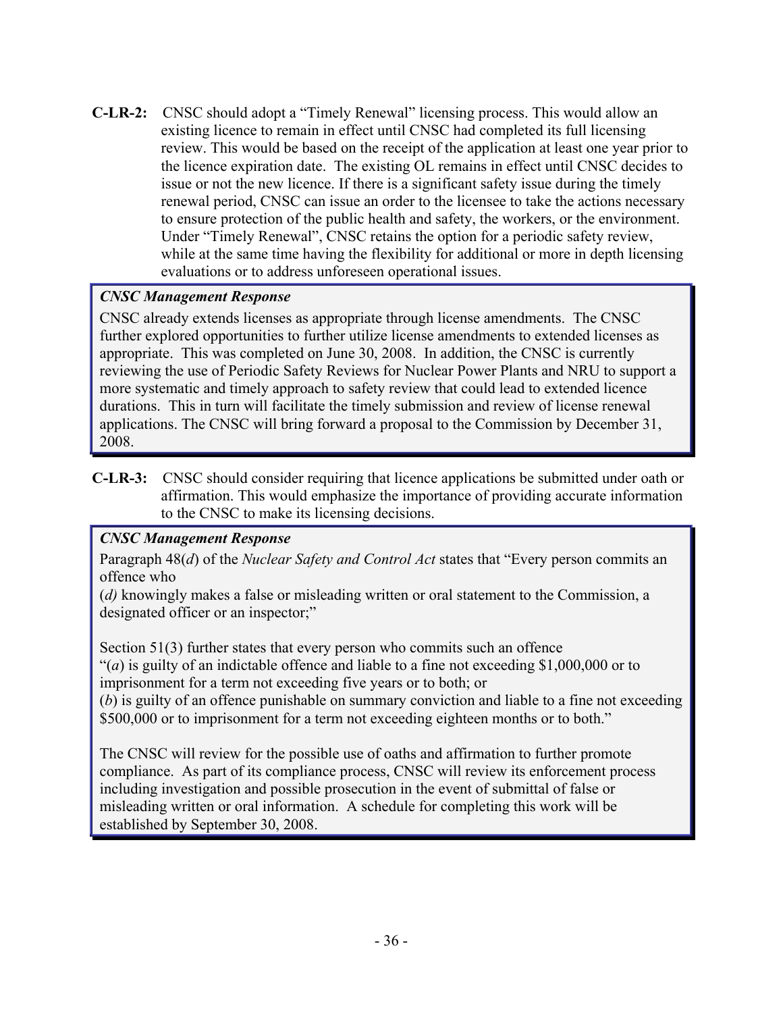**C-LR-2:** CNSC should adopt a "Timely Renewal" licensing process. This would allow an existing licence to remain in effect until CNSC had completed its full licensing review. This would be based on the receipt of the application at least one year prior to the licence expiration date. The existing OL remains in effect until CNSC decides to issue or not the new licence. If there is a significant safety issue during the timely renewal period, CNSC can issue an order to the licensee to take the actions necessary to ensure protection of the public health and safety, the workers, or the environment. Under "Timely Renewal", CNSC retains the option for a periodic safety review, while at the same time having the flexibility for additional or more in depth licensing evaluations or to address unforeseen operational issues.

## *CNSC Management Response*

CNSC already extends licenses as appropriate through license amendments. The CNSC further explored opportunities to further utilize license amendments to extended licenses as appropriate. This was completed on June 30, 2008. In addition, the CNSC is currently reviewing the use of Periodic Safety Reviews for Nuclear Power Plants and NRU to support a more systematic and timely approach to safety review that could lead to extended licence durations. This in turn will facilitate the timely submission and review of license renewal applications. The CNSC will bring forward a proposal to the Commission by December 31, 2008.

**C-LR-3:** CNSC should consider requiring that licence applications be submitted under oath or affirmation. This would emphasize the importance of providing accurate information to the CNSC to make its licensing decisions.

## *CNSC Management Response*

Paragraph 48(*d*) of the *Nuclear Safety and Control Act* states that "Every person commits an offence who

(*d)* knowingly makes a false or misleading written or oral statement to the Commission, a designated officer or an inspector;"

Section 51(3) further states that every person who commits such an offence "(*a*) is guilty of an indictable offence and liable to a fine not exceeding \$1,000,000 or to imprisonment for a term not exceeding five years or to both; or (*b*) is guilty of an offence punishable on summary conviction and liable to a fine not exceeding

\$500,000 or to imprisonment for a term not exceeding eighteen months or to both."

The CNSC will review for the possible use of oaths and affirmation to further promote compliance. As part of its compliance process, CNSC will review its enforcement process including investigation and possible prosecution in the event of submittal of false or misleading written or oral information. A schedule for completing this work will be established by September 30, 2008.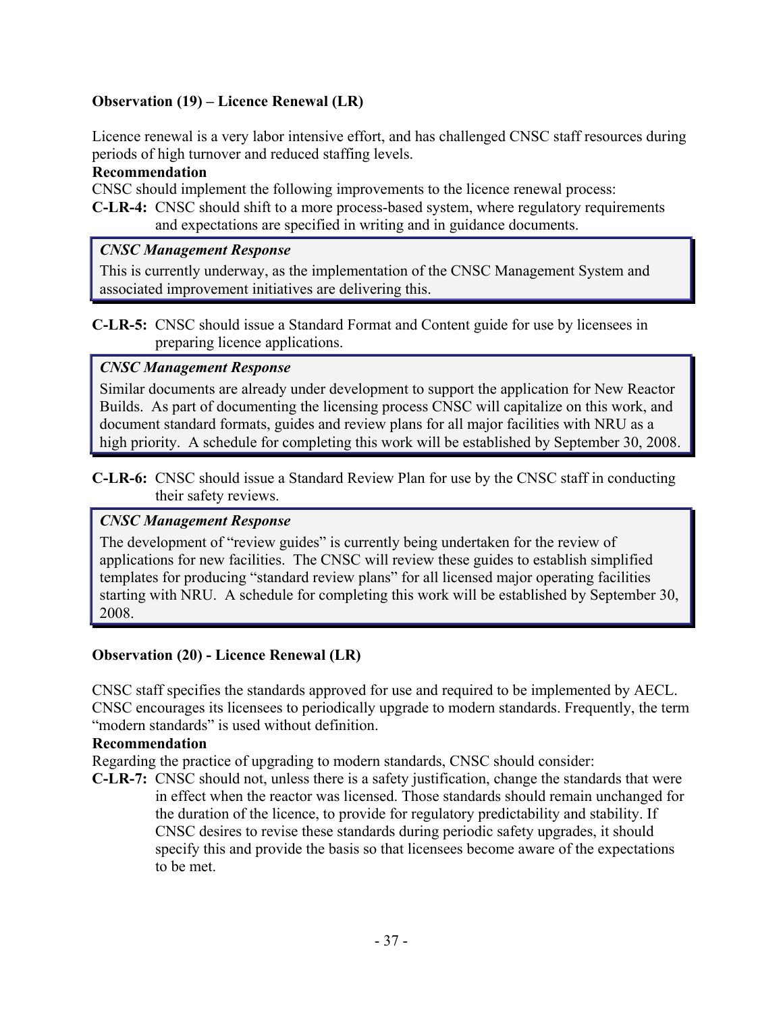### **Observation (19) – Licence Renewal (LR)**

Licence renewal is a very labor intensive effort, and has challenged CNSC staff resources during periods of high turnover and reduced staffing levels.

#### **Recommendation**

CNSC should implement the following improvements to the licence renewal process:

**C-LR-4:** CNSC should shift to a more process-based system, where regulatory requirements and expectations are specified in writing and in guidance documents.

### *CNSC Management Response*

This is currently underway, as the implementation of the CNSC Management System and associated improvement initiatives are delivering this.

**C-LR-5:** CNSC should issue a Standard Format and Content guide for use by licensees in preparing licence applications.

### *CNSC Management Response*

Similar documents are already under development to support the application for New Reactor Builds. As part of documenting the licensing process CNSC will capitalize on this work, and document standard formats, guides and review plans for all major facilities with NRU as a high priority. A schedule for completing this work will be established by September 30, 2008.

**C-LR-6:** CNSC should issue a Standard Review Plan for use by the CNSC staff in conducting their safety reviews.

### *CNSC Management Response*

The development of "review guides" is currently being undertaken for the review of applications for new facilities. The CNSC will review these guides to establish simplified templates for producing "standard review plans" for all licensed major operating facilities starting with NRU. A schedule for completing this work will be established by September 30, 2008.

## **Observation (20) - Licence Renewal (LR)**

CNSC staff specifies the standards approved for use and required to be implemented by AECL. CNSC encourages its licensees to periodically upgrade to modern standards. Frequently, the term "modern standards" is used without definition.

### **Recommendation**

Regarding the practice of upgrading to modern standards, CNSC should consider:

**C-LR-7:** CNSC should not, unless there is a safety justification, change the standards that were in effect when the reactor was licensed. Those standards should remain unchanged for the duration of the licence, to provide for regulatory predictability and stability. If CNSC desires to revise these standards during periodic safety upgrades, it should specify this and provide the basis so that licensees become aware of the expectations to be met.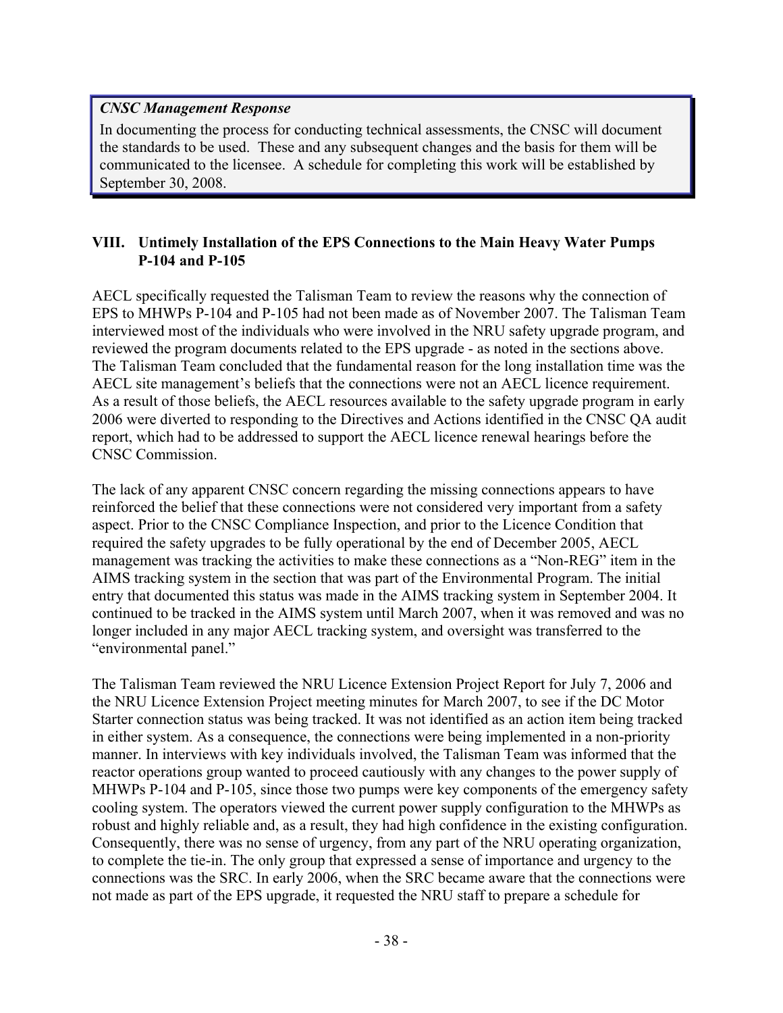### *CNSC Management Response*

In documenting the process for conducting technical assessments, the CNSC will document the standards to be used. These and any subsequent changes and the basis for them will be communicated to the licensee. A schedule for completing this work will be established by September 30, 2008.

### **VIII. Untimely Installation of the EPS Connections to the Main Heavy Water Pumps P-104 and P-105**

AECL specifically requested the Talisman Team to review the reasons why the connection of EPS to MHWPs P-104 and P-105 had not been made as of November 2007. The Talisman Team interviewed most of the individuals who were involved in the NRU safety upgrade program, and reviewed the program documents related to the EPS upgrade - as noted in the sections above. The Talisman Team concluded that the fundamental reason for the long installation time was the AECL site management's beliefs that the connections were not an AECL licence requirement. As a result of those beliefs, the AECL resources available to the safety upgrade program in early 2006 were diverted to responding to the Directives and Actions identified in the CNSC QA audit report, which had to be addressed to support the AECL licence renewal hearings before the CNSC Commission.

The lack of any apparent CNSC concern regarding the missing connections appears to have reinforced the belief that these connections were not considered very important from a safety aspect. Prior to the CNSC Compliance Inspection, and prior to the Licence Condition that required the safety upgrades to be fully operational by the end of December 2005, AECL management was tracking the activities to make these connections as a "Non-REG" item in the AIMS tracking system in the section that was part of the Environmental Program. The initial entry that documented this status was made in the AIMS tracking system in September 2004. It continued to be tracked in the AIMS system until March 2007, when it was removed and was no longer included in any major AECL tracking system, and oversight was transferred to the "environmental panel."

The Talisman Team reviewed the NRU Licence Extension Project Report for July 7, 2006 and the NRU Licence Extension Project meeting minutes for March 2007, to see if the DC Motor Starter connection status was being tracked. It was not identified as an action item being tracked in either system. As a consequence, the connections were being implemented in a non-priority manner. In interviews with key individuals involved, the Talisman Team was informed that the reactor operations group wanted to proceed cautiously with any changes to the power supply of MHWPs P-104 and P-105, since those two pumps were key components of the emergency safety cooling system. The operators viewed the current power supply configuration to the MHWPs as robust and highly reliable and, as a result, they had high confidence in the existing configuration. Consequently, there was no sense of urgency, from any part of the NRU operating organization, to complete the tie-in. The only group that expressed a sense of importance and urgency to the connections was the SRC. In early 2006, when the SRC became aware that the connections were not made as part of the EPS upgrade, it requested the NRU staff to prepare a schedule for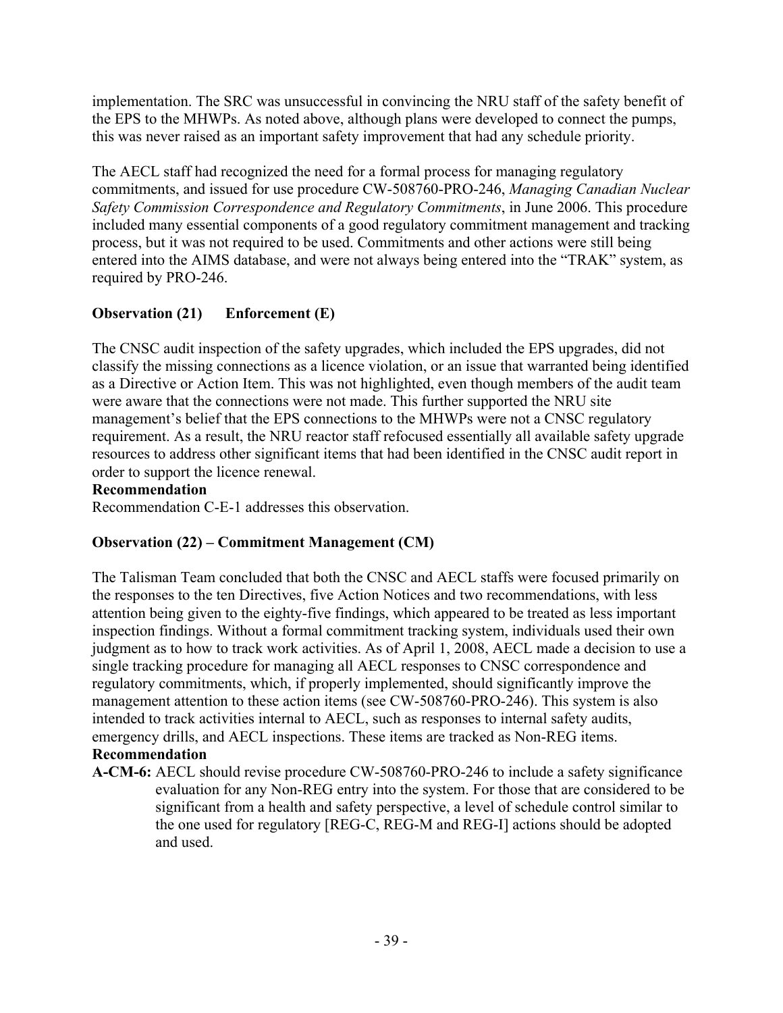implementation. The SRC was unsuccessful in convincing the NRU staff of the safety benefit of the EPS to the MHWPs. As noted above, although plans were developed to connect the pumps, this was never raised as an important safety improvement that had any schedule priority.

The AECL staff had recognized the need for a formal process for managing regulatory commitments, and issued for use procedure CW-508760-PRO-246, *Managing Canadian Nuclear Safety Commission Correspondence and Regulatory Commitments*, in June 2006. This procedure included many essential components of a good regulatory commitment management and tracking process, but it was not required to be used. Commitments and other actions were still being entered into the AIMS database, and were not always being entered into the "TRAK" system, as required by PRO-246.

# **Observation (21) Enforcement (E)**

The CNSC audit inspection of the safety upgrades, which included the EPS upgrades, did not classify the missing connections as a licence violation, or an issue that warranted being identified as a Directive or Action Item. This was not highlighted, even though members of the audit team were aware that the connections were not made. This further supported the NRU site management's belief that the EPS connections to the MHWPs were not a CNSC regulatory requirement. As a result, the NRU reactor staff refocused essentially all available safety upgrade resources to address other significant items that had been identified in the CNSC audit report in order to support the licence renewal.

### **Recommendation**

Recommendation C-E-1 addresses this observation.

## **Observation (22) – Commitment Management (CM)**

The Talisman Team concluded that both the CNSC and AECL staffs were focused primarily on the responses to the ten Directives, five Action Notices and two recommendations, with less attention being given to the eighty-five findings, which appeared to be treated as less important inspection findings. Without a formal commitment tracking system, individuals used their own judgment as to how to track work activities. As of April 1, 2008, AECL made a decision to use a single tracking procedure for managing all AECL responses to CNSC correspondence and regulatory commitments, which, if properly implemented, should significantly improve the management attention to these action items (see CW-508760-PRO-246). This system is also intended to track activities internal to AECL, such as responses to internal safety audits, emergency drills, and AECL inspections. These items are tracked as Non-REG items. **Recommendation** 

#### **A-CM-6:** AECL should revise procedure CW-508760-PRO-246 to include a safety significance evaluation for any Non-REG entry into the system. For those that are considered to be significant from a health and safety perspective, a level of schedule control similar to the one used for regulatory [REG-C, REG-M and REG-I] actions should be adopted and used.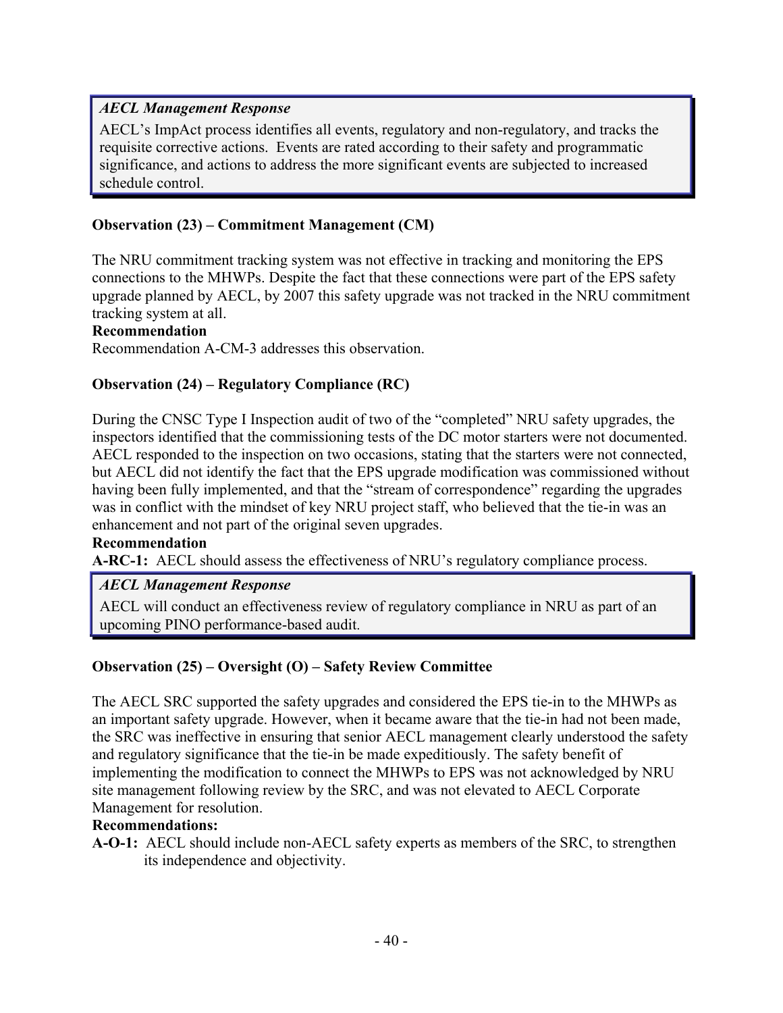### *AECL Management Response*

AECL's ImpAct process identifies all events, regulatory and non-regulatory, and tracks the requisite corrective actions. Events are rated according to their safety and programmatic significance, and actions to address the more significant events are subjected to increased schedule control.

### **Observation (23) – Commitment Management (CM)**

The NRU commitment tracking system was not effective in tracking and monitoring the EPS connections to the MHWPs. Despite the fact that these connections were part of the EPS safety upgrade planned by AECL, by 2007 this safety upgrade was not tracked in the NRU commitment tracking system at all.

#### **Recommendation**

Recommendation A-CM-3 addresses this observation.

### **Observation (24) – Regulatory Compliance (RC)**

During the CNSC Type I Inspection audit of two of the "completed" NRU safety upgrades, the inspectors identified that the commissioning tests of the DC motor starters were not documented. AECL responded to the inspection on two occasions, stating that the starters were not connected, but AECL did not identify the fact that the EPS upgrade modification was commissioned without having been fully implemented, and that the "stream of correspondence" regarding the upgrades was in conflict with the mindset of key NRU project staff, who believed that the tie-in was an enhancement and not part of the original seven upgrades.

#### **Recommendation**

**A-RC-1:** AECL should assess the effectiveness of NRU's regulatory compliance process.

### *AECL Management Response*

AECL will conduct an effectiveness review of regulatory compliance in NRU as part of an upcoming PINO performance-based audit.

### **Observation (25) – Oversight (O) – Safety Review Committee**

The AECL SRC supported the safety upgrades and considered the EPS tie-in to the MHWPs as an important safety upgrade. However, when it became aware that the tie-in had not been made, the SRC was ineffective in ensuring that senior AECL management clearly understood the safety and regulatory significance that the tie-in be made expeditiously. The safety benefit of implementing the modification to connect the MHWPs to EPS was not acknowledged by NRU site management following review by the SRC, and was not elevated to AECL Corporate Management for resolution.

#### **Recommendations:**

**A-O-1:** AECL should include non-AECL safety experts as members of the SRC, to strengthen its independence and objectivity.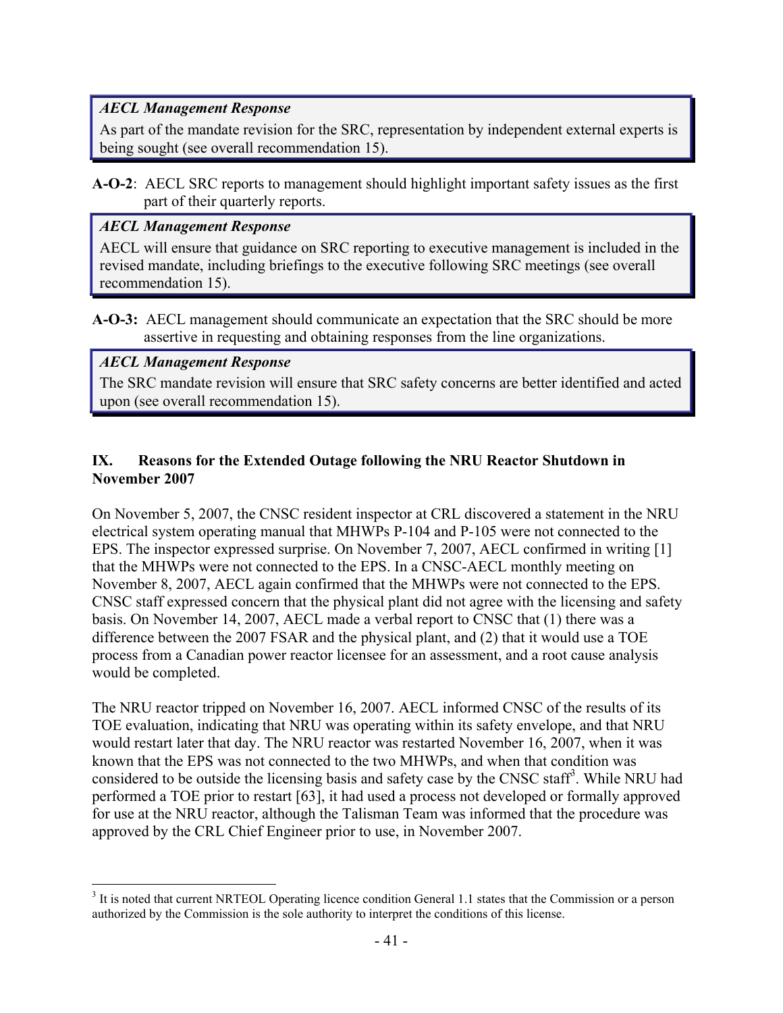### *AECL Management Response*

As part of the mandate revision for the SRC, representation by independent external experts is being sought (see overall recommendation 15).

**A-O-2**: AECL SRC reports to management should highlight important safety issues as the first part of their quarterly reports.

### *AECL Management Response*

AECL will ensure that guidance on SRC reporting to executive management is included in the revised mandate, including briefings to the executive following SRC meetings (see overall recommendation 15).

**A-O-3:** AECL management should communicate an expectation that the SRC should be more assertive in requesting and obtaining responses from the line organizations.

### *AECL Management Response*

 $\overline{a}$ 

The SRC mandate revision will ensure that SRC safety concerns are better identified and acted upon (see overall recommendation 15).

### **IX. Reasons for the Extended Outage following the NRU Reactor Shutdown in November 2007**

On November 5, 2007, the CNSC resident inspector at CRL discovered a statement in the NRU electrical system operating manual that MHWPs P-104 and P-105 were not connected to the EPS. The inspector expressed surprise. On November 7, 2007, AECL confirmed in writing [1] that the MHWPs were not connected to the EPS. In a CNSC-AECL monthly meeting on November 8, 2007, AECL again confirmed that the MHWPs were not connected to the EPS. CNSC staff expressed concern that the physical plant did not agree with the licensing and safety basis. On November 14, 2007, AECL made a verbal report to CNSC that (1) there was a difference between the 2007 FSAR and the physical plant, and (2) that it would use a TOE process from a Canadian power reactor licensee for an assessment, and a root cause analysis would be completed.

The NRU reactor tripped on November 16, 2007. AECL informed CNSC of the results of its TOE evaluation, indicating that NRU was operating within its safety envelope, and that NRU would restart later that day. The NRU reactor was restarted November 16, 2007, when it was known that the EPS was not connected to the two MHWPs, and when that condition was considered to be outside the licensing basis and safety case by the CNSC staff<sup>3</sup>. While NRU had performed a TOE prior to restart [63], it had used a process not developed or formally approved for use at the NRU reactor, although the Talisman Team was informed that the procedure was approved by the CRL Chief Engineer prior to use, in November 2007.

 $3$  It is noted that current NRTEOL Operating licence condition General 1.1 states that the Commission or a person authorized by the Commission is the sole authority to interpret the conditions of this license.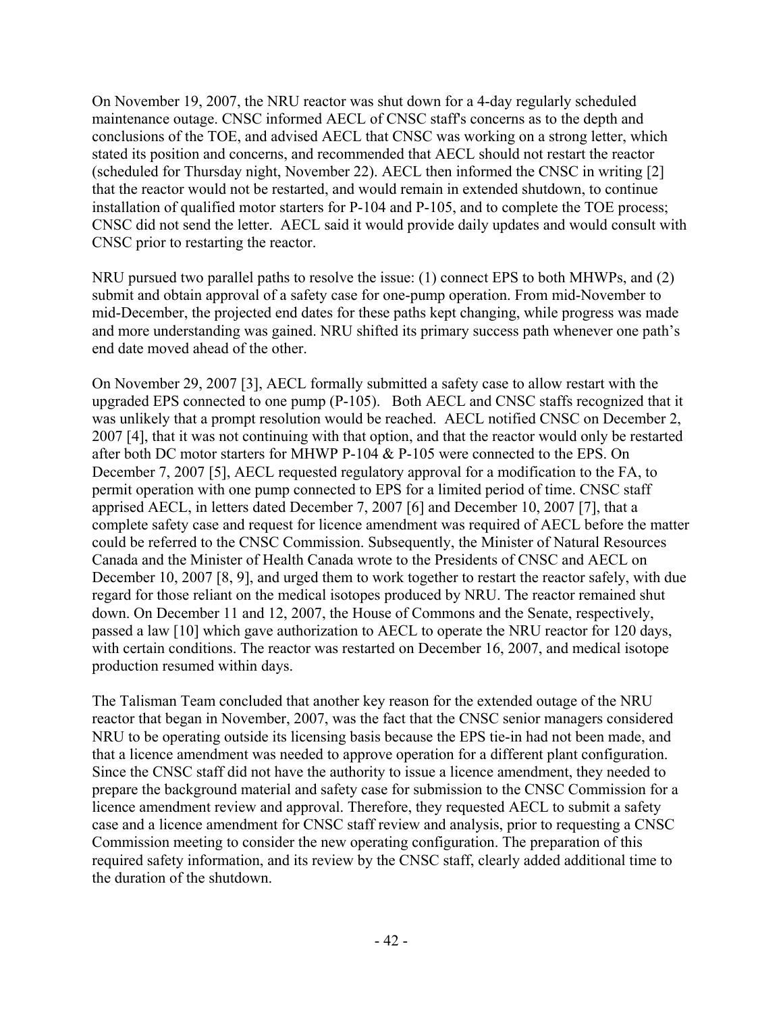On November 19, 2007, the NRU reactor was shut down for a 4-day regularly scheduled maintenance outage. CNSC informed AECL of CNSC staff's concerns as to the depth and conclusions of the TOE, and advised AECL that CNSC was working on a strong letter, which stated its position and concerns, and recommended that AECL should not restart the reactor (scheduled for Thursday night, November 22). AECL then informed the CNSC in writing [2] that the reactor would not be restarted, and would remain in extended shutdown, to continue installation of qualified motor starters for P-104 and P-105, and to complete the TOE process; CNSC did not send the letter. AECL said it would provide daily updates and would consult with CNSC prior to restarting the reactor.

NRU pursued two parallel paths to resolve the issue: (1) connect EPS to both MHWPs, and (2) submit and obtain approval of a safety case for one-pump operation. From mid-November to mid-December, the projected end dates for these paths kept changing, while progress was made and more understanding was gained. NRU shifted its primary success path whenever one path's end date moved ahead of the other.

On November 29, 2007 [3], AECL formally submitted a safety case to allow restart with the upgraded EPS connected to one pump (P-105). Both AECL and CNSC staffs recognized that it was unlikely that a prompt resolution would be reached. AECL notified CNSC on December 2, 2007 [4], that it was not continuing with that option, and that the reactor would only be restarted after both DC motor starters for MHWP P-104 & P-105 were connected to the EPS. On December 7, 2007 [5], AECL requested regulatory approval for a modification to the FA, to permit operation with one pump connected to EPS for a limited period of time. CNSC staff apprised AECL, in letters dated December 7, 2007 [6] and December 10, 2007 [7], that a complete safety case and request for licence amendment was required of AECL before the matter could be referred to the CNSC Commission. Subsequently, the Minister of Natural Resources Canada and the Minister of Health Canada wrote to the Presidents of CNSC and AECL on December 10, 2007 [8, 9], and urged them to work together to restart the reactor safely, with due regard for those reliant on the medical isotopes produced by NRU. The reactor remained shut down. On December 11 and 12, 2007, the House of Commons and the Senate, respectively, passed a law [10] which gave authorization to AECL to operate the NRU reactor for 120 days, with certain conditions. The reactor was restarted on December 16, 2007, and medical isotope production resumed within days.

The Talisman Team concluded that another key reason for the extended outage of the NRU reactor that began in November, 2007, was the fact that the CNSC senior managers considered NRU to be operating outside its licensing basis because the EPS tie-in had not been made, and that a licence amendment was needed to approve operation for a different plant configuration. Since the CNSC staff did not have the authority to issue a licence amendment, they needed to prepare the background material and safety case for submission to the CNSC Commission for a licence amendment review and approval. Therefore, they requested AECL to submit a safety case and a licence amendment for CNSC staff review and analysis, prior to requesting a CNSC Commission meeting to consider the new operating configuration. The preparation of this required safety information, and its review by the CNSC staff, clearly added additional time to the duration of the shutdown.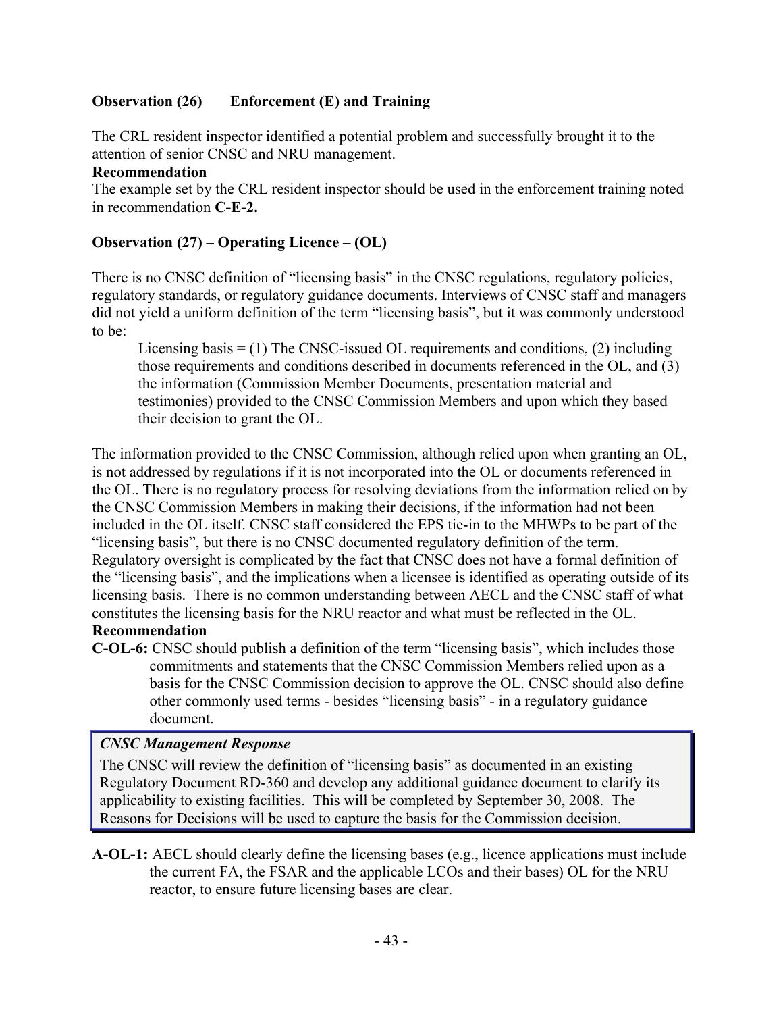### **Observation (26) Enforcement (E) and Training**

The CRL resident inspector identified a potential problem and successfully brought it to the attention of senior CNSC and NRU management.

#### **Recommendation**

The example set by the CRL resident inspector should be used in the enforcement training noted in recommendation **C-E-2.** 

### **Observation (27) – Operating Licence – (OL)**

There is no CNSC definition of "licensing basis" in the CNSC regulations, regulatory policies, regulatory standards, or regulatory guidance documents. Interviews of CNSC staff and managers did not yield a uniform definition of the term "licensing basis", but it was commonly understood to be:

Licensing basis  $=$  (1) The CNSC-issued OL requirements and conditions, (2) including those requirements and conditions described in documents referenced in the OL, and (3) the information (Commission Member Documents, presentation material and testimonies) provided to the CNSC Commission Members and upon which they based their decision to grant the OL.

The information provided to the CNSC Commission, although relied upon when granting an OL, is not addressed by regulations if it is not incorporated into the OL or documents referenced in the OL. There is no regulatory process for resolving deviations from the information relied on by the CNSC Commission Members in making their decisions, if the information had not been included in the OL itself. CNSC staff considered the EPS tie-in to the MHWPs to be part of the "licensing basis", but there is no CNSC documented regulatory definition of the term. Regulatory oversight is complicated by the fact that CNSC does not have a formal definition of the "licensing basis", and the implications when a licensee is identified as operating outside of its licensing basis. There is no common understanding between AECL and the CNSC staff of what constitutes the licensing basis for the NRU reactor and what must be reflected in the OL.

### **Recommendation**

**C-OL-6:** CNSC should publish a definition of the term "licensing basis", which includes those commitments and statements that the CNSC Commission Members relied upon as a basis for the CNSC Commission decision to approve the OL. CNSC should also define other commonly used terms - besides "licensing basis" - in a regulatory guidance document.

### *CNSC Management Response*

The CNSC will review the definition of "licensing basis" as documented in an existing Regulatory Document RD-360 and develop any additional guidance document to clarify its applicability to existing facilities. This will be completed by September 30, 2008. The Reasons for Decisions will be used to capture the basis for the Commission decision.

**A-OL-1:** AECL should clearly define the licensing bases (e.g., licence applications must include the current FA, the FSAR and the applicable LCOs and their bases) OL for the NRU reactor, to ensure future licensing bases are clear.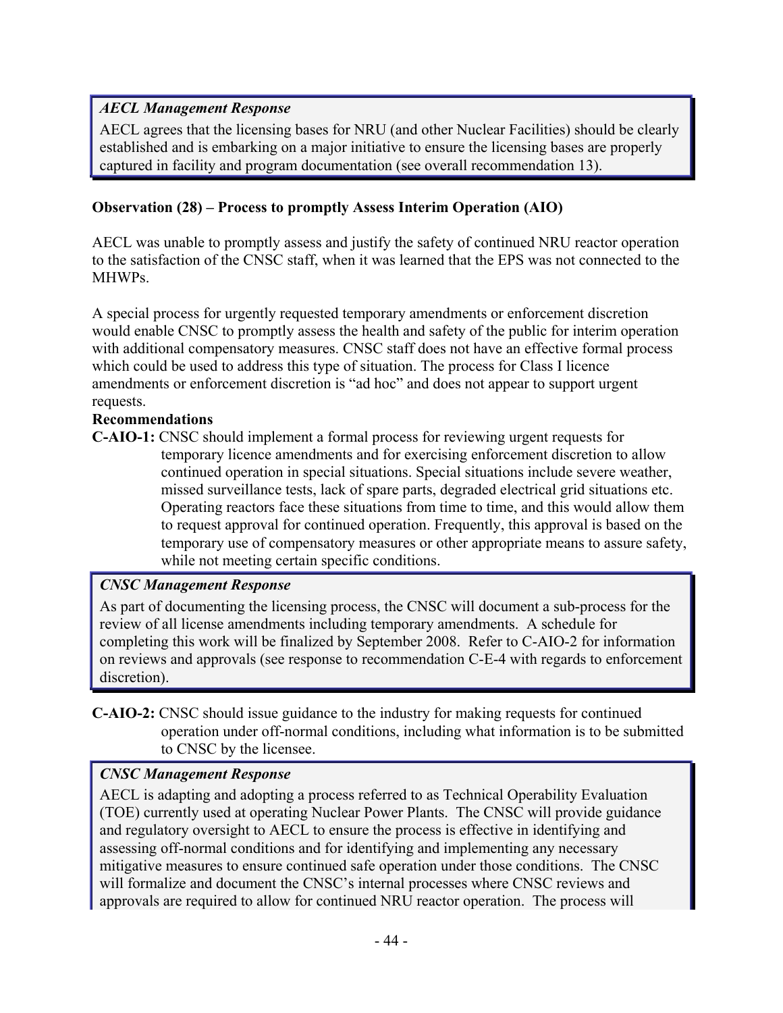## *AECL Management Response*

AECL agrees that the licensing bases for NRU (and other Nuclear Facilities) should be clearly established and is embarking on a major initiative to ensure the licensing bases are properly captured in facility and program documentation (see overall recommendation 13).

### **Observation (28) – Process to promptly Assess Interim Operation (AIO)**

AECL was unable to promptly assess and justify the safety of continued NRU reactor operation to the satisfaction of the CNSC staff, when it was learned that the EPS was not connected to the **MHWPs** 

A special process for urgently requested temporary amendments or enforcement discretion would enable CNSC to promptly assess the health and safety of the public for interim operation with additional compensatory measures. CNSC staff does not have an effective formal process which could be used to address this type of situation. The process for Class I licence amendments or enforcement discretion is "ad hoc" and does not appear to support urgent requests.

### **Recommendations**

**C-AIO-1:** CNSC should implement a formal process for reviewing urgent requests for temporary licence amendments and for exercising enforcement discretion to allow continued operation in special situations. Special situations include severe weather, missed surveillance tests, lack of spare parts, degraded electrical grid situations etc. Operating reactors face these situations from time to time, and this would allow them to request approval for continued operation. Frequently, this approval is based on the temporary use of compensatory measures or other appropriate means to assure safety, while not meeting certain specific conditions.

### *CNSC Management Response*

As part of documenting the licensing process, the CNSC will document a sub-process for the review of all license amendments including temporary amendments. A schedule for completing this work will be finalized by September 2008. Refer to C-AIO-2 for information on reviews and approvals (see response to recommendation C-E-4 with regards to enforcement discretion).

**C-AIO-2:** CNSC should issue guidance to the industry for making requests for continued operation under off-normal conditions, including what information is to be submitted to CNSC by the licensee.

## *CNSC Management Response*

AECL is adapting and adopting a process referred to as Technical Operability Evaluation (TOE) currently used at operating Nuclear Power Plants. The CNSC will provide guidance and regulatory oversight to AECL to ensure the process is effective in identifying and assessing off-normal conditions and for identifying and implementing any necessary mitigative measures to ensure continued safe operation under those conditions. The CNSC will formalize and document the CNSC's internal processes where CNSC reviews and approvals are required to allow for continued NRU reactor operation. The process will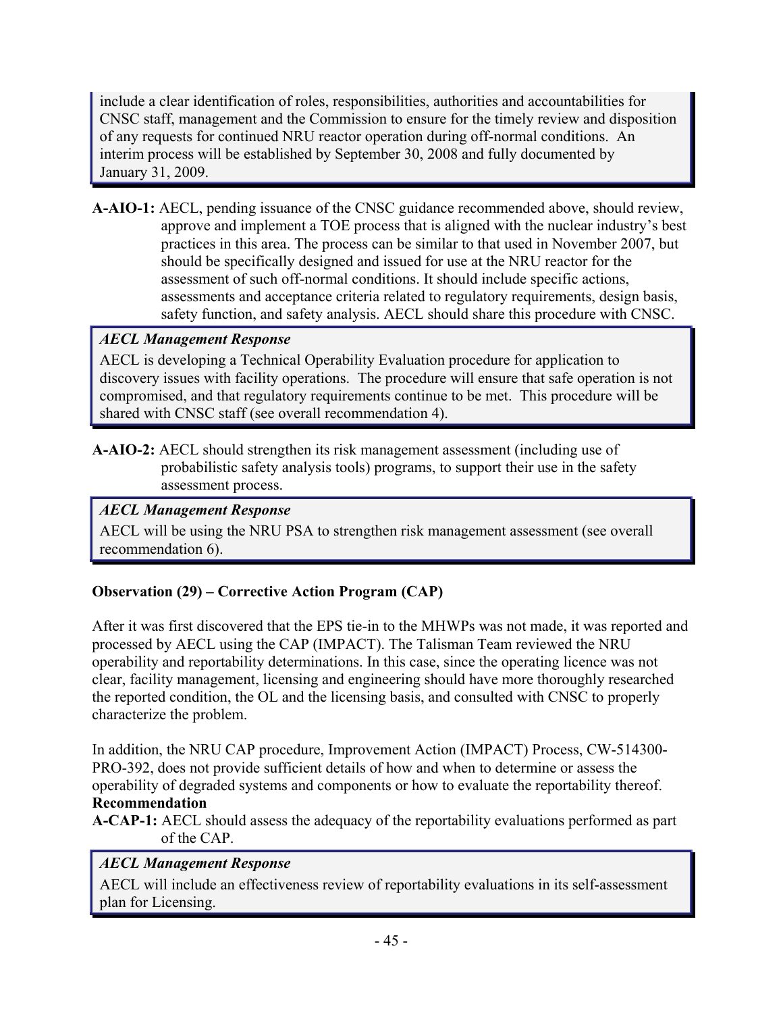include a clear identification of roles, responsibilities, authorities and accountabilities for CNSC staff, management and the Commission to ensure for the timely review and disposition of any requests for continued NRU reactor operation during off-normal conditions. An interim process will be established by September 30, 2008 and fully documented by January 31, 2009.

**A-AIO-1:** AECL, pending issuance of the CNSC guidance recommended above, should review, approve and implement a TOE process that is aligned with the nuclear industry's best practices in this area. The process can be similar to that used in November 2007, but should be specifically designed and issued for use at the NRU reactor for the assessment of such off-normal conditions. It should include specific actions, assessments and acceptance criteria related to regulatory requirements, design basis, safety function, and safety analysis. AECL should share this procedure with CNSC.

## *AECL Management Response*

AECL is developing a Technical Operability Evaluation procedure for application to discovery issues with facility operations. The procedure will ensure that safe operation is not compromised, and that regulatory requirements continue to be met. This procedure will be shared with CNSC staff (see overall recommendation 4).

**A-AIO-2:** AECL should strengthen its risk management assessment (including use of probabilistic safety analysis tools) programs, to support their use in the safety assessment process.

## *AECL Management Response*

AECL will be using the NRU PSA to strengthen risk management assessment (see overall recommendation 6).

## **Observation (29) – Corrective Action Program (CAP)**

After it was first discovered that the EPS tie-in to the MHWPs was not made, it was reported and processed by AECL using the CAP (IMPACT). The Talisman Team reviewed the NRU operability and reportability determinations. In this case, since the operating licence was not clear, facility management, licensing and engineering should have more thoroughly researched the reported condition, the OL and the licensing basis, and consulted with CNSC to properly characterize the problem.

In addition, the NRU CAP procedure, Improvement Action (IMPACT) Process, CW-514300- PRO-392, does not provide sufficient details of how and when to determine or assess the operability of degraded systems and components or how to evaluate the reportability thereof. **Recommendation** 

**A-CAP-1:** AECL should assess the adequacy of the reportability evaluations performed as part of the CAP.

### *AECL Management Response*

AECL will include an effectiveness review of reportability evaluations in its self-assessment plan for Licensing.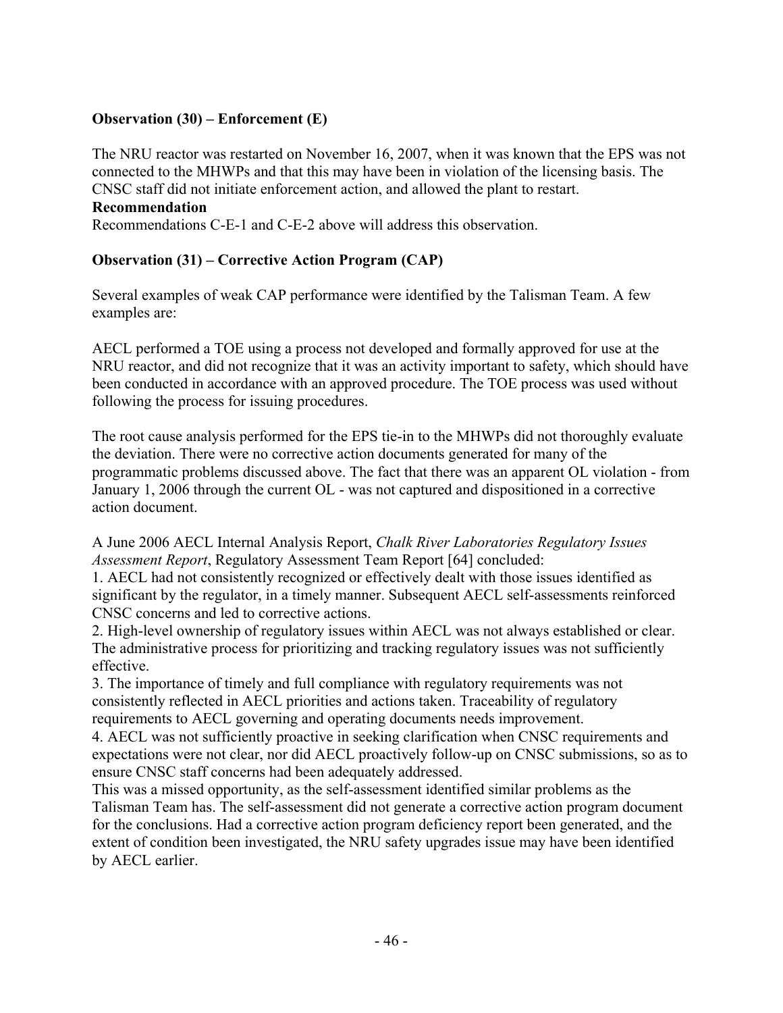### **Observation (30) – Enforcement (E)**

The NRU reactor was restarted on November 16, 2007, when it was known that the EPS was not connected to the MHWPs and that this may have been in violation of the licensing basis. The CNSC staff did not initiate enforcement action, and allowed the plant to restart.

#### **Recommendation**

Recommendations C-E-1 and C-E-2 above will address this observation.

### **Observation (31) – Corrective Action Program (CAP)**

Several examples of weak CAP performance were identified by the Talisman Team. A few examples are:

AECL performed a TOE using a process not developed and formally approved for use at the NRU reactor, and did not recognize that it was an activity important to safety, which should have been conducted in accordance with an approved procedure. The TOE process was used without following the process for issuing procedures.

The root cause analysis performed for the EPS tie-in to the MHWPs did not thoroughly evaluate the deviation. There were no corrective action documents generated for many of the programmatic problems discussed above. The fact that there was an apparent OL violation - from January 1, 2006 through the current OL - was not captured and dispositioned in a corrective action document.

A June 2006 AECL Internal Analysis Report, *Chalk River Laboratories Regulatory Issues Assessment Report*, Regulatory Assessment Team Report [64] concluded:

1. AECL had not consistently recognized or effectively dealt with those issues identified as significant by the regulator, in a timely manner. Subsequent AECL self-assessments reinforced CNSC concerns and led to corrective actions.

2. High-level ownership of regulatory issues within AECL was not always established or clear. The administrative process for prioritizing and tracking regulatory issues was not sufficiently effective.

3. The importance of timely and full compliance with regulatory requirements was not consistently reflected in AECL priorities and actions taken. Traceability of regulatory requirements to AECL governing and operating documents needs improvement.

4. AECL was not sufficiently proactive in seeking clarification when CNSC requirements and expectations were not clear, nor did AECL proactively follow-up on CNSC submissions, so as to ensure CNSC staff concerns had been adequately addressed.

This was a missed opportunity, as the self-assessment identified similar problems as the Talisman Team has. The self-assessment did not generate a corrective action program document for the conclusions. Had a corrective action program deficiency report been generated, and the extent of condition been investigated, the NRU safety upgrades issue may have been identified by AECL earlier.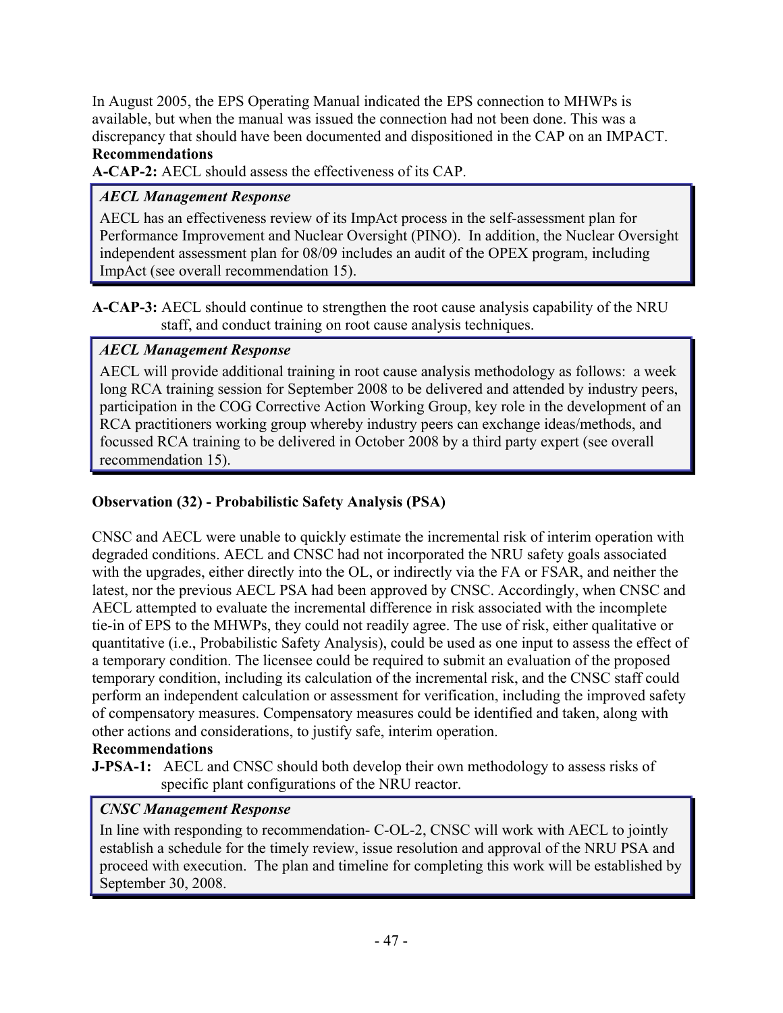In August 2005, the EPS Operating Manual indicated the EPS connection to MHWPs is available, but when the manual was issued the connection had not been done. This was a discrepancy that should have been documented and dispositioned in the CAP on an IMPACT. **Recommendations** 

**A-CAP-2:** AECL should assess the effectiveness of its CAP.

## *AECL Management Response*

AECL has an effectiveness review of its ImpAct process in the self-assessment plan for Performance Improvement and Nuclear Oversight (PINO). In addition, the Nuclear Oversight independent assessment plan for 08/09 includes an audit of the OPEX program, including ImpAct (see overall recommendation 15).

**A-CAP-3:** AECL should continue to strengthen the root cause analysis capability of the NRU staff, and conduct training on root cause analysis techniques.

### *AECL Management Response*

AECL will provide additional training in root cause analysis methodology as follows: a week long RCA training session for September 2008 to be delivered and attended by industry peers, participation in the COG Corrective Action Working Group, key role in the development of an RCA practitioners working group whereby industry peers can exchange ideas/methods, and focussed RCA training to be delivered in October 2008 by a third party expert (see overall recommendation 15).

## **Observation (32) - Probabilistic Safety Analysis (PSA)**

CNSC and AECL were unable to quickly estimate the incremental risk of interim operation with degraded conditions. AECL and CNSC had not incorporated the NRU safety goals associated with the upgrades, either directly into the OL, or indirectly via the FA or FSAR, and neither the latest, nor the previous AECL PSA had been approved by CNSC. Accordingly, when CNSC and AECL attempted to evaluate the incremental difference in risk associated with the incomplete tie-in of EPS to the MHWPs, they could not readily agree. The use of risk, either qualitative or quantitative (i.e., Probabilistic Safety Analysis), could be used as one input to assess the effect of a temporary condition. The licensee could be required to submit an evaluation of the proposed temporary condition, including its calculation of the incremental risk, and the CNSC staff could perform an independent calculation or assessment for verification, including the improved safety of compensatory measures. Compensatory measures could be identified and taken, along with other actions and considerations, to justify safe, interim operation.

## **Recommendations**

**J-PSA-1:** AECL and CNSC should both develop their own methodology to assess risks of specific plant configurations of the NRU reactor.

## *CNSC Management Response*

In line with responding to recommendation- C-OL-2, CNSC will work with AECL to jointly establish a schedule for the timely review, issue resolution and approval of the NRU PSA and proceed with execution. The plan and timeline for completing this work will be established by September 30, 2008.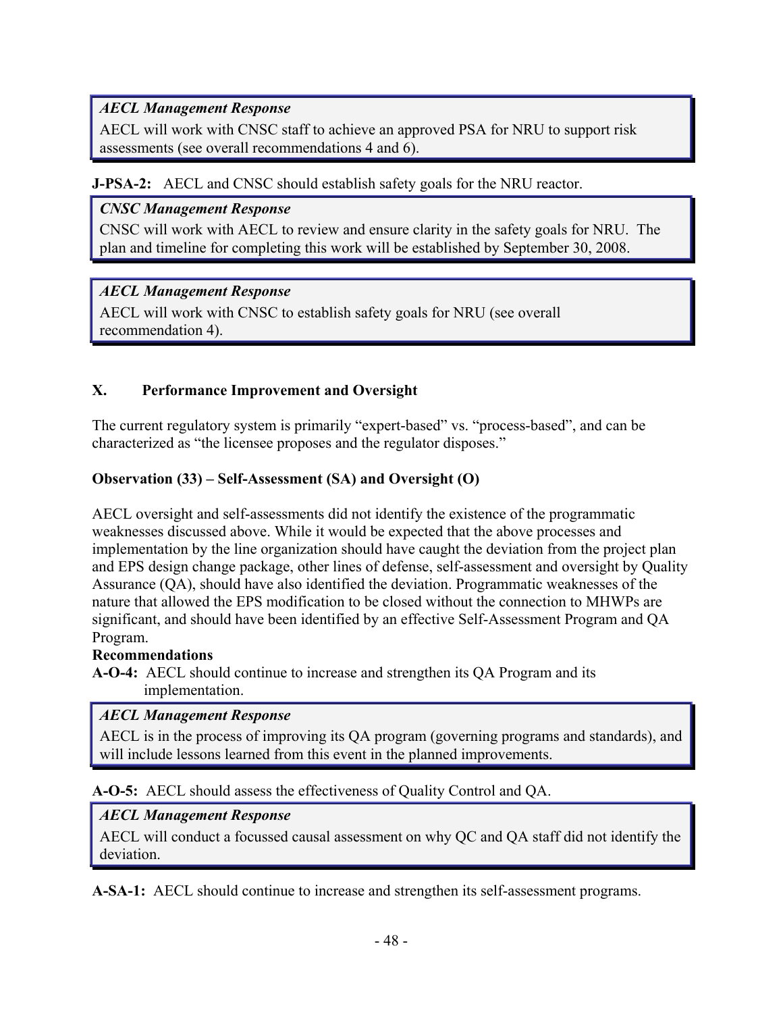## *AECL Management Response*

AECL will work with CNSC staff to achieve an approved PSA for NRU to support risk assessments (see overall recommendations 4 and 6).

### **J-PSA-2:** AECL and CNSC should establish safety goals for the NRU reactor.

### *CNSC Management Response*

CNSC will work with AECL to review and ensure clarity in the safety goals for NRU. The plan and timeline for completing this work will be established by September 30, 2008.

## *AECL Management Response*

AECL will work with CNSC to establish safety goals for NRU (see overall recommendation 4).

## **X. Performance Improvement and Oversight**

The current regulatory system is primarily "expert-based" vs. "process-based", and can be characterized as "the licensee proposes and the regulator disposes."

### **Observation (33) – Self-Assessment (SA) and Oversight (O)**

AECL oversight and self-assessments did not identify the existence of the programmatic weaknesses discussed above. While it would be expected that the above processes and implementation by the line organization should have caught the deviation from the project plan and EPS design change package, other lines of defense, self-assessment and oversight by Quality Assurance (QA), should have also identified the deviation. Programmatic weaknesses of the nature that allowed the EPS modification to be closed without the connection to MHWPs are significant, and should have been identified by an effective Self-Assessment Program and QA Program.

### **Recommendations**

**A-O-4:** AECL should continue to increase and strengthen its QA Program and its implementation.

## *AECL Management Response*

AECL is in the process of improving its QA program (governing programs and standards), and will include lessons learned from this event in the planned improvements.

**A-O-5:** AECL should assess the effectiveness of Quality Control and QA.

## *AECL Management Response*

AECL will conduct a focussed causal assessment on why QC and QA staff did not identify the deviation.

**A-SA-1:** AECL should continue to increase and strengthen its self-assessment programs.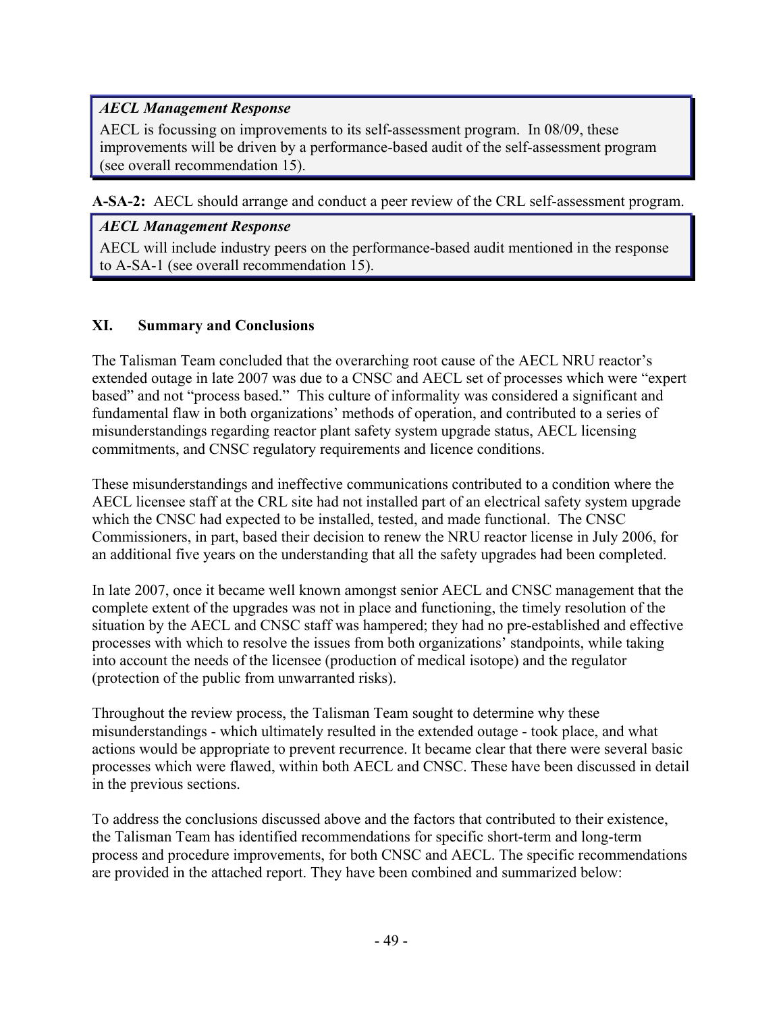## *AECL Management Response*

AECL is focussing on improvements to its self-assessment program. In 08/09, these improvements will be driven by a performance-based audit of the self-assessment program (see overall recommendation 15).

**A-SA-2:** AECL should arrange and conduct a peer review of the CRL self-assessment program.

### *AECL Management Response*

AECL will include industry peers on the performance-based audit mentioned in the response to A-SA-1 (see overall recommendation 15).

### **XI. Summary and Conclusions**

The Talisman Team concluded that the overarching root cause of the AECL NRU reactor's extended outage in late 2007 was due to a CNSC and AECL set of processes which were "expert based" and not "process based." This culture of informality was considered a significant and fundamental flaw in both organizations' methods of operation, and contributed to a series of misunderstandings regarding reactor plant safety system upgrade status, AECL licensing commitments, and CNSC regulatory requirements and licence conditions.

These misunderstandings and ineffective communications contributed to a condition where the AECL licensee staff at the CRL site had not installed part of an electrical safety system upgrade which the CNSC had expected to be installed, tested, and made functional. The CNSC Commissioners, in part, based their decision to renew the NRU reactor license in July 2006, for an additional five years on the understanding that all the safety upgrades had been completed.

In late 2007, once it became well known amongst senior AECL and CNSC management that the complete extent of the upgrades was not in place and functioning, the timely resolution of the situation by the AECL and CNSC staff was hampered; they had no pre-established and effective processes with which to resolve the issues from both organizations' standpoints, while taking into account the needs of the licensee (production of medical isotope) and the regulator (protection of the public from unwarranted risks).

Throughout the review process, the Talisman Team sought to determine why these misunderstandings - which ultimately resulted in the extended outage - took place, and what actions would be appropriate to prevent recurrence. It became clear that there were several basic processes which were flawed, within both AECL and CNSC. These have been discussed in detail in the previous sections.

To address the conclusions discussed above and the factors that contributed to their existence, the Talisman Team has identified recommendations for specific short-term and long-term process and procedure improvements, for both CNSC and AECL. The specific recommendations are provided in the attached report. They have been combined and summarized below: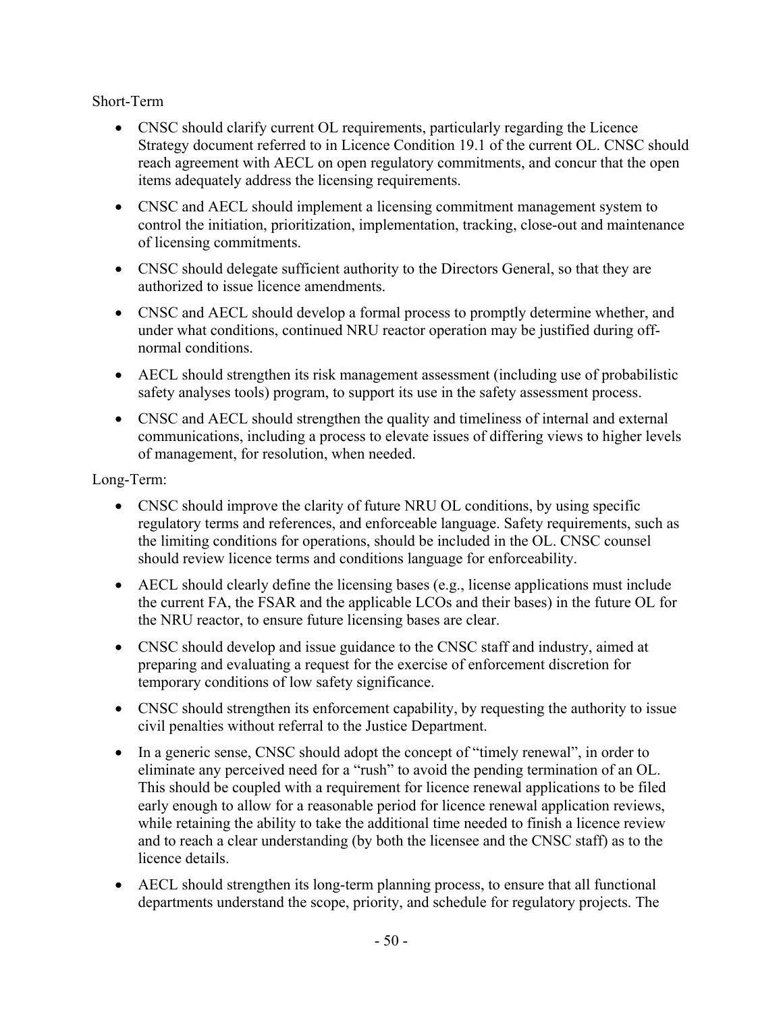Short-Term

- CNSC should clarify current OL requirements, particularly regarding the Licence Strategy document referred to in Licence Condition 19.1 of the current OL. CNSC should reach agreement with AECL on open regulatory commitments, and concur that the open items adequately address the licensing requirements.
- CNSC and AECL should implement a licensing commitment management system to control the initiation, prioritization, implementation, tracking, close-out and maintenance of licensing commitments.
- CNSC should delegate sufficient authority to the Directors General, so that they are authorized to issue licence amendments.
- CNSC and AECL should develop a formal process to promptly determine whether, and under what conditions, continued NRU reactor operation may be justified during offnormal conditions.
- AECL should strengthen its risk management assessment (including use of probabilistic safety analyses tools) program, to support its use in the safety assessment process.
- CNSC and AECL should strengthen the quality and timeliness of internal and external communications, including a process to elevate issues of differing views to higher levels of management, for resolution, when needed.

Long-Term:

- CNSC should improve the clarity of future NRU OL conditions, by using specific regulatory terms and references, and enforceable language. Safety requirements, such as the limiting conditions for operations, should be included in the OL. CNSC counsel should review licence terms and conditions language for enforceability.
- AECL should clearly define the licensing bases (e.g., license applications must include the current FA, the FSAR and the applicable LCOs and their bases) in the future OL for the NRU reactor, to ensure future licensing bases are clear.
- CNSC should develop and issue guidance to the CNSC staff and industry, aimed at preparing and evaluating a request for the exercise of enforcement discretion for temporary conditions of low safety significance.
- CNSC should strengthen its enforcement capability, by requesting the authority to issue civil penalties without referral to the Justice Department.
- In a generic sense, CNSC should adopt the concept of "timely renewal", in order to eliminate any perceived need for a "rush" to avoid the pending termination of an OL. This should be coupled with a requirement for licence renewal applications to be filed early enough to allow for a reasonable period for licence renewal application reviews, while retaining the ability to take the additional time needed to finish a licence review and to reach a clear understanding (by both the licensee and the CNSC staff) as to the licence details.
- AECL should strengthen its long-term planning process, to ensure that all functional departments understand the scope, priority, and schedule for regulatory projects. The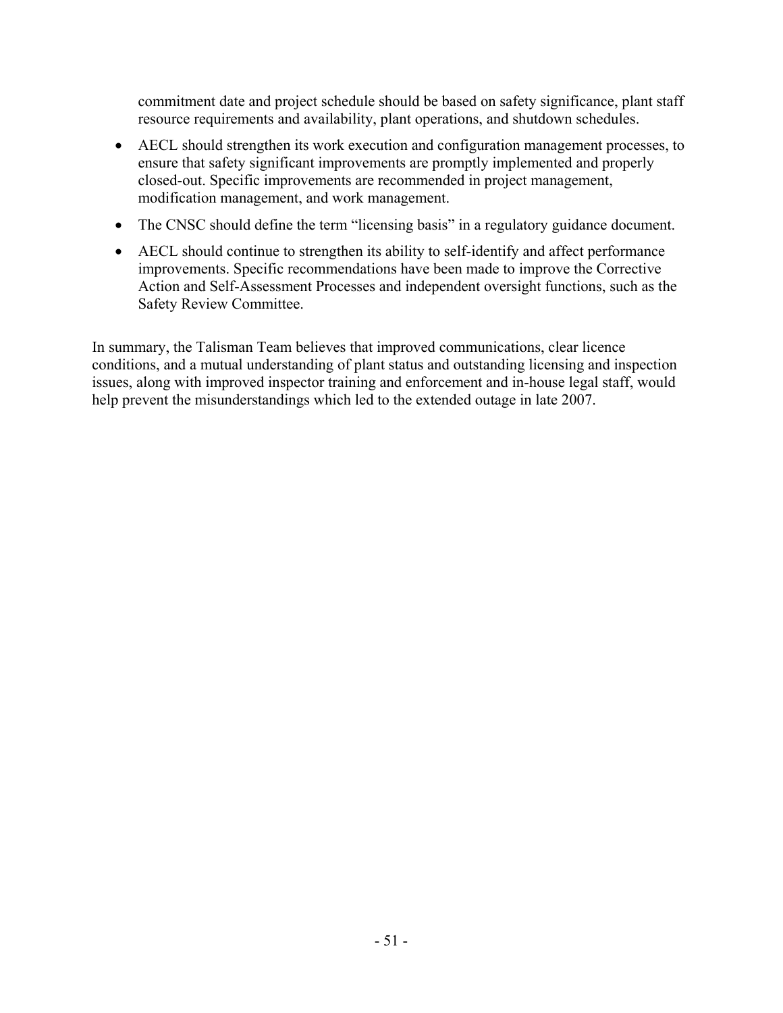commitment date and project schedule should be based on safety significance, plant staff resource requirements and availability, plant operations, and shutdown schedules.

- AECL should strengthen its work execution and configuration management processes, to ensure that safety significant improvements are promptly implemented and properly closed-out. Specific improvements are recommended in project management, modification management, and work management.
- The CNSC should define the term "licensing basis" in a regulatory guidance document.
- AECL should continue to strengthen its ability to self-identify and affect performance improvements. Specific recommendations have been made to improve the Corrective Action and Self-Assessment Processes and independent oversight functions, such as the Safety Review Committee.

In summary, the Talisman Team believes that improved communications, clear licence conditions, and a mutual understanding of plant status and outstanding licensing and inspection issues, along with improved inspector training and enforcement and in-house legal staff, would help prevent the misunderstandings which led to the extended outage in late 2007.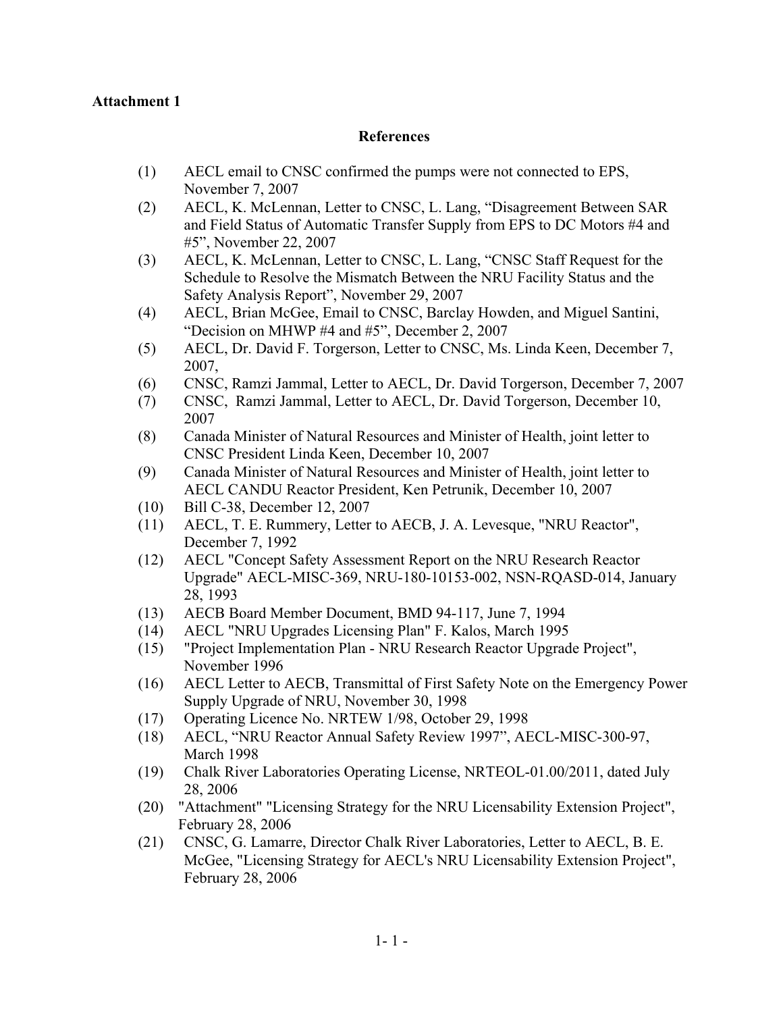#### **Attachment 1**

#### **References**

- (1) AECL email to CNSC confirmed the pumps were not connected to EPS, November 7, 2007
- (2) AECL, K. McLennan, Letter to CNSC, L. Lang, "Disagreement Between SAR and Field Status of Automatic Transfer Supply from EPS to DC Motors #4 and #5", November 22, 2007
- (3) AECL, K. McLennan, Letter to CNSC, L. Lang, "CNSC Staff Request for the Schedule to Resolve the Mismatch Between the NRU Facility Status and the Safety Analysis Report", November 29, 2007
- (4) AECL, Brian McGee, Email to CNSC, Barclay Howden, and Miguel Santini, "Decision on MHWP #4 and #5", December 2, 2007
- (5) AECL, Dr. David F. Torgerson, Letter to CNSC, Ms. Linda Keen, December 7, 2007,
- (6) CNSC, Ramzi Jammal, Letter to AECL, Dr. David Torgerson, December 7, 2007
- (7) CNSC, Ramzi Jammal, Letter to AECL, Dr. David Torgerson, December 10, 2007
- (8) Canada Minister of Natural Resources and Minister of Health, joint letter to CNSC President Linda Keen, December 10, 2007
- (9) Canada Minister of Natural Resources and Minister of Health, joint letter to AECL CANDU Reactor President, Ken Petrunik, December 10, 2007
- (10) Bill C-38, December 12, 2007
- (11) AECL, T. E. Rummery, Letter to AECB, J. A. Levesque, "NRU Reactor", December 7, 1992
- (12) AECL "Concept Safety Assessment Report on the NRU Research Reactor Upgrade" AECL-MISC-369, NRU-180-10153-002, NSN-RQASD-014, January 28, 1993
- (13) AECB Board Member Document, BMD 94-117, June 7, 1994
- (14) AECL "NRU Upgrades Licensing Plan" F. Kalos, March 1995
- (15) "Project Implementation Plan NRU Research Reactor Upgrade Project", November 1996
- (16) AECL Letter to AECB, Transmittal of First Safety Note on the Emergency Power Supply Upgrade of NRU, November 30, 1998
- (17) Operating Licence No. NRTEW 1/98, October 29, 1998
- (18) AECL, "NRU Reactor Annual Safety Review 1997", AECL-MISC-300-97, March 1998
- (19) Chalk River Laboratories Operating License, NRTEOL-01.00/2011, dated July 28, 2006
- (20) "Attachment" "Licensing Strategy for the NRU Licensability Extension Project", February 28, 2006
- (21) CNSC, G. Lamarre, Director Chalk River Laboratories, Letter to AECL, B. E. McGee, "Licensing Strategy for AECL's NRU Licensability Extension Project", February 28, 2006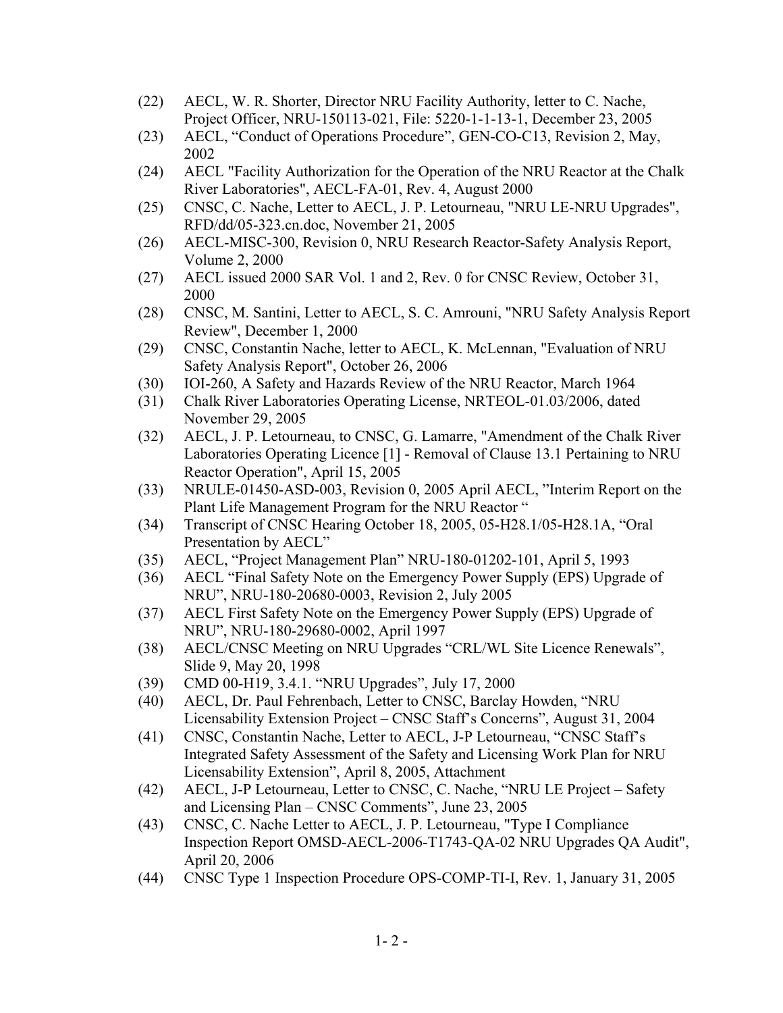- (22) AECL, W. R. Shorter, Director NRU Facility Authority, letter to C. Nache, Project Officer, NRU-150113-021, File: 5220-1-1-13-1, December 23, 2005
- (23) AECL, "Conduct of Operations Procedure", GEN-CO-C13, Revision 2, May, 2002
- (24) AECL "Facility Authorization for the Operation of the NRU Reactor at the Chalk River Laboratories", AECL-FA-01, Rev. 4, August 2000
- (25) CNSC, C. Nache, Letter to AECL, J. P. Letourneau, "NRU LE-NRU Upgrades", RFD/dd/05-323.cn.doc, November 21, 2005
- (26) AECL-MISC-300, Revision 0, NRU Research Reactor-Safety Analysis Report, Volume 2, 2000
- (27) AECL issued 2000 SAR Vol. 1 and 2, Rev. 0 for CNSC Review, October 31, 2000
- (28) CNSC, M. Santini, Letter to AECL, S. C. Amrouni, "NRU Safety Analysis Report Review", December 1, 2000
- (29) CNSC, Constantin Nache, letter to AECL, K. McLennan, "Evaluation of NRU Safety Analysis Report", October 26, 2006
- (30) IOI-260, A Safety and Hazards Review of the NRU Reactor, March 1964
- (31) Chalk River Laboratories Operating License, NRTEOL-01.03/2006, dated November 29, 2005
- (32) AECL, J. P. Letourneau, to CNSC, G. Lamarre, "Amendment of the Chalk River Laboratories Operating Licence [1] - Removal of Clause 13.1 Pertaining to NRU Reactor Operation", April 15, 2005
- (33) NRULE-01450-ASD-003, Revision 0, 2005 April AECL, "Interim Report on the Plant Life Management Program for the NRU Reactor "
- (34) Transcript of CNSC Hearing October 18, 2005, 05-H28.1/05-H28.1A, "Oral Presentation by AECL"
- (35) AECL, "Project Management Plan" NRU-180-01202-101, April 5, 1993
- (36) AECL "Final Safety Note on the Emergency Power Supply (EPS) Upgrade of NRU", NRU-180-20680-0003, Revision 2, July 2005
- (37) AECL First Safety Note on the Emergency Power Supply (EPS) Upgrade of NRU", NRU-180-29680-0002, April 1997
- (38) AECL/CNSC Meeting on NRU Upgrades "CRL/WL Site Licence Renewals", Slide 9, May 20, 1998
- (39) CMD 00-H19, 3.4.1. "NRU Upgrades", July 17, 2000
- (40) AECL, Dr. Paul Fehrenbach, Letter to CNSC, Barclay Howden, "NRU Licensability Extension Project – CNSC Staff's Concerns", August 31, 2004
- (41) CNSC, Constantin Nache, Letter to AECL, J-P Letourneau, "CNSC Staff's Integrated Safety Assessment of the Safety and Licensing Work Plan for NRU Licensability Extension", April 8, 2005, Attachment
- (42) AECL, J-P Letourneau, Letter to CNSC, C. Nache, "NRU LE Project Safety and Licensing Plan – CNSC Comments", June 23, 2005
- (43) CNSC, C. Nache Letter to AECL, J. P. Letourneau, "Type I Compliance Inspection Report OMSD-AECL-2006-T1743-QA-02 NRU Upgrades QA Audit", April 20, 2006
- (44) CNSC Type 1 Inspection Procedure OPS-COMP-TI-I, Rev. 1, January 31, 2005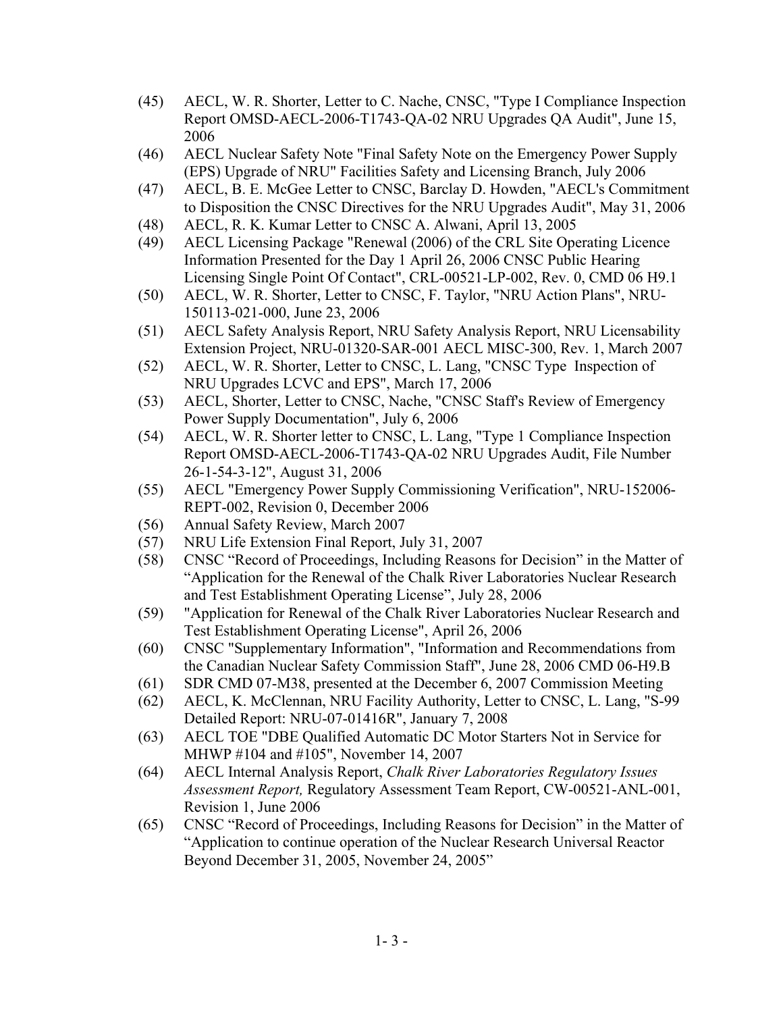- (45) AECL, W. R. Shorter, Letter to C. Nache, CNSC, "Type I Compliance Inspection Report OMSD-AECL-2006-T1743-QA-02 NRU Upgrades QA Audit", June 15, 2006
- (46) AECL Nuclear Safety Note "Final Safety Note on the Emergency Power Supply (EPS) Upgrade of NRU" Facilities Safety and Licensing Branch, July 2006
- (47) AECL, B. E. McGee Letter to CNSC, Barclay D. Howden, "AECL's Commitment to Disposition the CNSC Directives for the NRU Upgrades Audit", May 31, 2006
- (48) AECL, R. K. Kumar Letter to CNSC A. Alwani, April 13, 2005
- (49) AECL Licensing Package "Renewal (2006) of the CRL Site Operating Licence Information Presented for the Day 1 April 26, 2006 CNSC Public Hearing Licensing Single Point Of Contact", CRL-00521-LP-002, Rev. 0, CMD 06 H9.1
- (50) AECL, W. R. Shorter, Letter to CNSC, F. Taylor, "NRU Action Plans", NRU-150113-021-000, June 23, 2006
- (51) AECL Safety Analysis Report, NRU Safety Analysis Report, NRU Licensability Extension Project, NRU-01320-SAR-001 AECL MISC-300, Rev. 1, March 2007
- (52) AECL, W. R. Shorter, Letter to CNSC, L. Lang, "CNSC Type Inspection of NRU Upgrades LCVC and EPS", March 17, 2006
- (53) AECL, Shorter, Letter to CNSC, Nache, "CNSC Staff's Review of Emergency Power Supply Documentation", July 6, 2006
- (54) AECL, W. R. Shorter letter to CNSC, L. Lang, "Type 1 Compliance Inspection Report OMSD-AECL-2006-T1743-QA-02 NRU Upgrades Audit, File Number 26-1-54-3-12", August 31, 2006
- (55) AECL "Emergency Power Supply Commissioning Verification", NRU-152006- REPT-002, Revision 0, December 2006
- (56) Annual Safety Review, March 2007
- (57) NRU Life Extension Final Report, July 31, 2007
- (58) CNSC "Record of Proceedings, Including Reasons for Decision" in the Matter of "Application for the Renewal of the Chalk River Laboratories Nuclear Research and Test Establishment Operating License", July 28, 2006
- (59) "Application for Renewal of the Chalk River Laboratories Nuclear Research and Test Establishment Operating License", April 26, 2006
- (60) CNSC "Supplementary Information", "Information and Recommendations from the Canadian Nuclear Safety Commission Staff", June 28, 2006 CMD 06-H9.B
- (61) SDR CMD 07-M38, presented at the December 6, 2007 Commission Meeting
- (62) AECL, K. McClennan, NRU Facility Authority, Letter to CNSC, L. Lang, "S-99 Detailed Report: NRU-07-01416R", January 7, 2008
- (63) AECL TOE "DBE Qualified Automatic DC Motor Starters Not in Service for MHWP #104 and #105", November 14, 2007
- (64) AECL Internal Analysis Report, *Chalk River Laboratories Regulatory Issues Assessment Report,* Regulatory Assessment Team Report, CW-00521-ANL-001, Revision 1, June 2006
- (65) CNSC "Record of Proceedings, Including Reasons for Decision" in the Matter of "Application to continue operation of the Nuclear Research Universal Reactor Beyond December 31, 2005, November 24, 2005"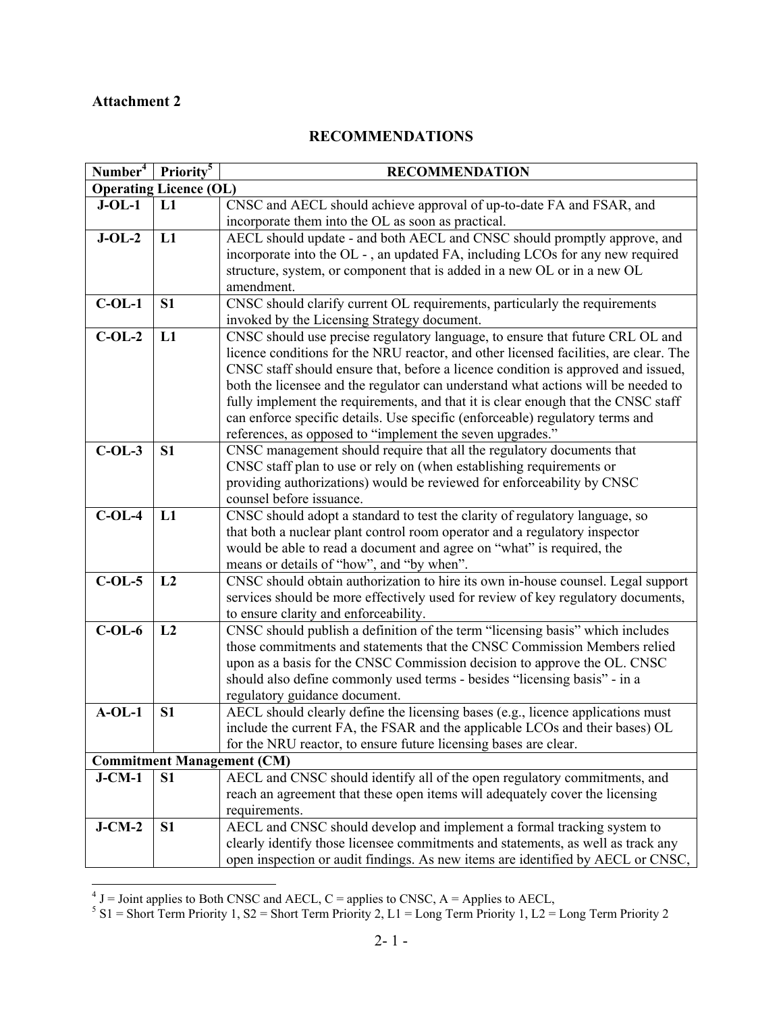## **Attachment 2**

#### **RECOMMENDATIONS**

| Number <sup>4</sup>           | Priority <sup>5</sup> | <b>RECOMMENDATION</b>                                                                 |  |
|-------------------------------|-----------------------|---------------------------------------------------------------------------------------|--|
| <b>Operating Licence (OL)</b> |                       |                                                                                       |  |
| $J-OL-1$                      | L1                    | CNSC and AECL should achieve approval of up-to-date FA and FSAR, and                  |  |
|                               |                       | incorporate them into the OL as soon as practical.                                    |  |
| $J-OL-2$                      | L1                    | AECL should update - and both AECL and CNSC should promptly approve, and              |  |
|                               |                       | incorporate into the OL -, an updated FA, including LCOs for any new required         |  |
|                               |                       | structure, system, or component that is added in a new OL or in a new OL              |  |
|                               |                       | amendment.                                                                            |  |
| $C-OL-1$                      | <b>S1</b>             | CNSC should clarify current OL requirements, particularly the requirements            |  |
|                               |                       | invoked by the Licensing Strategy document.                                           |  |
| $C-OL-2$                      | L1                    | CNSC should use precise regulatory language, to ensure that future CRL OL and         |  |
|                               |                       | licence conditions for the NRU reactor, and other licensed facilities, are clear. The |  |
|                               |                       | CNSC staff should ensure that, before a licence condition is approved and issued,     |  |
|                               |                       | both the licensee and the regulator can understand what actions will be needed to     |  |
|                               |                       | fully implement the requirements, and that it is clear enough that the CNSC staff     |  |
|                               |                       | can enforce specific details. Use specific (enforceable) regulatory terms and         |  |
|                               |                       | references, as opposed to "implement the seven upgrades."                             |  |
| $C-OL-3$                      | S <sub>1</sub>        | CNSC management should require that all the regulatory documents that                 |  |
|                               |                       | CNSC staff plan to use or rely on (when establishing requirements or                  |  |
|                               |                       | providing authorizations) would be reviewed for enforceability by CNSC                |  |
|                               |                       | counsel before issuance.                                                              |  |
| $C-OL-4$                      | L1                    | CNSC should adopt a standard to test the clarity of regulatory language, so           |  |
|                               |                       | that both a nuclear plant control room operator and a regulatory inspector            |  |
|                               |                       | would be able to read a document and agree on "what" is required, the                 |  |
|                               |                       | means or details of "how", and "by when".                                             |  |
| $C-OL-5$                      | L2                    | CNSC should obtain authorization to hire its own in-house counsel. Legal support      |  |
|                               |                       | services should be more effectively used for review of key regulatory documents,      |  |
|                               |                       | to ensure clarity and enforceability.                                                 |  |
| $C-OL-6$                      | L2                    | CNSC should publish a definition of the term "licensing basis" which includes         |  |
|                               |                       | those commitments and statements that the CNSC Commission Members relied              |  |
|                               |                       | upon as a basis for the CNSC Commission decision to approve the OL. CNSC              |  |
|                               |                       | should also define commonly used terms - besides "licensing basis" - in a             |  |
|                               |                       | regulatory guidance document.                                                         |  |
| $A-OL-1$                      | S <sub>1</sub>        | AECL should clearly define the licensing bases (e.g., licence applications must       |  |
|                               |                       | include the current FA, the FSAR and the applicable LCOs and their bases) OL          |  |
|                               |                       | for the NRU reactor, to ensure future licensing bases are clear.                      |  |
|                               |                       | <b>Commitment Management (CM)</b>                                                     |  |
| $J$ -CM-1                     | S <sub>1</sub>        | AECL and CNSC should identify all of the open regulatory commitments, and             |  |
|                               |                       | reach an agreement that these open items will adequately cover the licensing          |  |
|                               |                       | requirements.                                                                         |  |
| $J-CM-2$                      | S <sub>1</sub>        | AECL and CNSC should develop and implement a formal tracking system to                |  |
|                               |                       | clearly identify those licensee commitments and statements, as well as track any      |  |
|                               |                       | open inspection or audit findings. As new items are identified by AECL or CNSC,       |  |

<sup>&</sup>lt;sup>4</sup> J = Joint applies to Both CNSC and AECL, C = applies to CNSC, A = Applies to AECL,<br><sup>5</sup> S1 = Short Term Priority 1, S2 = Short Term Priority 2, L1 = Long Term Priority 1, L2 = Long Term Priority 2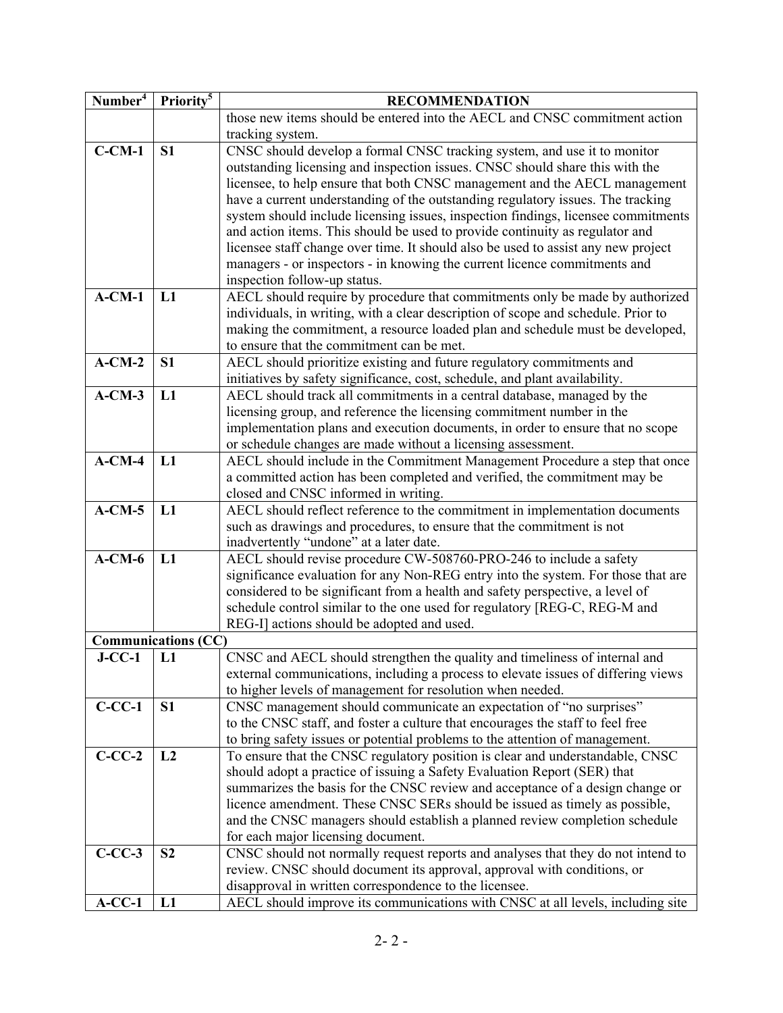| Number <sup>4</sup> | Priority <sup>5</sup>      | <b>RECOMMENDATION</b>                                                                                                                                          |  |
|---------------------|----------------------------|----------------------------------------------------------------------------------------------------------------------------------------------------------------|--|
|                     |                            | those new items should be entered into the AECL and CNSC commitment action                                                                                     |  |
|                     |                            | tracking system.                                                                                                                                               |  |
| $C-CM-1$            | S <sub>1</sub>             | CNSC should develop a formal CNSC tracking system, and use it to monitor                                                                                       |  |
|                     |                            | outstanding licensing and inspection issues. CNSC should share this with the                                                                                   |  |
|                     |                            | licensee, to help ensure that both CNSC management and the AECL management                                                                                     |  |
|                     |                            | have a current understanding of the outstanding regulatory issues. The tracking                                                                                |  |
|                     |                            | system should include licensing issues, inspection findings, licensee commitments                                                                              |  |
|                     |                            | and action items. This should be used to provide continuity as regulator and                                                                                   |  |
|                     |                            | licensee staff change over time. It should also be used to assist any new project                                                                              |  |
|                     |                            | managers - or inspectors - in knowing the current licence commitments and                                                                                      |  |
|                     |                            | inspection follow-up status.                                                                                                                                   |  |
| $A-CM-1$            | L1                         | AECL should require by procedure that commitments only be made by authorized                                                                                   |  |
|                     |                            | individuals, in writing, with a clear description of scope and schedule. Prior to                                                                              |  |
|                     |                            | making the commitment, a resource loaded plan and schedule must be developed,                                                                                  |  |
|                     |                            | to ensure that the commitment can be met.                                                                                                                      |  |
| $A-CM-2$            | S <sub>1</sub>             | AECL should prioritize existing and future regulatory commitments and                                                                                          |  |
|                     |                            | initiatives by safety significance, cost, schedule, and plant availability.                                                                                    |  |
| $A-CM-3$            | L1                         | AECL should track all commitments in a central database, managed by the                                                                                        |  |
|                     |                            | licensing group, and reference the licensing commitment number in the                                                                                          |  |
|                     |                            | implementation plans and execution documents, in order to ensure that no scope                                                                                 |  |
|                     |                            | or schedule changes are made without a licensing assessment.                                                                                                   |  |
| $A-CM-4$            | L1                         | AECL should include in the Commitment Management Procedure a step that once                                                                                    |  |
|                     |                            | a committed action has been completed and verified, the commitment may be                                                                                      |  |
|                     |                            | closed and CNSC informed in writing.                                                                                                                           |  |
| $A-CM-5$            | L1                         | AECL should reflect reference to the commitment in implementation documents                                                                                    |  |
|                     |                            | such as drawings and procedures, to ensure that the commitment is not                                                                                          |  |
|                     |                            | inadvertently "undone" at a later date.                                                                                                                        |  |
| $A-CM-6$            | L1                         | AECL should revise procedure CW-508760-PRO-246 to include a safety                                                                                             |  |
|                     |                            | significance evaluation for any Non-REG entry into the system. For those that are                                                                              |  |
|                     |                            | considered to be significant from a health and safety perspective, a level of                                                                                  |  |
|                     |                            | schedule control similar to the one used for regulatory [REG-C, REG-M and                                                                                      |  |
|                     |                            | REG-I] actions should be adopted and used.                                                                                                                     |  |
|                     | <b>Communications (CC)</b> |                                                                                                                                                                |  |
| $J-CC-1$            | L1                         | CNSC and AECL should strengthen the quality and timeliness of internal and                                                                                     |  |
|                     |                            | external communications, including a process to elevate issues of differing views                                                                              |  |
|                     |                            | to higher levels of management for resolution when needed.                                                                                                     |  |
| $C-CC-1$            | S <sub>1</sub>             | CNSC management should communicate an expectation of "no surprises"                                                                                            |  |
|                     |                            | to the CNSC staff, and foster a culture that encourages the staff to feel free<br>to bring safety issues or potential problems to the attention of management. |  |
| $C-CC-2$            | L2                         | To ensure that the CNSC regulatory position is clear and understandable, CNSC                                                                                  |  |
|                     |                            | should adopt a practice of issuing a Safety Evaluation Report (SER) that                                                                                       |  |
|                     |                            | summarizes the basis for the CNSC review and acceptance of a design change or                                                                                  |  |
|                     |                            | licence amendment. These CNSC SERs should be issued as timely as possible,                                                                                     |  |
|                     |                            | and the CNSC managers should establish a planned review completion schedule                                                                                    |  |
|                     |                            | for each major licensing document.                                                                                                                             |  |
| $C-CC-3$            | S <sub>2</sub>             | CNSC should not normally request reports and analyses that they do not intend to                                                                               |  |
|                     |                            | review. CNSC should document its approval, approval with conditions, or                                                                                        |  |
|                     |                            | disapproval in written correspondence to the licensee.                                                                                                         |  |
| $A-CC-1$            | L1                         | AECL should improve its communications with CNSC at all levels, including site                                                                                 |  |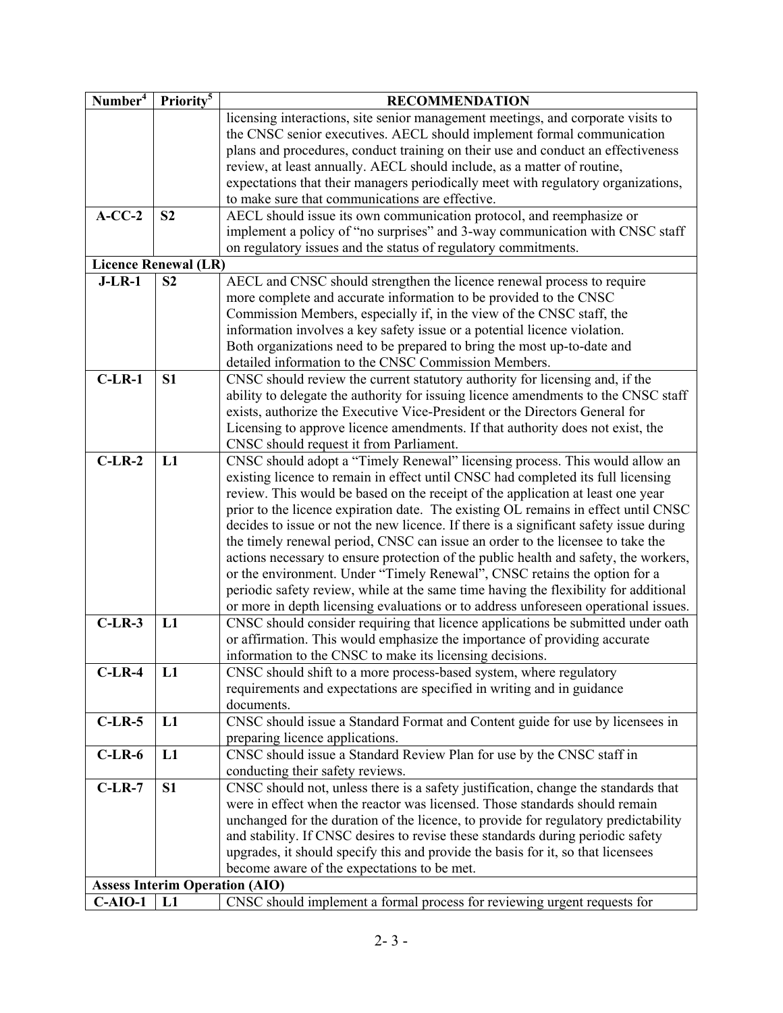| Number <sup>4</sup> | Priority <sup>5</sup>                 | <b>RECOMMENDATION</b>                                                                  |  |
|---------------------|---------------------------------------|----------------------------------------------------------------------------------------|--|
|                     |                                       | licensing interactions, site senior management meetings, and corporate visits to       |  |
|                     |                                       | the CNSC senior executives. AECL should implement formal communication                 |  |
|                     |                                       | plans and procedures, conduct training on their use and conduct an effectiveness       |  |
|                     |                                       | review, at least annually. AECL should include, as a matter of routine,                |  |
|                     |                                       | expectations that their managers periodically meet with regulatory organizations,      |  |
|                     |                                       | to make sure that communications are effective.                                        |  |
| $A-CC-2$            | S <sub>2</sub>                        | AECL should issue its own communication protocol, and reemphasize or                   |  |
|                     |                                       | implement a policy of "no surprises" and 3-way communication with CNSC staff           |  |
|                     |                                       | on regulatory issues and the status of regulatory commitments.                         |  |
|                     | <b>Licence Renewal (LR)</b>           |                                                                                        |  |
| $J-LR-1$            | S <sub>2</sub>                        | AECL and CNSC should strengthen the licence renewal process to require                 |  |
|                     |                                       | more complete and accurate information to be provided to the CNSC                      |  |
|                     |                                       | Commission Members, especially if, in the view of the CNSC staff, the                  |  |
|                     |                                       | information involves a key safety issue or a potential licence violation.              |  |
|                     |                                       | Both organizations need to be prepared to bring the most up-to-date and                |  |
|                     |                                       | detailed information to the CNSC Commission Members.                                   |  |
| $C-LR-1$            | S <sub>1</sub>                        | CNSC should review the current statutory authority for licensing and, if the           |  |
|                     |                                       | ability to delegate the authority for issuing licence amendments to the CNSC staff     |  |
|                     |                                       | exists, authorize the Executive Vice-President or the Directors General for            |  |
|                     |                                       | Licensing to approve licence amendments. If that authority does not exist, the         |  |
|                     |                                       | CNSC should request it from Parliament.                                                |  |
| $C-LR-2$            | L1                                    | CNSC should adopt a "Timely Renewal" licensing process. This would allow an            |  |
|                     |                                       | existing licence to remain in effect until CNSC had completed its full licensing       |  |
|                     |                                       | review. This would be based on the receipt of the application at least one year        |  |
|                     |                                       | prior to the licence expiration date. The existing OL remains in effect until CNSC     |  |
|                     |                                       | decides to issue or not the new licence. If there is a significant safety issue during |  |
|                     |                                       | the timely renewal period, CNSC can issue an order to the licensee to take the         |  |
|                     |                                       | actions necessary to ensure protection of the public health and safety, the workers,   |  |
|                     |                                       | or the environment. Under "Timely Renewal", CNSC retains the option for a              |  |
|                     |                                       | periodic safety review, while at the same time having the flexibility for additional   |  |
|                     |                                       | or more in depth licensing evaluations or to address unforeseen operational issues.    |  |
| $C-LR-3$            | L1                                    | CNSC should consider requiring that licence applications be submitted under oath       |  |
|                     |                                       | or affirmation. This would emphasize the importance of providing accurate              |  |
|                     |                                       | information to the CNSC to make its licensing decisions.                               |  |
| $C-LR-4$            | L1                                    | CNSC should shift to a more process-based system, where regulatory                     |  |
|                     |                                       | requirements and expectations are specified in writing and in guidance                 |  |
|                     |                                       | documents.                                                                             |  |
| $C-LR-5$            | L1                                    | CNSC should issue a Standard Format and Content guide for use by licensees in          |  |
|                     |                                       | preparing licence applications.                                                        |  |
| $C-LR-6$            | L1                                    | CNSC should issue a Standard Review Plan for use by the CNSC staff in                  |  |
|                     |                                       | conducting their safety reviews.                                                       |  |
| $C-LR-7$            | S <sub>1</sub>                        | CNSC should not, unless there is a safety justification, change the standards that     |  |
|                     |                                       | were in effect when the reactor was licensed. Those standards should remain            |  |
|                     |                                       | unchanged for the duration of the licence, to provide for regulatory predictability    |  |
|                     |                                       | and stability. If CNSC desires to revise these standards during periodic safety        |  |
|                     |                                       | upgrades, it should specify this and provide the basis for it, so that licensees       |  |
|                     |                                       | become aware of the expectations to be met.                                            |  |
|                     | <b>Assess Interim Operation (AIO)</b> |                                                                                        |  |
| $C-AIO-1$           | L1                                    | CNSC should implement a formal process for reviewing urgent requests for               |  |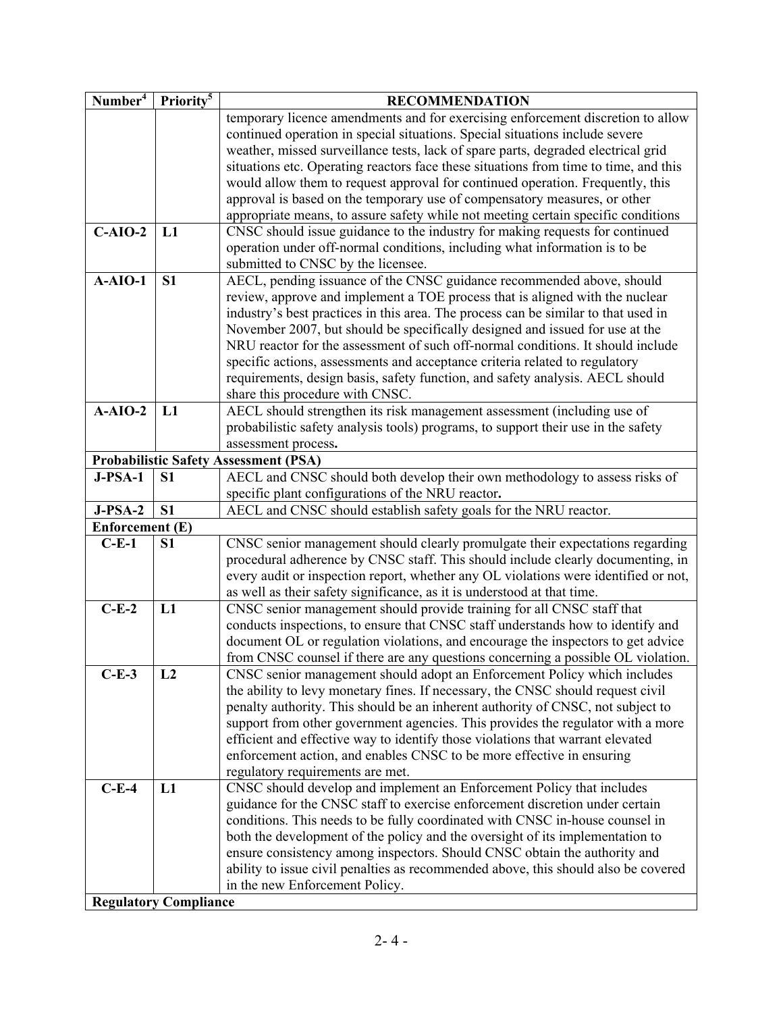| Number <sup>4</sup>    | Priority <sup>5</sup>                        | <b>RECOMMENDATION</b>                                                                |  |
|------------------------|----------------------------------------------|--------------------------------------------------------------------------------------|--|
|                        |                                              | temporary licence amendments and for exercising enforcement discretion to allow      |  |
|                        |                                              | continued operation in special situations. Special situations include severe         |  |
|                        |                                              | weather, missed surveillance tests, lack of spare parts, degraded electrical grid    |  |
|                        |                                              | situations etc. Operating reactors face these situations from time to time, and this |  |
|                        |                                              | would allow them to request approval for continued operation. Frequently, this       |  |
|                        |                                              | approval is based on the temporary use of compensatory measures, or other            |  |
|                        |                                              | appropriate means, to assure safety while not meeting certain specific conditions    |  |
| $C-AIO-2$              | L1                                           | CNSC should issue guidance to the industry for making requests for continued         |  |
|                        |                                              | operation under off-normal conditions, including what information is to be           |  |
|                        |                                              | submitted to CNSC by the licensee.                                                   |  |
| $A-AIO-1$              | S <sub>1</sub>                               | AECL, pending issuance of the CNSC guidance recommended above, should                |  |
|                        |                                              | review, approve and implement a TOE process that is aligned with the nuclear         |  |
|                        |                                              | industry's best practices in this area. The process can be similar to that used in   |  |
|                        |                                              | November 2007, but should be specifically designed and issued for use at the         |  |
|                        |                                              | NRU reactor for the assessment of such off-normal conditions. It should include      |  |
|                        |                                              | specific actions, assessments and acceptance criteria related to regulatory          |  |
|                        |                                              | requirements, design basis, safety function, and safety analysis. AECL should        |  |
|                        |                                              | share this procedure with CNSC.                                                      |  |
| $A-AIO-2$              | L1                                           | AECL should strengthen its risk management assessment (including use of              |  |
|                        |                                              | probabilistic safety analysis tools) programs, to support their use in the safety    |  |
|                        |                                              | assessment process.                                                                  |  |
|                        | <b>Probabilistic Safety Assessment (PSA)</b> |                                                                                      |  |
| $J-PSA-1$              | S <sub>1</sub>                               | AECL and CNSC should both develop their own methodology to assess risks of           |  |
|                        |                                              | specific plant configurations of the NRU reactor.                                    |  |
| $J-PSA-2$              | S <sub>1</sub>                               | AECL and CNSC should establish safety goals for the NRU reactor.                     |  |
| <b>Enforcement</b> (E) |                                              |                                                                                      |  |
| $C-E-1$                | <b>S1</b>                                    | CNSC senior management should clearly promulgate their expectations regarding        |  |
|                        |                                              | procedural adherence by CNSC staff. This should include clearly documenting, in      |  |
|                        |                                              | every audit or inspection report, whether any OL violations were identified or not,  |  |
|                        |                                              | as well as their safety significance, as it is understood at that time.              |  |
| $C-E-2$                | L1                                           | CNSC senior management should provide training for all CNSC staff that               |  |
|                        |                                              | conducts inspections, to ensure that CNSC staff understands how to identify and      |  |
|                        |                                              | document OL or regulation violations, and encourage the inspectors to get advice     |  |
|                        |                                              | from CNSC counsel if there are any questions concerning a possible OL violation.     |  |
| $C-E-3$                | L2                                           | CNSC senior management should adopt an Enforcement Policy which includes             |  |
|                        |                                              | the ability to levy monetary fines. If necessary, the CNSC should request civil      |  |
|                        |                                              | penalty authority. This should be an inherent authority of CNSC, not subject to      |  |
|                        |                                              | support from other government agencies. This provides the regulator with a more      |  |
|                        |                                              | efficient and effective way to identify those violations that warrant elevated       |  |
|                        |                                              | enforcement action, and enables CNSC to be more effective in ensuring                |  |
|                        |                                              | regulatory requirements are met.                                                     |  |
| $C-E-4$                | L1                                           | CNSC should develop and implement an Enforcement Policy that includes                |  |
|                        |                                              | guidance for the CNSC staff to exercise enforcement discretion under certain         |  |
|                        |                                              | conditions. This needs to be fully coordinated with CNSC in-house counsel in         |  |
|                        |                                              | both the development of the policy and the oversight of its implementation to        |  |
|                        |                                              | ensure consistency among inspectors. Should CNSC obtain the authority and            |  |
|                        |                                              | ability to issue civil penalties as recommended above, this should also be covered   |  |
|                        | <b>Regulatory Compliance</b>                 | in the new Enforcement Policy.                                                       |  |
|                        |                                              |                                                                                      |  |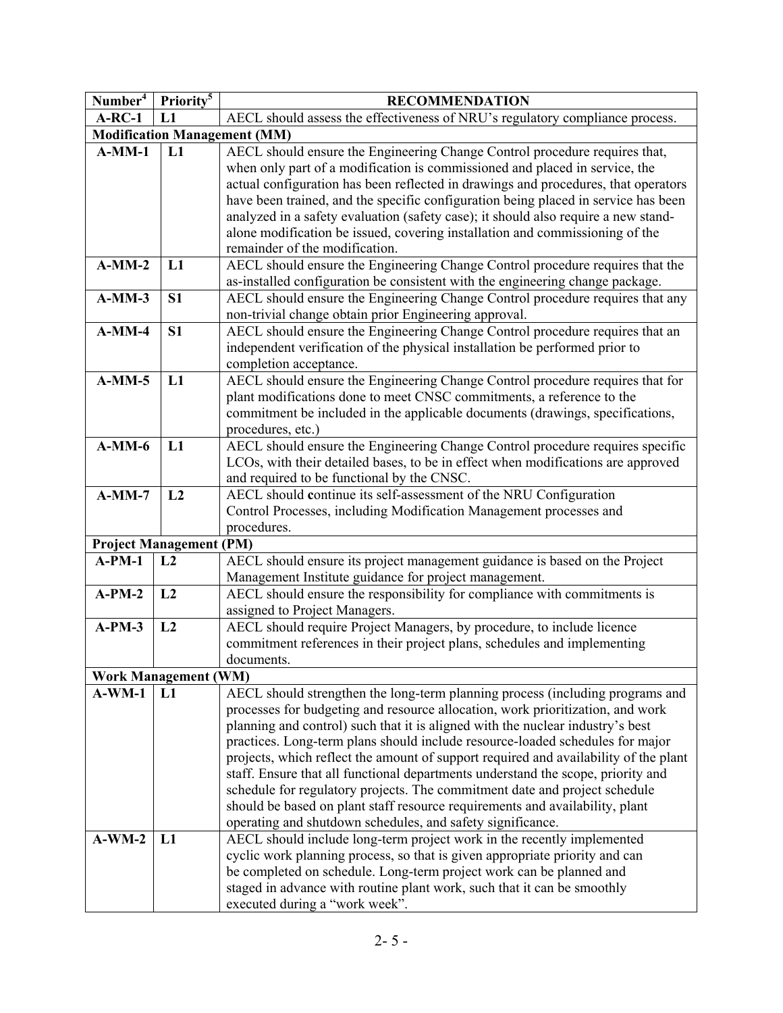| AECL should assess the effectiveness of NRU's regulatory compliance process.<br>$A-RC-1$<br>L1<br><b>Modification Management (MM)</b><br>AECL should ensure the Engineering Change Control procedure requires that,<br>$A-MM-1$<br>L1<br>when only part of a modification is commissioned and placed in service, the<br>actual configuration has been reflected in drawings and procedures, that operators<br>have been trained, and the specific configuration being placed in service has been<br>analyzed in a safety evaluation (safety case); it should also require a new stand-<br>alone modification be issued, covering installation and commissioning of the<br>remainder of the modification.<br>$A-MM-2$<br>AECL should ensure the Engineering Change Control procedure requires that the<br>L1<br>as-installed configuration be consistent with the engineering change package.<br>AECL should ensure the Engineering Change Control procedure requires that any<br>$A-MM-3$<br>S <sub>1</sub><br>non-trivial change obtain prior Engineering approval. | Number <sup>4</sup> | Priority <sup>5</sup><br><b>RECOMMENDATION</b> |                                                                              |  |
|----------------------------------------------------------------------------------------------------------------------------------------------------------------------------------------------------------------------------------------------------------------------------------------------------------------------------------------------------------------------------------------------------------------------------------------------------------------------------------------------------------------------------------------------------------------------------------------------------------------------------------------------------------------------------------------------------------------------------------------------------------------------------------------------------------------------------------------------------------------------------------------------------------------------------------------------------------------------------------------------------------------------------------------------------------------------|---------------------|------------------------------------------------|------------------------------------------------------------------------------|--|
|                                                                                                                                                                                                                                                                                                                                                                                                                                                                                                                                                                                                                                                                                                                                                                                                                                                                                                                                                                                                                                                                      |                     |                                                |                                                                              |  |
|                                                                                                                                                                                                                                                                                                                                                                                                                                                                                                                                                                                                                                                                                                                                                                                                                                                                                                                                                                                                                                                                      |                     |                                                |                                                                              |  |
|                                                                                                                                                                                                                                                                                                                                                                                                                                                                                                                                                                                                                                                                                                                                                                                                                                                                                                                                                                                                                                                                      |                     |                                                |                                                                              |  |
|                                                                                                                                                                                                                                                                                                                                                                                                                                                                                                                                                                                                                                                                                                                                                                                                                                                                                                                                                                                                                                                                      |                     |                                                |                                                                              |  |
|                                                                                                                                                                                                                                                                                                                                                                                                                                                                                                                                                                                                                                                                                                                                                                                                                                                                                                                                                                                                                                                                      |                     |                                                |                                                                              |  |
|                                                                                                                                                                                                                                                                                                                                                                                                                                                                                                                                                                                                                                                                                                                                                                                                                                                                                                                                                                                                                                                                      |                     |                                                |                                                                              |  |
|                                                                                                                                                                                                                                                                                                                                                                                                                                                                                                                                                                                                                                                                                                                                                                                                                                                                                                                                                                                                                                                                      |                     |                                                |                                                                              |  |
|                                                                                                                                                                                                                                                                                                                                                                                                                                                                                                                                                                                                                                                                                                                                                                                                                                                                                                                                                                                                                                                                      |                     |                                                |                                                                              |  |
|                                                                                                                                                                                                                                                                                                                                                                                                                                                                                                                                                                                                                                                                                                                                                                                                                                                                                                                                                                                                                                                                      |                     |                                                |                                                                              |  |
|                                                                                                                                                                                                                                                                                                                                                                                                                                                                                                                                                                                                                                                                                                                                                                                                                                                                                                                                                                                                                                                                      |                     |                                                |                                                                              |  |
|                                                                                                                                                                                                                                                                                                                                                                                                                                                                                                                                                                                                                                                                                                                                                                                                                                                                                                                                                                                                                                                                      |                     |                                                |                                                                              |  |
|                                                                                                                                                                                                                                                                                                                                                                                                                                                                                                                                                                                                                                                                                                                                                                                                                                                                                                                                                                                                                                                                      |                     |                                                |                                                                              |  |
|                                                                                                                                                                                                                                                                                                                                                                                                                                                                                                                                                                                                                                                                                                                                                                                                                                                                                                                                                                                                                                                                      |                     |                                                |                                                                              |  |
|                                                                                                                                                                                                                                                                                                                                                                                                                                                                                                                                                                                                                                                                                                                                                                                                                                                                                                                                                                                                                                                                      | $A-MM-4$            | S <sub>1</sub>                                 | AECL should ensure the Engineering Change Control procedure requires that an |  |
| independent verification of the physical installation be performed prior to                                                                                                                                                                                                                                                                                                                                                                                                                                                                                                                                                                                                                                                                                                                                                                                                                                                                                                                                                                                          |                     |                                                |                                                                              |  |
| completion acceptance.                                                                                                                                                                                                                                                                                                                                                                                                                                                                                                                                                                                                                                                                                                                                                                                                                                                                                                                                                                                                                                               |                     |                                                |                                                                              |  |
| AECL should ensure the Engineering Change Control procedure requires that for<br>$A-MM-5$<br>L1                                                                                                                                                                                                                                                                                                                                                                                                                                                                                                                                                                                                                                                                                                                                                                                                                                                                                                                                                                      |                     |                                                |                                                                              |  |
| plant modifications done to meet CNSC commitments, a reference to the                                                                                                                                                                                                                                                                                                                                                                                                                                                                                                                                                                                                                                                                                                                                                                                                                                                                                                                                                                                                |                     |                                                |                                                                              |  |
| commitment be included in the applicable documents (drawings, specifications,<br>procedures, etc.)                                                                                                                                                                                                                                                                                                                                                                                                                                                                                                                                                                                                                                                                                                                                                                                                                                                                                                                                                                   |                     |                                                |                                                                              |  |
| AECL should ensure the Engineering Change Control procedure requires specific<br>$A-MM-6$<br>L1                                                                                                                                                                                                                                                                                                                                                                                                                                                                                                                                                                                                                                                                                                                                                                                                                                                                                                                                                                      |                     |                                                |                                                                              |  |
| LCOs, with their detailed bases, to be in effect when modifications are approved                                                                                                                                                                                                                                                                                                                                                                                                                                                                                                                                                                                                                                                                                                                                                                                                                                                                                                                                                                                     |                     |                                                |                                                                              |  |
| and required to be functional by the CNSC.                                                                                                                                                                                                                                                                                                                                                                                                                                                                                                                                                                                                                                                                                                                                                                                                                                                                                                                                                                                                                           |                     |                                                |                                                                              |  |
| $A-MM-7$<br>L2<br>AECL should continue its self-assessment of the NRU Configuration                                                                                                                                                                                                                                                                                                                                                                                                                                                                                                                                                                                                                                                                                                                                                                                                                                                                                                                                                                                  |                     |                                                |                                                                              |  |
| Control Processes, including Modification Management processes and                                                                                                                                                                                                                                                                                                                                                                                                                                                                                                                                                                                                                                                                                                                                                                                                                                                                                                                                                                                                   |                     |                                                |                                                                              |  |
| procedures.                                                                                                                                                                                                                                                                                                                                                                                                                                                                                                                                                                                                                                                                                                                                                                                                                                                                                                                                                                                                                                                          |                     |                                                |                                                                              |  |
| <b>Project Management (PM)</b>                                                                                                                                                                                                                                                                                                                                                                                                                                                                                                                                                                                                                                                                                                                                                                                                                                                                                                                                                                                                                                       |                     |                                                |                                                                              |  |
| AECL should ensure its project management guidance is based on the Project<br>$A-PM-1$<br>L2                                                                                                                                                                                                                                                                                                                                                                                                                                                                                                                                                                                                                                                                                                                                                                                                                                                                                                                                                                         |                     |                                                |                                                                              |  |
| Management Institute guidance for project management.                                                                                                                                                                                                                                                                                                                                                                                                                                                                                                                                                                                                                                                                                                                                                                                                                                                                                                                                                                                                                |                     |                                                |                                                                              |  |
| AECL should ensure the responsibility for compliance with commitments is<br>$A-PM-2$<br>L2                                                                                                                                                                                                                                                                                                                                                                                                                                                                                                                                                                                                                                                                                                                                                                                                                                                                                                                                                                           |                     |                                                |                                                                              |  |
| assigned to Project Managers.                                                                                                                                                                                                                                                                                                                                                                                                                                                                                                                                                                                                                                                                                                                                                                                                                                                                                                                                                                                                                                        |                     |                                                |                                                                              |  |
| AECL should require Project Managers, by procedure, to include licence<br>$A-PM-3$<br>L2                                                                                                                                                                                                                                                                                                                                                                                                                                                                                                                                                                                                                                                                                                                                                                                                                                                                                                                                                                             |                     |                                                |                                                                              |  |
| commitment references in their project plans, schedules and implementing                                                                                                                                                                                                                                                                                                                                                                                                                                                                                                                                                                                                                                                                                                                                                                                                                                                                                                                                                                                             |                     |                                                |                                                                              |  |
| documents.                                                                                                                                                                                                                                                                                                                                                                                                                                                                                                                                                                                                                                                                                                                                                                                                                                                                                                                                                                                                                                                           |                     |                                                |                                                                              |  |
| <b>Work Management (WM)</b>                                                                                                                                                                                                                                                                                                                                                                                                                                                                                                                                                                                                                                                                                                                                                                                                                                                                                                                                                                                                                                          |                     |                                                |                                                                              |  |
| AECL should strengthen the long-term planning process (including programs and<br>$A-WM-1$<br>L1                                                                                                                                                                                                                                                                                                                                                                                                                                                                                                                                                                                                                                                                                                                                                                                                                                                                                                                                                                      |                     |                                                |                                                                              |  |
| processes for budgeting and resource allocation, work prioritization, and work                                                                                                                                                                                                                                                                                                                                                                                                                                                                                                                                                                                                                                                                                                                                                                                                                                                                                                                                                                                       |                     |                                                |                                                                              |  |
| planning and control) such that it is aligned with the nuclear industry's best                                                                                                                                                                                                                                                                                                                                                                                                                                                                                                                                                                                                                                                                                                                                                                                                                                                                                                                                                                                       |                     |                                                |                                                                              |  |
| practices. Long-term plans should include resource-loaded schedules for major                                                                                                                                                                                                                                                                                                                                                                                                                                                                                                                                                                                                                                                                                                                                                                                                                                                                                                                                                                                        |                     |                                                |                                                                              |  |
| projects, which reflect the amount of support required and availability of the plant                                                                                                                                                                                                                                                                                                                                                                                                                                                                                                                                                                                                                                                                                                                                                                                                                                                                                                                                                                                 |                     |                                                |                                                                              |  |
| staff. Ensure that all functional departments understand the scope, priority and                                                                                                                                                                                                                                                                                                                                                                                                                                                                                                                                                                                                                                                                                                                                                                                                                                                                                                                                                                                     |                     |                                                |                                                                              |  |
| schedule for regulatory projects. The commitment date and project schedule                                                                                                                                                                                                                                                                                                                                                                                                                                                                                                                                                                                                                                                                                                                                                                                                                                                                                                                                                                                           |                     |                                                |                                                                              |  |
| should be based on plant staff resource requirements and availability, plant                                                                                                                                                                                                                                                                                                                                                                                                                                                                                                                                                                                                                                                                                                                                                                                                                                                                                                                                                                                         |                     |                                                |                                                                              |  |
| operating and shutdown schedules, and safety significance.                                                                                                                                                                                                                                                                                                                                                                                                                                                                                                                                                                                                                                                                                                                                                                                                                                                                                                                                                                                                           |                     |                                                |                                                                              |  |
| $A-WM-2$<br>AECL should include long-term project work in the recently implemented<br>L1                                                                                                                                                                                                                                                                                                                                                                                                                                                                                                                                                                                                                                                                                                                                                                                                                                                                                                                                                                             |                     |                                                |                                                                              |  |
| cyclic work planning process, so that is given appropriate priority and can                                                                                                                                                                                                                                                                                                                                                                                                                                                                                                                                                                                                                                                                                                                                                                                                                                                                                                                                                                                          |                     |                                                |                                                                              |  |
| be completed on schedule. Long-term project work can be planned and<br>staged in advance with routine plant work, such that it can be smoothly                                                                                                                                                                                                                                                                                                                                                                                                                                                                                                                                                                                                                                                                                                                                                                                                                                                                                                                       |                     |                                                |                                                                              |  |
| executed during a "work week".                                                                                                                                                                                                                                                                                                                                                                                                                                                                                                                                                                                                                                                                                                                                                                                                                                                                                                                                                                                                                                       |                     |                                                |                                                                              |  |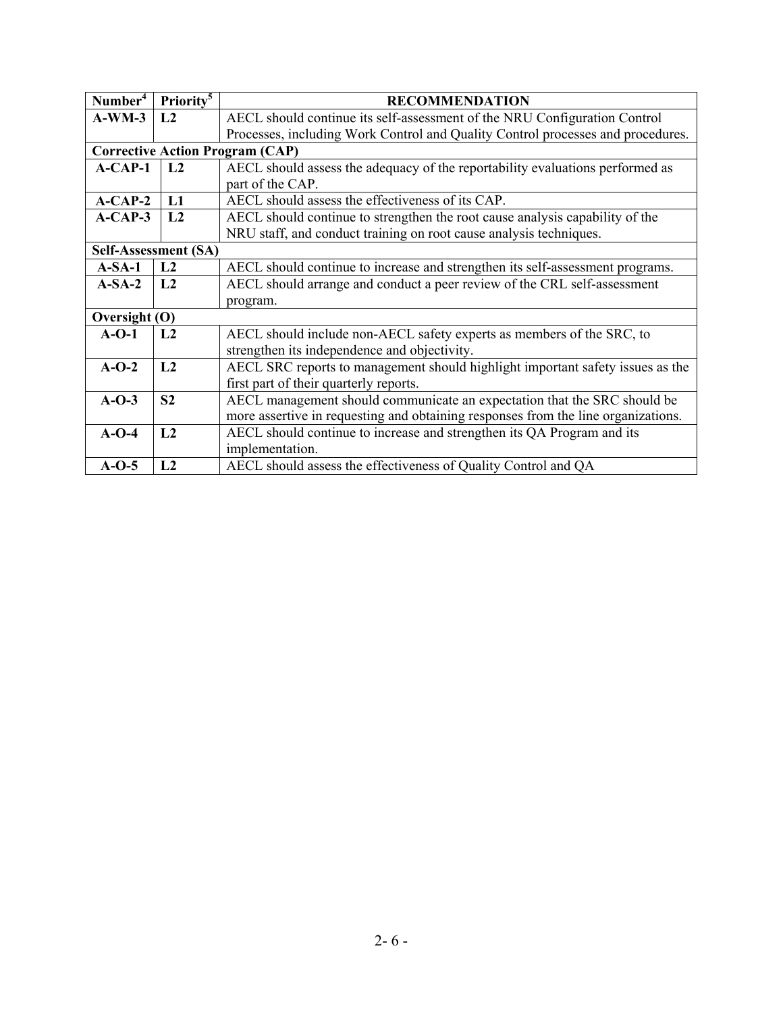| Number <sup>4</sup>                                                                    | Priority <sup>5</sup>                                                                           | <b>RECOMMENDATION</b>                                                             |  |
|----------------------------------------------------------------------------------------|-------------------------------------------------------------------------------------------------|-----------------------------------------------------------------------------------|--|
| $A-WM-3$                                                                               | L2                                                                                              | AECL should continue its self-assessment of the NRU Configuration Control         |  |
|                                                                                        |                                                                                                 | Processes, including Work Control and Quality Control processes and procedures.   |  |
|                                                                                        |                                                                                                 | <b>Corrective Action Program (CAP)</b>                                            |  |
| $A-CAP-1$                                                                              | L <sub>2</sub><br>AECL should assess the adequacy of the reportability evaluations performed as |                                                                                   |  |
|                                                                                        |                                                                                                 | part of the CAP.                                                                  |  |
| $A-CAP-2$                                                                              | L1                                                                                              | AECL should assess the effectiveness of its CAP.                                  |  |
| $A-CAP-3$                                                                              | L2                                                                                              | AECL should continue to strengthen the root cause analysis capability of the      |  |
|                                                                                        |                                                                                                 | NRU staff, and conduct training on root cause analysis techniques.                |  |
|                                                                                        | Self-Assessment (SA)                                                                            |                                                                                   |  |
| $A-SA-1$                                                                               | L2                                                                                              | AECL should continue to increase and strengthen its self-assessment programs.     |  |
| $A-SA-2$                                                                               | AECL should arrange and conduct a peer review of the CRL self-assessment<br>L2                  |                                                                                   |  |
|                                                                                        |                                                                                                 | program.                                                                          |  |
| Oversight (O)                                                                          |                                                                                                 |                                                                                   |  |
| AECL should include non-AECL safety experts as members of the SRC, to<br>$A-O-1$<br>L2 |                                                                                                 |                                                                                   |  |
|                                                                                        |                                                                                                 | strengthen its independence and objectivity.                                      |  |
| $A-O-2$                                                                                | L2                                                                                              | AECL SRC reports to management should highlight important safety issues as the    |  |
|                                                                                        |                                                                                                 | first part of their quarterly reports.                                            |  |
| $A-O-3$                                                                                | S <sub>2</sub>                                                                                  | AECL management should communicate an expectation that the SRC should be          |  |
|                                                                                        |                                                                                                 | more assertive in requesting and obtaining responses from the line organizations. |  |
| $A-O-4$                                                                                | L2                                                                                              | AECL should continue to increase and strengthen its QA Program and its            |  |
|                                                                                        |                                                                                                 | implementation.                                                                   |  |
| $A-O-5$                                                                                | L2                                                                                              | AECL should assess the effectiveness of Quality Control and QA                    |  |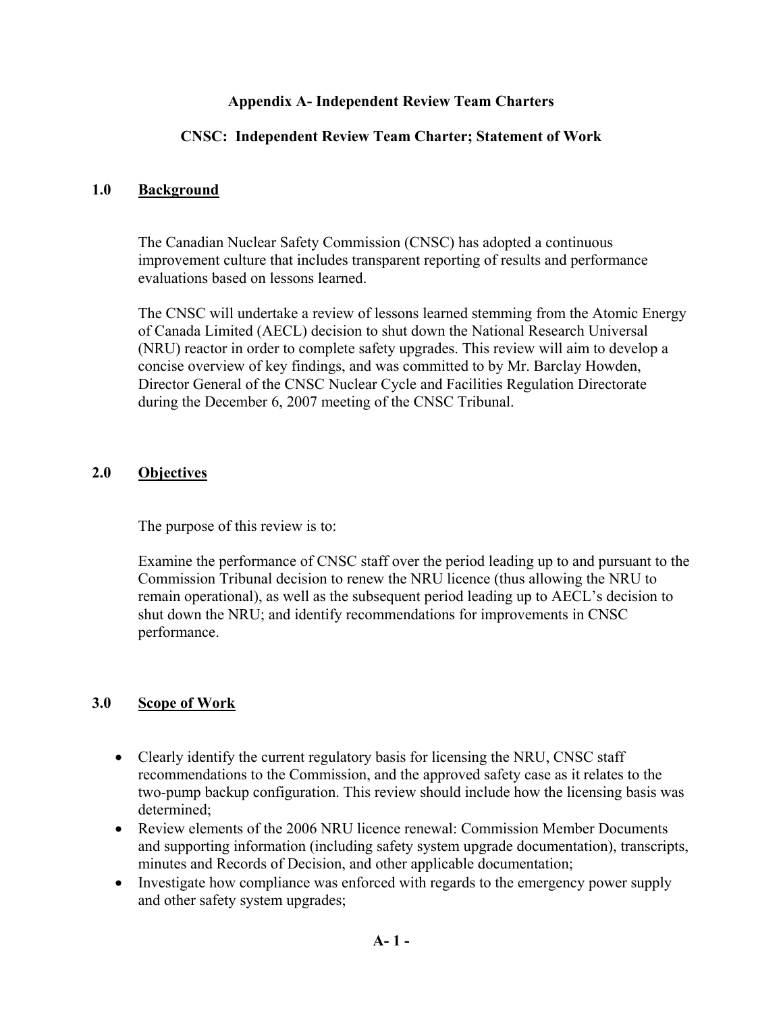#### **Appendix A- Independent Review Team Charters**

### **CNSC: Independent Review Team Charter; Statement of Work**

#### **1.0 Background**

The Canadian Nuclear Safety Commission (CNSC) has adopted a continuous improvement culture that includes transparent reporting of results and performance evaluations based on lessons learned.

The CNSC will undertake a review of lessons learned stemming from the Atomic Energy of Canada Limited (AECL) decision to shut down the National Research Universal (NRU) reactor in order to complete safety upgrades. This review will aim to develop a concise overview of key findings, and was committed to by Mr. Barclay Howden, Director General of the CNSC Nuclear Cycle and Facilities Regulation Directorate during the December 6, 2007 meeting of the CNSC Tribunal.

#### **2.0 Objectives**

The purpose of this review is to:

Examine the performance of CNSC staff over the period leading up to and pursuant to the Commission Tribunal decision to renew the NRU licence (thus allowing the NRU to remain operational), as well as the subsequent period leading up to AECL's decision to shut down the NRU; and identify recommendations for improvements in CNSC performance.

## **3.0 Scope of Work**

- Clearly identify the current regulatory basis for licensing the NRU, CNSC staff recommendations to the Commission, and the approved safety case as it relates to the two-pump backup configuration. This review should include how the licensing basis was determined;
- Review elements of the 2006 NRU licence renewal: Commission Member Documents and supporting information (including safety system upgrade documentation), transcripts, minutes and Records of Decision, and other applicable documentation;
- Investigate how compliance was enforced with regards to the emergency power supply and other safety system upgrades;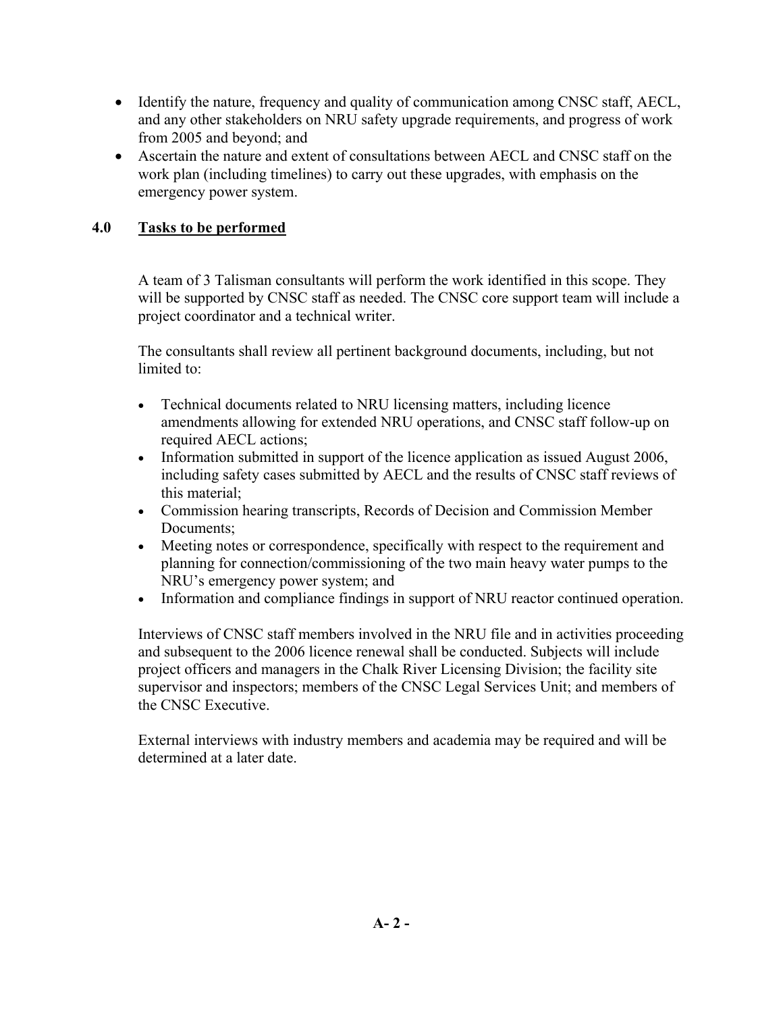- Identify the nature, frequency and quality of communication among CNSC staff, AECL, and any other stakeholders on NRU safety upgrade requirements, and progress of work from 2005 and beyond; and
- Ascertain the nature and extent of consultations between AECL and CNSC staff on the work plan (including timelines) to carry out these upgrades, with emphasis on the emergency power system.

## **4.0 Tasks to be performed**

A team of 3 Talisman consultants will perform the work identified in this scope. They will be supported by CNSC staff as needed. The CNSC core support team will include a project coordinator and a technical writer.

The consultants shall review all pertinent background documents, including, but not limited to:

- Technical documents related to NRU licensing matters, including licence amendments allowing for extended NRU operations, and CNSC staff follow-up on required AECL actions;
- Information submitted in support of the licence application as issued August 2006, including safety cases submitted by AECL and the results of CNSC staff reviews of this material;
- Commission hearing transcripts, Records of Decision and Commission Member Documents;
- Meeting notes or correspondence, specifically with respect to the requirement and planning for connection/commissioning of the two main heavy water pumps to the NRU's emergency power system; and
- Information and compliance findings in support of NRU reactor continued operation.

Interviews of CNSC staff members involved in the NRU file and in activities proceeding and subsequent to the 2006 licence renewal shall be conducted. Subjects will include project officers and managers in the Chalk River Licensing Division; the facility site supervisor and inspectors; members of the CNSC Legal Services Unit; and members of the CNSC Executive.

External interviews with industry members and academia may be required and will be determined at a later date.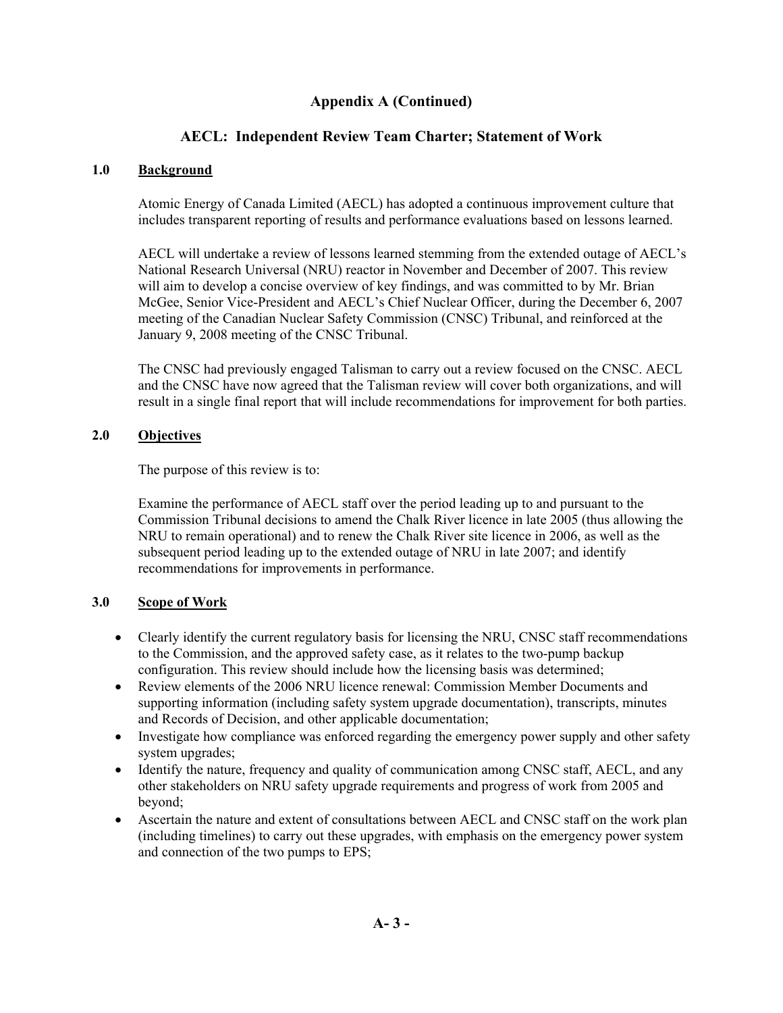### **Appendix A (Continued)**

### **AECL: Independent Review Team Charter; Statement of Work**

#### **1.0 Background**

Atomic Energy of Canada Limited (AECL) has adopted a continuous improvement culture that includes transparent reporting of results and performance evaluations based on lessons learned.

AECL will undertake a review of lessons learned stemming from the extended outage of AECL's National Research Universal (NRU) reactor in November and December of 2007. This review will aim to develop a concise overview of key findings, and was committed to by Mr. Brian McGee, Senior Vice-President and AECL's Chief Nuclear Officer, during the December 6, 2007 meeting of the Canadian Nuclear Safety Commission (CNSC) Tribunal, and reinforced at the January 9, 2008 meeting of the CNSC Tribunal.

The CNSC had previously engaged Talisman to carry out a review focused on the CNSC. AECL and the CNSC have now agreed that the Talisman review will cover both organizations, and will result in a single final report that will include recommendations for improvement for both parties.

#### **2.0 Objectives**

The purpose of this review is to:

Examine the performance of AECL staff over the period leading up to and pursuant to the Commission Tribunal decisions to amend the Chalk River licence in late 2005 (thus allowing the NRU to remain operational) and to renew the Chalk River site licence in 2006, as well as the subsequent period leading up to the extended outage of NRU in late 2007; and identify recommendations for improvements in performance.

#### **3.0 Scope of Work**

- Clearly identify the current regulatory basis for licensing the NRU, CNSC staff recommendations to the Commission, and the approved safety case, as it relates to the two-pump backup configuration. This review should include how the licensing basis was determined;
- Review elements of the 2006 NRU licence renewal: Commission Member Documents and supporting information (including safety system upgrade documentation), transcripts, minutes and Records of Decision, and other applicable documentation;
- Investigate how compliance was enforced regarding the emergency power supply and other safety system upgrades;
- Identify the nature, frequency and quality of communication among CNSC staff, AECL, and any other stakeholders on NRU safety upgrade requirements and progress of work from 2005 and beyond;
- Ascertain the nature and extent of consultations between AECL and CNSC staff on the work plan (including timelines) to carry out these upgrades, with emphasis on the emergency power system and connection of the two pumps to EPS;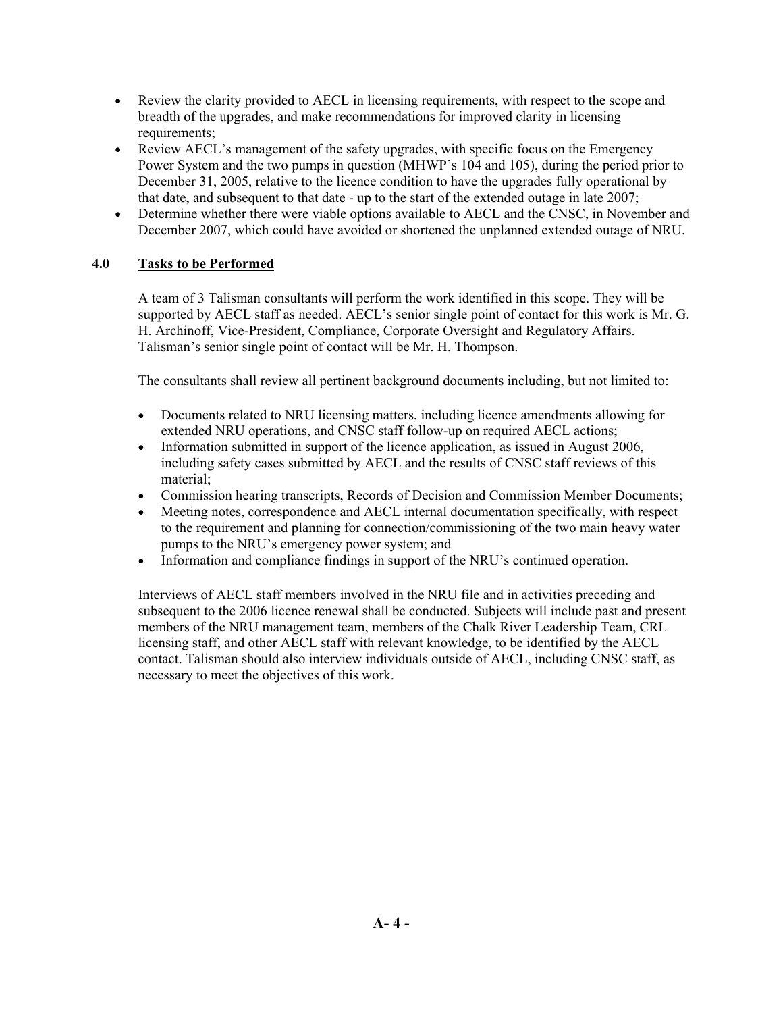- Review the clarity provided to AECL in licensing requirements, with respect to the scope and breadth of the upgrades, and make recommendations for improved clarity in licensing requirements;
- Review AECL's management of the safety upgrades, with specific focus on the Emergency Power System and the two pumps in question (MHWP's 104 and 105), during the period prior to December 31, 2005, relative to the licence condition to have the upgrades fully operational by that date, and subsequent to that date - up to the start of the extended outage in late 2007;
- Determine whether there were viable options available to AECL and the CNSC, in November and December 2007, which could have avoided or shortened the unplanned extended outage of NRU.

#### **4.0 Tasks to be Performed**

A team of 3 Talisman consultants will perform the work identified in this scope. They will be supported by AECL staff as needed. AECL's senior single point of contact for this work is Mr. G. H. Archinoff, Vice-President, Compliance, Corporate Oversight and Regulatory Affairs. Talisman's senior single point of contact will be Mr. H. Thompson.

The consultants shall review all pertinent background documents including, but not limited to:

- Documents related to NRU licensing matters, including licence amendments allowing for extended NRU operations, and CNSC staff follow-up on required AECL actions;
- Information submitted in support of the licence application, as issued in August 2006, including safety cases submitted by AECL and the results of CNSC staff reviews of this material;
- Commission hearing transcripts, Records of Decision and Commission Member Documents;
- Meeting notes, correspondence and AECL internal documentation specifically, with respect to the requirement and planning for connection/commissioning of the two main heavy water pumps to the NRU's emergency power system; and
- Information and compliance findings in support of the NRU's continued operation.

Interviews of AECL staff members involved in the NRU file and in activities preceding and subsequent to the 2006 licence renewal shall be conducted. Subjects will include past and present members of the NRU management team, members of the Chalk River Leadership Team, CRL licensing staff, and other AECL staff with relevant knowledge, to be identified by the AECL contact. Talisman should also interview individuals outside of AECL, including CNSC staff, as necessary to meet the objectives of this work.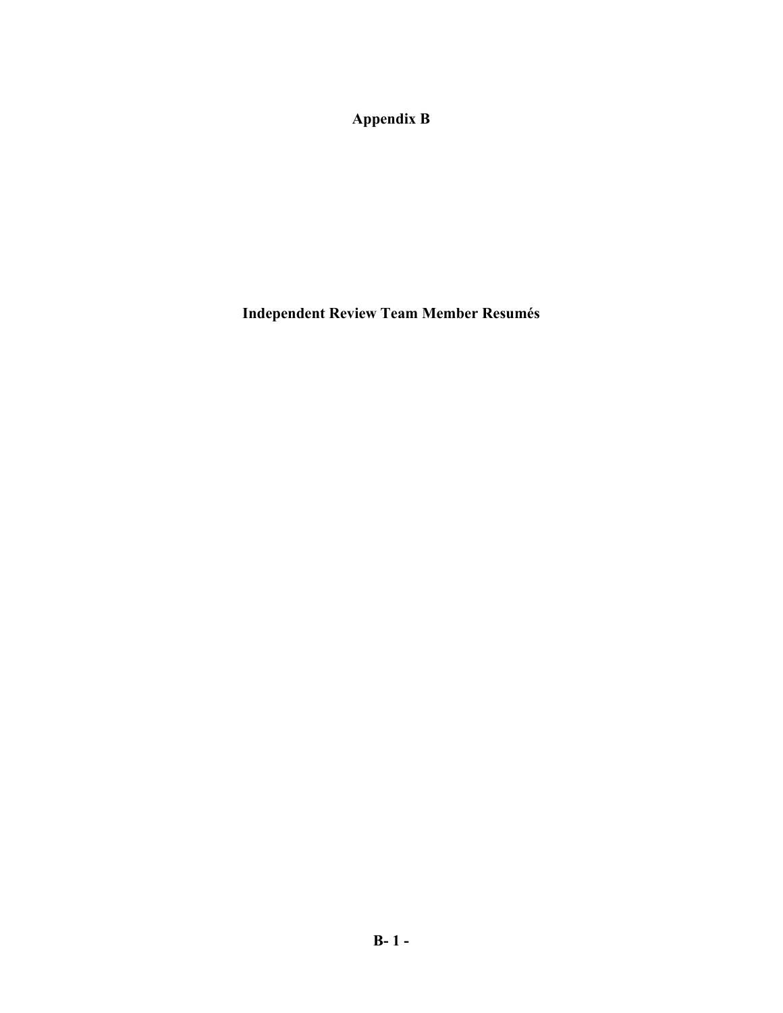**Appendix B** 

**Independent Review Team Member Resumés**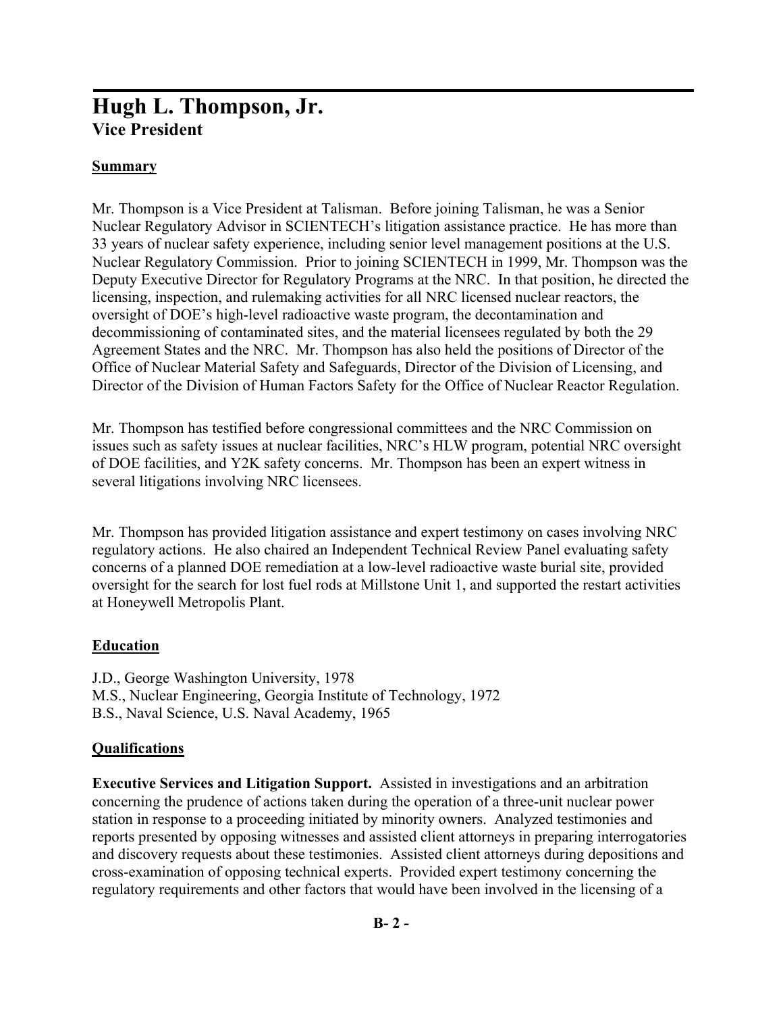# **Hugh L. Thompson, Jr. Vice President**

## **Summary**

Mr. Thompson is a Vice President at Talisman. Before joining Talisman, he was a Senior Nuclear Regulatory Advisor in SCIENTECH's litigation assistance practice. He has more than 33 years of nuclear safety experience, including senior level management positions at the U.S. Nuclear Regulatory Commission. Prior to joining SCIENTECH in 1999, Mr. Thompson was the Deputy Executive Director for Regulatory Programs at the NRC. In that position, he directed the licensing, inspection, and rulemaking activities for all NRC licensed nuclear reactors, the oversight of DOE's high-level radioactive waste program, the decontamination and decommissioning of contaminated sites, and the material licensees regulated by both the 29 Agreement States and the NRC. Mr. Thompson has also held the positions of Director of the Office of Nuclear Material Safety and Safeguards, Director of the Division of Licensing, and Director of the Division of Human Factors Safety for the Office of Nuclear Reactor Regulation.

Mr. Thompson has testified before congressional committees and the NRC Commission on issues such as safety issues at nuclear facilities, NRC's HLW program, potential NRC oversight of DOE facilities, and Y2K safety concerns. Mr. Thompson has been an expert witness in several litigations involving NRC licensees.

Mr. Thompson has provided litigation assistance and expert testimony on cases involving NRC regulatory actions. He also chaired an Independent Technical Review Panel evaluating safety concerns of a planned DOE remediation at a low-level radioactive waste burial site, provided oversight for the search for lost fuel rods at Millstone Unit 1, and supported the restart activities at Honeywell Metropolis Plant.

#### **Education**

J.D., George Washington University, 1978 M.S., Nuclear Engineering, Georgia Institute of Technology, 1972 B.S., Naval Science, U.S. Naval Academy, 1965

#### **Qualifications**

**Executive Services and Litigation Support.** Assisted in investigations and an arbitration concerning the prudence of actions taken during the operation of a three-unit nuclear power station in response to a proceeding initiated by minority owners. Analyzed testimonies and reports presented by opposing witnesses and assisted client attorneys in preparing interrogatories and discovery requests about these testimonies. Assisted client attorneys during depositions and cross-examination of opposing technical experts. Provided expert testimony concerning the regulatory requirements and other factors that would have been involved in the licensing of a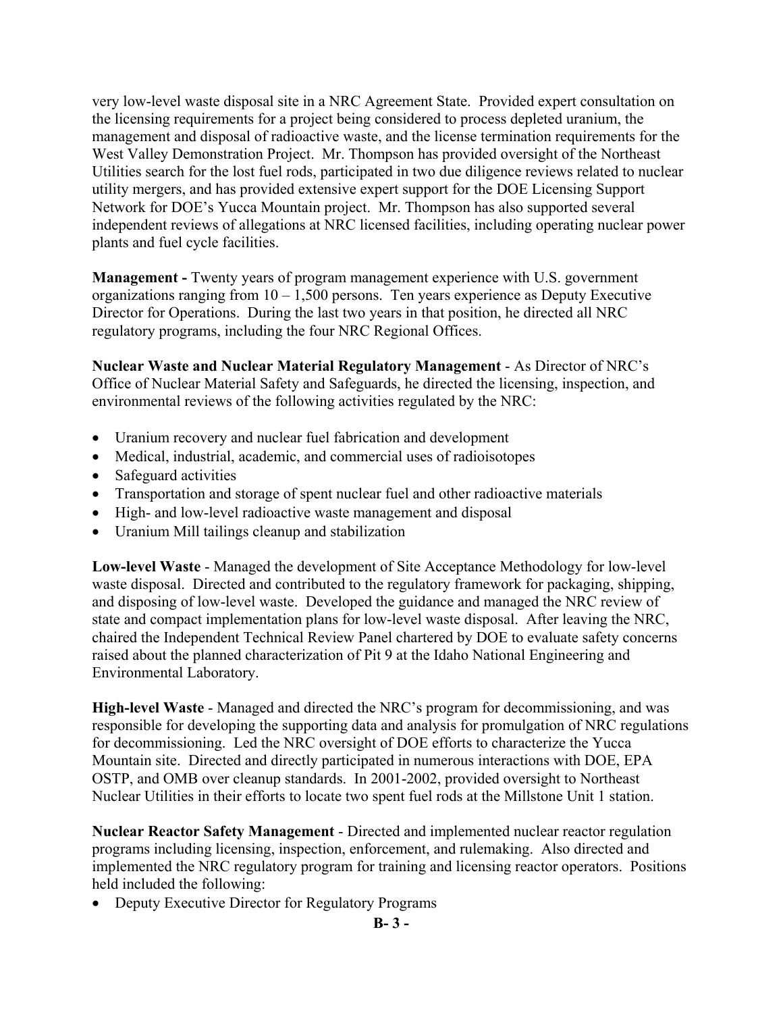very low-level waste disposal site in a NRC Agreement State. Provided expert consultation on the licensing requirements for a project being considered to process depleted uranium, the management and disposal of radioactive waste, and the license termination requirements for the West Valley Demonstration Project. Mr. Thompson has provided oversight of the Northeast Utilities search for the lost fuel rods, participated in two due diligence reviews related to nuclear utility mergers, and has provided extensive expert support for the DOE Licensing Support Network for DOE's Yucca Mountain project. Mr. Thompson has also supported several independent reviews of allegations at NRC licensed facilities, including operating nuclear power plants and fuel cycle facilities.

**Management -** Twenty years of program management experience with U.S. government organizations ranging from 10 – 1,500 persons. Ten years experience as Deputy Executive Director for Operations. During the last two years in that position, he directed all NRC regulatory programs, including the four NRC Regional Offices.

**Nuclear Waste and Nuclear Material Regulatory Management** - As Director of NRC's Office of Nuclear Material Safety and Safeguards, he directed the licensing, inspection, and environmental reviews of the following activities regulated by the NRC:

- Uranium recovery and nuclear fuel fabrication and development
- Medical, industrial, academic, and commercial uses of radioisotopes
- Safeguard activities
- Transportation and storage of spent nuclear fuel and other radioactive materials
- High- and low-level radioactive waste management and disposal
- Uranium Mill tailings cleanup and stabilization

**Low-level Waste** - Managed the development of Site Acceptance Methodology for low-level waste disposal. Directed and contributed to the regulatory framework for packaging, shipping, and disposing of low-level waste. Developed the guidance and managed the NRC review of state and compact implementation plans for low-level waste disposal. After leaving the NRC, chaired the Independent Technical Review Panel chartered by DOE to evaluate safety concerns raised about the planned characterization of Pit 9 at the Idaho National Engineering and Environmental Laboratory.

**High-level Waste** - Managed and directed the NRC's program for decommissioning, and was responsible for developing the supporting data and analysis for promulgation of NRC regulations for decommissioning. Led the NRC oversight of DOE efforts to characterize the Yucca Mountain site. Directed and directly participated in numerous interactions with DOE, EPA OSTP, and OMB over cleanup standards. In 2001-2002, provided oversight to Northeast Nuclear Utilities in their efforts to locate two spent fuel rods at the Millstone Unit 1 station.

**Nuclear Reactor Safety Management** - Directed and implemented nuclear reactor regulation programs including licensing, inspection, enforcement, and rulemaking. Also directed and implemented the NRC regulatory program for training and licensing reactor operators. Positions held included the following:

• Deputy Executive Director for Regulatory Programs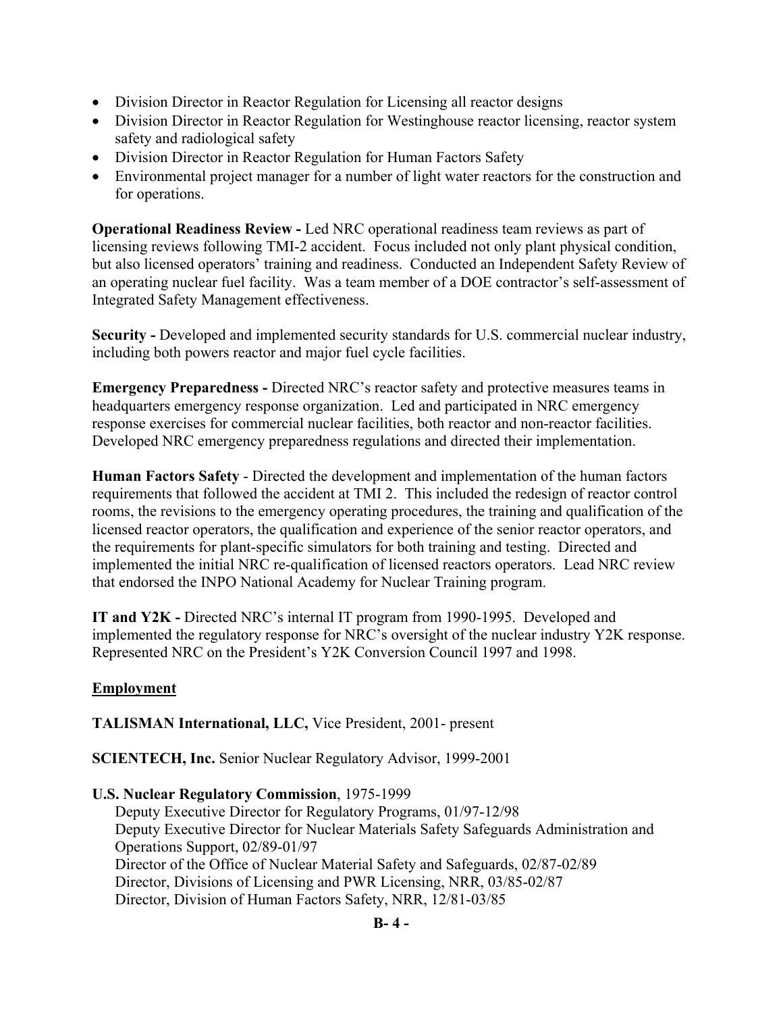- Division Director in Reactor Regulation for Licensing all reactor designs
- Division Director in Reactor Regulation for Westinghouse reactor licensing, reactor system safety and radiological safety
- Division Director in Reactor Regulation for Human Factors Safety
- Environmental project manager for a number of light water reactors for the construction and for operations.

**Operational Readiness Review -** Led NRC operational readiness team reviews as part of licensing reviews following TMI-2 accident. Focus included not only plant physical condition, but also licensed operators' training and readiness. Conducted an Independent Safety Review of an operating nuclear fuel facility. Was a team member of a DOE contractor's self-assessment of Integrated Safety Management effectiveness.

**Security -** Developed and implemented security standards for U.S. commercial nuclear industry, including both powers reactor and major fuel cycle facilities.

**Emergency Preparedness -** Directed NRC's reactor safety and protective measures teams in headquarters emergency response organization. Led and participated in NRC emergency response exercises for commercial nuclear facilities, both reactor and non-reactor facilities. Developed NRC emergency preparedness regulations and directed their implementation.

**Human Factors Safety** - Directed the development and implementation of the human factors requirements that followed the accident at TMI 2. This included the redesign of reactor control rooms, the revisions to the emergency operating procedures, the training and qualification of the licensed reactor operators, the qualification and experience of the senior reactor operators, and the requirements for plant-specific simulators for both training and testing. Directed and implemented the initial NRC re-qualification of licensed reactors operators. Lead NRC review that endorsed the INPO National Academy for Nuclear Training program.

**IT and Y2K -** Directed NRC's internal IT program from 1990-1995. Developed and implemented the regulatory response for NRC's oversight of the nuclear industry Y2K response. Represented NRC on the President's Y2K Conversion Council 1997 and 1998.

#### **Employment**

**TALISMAN International, LLC,** Vice President, 2001- present

**SCIENTECH, Inc.** Senior Nuclear Regulatory Advisor, 1999-2001

#### **U.S. Nuclear Regulatory Commission**, 1975-1999

Deputy Executive Director for Regulatory Programs, 01/97-12/98 Deputy Executive Director for Nuclear Materials Safety Safeguards Administration and Operations Support, 02/89-01/97 Director of the Office of Nuclear Material Safety and Safeguards, 02/87-02/89 Director, Divisions of Licensing and PWR Licensing, NRR, 03/85-02/87 Director, Division of Human Factors Safety, NRR, 12/81-03/85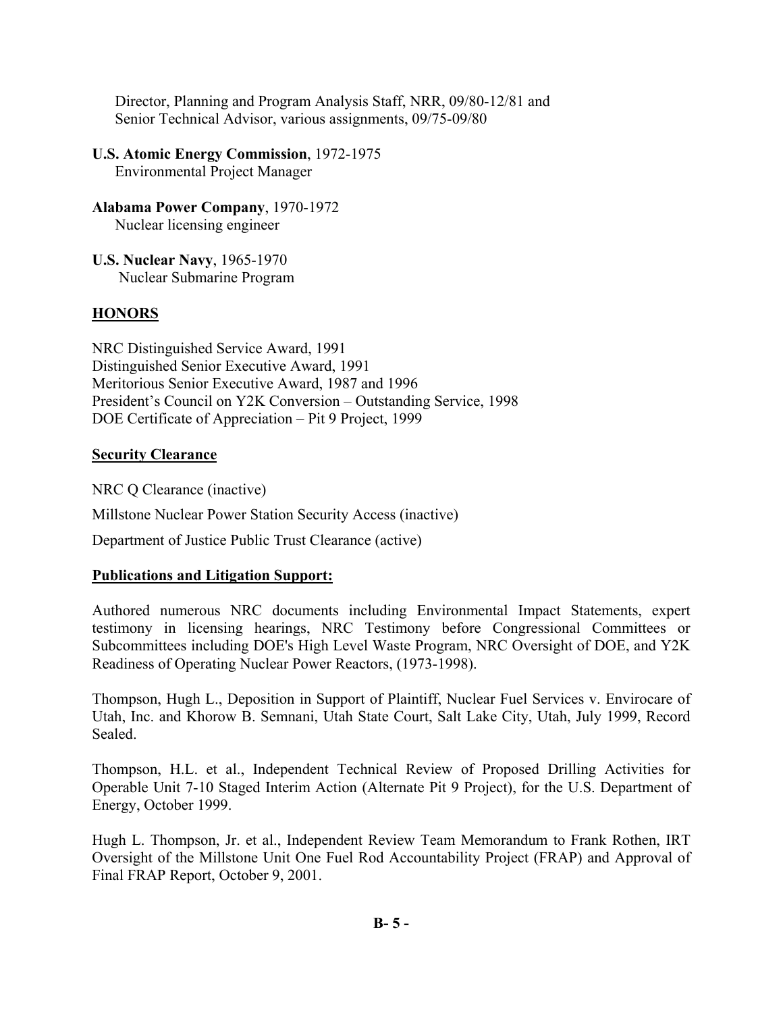Director, Planning and Program Analysis Staff, NRR, 09/80-12/81 and Senior Technical Advisor, various assignments, 09/75-09/80

- **U.S. Atomic Energy Commission**, 1972-1975 Environmental Project Manager
- **Alabama Power Company**, 1970-1972 Nuclear licensing engineer
- **U.S. Nuclear Navy**, 1965-1970 Nuclear Submarine Program

### **HONORS**

NRC Distinguished Service Award, 1991 Distinguished Senior Executive Award, 1991 Meritorious Senior Executive Award, 1987 and 1996 President's Council on Y2K Conversion – Outstanding Service, 1998 DOE Certificate of Appreciation – Pit 9 Project, 1999

#### **Security Clearance**

NRC Q Clearance (inactive) Millstone Nuclear Power Station Security Access (inactive) Department of Justice Public Trust Clearance (active)

#### **Publications and Litigation Support:**

Authored numerous NRC documents including Environmental Impact Statements, expert testimony in licensing hearings, NRC Testimony before Congressional Committees or Subcommittees including DOE's High Level Waste Program, NRC Oversight of DOE, and Y2K Readiness of Operating Nuclear Power Reactors, (1973-1998).

Thompson, Hugh L., Deposition in Support of Plaintiff, Nuclear Fuel Services v. Envirocare of Utah, Inc. and Khorow B. Semnani, Utah State Court, Salt Lake City, Utah, July 1999, Record Sealed.

Thompson, H.L. et al., Independent Technical Review of Proposed Drilling Activities for Operable Unit 7-10 Staged Interim Action (Alternate Pit 9 Project), for the U.S. Department of Energy, October 1999.

Hugh L. Thompson, Jr. et al., Independent Review Team Memorandum to Frank Rothen, IRT Oversight of the Millstone Unit One Fuel Rod Accountability Project (FRAP) and Approval of Final FRAP Report, October 9, 2001.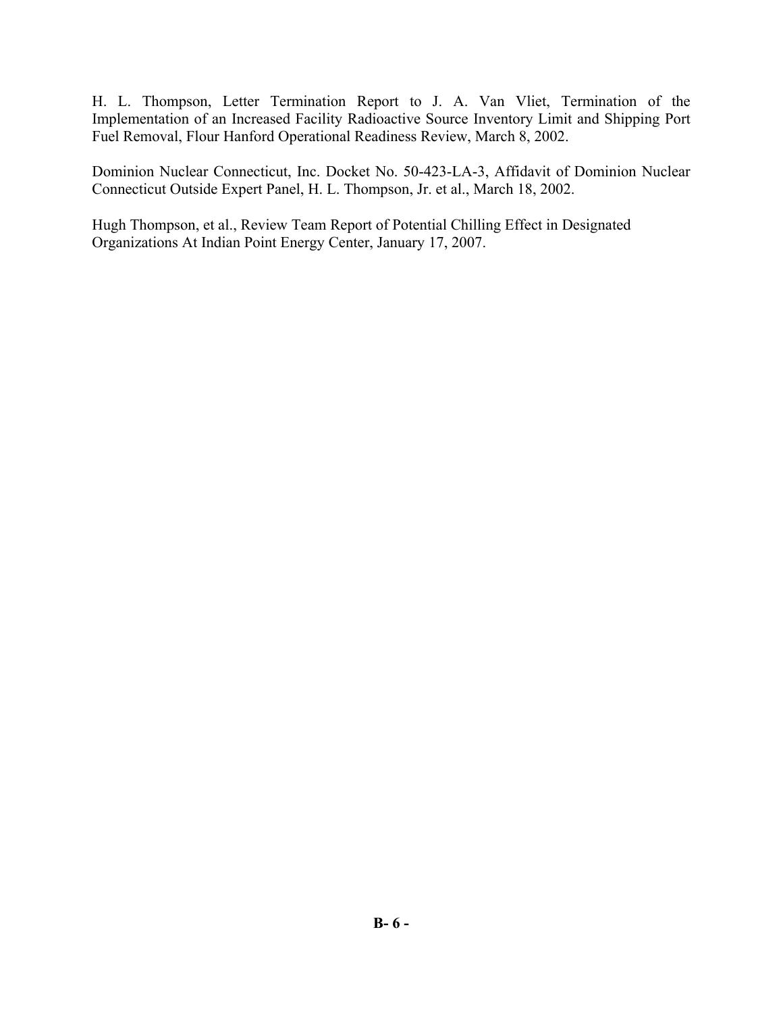H. L. Thompson, Letter Termination Report to J. A. Van Vliet, Termination of the Implementation of an Increased Facility Radioactive Source Inventory Limit and Shipping Port Fuel Removal, Flour Hanford Operational Readiness Review, March 8, 2002.

Dominion Nuclear Connecticut, Inc. Docket No. 50-423-LA-3, Affidavit of Dominion Nuclear Connecticut Outside Expert Panel, H. L. Thompson, Jr. et al., March 18, 2002.

Hugh Thompson, et al., Review Team Report of Potential Chilling Effect in Designated Organizations At Indian Point Energy Center, January 17, 2007.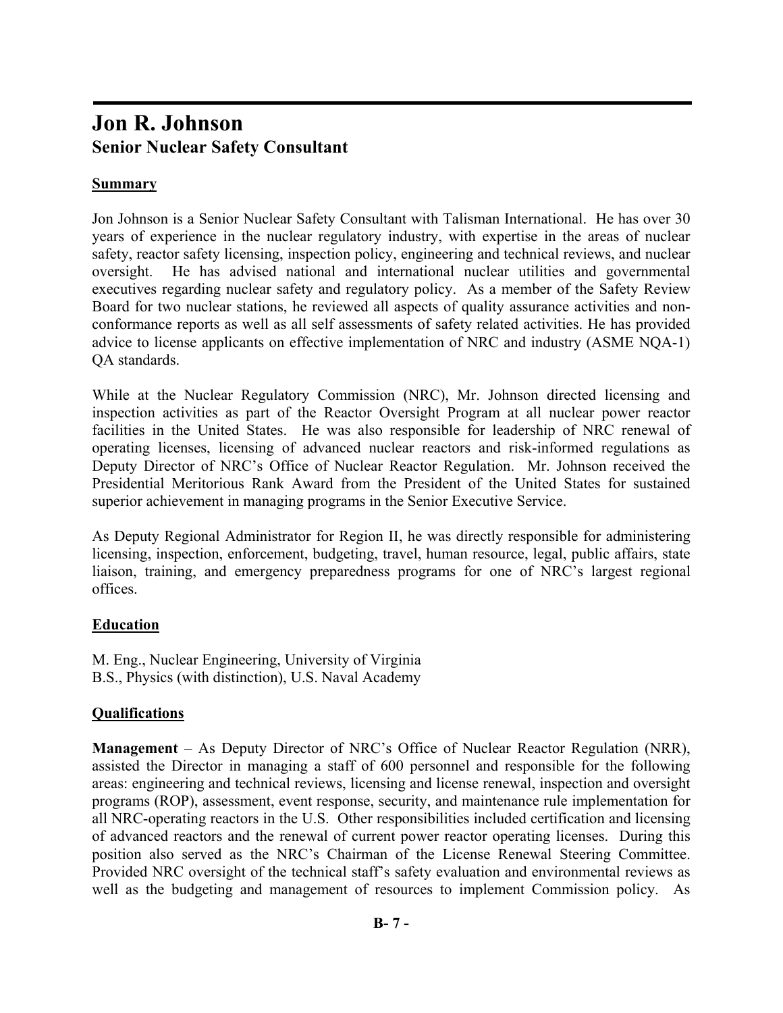# **Jon R. Johnson Senior Nuclear Safety Consultant**

### **Summary**

Jon Johnson is a Senior Nuclear Safety Consultant with Talisman International. He has over 30 years of experience in the nuclear regulatory industry, with expertise in the areas of nuclear safety, reactor safety licensing, inspection policy, engineering and technical reviews, and nuclear oversight. He has advised national and international nuclear utilities and governmental executives regarding nuclear safety and regulatory policy. As a member of the Safety Review Board for two nuclear stations, he reviewed all aspects of quality assurance activities and nonconformance reports as well as all self assessments of safety related activities. He has provided advice to license applicants on effective implementation of NRC and industry (ASME NQA-1) QA standards.

While at the Nuclear Regulatory Commission (NRC), Mr. Johnson directed licensing and inspection activities as part of the Reactor Oversight Program at all nuclear power reactor facilities in the United States. He was also responsible for leadership of NRC renewal of operating licenses, licensing of advanced nuclear reactors and risk-informed regulations as Deputy Director of NRC's Office of Nuclear Reactor Regulation. Mr. Johnson received the Presidential Meritorious Rank Award from the President of the United States for sustained superior achievement in managing programs in the Senior Executive Service.

As Deputy Regional Administrator for Region II, he was directly responsible for administering licensing, inspection, enforcement, budgeting, travel, human resource, legal, public affairs, state liaison, training, and emergency preparedness programs for one of NRC's largest regional offices.

## **Education**

M. Eng., Nuclear Engineering, University of Virginia B.S., Physics (with distinction), U.S. Naval Academy

## **Qualifications**

**Management** – As Deputy Director of NRC's Office of Nuclear Reactor Regulation (NRR), assisted the Director in managing a staff of 600 personnel and responsible for the following areas: engineering and technical reviews, licensing and license renewal, inspection and oversight programs (ROP), assessment, event response, security, and maintenance rule implementation for all NRC-operating reactors in the U.S. Other responsibilities included certification and licensing of advanced reactors and the renewal of current power reactor operating licenses. During this position also served as the NRC's Chairman of the License Renewal Steering Committee. Provided NRC oversight of the technical staff's safety evaluation and environmental reviews as well as the budgeting and management of resources to implement Commission policy. As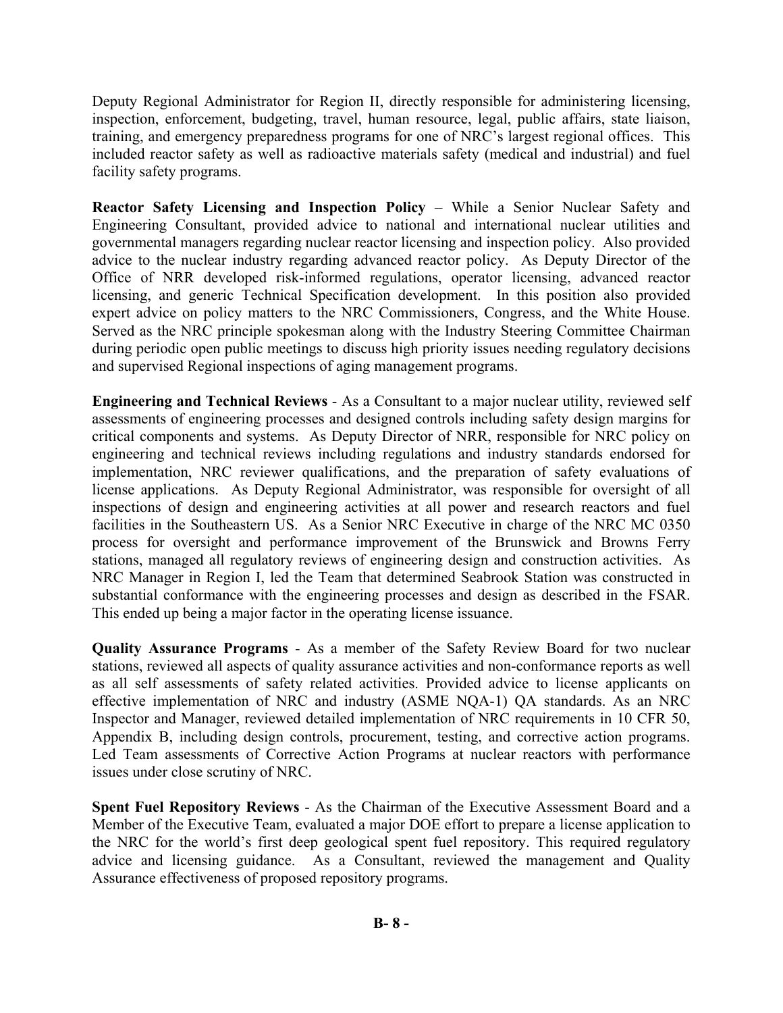Deputy Regional Administrator for Region II, directly responsible for administering licensing, inspection, enforcement, budgeting, travel, human resource, legal, public affairs, state liaison, training, and emergency preparedness programs for one of NRC's largest regional offices. This included reactor safety as well as radioactive materials safety (medical and industrial) and fuel facility safety programs.

**Reactor Safety Licensing and Inspection Policy** – While a Senior Nuclear Safety and Engineering Consultant, provided advice to national and international nuclear utilities and governmental managers regarding nuclear reactor licensing and inspection policy. Also provided advice to the nuclear industry regarding advanced reactor policy. As Deputy Director of the Office of NRR developed risk-informed regulations, operator licensing, advanced reactor licensing, and generic Technical Specification development. In this position also provided expert advice on policy matters to the NRC Commissioners, Congress, and the White House. Served as the NRC principle spokesman along with the Industry Steering Committee Chairman during periodic open public meetings to discuss high priority issues needing regulatory decisions and supervised Regional inspections of aging management programs.

**Engineering and Technical Reviews** - As a Consultant to a major nuclear utility, reviewed self assessments of engineering processes and designed controls including safety design margins for critical components and systems. As Deputy Director of NRR, responsible for NRC policy on engineering and technical reviews including regulations and industry standards endorsed for implementation, NRC reviewer qualifications, and the preparation of safety evaluations of license applications. As Deputy Regional Administrator, was responsible for oversight of all inspections of design and engineering activities at all power and research reactors and fuel facilities in the Southeastern US. As a Senior NRC Executive in charge of the NRC MC 0350 process for oversight and performance improvement of the Brunswick and Browns Ferry stations, managed all regulatory reviews of engineering design and construction activities. As NRC Manager in Region I, led the Team that determined Seabrook Station was constructed in substantial conformance with the engineering processes and design as described in the FSAR. This ended up being a major factor in the operating license issuance.

**Quality Assurance Programs** - As a member of the Safety Review Board for two nuclear stations, reviewed all aspects of quality assurance activities and non-conformance reports as well as all self assessments of safety related activities. Provided advice to license applicants on effective implementation of NRC and industry (ASME NQA-1) QA standards. As an NRC Inspector and Manager, reviewed detailed implementation of NRC requirements in 10 CFR 50, Appendix B, including design controls, procurement, testing, and corrective action programs. Led Team assessments of Corrective Action Programs at nuclear reactors with performance issues under close scrutiny of NRC.

**Spent Fuel Repository Reviews** - As the Chairman of the Executive Assessment Board and a Member of the Executive Team, evaluated a major DOE effort to prepare a license application to the NRC for the world's first deep geological spent fuel repository. This required regulatory advice and licensing guidance. As a Consultant, reviewed the management and Quality Assurance effectiveness of proposed repository programs.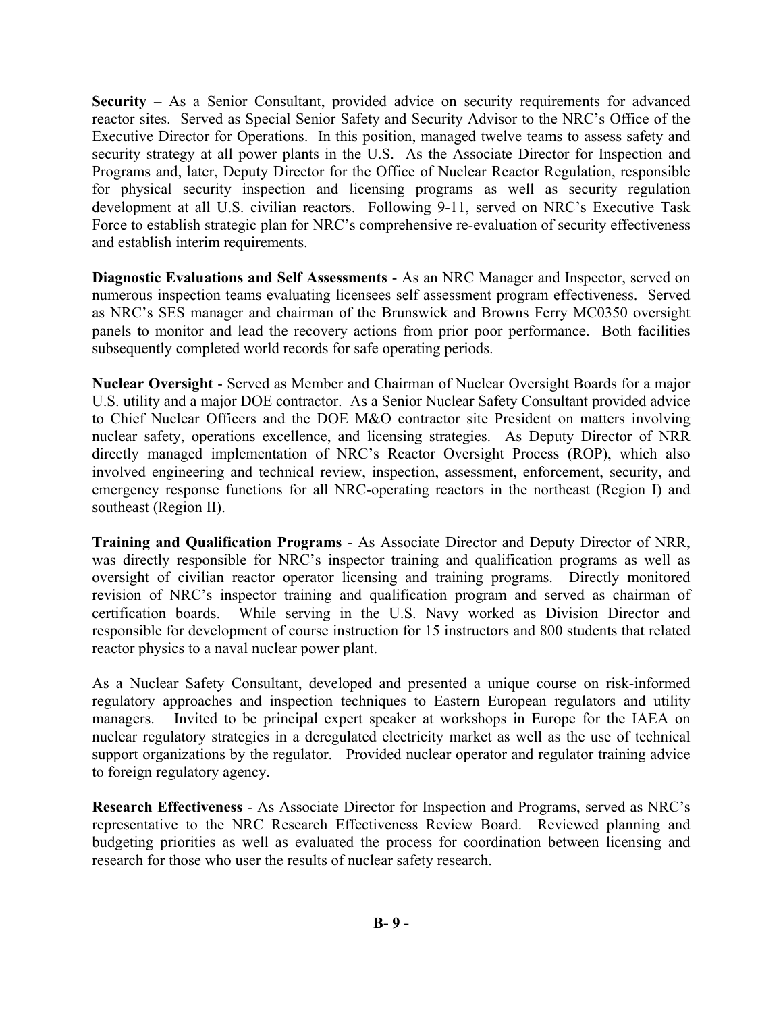**Security** – As a Senior Consultant, provided advice on security requirements for advanced reactor sites. Served as Special Senior Safety and Security Advisor to the NRC's Office of the Executive Director for Operations. In this position, managed twelve teams to assess safety and security strategy at all power plants in the U.S. As the Associate Director for Inspection and Programs and, later, Deputy Director for the Office of Nuclear Reactor Regulation, responsible for physical security inspection and licensing programs as well as security regulation development at all U.S. civilian reactors. Following 9-11, served on NRC's Executive Task Force to establish strategic plan for NRC's comprehensive re-evaluation of security effectiveness and establish interim requirements.

**Diagnostic Evaluations and Self Assessments** - As an NRC Manager and Inspector, served on numerous inspection teams evaluating licensees self assessment program effectiveness. Served as NRC's SES manager and chairman of the Brunswick and Browns Ferry MC0350 oversight panels to monitor and lead the recovery actions from prior poor performance. Both facilities subsequently completed world records for safe operating periods.

**Nuclear Oversight** - Served as Member and Chairman of Nuclear Oversight Boards for a major U.S. utility and a major DOE contractor. As a Senior Nuclear Safety Consultant provided advice to Chief Nuclear Officers and the DOE M&O contractor site President on matters involving nuclear safety, operations excellence, and licensing strategies. As Deputy Director of NRR directly managed implementation of NRC's Reactor Oversight Process (ROP), which also involved engineering and technical review, inspection, assessment, enforcement, security, and emergency response functions for all NRC-operating reactors in the northeast (Region I) and southeast (Region II).

**Training and Qualification Programs** - As Associate Director and Deputy Director of NRR, was directly responsible for NRC's inspector training and qualification programs as well as oversight of civilian reactor operator licensing and training programs. Directly monitored revision of NRC's inspector training and qualification program and served as chairman of certification boards. While serving in the U.S. Navy worked as Division Director and responsible for development of course instruction for 15 instructors and 800 students that related reactor physics to a naval nuclear power plant.

As a Nuclear Safety Consultant, developed and presented a unique course on risk-informed regulatory approaches and inspection techniques to Eastern European regulators and utility managers. Invited to be principal expert speaker at workshops in Europe for the IAEA on nuclear regulatory strategies in a deregulated electricity market as well as the use of technical support organizations by the regulator. Provided nuclear operator and regulator training advice to foreign regulatory agency.

**Research Effectiveness** - As Associate Director for Inspection and Programs, served as NRC's representative to the NRC Research Effectiveness Review Board. Reviewed planning and budgeting priorities as well as evaluated the process for coordination between licensing and research for those who user the results of nuclear safety research.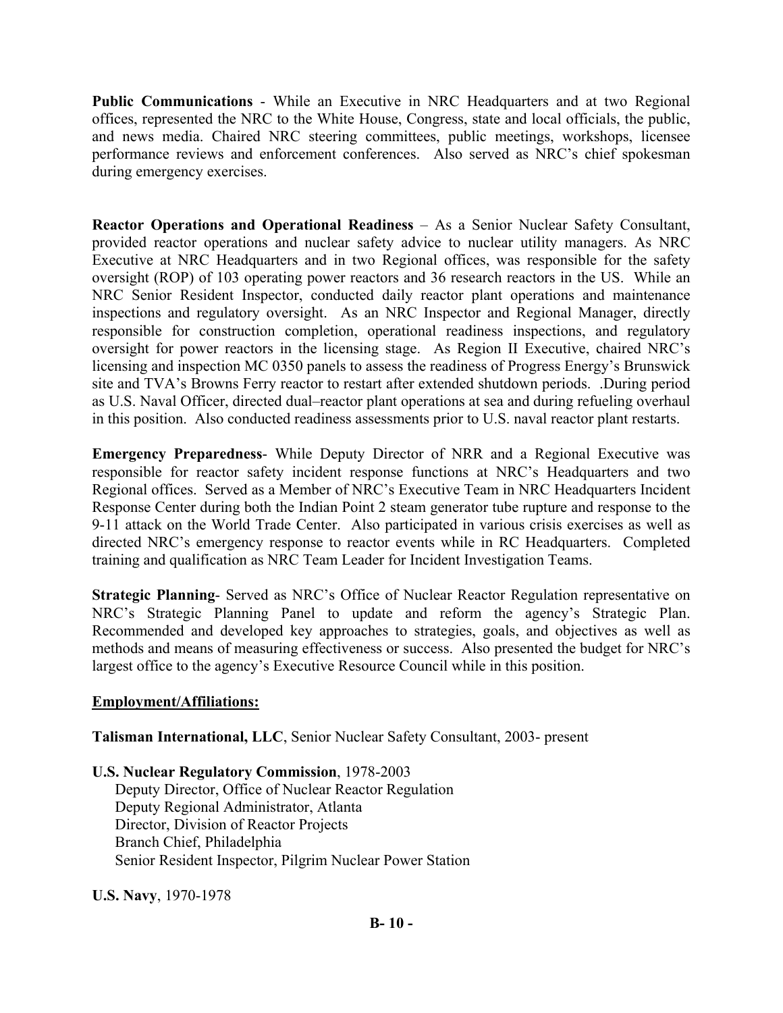**Public Communications** - While an Executive in NRC Headquarters and at two Regional offices, represented the NRC to the White House, Congress, state and local officials, the public, and news media. Chaired NRC steering committees, public meetings, workshops, licensee performance reviews and enforcement conferences. Also served as NRC's chief spokesman during emergency exercises.

**Reactor Operations and Operational Readiness** – As a Senior Nuclear Safety Consultant, provided reactor operations and nuclear safety advice to nuclear utility managers. As NRC Executive at NRC Headquarters and in two Regional offices, was responsible for the safety oversight (ROP) of 103 operating power reactors and 36 research reactors in the US. While an NRC Senior Resident Inspector, conducted daily reactor plant operations and maintenance inspections and regulatory oversight. As an NRC Inspector and Regional Manager, directly responsible for construction completion, operational readiness inspections, and regulatory oversight for power reactors in the licensing stage. As Region II Executive, chaired NRC's licensing and inspection MC 0350 panels to assess the readiness of Progress Energy's Brunswick site and TVA's Browns Ferry reactor to restart after extended shutdown periods. .During period as U.S. Naval Officer, directed dual–reactor plant operations at sea and during refueling overhaul in this position. Also conducted readiness assessments prior to U.S. naval reactor plant restarts.

**Emergency Preparedness**- While Deputy Director of NRR and a Regional Executive was responsible for reactor safety incident response functions at NRC's Headquarters and two Regional offices. Served as a Member of NRC's Executive Team in NRC Headquarters Incident Response Center during both the Indian Point 2 steam generator tube rupture and response to the 9-11 attack on the World Trade Center. Also participated in various crisis exercises as well as directed NRC's emergency response to reactor events while in RC Headquarters. Completed training and qualification as NRC Team Leader for Incident Investigation Teams.

**Strategic Planning**- Served as NRC's Office of Nuclear Reactor Regulation representative on NRC's Strategic Planning Panel to update and reform the agency's Strategic Plan. Recommended and developed key approaches to strategies, goals, and objectives as well as methods and means of measuring effectiveness or success. Also presented the budget for NRC's largest office to the agency's Executive Resource Council while in this position.

#### **Employment/Affiliations:**

**Talisman International, LLC**, Senior Nuclear Safety Consultant, 2003- present

**U.S. Nuclear Regulatory Commission**, 1978-2003 Deputy Director, Office of Nuclear Reactor Regulation Deputy Regional Administrator, Atlanta Director, Division of Reactor Projects Branch Chief, Philadelphia Senior Resident Inspector, Pilgrim Nuclear Power Station

**U.S. Navy**, 1970-1978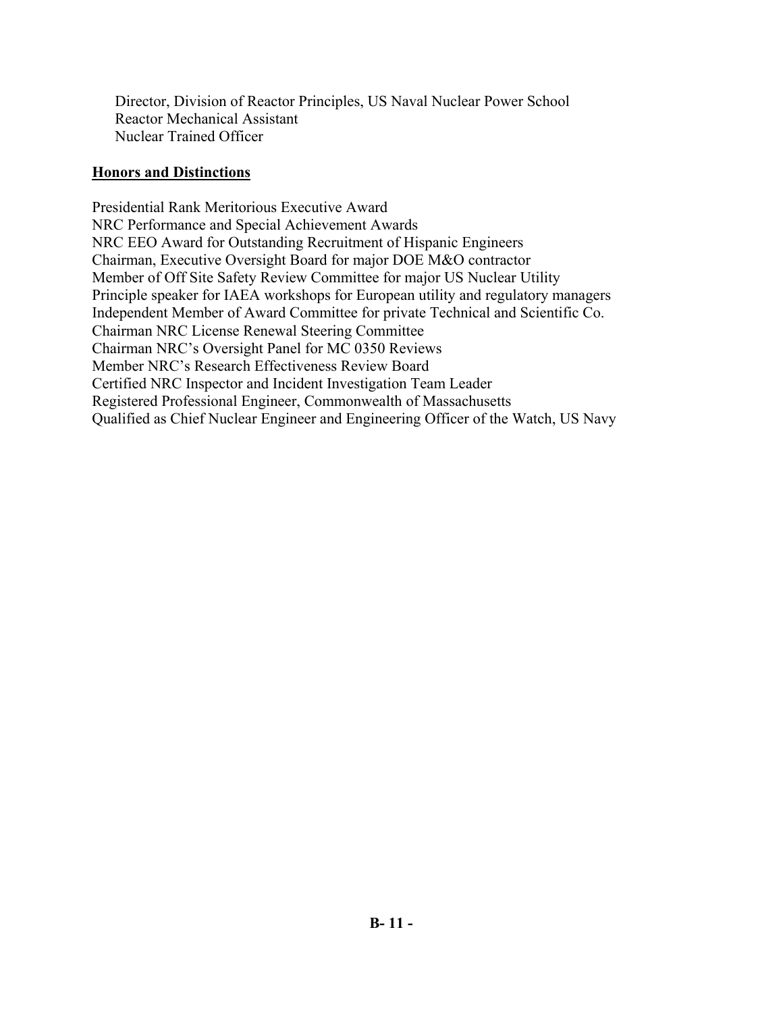Director, Division of Reactor Principles, US Naval Nuclear Power School Reactor Mechanical Assistant Nuclear Trained Officer

#### **Honors and Distinctions**

Presidential Rank Meritorious Executive Award NRC Performance and Special Achievement Awards NRC EEO Award for Outstanding Recruitment of Hispanic Engineers Chairman, Executive Oversight Board for major DOE M&O contractor Member of Off Site Safety Review Committee for major US Nuclear Utility Principle speaker for IAEA workshops for European utility and regulatory managers Independent Member of Award Committee for private Technical and Scientific Co. Chairman NRC License Renewal Steering Committee Chairman NRC's Oversight Panel for MC 0350 Reviews Member NRC's Research Effectiveness Review Board Certified NRC Inspector and Incident Investigation Team Leader Registered Professional Engineer, Commonwealth of Massachusetts Qualified as Chief Nuclear Engineer and Engineering Officer of the Watch, US Navy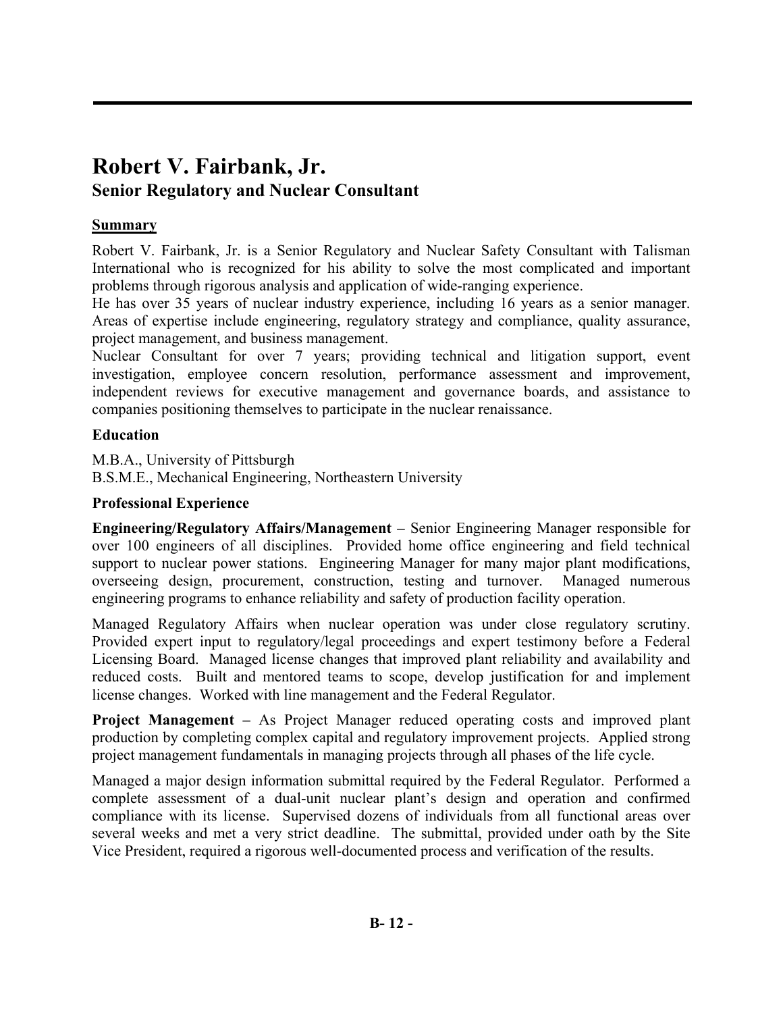# **Robert V. Fairbank, Jr. Senior Regulatory and Nuclear Consultant**

# **Summary**

Robert V. Fairbank, Jr. is a Senior Regulatory and Nuclear Safety Consultant with Talisman International who is recognized for his ability to solve the most complicated and important problems through rigorous analysis and application of wide-ranging experience.

He has over 35 years of nuclear industry experience, including 16 years as a senior manager. Areas of expertise include engineering, regulatory strategy and compliance, quality assurance, project management, and business management.

Nuclear Consultant for over 7 years; providing technical and litigation support, event investigation, employee concern resolution, performance assessment and improvement, independent reviews for executive management and governance boards, and assistance to companies positioning themselves to participate in the nuclear renaissance.

# **Education**

M.B.A., University of Pittsburgh B.S.M.E., Mechanical Engineering, Northeastern University

## **Professional Experience**

**Engineering/Regulatory Affairs/Management –** Senior Engineering Manager responsible for over 100 engineers of all disciplines. Provided home office engineering and field technical support to nuclear power stations.Engineering Manager for many major plant modifications, overseeing design, procurement, construction, testing and turnover.Managed numerous engineering programs to enhance reliability and safety of production facility operation.

Managed Regulatory Affairs when nuclear operation was under close regulatory scrutiny. Provided expert input to regulatory/legal proceedings and expert testimony before a Federal Licensing Board. Managed license changes that improved plant reliability and availability and reduced costs. Built and mentored teams to scope, develop justification for and implement license changes. Worked with line management and the Federal Regulator.

**Project Management –** As Project Manager reduced operating costs and improved plant production by completing complex capital and regulatory improvement projects. Applied strong project management fundamentals in managing projects through all phases of the life cycle.

Managed a major design information submittal required by the Federal Regulator. Performed a complete assessment of a dual-unit nuclear plant's design and operation and confirmed compliance with its license. Supervised dozens of individuals from all functional areas over several weeks and met a very strict deadline. The submittal, provided under oath by the Site Vice President, required a rigorous well-documented process and verification of the results.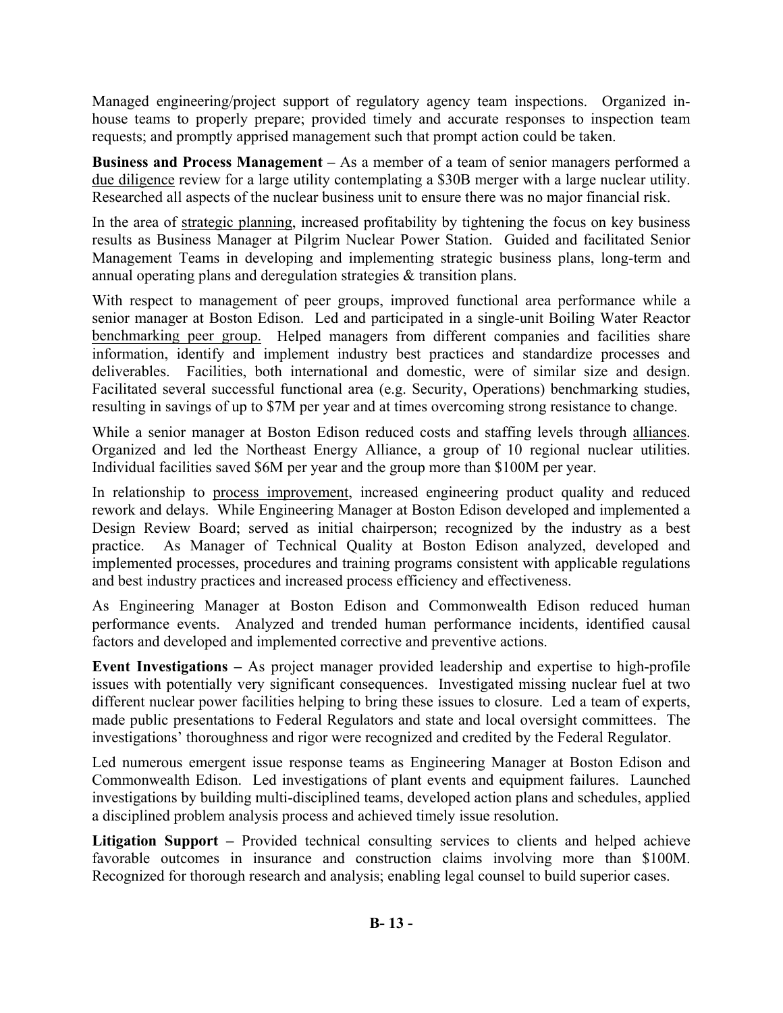Managed engineering/project support of regulatory agency team inspections. Organized inhouse teams to properly prepare; provided timely and accurate responses to inspection team requests; and promptly apprised management such that prompt action could be taken.

**Business and Process Management –** As a member of a team of senior managers performed a due diligence review for a large utility contemplating a \$30B merger with a large nuclear utility. Researched all aspects of the nuclear business unit to ensure there was no major financial risk.

In the area of strategic planning, increased profitability by tightening the focus on key business results as Business Manager at Pilgrim Nuclear Power Station. Guided and facilitated Senior Management Teams in developing and implementing strategic business plans, long-term and annual operating plans and deregulation strategies & transition plans.

With respect to management of peer groups, improved functional area performance while a senior manager at Boston Edison. Led and participated in a single-unit Boiling Water Reactor benchmarking peer group. Helped managers from different companies and facilities share information, identify and implement industry best practices and standardize processes and deliverables. Facilities, both international and domestic, were of similar size and design. Facilitated several successful functional area (e.g. Security, Operations) benchmarking studies, resulting in savings of up to \$7M per year and at times overcoming strong resistance to change.

While a senior manager at Boston Edison reduced costs and staffing levels through alliances. Organized and led the Northeast Energy Alliance, a group of 10 regional nuclear utilities. Individual facilities saved \$6M per year and the group more than \$100M per year.

In relationship to process improvement, increased engineering product quality and reduced rework and delays. While Engineering Manager at Boston Edison developed and implemented a Design Review Board; served as initial chairperson; recognized by the industry as a best practice. As Manager of Technical Quality at Boston Edison analyzed, developed and implemented processes, procedures and training programs consistent with applicable regulations and best industry practices and increased process efficiency and effectiveness.

As Engineering Manager at Boston Edison and Commonwealth Edison reduced human performance events. Analyzed and trended human performance incidents, identified causal factors and developed and implemented corrective and preventive actions.

**Event Investigations –** As project manager provided leadership and expertise to high-profile issues with potentially very significant consequences. Investigated missing nuclear fuel at two different nuclear power facilities helping to bring these issues to closure. Led a team of experts, made public presentations to Federal Regulators and state and local oversight committees. The investigations' thoroughness and rigor were recognized and credited by the Federal Regulator.

Led numerous emergent issue response teams as Engineering Manager at Boston Edison and Commonwealth Edison. Led investigations of plant events and equipment failures. Launched investigations by building multi-disciplined teams, developed action plans and schedules, applied a disciplined problem analysis process and achieved timely issue resolution.

Litigation Support – Provided technical consulting services to clients and helped achieve favorable outcomes in insurance and construction claims involving more than \$100M. Recognized for thorough research and analysis; enabling legal counsel to build superior cases.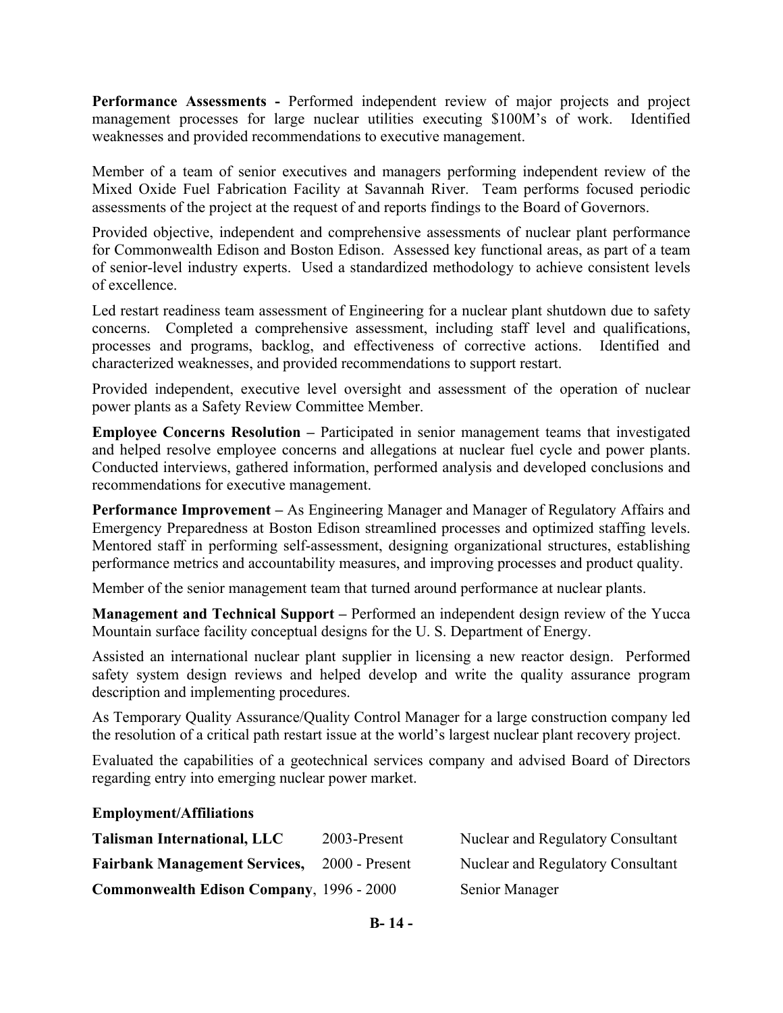**Performance Assessments -** Performed independent review of major projects and project management processes for large nuclear utilities executing \$100M's of work. Identified weaknesses and provided recommendations to executive management.

Member of a team of senior executives and managers performing independent review of the Mixed Oxide Fuel Fabrication Facility at Savannah River. Team performs focused periodic assessments of the project at the request of and reports findings to the Board of Governors.

Provided objective, independent and comprehensive assessments of nuclear plant performance for Commonwealth Edison and Boston Edison. Assessed key functional areas, as part of a team of senior-level industry experts. Used a standardized methodology to achieve consistent levels of excellence.

Led restart readiness team assessment of Engineering for a nuclear plant shutdown due to safety concerns. Completed a comprehensive assessment, including staff level and qualifications, processes and programs, backlog, and effectiveness of corrective actions. Identified and characterized weaknesses, and provided recommendations to support restart.

Provided independent, executive level oversight and assessment of the operation of nuclear power plants as a Safety Review Committee Member.

**Employee Concerns Resolution –** Participated in senior management teams that investigated and helped resolve employee concerns and allegations at nuclear fuel cycle and power plants. Conducted interviews, gathered information, performed analysis and developed conclusions and recommendations for executive management.

**Performance Improvement –** As Engineering Manager and Manager of Regulatory Affairs and Emergency Preparedness at Boston Edison streamlined processes and optimized staffing levels. Mentored staff in performing self-assessment, designing organizational structures, establishing performance metrics and accountability measures, and improving processes and product quality.

Member of the senior management team that turned around performance at nuclear plants.

**Management and Technical Support –** Performed an independent design review of the Yucca Mountain surface facility conceptual designs for the U. S. Department of Energy.

Assisted an international nuclear plant supplier in licensing a new reactor design. Performed safety system design reviews and helped develop and write the quality assurance program description and implementing procedures.

As Temporary Quality Assurance/Quality Control Manager for a large construction company led the resolution of a critical path restart issue at the world's largest nuclear plant recovery project.

Evaluated the capabilities of a geotechnical services company and advised Board of Directors regarding entry into emerging nuclear power market.

#### **Employment/Affiliations**

| <b>Talisman International, LLC</b>              | 2003-Present     | Nuclear and Regulatory Consultant |
|-------------------------------------------------|------------------|-----------------------------------|
| <b>Fairbank Management Services,</b>            | $2000$ - Present | Nuclear and Regulatory Consultant |
| <b>Commonwealth Edison Company, 1996 - 2000</b> |                  | Senior Manager                    |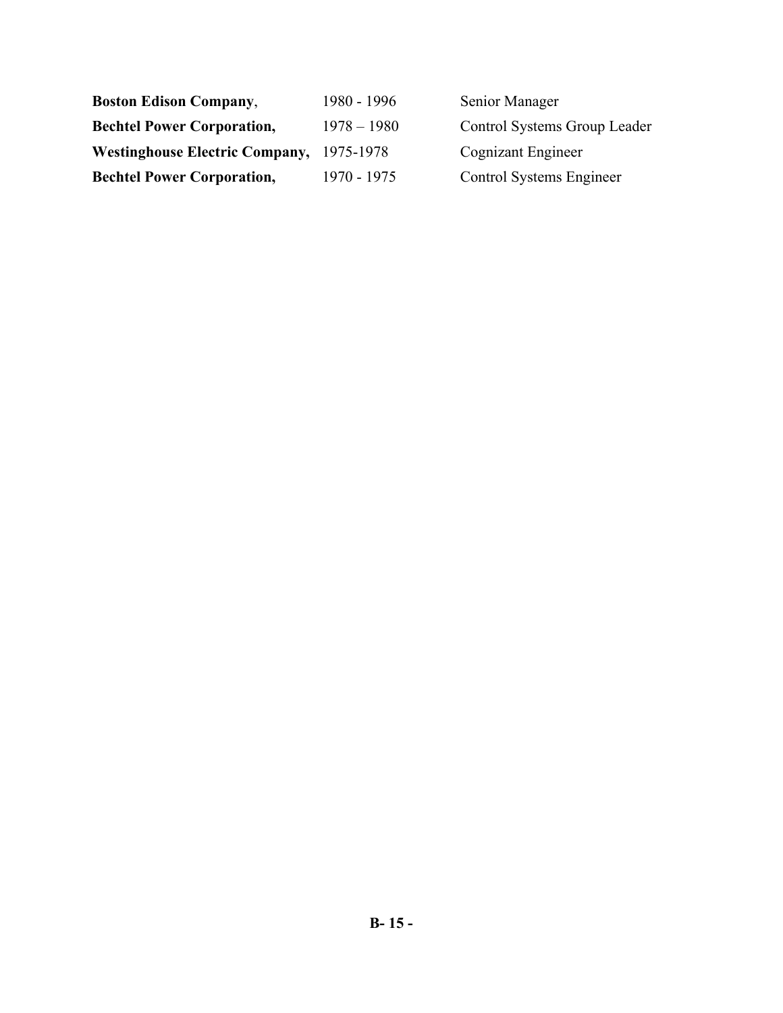| <b>Boston Edison Company,</b>         | 1980 - 1996   | Senior Manager               |
|---------------------------------------|---------------|------------------------------|
| <b>Bechtel Power Corporation,</b>     | $1978 - 1980$ | Control Systems Group Leader |
| <b>Westinghouse Electric Company,</b> | 1975-1978     | Cognizant Engineer           |
| <b>Bechtel Power Corporation,</b>     | 1970 - 1975   | Control Systems Engineer     |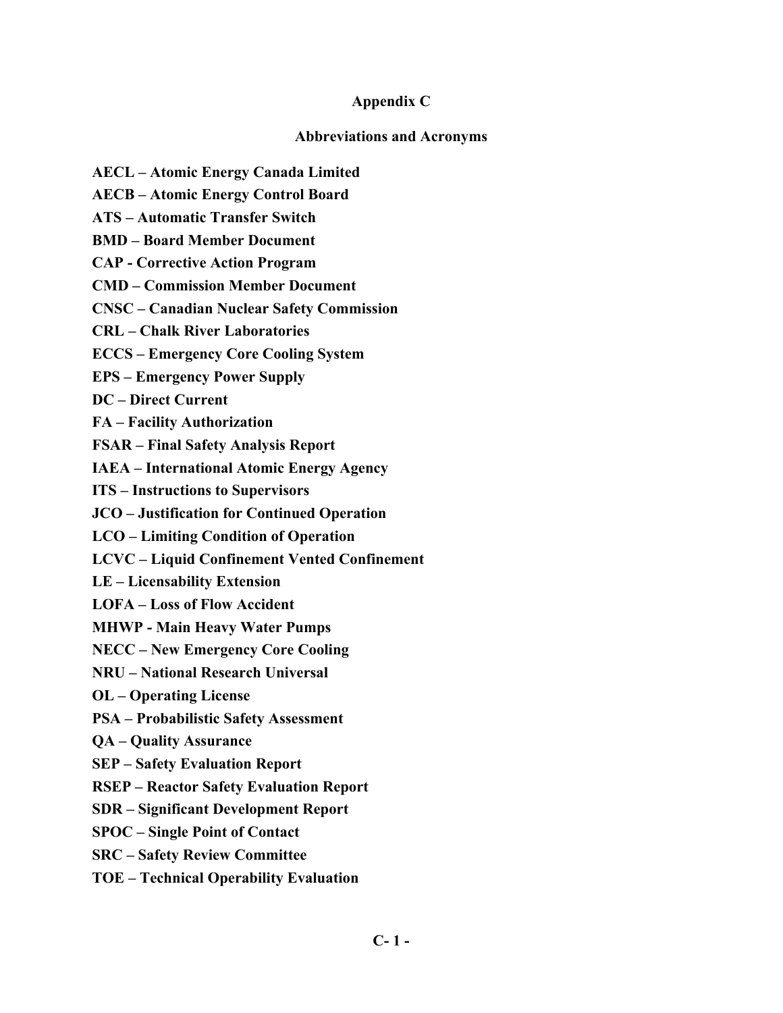### **Appendix C**

### **Abbreviations and Acronyms**

- **AECL Atomic Energy Canada Limited**
- **AECB Atomic Energy Control Board**
- **ATS Automatic Transfer Switch**
- **BMD Board Member Document**
- **CAP Corrective Action Program**
- **CMD Commission Member Document**
- **CNSC Canadian Nuclear Safety Commission**
- **CRL Chalk River Laboratories**
- **ECCS Emergency Core Cooling System**
- **EPS Emergency Power Supply**
- **DC Direct Current**
- **FA Facility Authorization**
- **FSAR Final Safety Analysis Report**
- **IAEA International Atomic Energy Agency**
- **ITS Instructions to Supervisors**
- **JCO Justification for Continued Operation**
- **LCO Limiting Condition of Operation**
- **LCVC Liquid Confinement Vented Confinement**
- **LE Licensability Extension**
- **LOFA Loss of Flow Accident**
- **MHWP Main Heavy Water Pumps**
- **NECC New Emergency Core Cooling**
- **NRU National Research Universal**
- **OL Operating License**
- **PSA Probabilistic Safety Assessment**
- **QA Quality Assurance**
- **SEP Safety Evaluation Report**
- **RSEP Reactor Safety Evaluation Report**
- **SDR Significant Development Report**
- **SPOC Single Point of Contact**
- **SRC Safety Review Committee**
- **TOE Technical Operability Evaluation**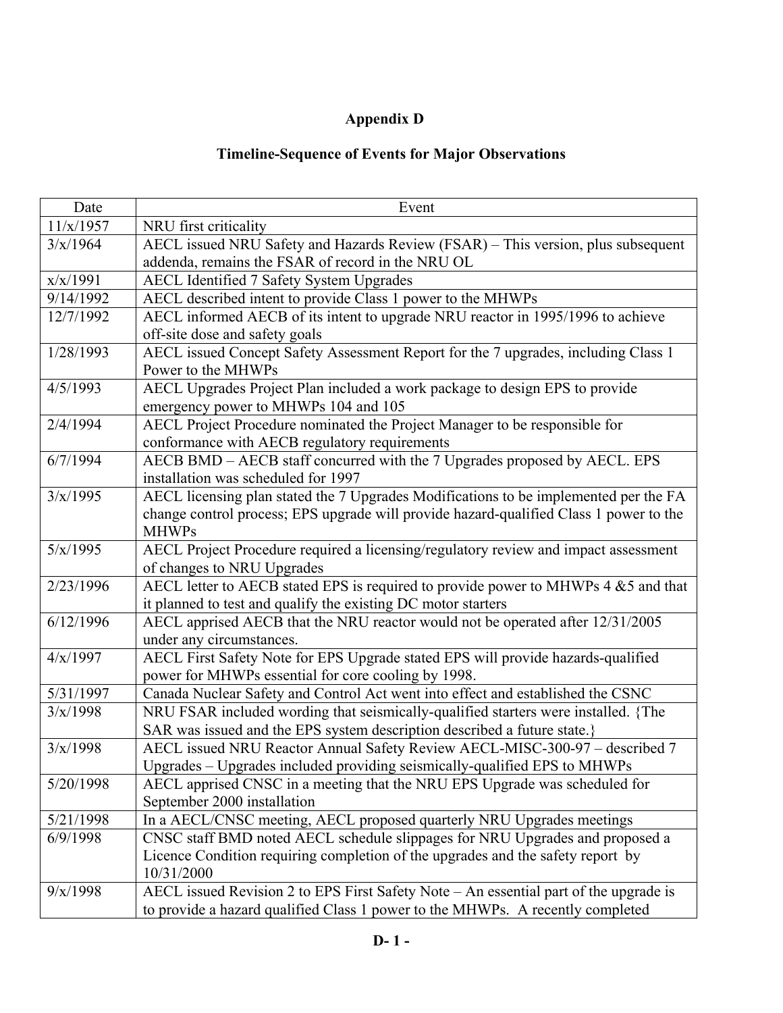# **Appendix D**

# **Timeline-Sequence of Events for Major Observations**

| Date      | Event                                                                                  |
|-----------|----------------------------------------------------------------------------------------|
| 11/x/1957 | NRU first criticality                                                                  |
| 3/x/1964  | AECL issued NRU Safety and Hazards Review (FSAR) - This version, plus subsequent       |
|           | addenda, remains the FSAR of record in the NRU OL                                      |
| x/x/1991  | AECL Identified 7 Safety System Upgrades                                               |
| 9/14/1992 | AECL described intent to provide Class 1 power to the MHWPs                            |
| 12/7/1992 | AECL informed AECB of its intent to upgrade NRU reactor in 1995/1996 to achieve        |
|           | off-site dose and safety goals                                                         |
| 1/28/1993 | AECL issued Concept Safety Assessment Report for the 7 upgrades, including Class 1     |
|           | Power to the MHWPs                                                                     |
| 4/5/1993  | AECL Upgrades Project Plan included a work package to design EPS to provide            |
|           | emergency power to MHWPs 104 and 105                                                   |
| 2/4/1994  | AECL Project Procedure nominated the Project Manager to be responsible for             |
|           | conformance with AECB regulatory requirements                                          |
| 6/7/1994  | AECB BMD - AECB staff concurred with the 7 Upgrades proposed by AECL. EPS              |
|           | installation was scheduled for 1997                                                    |
| 3/x/1995  | AECL licensing plan stated the 7 Upgrades Modifications to be implemented per the FA   |
|           | change control process; EPS upgrade will provide hazard-qualified Class 1 power to the |
|           | <b>MHWPs</b>                                                                           |
| 5/x/1995  | AECL Project Procedure required a licensing/regulatory review and impact assessment    |
|           | of changes to NRU Upgrades                                                             |
| 2/23/1996 | AECL letter to AECB stated EPS is required to provide power to MHWPs 4 &5 and that     |
|           | it planned to test and qualify the existing DC motor starters                          |
| 6/12/1996 | AECL apprised AECB that the NRU reactor would not be operated after 12/31/2005         |
|           | under any circumstances.                                                               |
| 4/x/1997  | AECL First Safety Note for EPS Upgrade stated EPS will provide hazards-qualified       |
|           | power for MHWPs essential for core cooling by 1998.                                    |
| 5/31/1997 | Canada Nuclear Safety and Control Act went into effect and established the CSNC        |
| 3/x/1998  | NRU FSAR included wording that seismically-qualified starters were installed. {The     |
|           | SAR was issued and the EPS system description described a future state.}               |
| 3/x/1998  | AECL issued NRU Reactor Annual Safety Review AECL-MISC-300-97 - described 7            |
|           | Upgrades – Upgrades included providing seismically-qualified EPS to MHWPs              |
| 5/20/1998 | AECL apprised CNSC in a meeting that the NRU EPS Upgrade was scheduled for             |
|           | September 2000 installation                                                            |
| 5/21/1998 | In a AECL/CNSC meeting, AECL proposed quarterly NRU Upgrades meetings                  |
| 6/9/1998  | CNSC staff BMD noted AECL schedule slippages for NRU Upgrades and proposed a           |
|           | Licence Condition requiring completion of the upgrades and the safety report by        |
|           | 10/31/2000                                                                             |
| 9/x/1998  | AECL issued Revision 2 to EPS First Safety Note – An essential part of the upgrade is  |
|           | to provide a hazard qualified Class 1 power to the MHWPs. A recently completed         |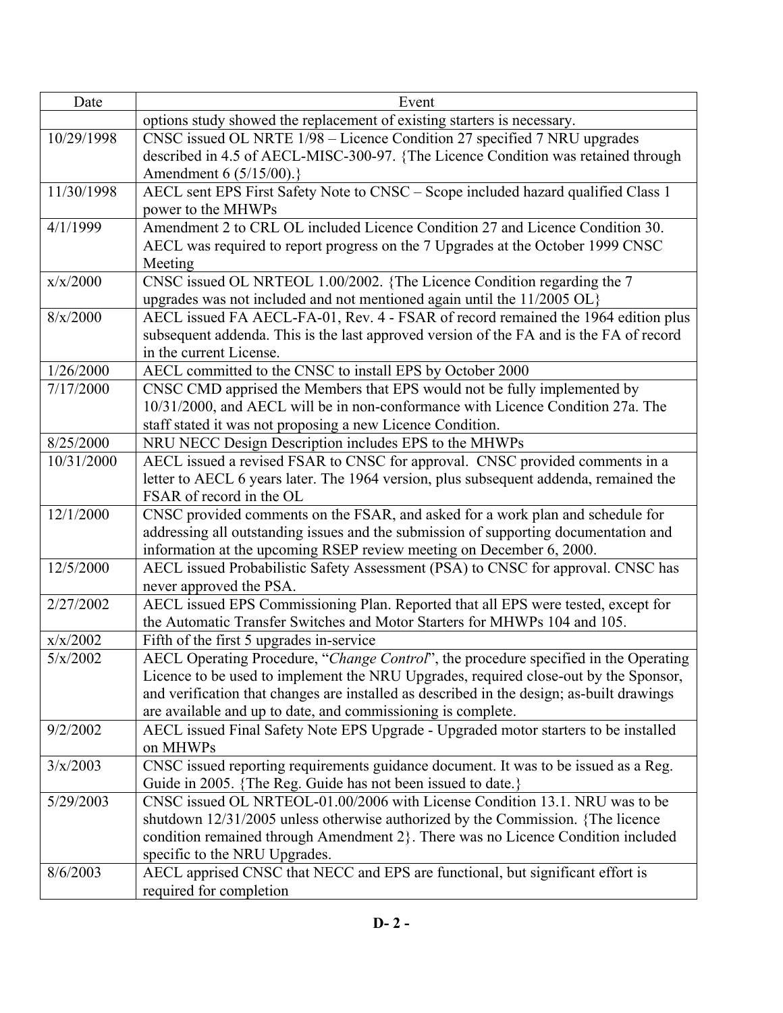| Date       | Event                                                                                                                                 |
|------------|---------------------------------------------------------------------------------------------------------------------------------------|
|            | options study showed the replacement of existing starters is necessary.                                                               |
| 10/29/1998 | CNSC issued OL NRTE 1/98 - Licence Condition 27 specified 7 NRU upgrades                                                              |
|            | described in 4.5 of AECL-MISC-300-97. {The Licence Condition was retained through                                                     |
|            | Amendment 6 (5/15/00).}                                                                                                               |
| 11/30/1998 | AECL sent EPS First Safety Note to CNSC - Scope included hazard qualified Class 1                                                     |
|            | power to the MHWPs                                                                                                                    |
| 4/1/1999   | Amendment 2 to CRL OL included Licence Condition 27 and Licence Condition 30.                                                         |
|            | AECL was required to report progress on the 7 Upgrades at the October 1999 CNSC                                                       |
|            | Meeting                                                                                                                               |
| x/x/2000   | CNSC issued OL NRTEOL 1.00/2002. {The Licence Condition regarding the 7                                                               |
|            | upgrades was not included and not mentioned again until the 11/2005 OL}                                                               |
| 8/x/2000   | AECL issued FA AECL-FA-01, Rev. 4 - FSAR of record remained the 1964 edition plus                                                     |
|            | subsequent addenda. This is the last approved version of the FA and is the FA of record                                               |
|            | in the current License.                                                                                                               |
| 1/26/2000  | AECL committed to the CNSC to install EPS by October 2000                                                                             |
| 7/17/2000  | CNSC CMD apprised the Members that EPS would not be fully implemented by                                                              |
|            | 10/31/2000, and AECL will be in non-conformance with Licence Condition 27a. The                                                       |
| 8/25/2000  | staff stated it was not proposing a new Licence Condition.                                                                            |
| 10/31/2000 | NRU NECC Design Description includes EPS to the MHWPs<br>AECL issued a revised FSAR to CNSC for approval. CNSC provided comments in a |
|            | letter to AECL 6 years later. The 1964 version, plus subsequent addenda, remained the                                                 |
|            | FSAR of record in the OL                                                                                                              |
| 12/1/2000  | CNSC provided comments on the FSAR, and asked for a work plan and schedule for                                                        |
|            | addressing all outstanding issues and the submission of supporting documentation and                                                  |
|            | information at the upcoming RSEP review meeting on December 6, 2000.                                                                  |
| 12/5/2000  | AECL issued Probabilistic Safety Assessment (PSA) to CNSC for approval. CNSC has                                                      |
|            | never approved the PSA.                                                                                                               |
| 2/27/2002  | AECL issued EPS Commissioning Plan. Reported that all EPS were tested, except for                                                     |
|            | the Automatic Transfer Switches and Motor Starters for MHWPs 104 and 105.                                                             |
| x/x/2002   | Fifth of the first 5 upgrades in-service                                                                                              |
| 5/x/2002   | AECL Operating Procedure, "Change Control", the procedure specified in the Operating                                                  |
|            | Licence to be used to implement the NRU Upgrades, required close-out by the Sponsor,                                                  |
|            | and verification that changes are installed as described in the design; as-built drawings                                             |
|            | are available and up to date, and commissioning is complete.                                                                          |
| 9/2/2002   | AECL issued Final Safety Note EPS Upgrade - Upgraded motor starters to be installed                                                   |
|            | on MHWPs                                                                                                                              |
| 3/x/2003   | CNSC issued reporting requirements guidance document. It was to be issued as a Reg.                                                   |
|            | Guide in 2005. {The Reg. Guide has not been issued to date.}                                                                          |
| 5/29/2003  | CNSC issued OL NRTEOL-01.00/2006 with License Condition 13.1. NRU was to be                                                           |
|            | shutdown 12/31/2005 unless otherwise authorized by the Commission. {The licence                                                       |
|            | condition remained through Amendment 2}. There was no Licence Condition included                                                      |
|            | specific to the NRU Upgrades.                                                                                                         |
| 8/6/2003   | AECL apprised CNSC that NECC and EPS are functional, but significant effort is                                                        |
|            | required for completion                                                                                                               |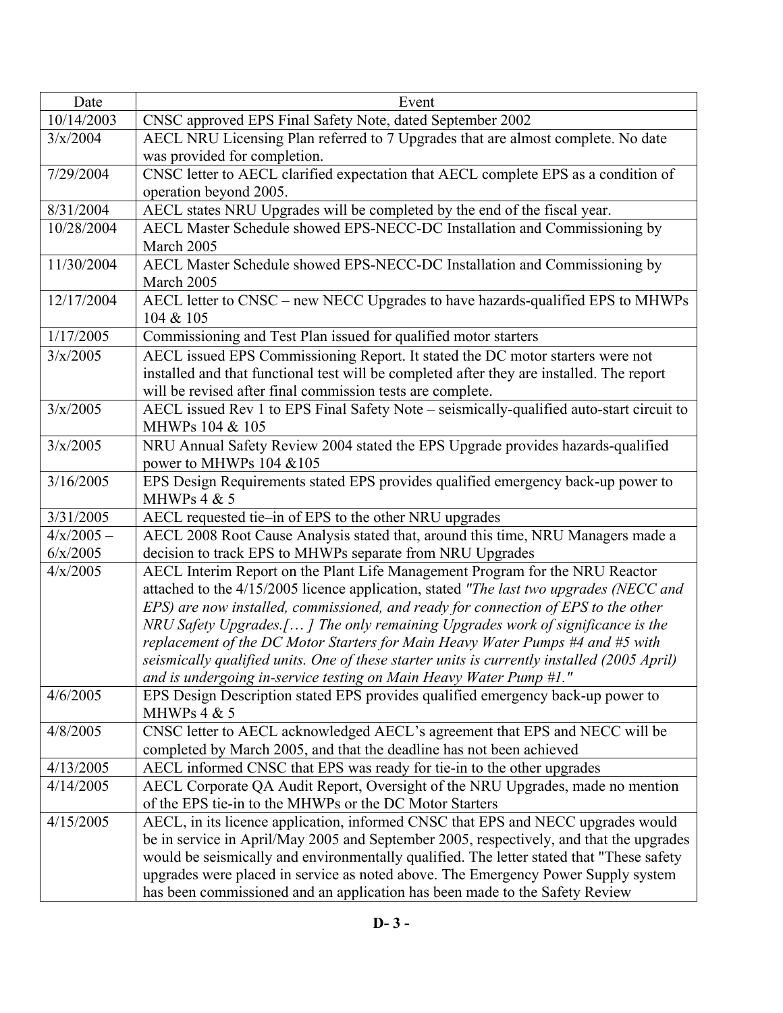| Date                   | Event                                                                                                                                                                               |
|------------------------|-------------------------------------------------------------------------------------------------------------------------------------------------------------------------------------|
| 10/14/2003             | CNSC approved EPS Final Safety Note, dated September 2002                                                                                                                           |
| 3/x/2004               | AECL NRU Licensing Plan referred to 7 Upgrades that are almost complete. No date                                                                                                    |
|                        | was provided for completion.                                                                                                                                                        |
| 7/29/2004              | CNSC letter to AECL clarified expectation that AECL complete EPS as a condition of                                                                                                  |
|                        | operation beyond 2005.                                                                                                                                                              |
| 8/31/2004              | AECL states NRU Upgrades will be completed by the end of the fiscal year.                                                                                                           |
| 10/28/2004             | AECL Master Schedule showed EPS-NECC-DC Installation and Commissioning by                                                                                                           |
|                        | March 2005                                                                                                                                                                          |
| 11/30/2004             | AECL Master Schedule showed EPS-NECC-DC Installation and Commissioning by                                                                                                           |
|                        | March 2005                                                                                                                                                                          |
| 12/17/2004             | AECL letter to CNSC – new NECC Upgrades to have hazards-qualified EPS to MHWPs                                                                                                      |
|                        | 104 & 105                                                                                                                                                                           |
| 1/17/2005              | Commissioning and Test Plan issued for qualified motor starters                                                                                                                     |
| 3/x/2005               | AECL issued EPS Commissioning Report. It stated the DC motor starters were not                                                                                                      |
|                        | installed and that functional test will be completed after they are installed. The report                                                                                           |
|                        | will be revised after final commission tests are complete.                                                                                                                          |
| 3/x/2005               | AECL issued Rev 1 to EPS Final Safety Note - seismically-qualified auto-start circuit to                                                                                            |
|                        | MHWPs 104 & 105                                                                                                                                                                     |
| 3/x/2005               | NRU Annual Safety Review 2004 stated the EPS Upgrade provides hazards-qualified                                                                                                     |
|                        | power to MHWPs 104 &105                                                                                                                                                             |
| 3/16/2005              | EPS Design Requirements stated EPS provides qualified emergency back-up power to                                                                                                    |
|                        | MHWPs $4 & 5$                                                                                                                                                                       |
| 3/31/2005              | AECL requested tie-in of EPS to the other NRU upgrades                                                                                                                              |
| $4/x/2005 -$           | AECL 2008 Root Cause Analysis stated that, around this time, NRU Managers made a                                                                                                    |
| 6/x/2005               | decision to track EPS to MHWPs separate from NRU Upgrades                                                                                                                           |
| 4/x/2005               | AECL Interim Report on the Plant Life Management Program for the NRU Reactor                                                                                                        |
|                        | attached to the 4/15/2005 licence application, stated "The last two upgrades (NECC and                                                                                              |
|                        | EPS) are now installed, commissioned, and ready for connection of EPS to the other                                                                                                  |
|                        | NRU Safety Upgrades.[] The only remaining Upgrades work of significance is the                                                                                                      |
|                        | replacement of the DC Motor Starters for Main Heavy Water Pumps #4 and #5 with                                                                                                      |
|                        | seismically qualified units. One of these starter units is currently installed (2005 April)                                                                                         |
|                        | and is undergoing in-service testing on Main Heavy Water Pump #1."                                                                                                                  |
| 4/6/2005               | EPS Design Description stated EPS provides qualified emergency back-up power to                                                                                                     |
|                        | MHWPs $4 & 5$                                                                                                                                                                       |
| 4/8/2005               | CNSC letter to AECL acknowledged AECL's agreement that EPS and NECC will be                                                                                                         |
|                        | completed by March 2005, and that the deadline has not been achieved                                                                                                                |
| 4/13/2005<br>4/14/2005 | AECL informed CNSC that EPS was ready for tie-in to the other upgrades                                                                                                              |
|                        | AECL Corporate QA Audit Report, Oversight of the NRU Upgrades, made no mention<br>of the EPS tie-in to the MHWPs or the DC Motor Starters                                           |
| 4/15/2005              |                                                                                                                                                                                     |
|                        | AECL, in its licence application, informed CNSC that EPS and NECC upgrades would                                                                                                    |
|                        | be in service in April/May 2005 and September 2005, respectively, and that the upgrades<br>would be seismically and environmentally qualified. The letter stated that "These safety |
|                        | upgrades were placed in service as noted above. The Emergency Power Supply system                                                                                                   |
|                        | has been commissioned and an application has been made to the Safety Review                                                                                                         |
|                        |                                                                                                                                                                                     |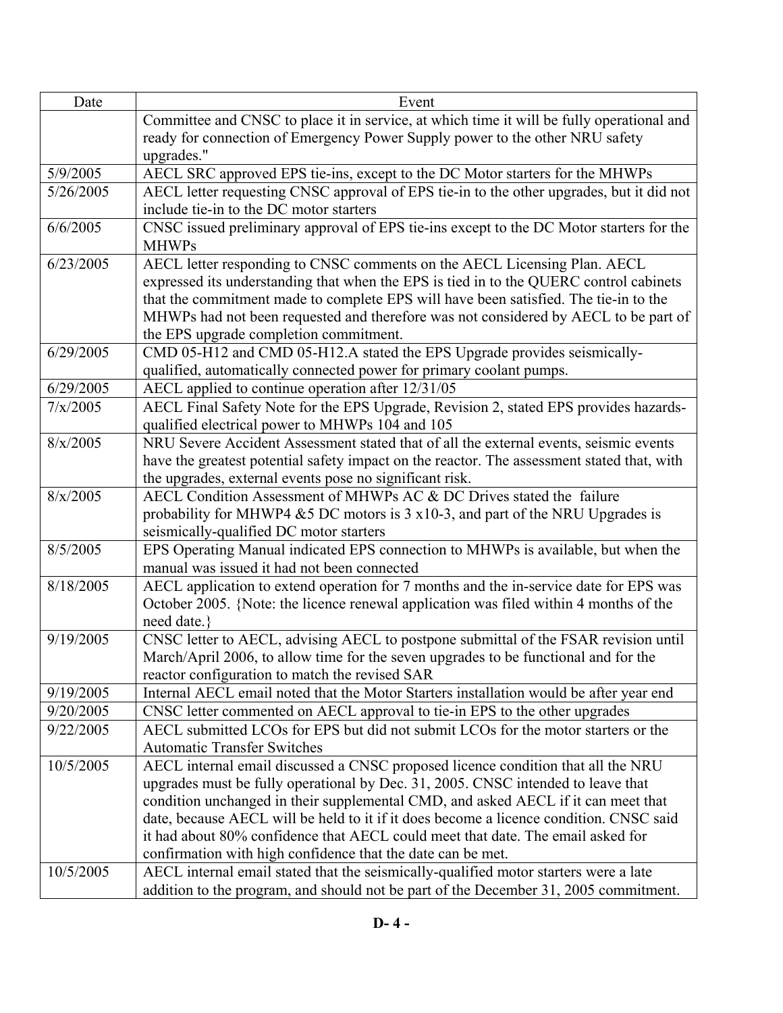| Date                   | Event                                                                                                                                                                       |
|------------------------|-----------------------------------------------------------------------------------------------------------------------------------------------------------------------------|
|                        | Committee and CNSC to place it in service, at which time it will be fully operational and                                                                                   |
|                        | ready for connection of Emergency Power Supply power to the other NRU safety                                                                                                |
|                        | upgrades."                                                                                                                                                                  |
| 5/9/2005               | AECL SRC approved EPS tie-ins, except to the DC Motor starters for the MHWPs                                                                                                |
| 5/26/2005              | AECL letter requesting CNSC approval of EPS tie-in to the other upgrades, but it did not                                                                                    |
|                        | include tie-in to the DC motor starters                                                                                                                                     |
| 6/6/2005               | CNSC issued preliminary approval of EPS tie-ins except to the DC Motor starters for the                                                                                     |
|                        | <b>MHWPs</b>                                                                                                                                                                |
| 6/23/2005              | AECL letter responding to CNSC comments on the AECL Licensing Plan. AECL                                                                                                    |
|                        | expressed its understanding that when the EPS is tied in to the QUERC control cabinets                                                                                      |
|                        | that the commitment made to complete EPS will have been satisfied. The tie-in to the                                                                                        |
|                        | MHWPs had not been requested and therefore was not considered by AECL to be part of                                                                                         |
|                        | the EPS upgrade completion commitment.                                                                                                                                      |
| 6/29/2005              | CMD 05-H12 and CMD 05-H12.A stated the EPS Upgrade provides seismically-                                                                                                    |
|                        | qualified, automatically connected power for primary coolant pumps.                                                                                                         |
| 6/29/2005              | AECL applied to continue operation after 12/31/05                                                                                                                           |
| 7/x/2005               | AECL Final Safety Note for the EPS Upgrade, Revision 2, stated EPS provides hazards-                                                                                        |
|                        | qualified electrical power to MHWPs 104 and 105                                                                                                                             |
| 8/x/2005               | NRU Severe Accident Assessment stated that of all the external events, seismic events                                                                                       |
|                        | have the greatest potential safety impact on the reactor. The assessment stated that, with                                                                                  |
|                        | the upgrades, external events pose no significant risk.                                                                                                                     |
| 8/x/2005               | AECL Condition Assessment of MHWPs AC & DC Drives stated the failure                                                                                                        |
|                        | probability for MHWP4 $&5$ DC motors is 3 x10-3, and part of the NRU Upgrades is                                                                                            |
|                        | seismically-qualified DC motor starters                                                                                                                                     |
| 8/5/2005               | EPS Operating Manual indicated EPS connection to MHWPs is available, but when the                                                                                           |
|                        | manual was issued it had not been connected                                                                                                                                 |
| 8/18/2005              | AECL application to extend operation for 7 months and the in-service date for EPS was                                                                                       |
|                        | October 2005. {Note: the licence renewal application was filed within 4 months of the                                                                                       |
|                        | need date.}                                                                                                                                                                 |
| 9/19/2005              | CNSC letter to AECL, advising AECL to postpone submittal of the FSAR revision until                                                                                         |
|                        | March/April 2006, to allow time for the seven upgrades to be functional and for the                                                                                         |
|                        | reactor configuration to match the revised SAR                                                                                                                              |
| 9/19/2005<br>9/20/2005 | Internal AECL email noted that the Motor Starters installation would be after year end                                                                                      |
| 9/22/2005              | CNSC letter commented on AECL approval to tie-in EPS to the other upgrades<br>AECL submitted LCOs for EPS but did not submit LCOs for the motor starters or the             |
|                        | <b>Automatic Transfer Switches</b>                                                                                                                                          |
| 10/5/2005              |                                                                                                                                                                             |
|                        | AECL internal email discussed a CNSC proposed licence condition that all the NRU<br>upgrades must be fully operational by Dec. 31, 2005. CNSC intended to leave that        |
|                        |                                                                                                                                                                             |
|                        | condition unchanged in their supplemental CMD, and asked AECL if it can meet that<br>date, because AECL will be held to it if it does become a licence condition. CNSC said |
|                        | it had about 80% confidence that AECL could meet that date. The email asked for                                                                                             |
|                        |                                                                                                                                                                             |
| 10/5/2005              | confirmation with high confidence that the date can be met.<br>AECL internal email stated that the seismically-qualified motor starters were a late                         |
|                        |                                                                                                                                                                             |
|                        | addition to the program, and should not be part of the December 31, 2005 commitment.                                                                                        |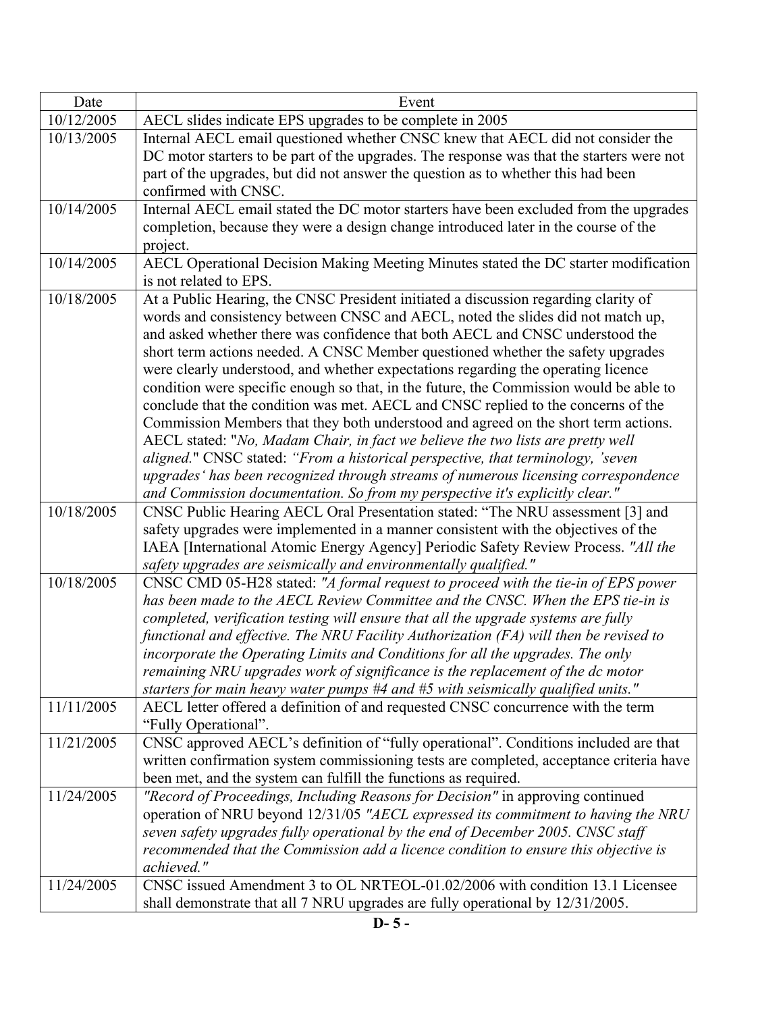| Date       | Event                                                                                                                                                                 |
|------------|-----------------------------------------------------------------------------------------------------------------------------------------------------------------------|
| 10/12/2005 | AECL slides indicate EPS upgrades to be complete in 2005                                                                                                              |
| 10/13/2005 | Internal AECL email questioned whether CNSC knew that AECL did not consider the                                                                                       |
|            | DC motor starters to be part of the upgrades. The response was that the starters were not                                                                             |
|            | part of the upgrades, but did not answer the question as to whether this had been                                                                                     |
|            | confirmed with CNSC.                                                                                                                                                  |
| 10/14/2005 | Internal AECL email stated the DC motor starters have been excluded from the upgrades                                                                                 |
|            | completion, because they were a design change introduced later in the course of the                                                                                   |
|            | project.                                                                                                                                                              |
| 10/14/2005 | AECL Operational Decision Making Meeting Minutes stated the DC starter modification                                                                                   |
|            | is not related to EPS.                                                                                                                                                |
| 10/18/2005 | At a Public Hearing, the CNSC President initiated a discussion regarding clarity of                                                                                   |
|            | words and consistency between CNSC and AECL, noted the slides did not match up,                                                                                       |
|            | and asked whether there was confidence that both AECL and CNSC understood the                                                                                         |
|            | short term actions needed. A CNSC Member questioned whether the safety upgrades                                                                                       |
|            | were clearly understood, and whether expectations regarding the operating licence                                                                                     |
|            | condition were specific enough so that, in the future, the Commission would be able to                                                                                |
|            | conclude that the condition was met. AECL and CNSC replied to the concerns of the                                                                                     |
|            | Commission Members that they both understood and agreed on the short term actions.                                                                                    |
|            | AECL stated: "No, Madam Chair, in fact we believe the two lists are pretty well                                                                                       |
|            | aligned." CNSC stated: "From a historical perspective, that terminology, 'seven<br>upgrades' has been recognized through streams of numerous licensing correspondence |
|            | and Commission documentation. So from my perspective it's explicitly clear."                                                                                          |
| 10/18/2005 | CNSC Public Hearing AECL Oral Presentation stated: "The NRU assessment [3] and                                                                                        |
|            | safety upgrades were implemented in a manner consistent with the objectives of the                                                                                    |
|            | IAEA [International Atomic Energy Agency] Periodic Safety Review Process. "All the                                                                                    |
|            | safety upgrades are seismically and environmentally qualified."                                                                                                       |
| 10/18/2005 | CNSC CMD 05-H28 stated: "A formal request to proceed with the tie-in of EPS power                                                                                     |
|            | has been made to the AECL Review Committee and the CNSC. When the EPS tie-in is                                                                                       |
|            | completed, verification testing will ensure that all the upgrade systems are fully                                                                                    |
|            | functional and effective. The NRU Facility Authorization (FA) will then be revised to                                                                                 |
|            | incorporate the Operating Limits and Conditions for all the upgrades. The only                                                                                        |
|            | remaining NRU upgrades work of significance is the replacement of the dc motor                                                                                        |
|            | starters for main heavy water pumps $#4$ and $#5$ with seismically qualified units."                                                                                  |
| 11/11/2005 | AECL letter offered a definition of and requested CNSC concurrence with the term                                                                                      |
|            | "Fully Operational".                                                                                                                                                  |
| 11/21/2005 | CNSC approved AECL's definition of "fully operational". Conditions included are that                                                                                  |
|            | written confirmation system commissioning tests are completed, acceptance criteria have                                                                               |
|            | been met, and the system can fulfill the functions as required.                                                                                                       |
| 11/24/2005 | "Record of Proceedings, Including Reasons for Decision" in approving continued                                                                                        |
|            | operation of NRU beyond 12/31/05 "AECL expressed its commitment to having the NRU                                                                                     |
|            | seven safety upgrades fully operational by the end of December 2005. CNSC staff                                                                                       |
|            | recommended that the Commission add a licence condition to ensure this objective is                                                                                   |
|            | achieved."                                                                                                                                                            |
| 11/24/2005 | CNSC issued Amendment 3 to OL NRTEOL-01.02/2006 with condition 13.1 Licensee                                                                                          |
|            | shall demonstrate that all 7 NRU upgrades are fully operational by 12/31/2005.                                                                                        |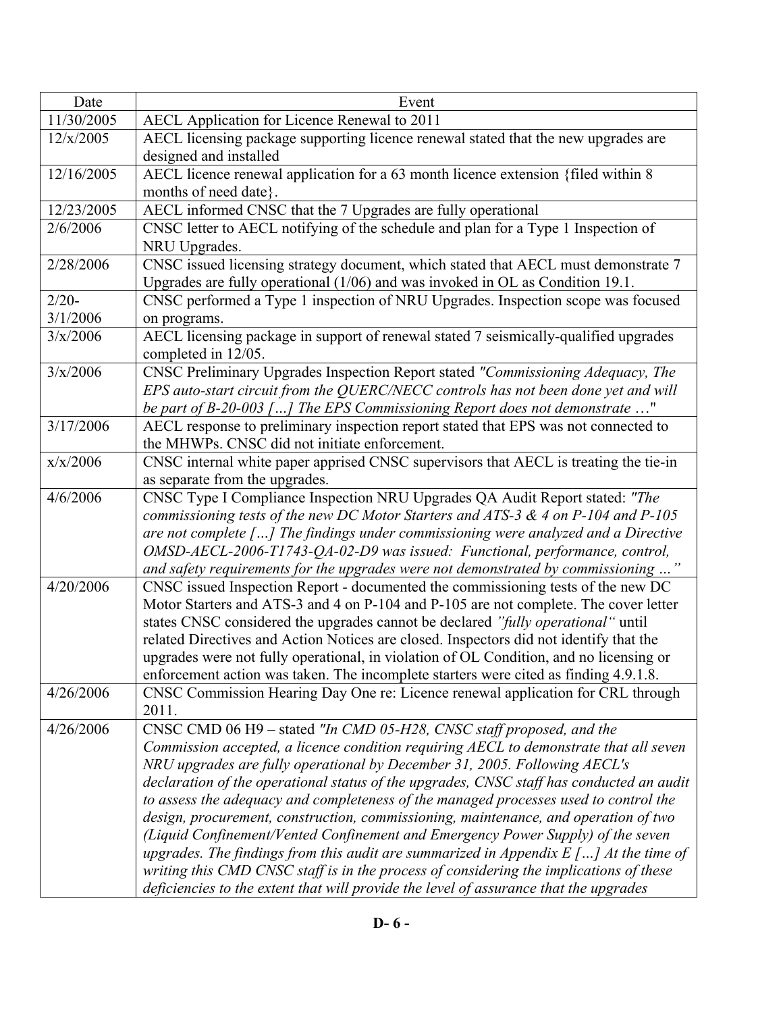| Date       | Event                                                                                                                                                                |
|------------|----------------------------------------------------------------------------------------------------------------------------------------------------------------------|
| 11/30/2005 | AECL Application for Licence Renewal to 2011                                                                                                                         |
| 12/x/2005  | AECL licensing package supporting licence renewal stated that the new upgrades are                                                                                   |
|            | designed and installed                                                                                                                                               |
| 12/16/2005 | AECL licence renewal application for a 63 month licence extension {filed within 8                                                                                    |
|            | months of need date }.                                                                                                                                               |
| 12/23/2005 | AECL informed CNSC that the 7 Upgrades are fully operational                                                                                                         |
| 2/6/2006   | CNSC letter to AECL notifying of the schedule and plan for a Type 1 Inspection of<br>NRU Upgrades.                                                                   |
| 2/28/2006  | CNSC issued licensing strategy document, which stated that AECL must demonstrate 7<br>Upgrades are fully operational (1/06) and was invoked in OL as Condition 19.1. |
| $2/20-$    | CNSC performed a Type 1 inspection of NRU Upgrades. Inspection scope was focused                                                                                     |
| 3/1/2006   | on programs.                                                                                                                                                         |
| 3/x/2006   | AECL licensing package in support of renewal stated 7 seismically-qualified upgrades<br>completed in 12/05.                                                          |
| 3/x/2006   | CNSC Preliminary Upgrades Inspection Report stated "Commissioning Adequacy, The                                                                                      |
|            | EPS auto-start circuit from the QUERC/NECC controls has not been done yet and will                                                                                   |
|            | be part of B-20-003 [] The EPS Commissioning Report does not demonstrate "                                                                                           |
| 3/17/2006  | AECL response to preliminary inspection report stated that EPS was not connected to                                                                                  |
|            | the MHWPs. CNSC did not initiate enforcement.                                                                                                                        |
| x/x/2006   | CNSC internal white paper apprised CNSC supervisors that AECL is treating the tie-in<br>as separate from the upgrades.                                               |
| 4/6/2006   | CNSC Type I Compliance Inspection NRU Upgrades QA Audit Report stated: "The                                                                                          |
|            | commissioning tests of the new DC Motor Starters and ATS-3 $\&$ 4 on P-104 and P-105                                                                                 |
|            | are not complete [] The findings under commissioning were analyzed and a Directive                                                                                   |
|            | OMSD-AECL-2006-T1743-QA-02-D9 was issued: Functional, performance, control,                                                                                          |
|            | and safety requirements for the upgrades were not demonstrated by commissioning "                                                                                    |
| 4/20/2006  | CNSC issued Inspection Report - documented the commissioning tests of the new DC                                                                                     |
|            | Motor Starters and ATS-3 and 4 on P-104 and P-105 are not complete. The cover letter                                                                                 |
|            | states CNSC considered the upgrades cannot be declared "fully operational" until                                                                                     |
|            | related Directives and Action Notices are closed. Inspectors did not identify that the                                                                               |
|            | upgrades were not fully operational, in violation of OL Condition, and no licensing or                                                                               |
|            | enforcement action was taken. The incomplete starters were cited as finding 4.9.1.8.                                                                                 |
| 4/26/2006  | CNSC Commission Hearing Day One re: Licence renewal application for CRL through                                                                                      |
|            | 2011.                                                                                                                                                                |
| 4/26/2006  | CNSC CMD 06 H9 – stated "In CMD 05-H28, CNSC staff proposed, and the                                                                                                 |
|            | Commission accepted, a licence condition requiring AECL to demonstrate that all seven<br>NRU upgrades are fully operational by December 31, 2005. Following AECL's   |
|            | declaration of the operational status of the upgrades, CNSC staff has conducted an audit                                                                             |
|            | to assess the adequacy and completeness of the managed processes used to control the                                                                                 |
|            | design, procurement, construction, commissioning, maintenance, and operation of two                                                                                  |
|            | (Liquid Confinement/Vented Confinement and Emergency Power Supply) of the seven                                                                                      |
|            | upgrades. The findings from this audit are summarized in Appendix $E$ [] At the time of                                                                              |
|            | writing this CMD CNSC staff is in the process of considering the implications of these                                                                               |
|            | deficiencies to the extent that will provide the level of assurance that the upgrades                                                                                |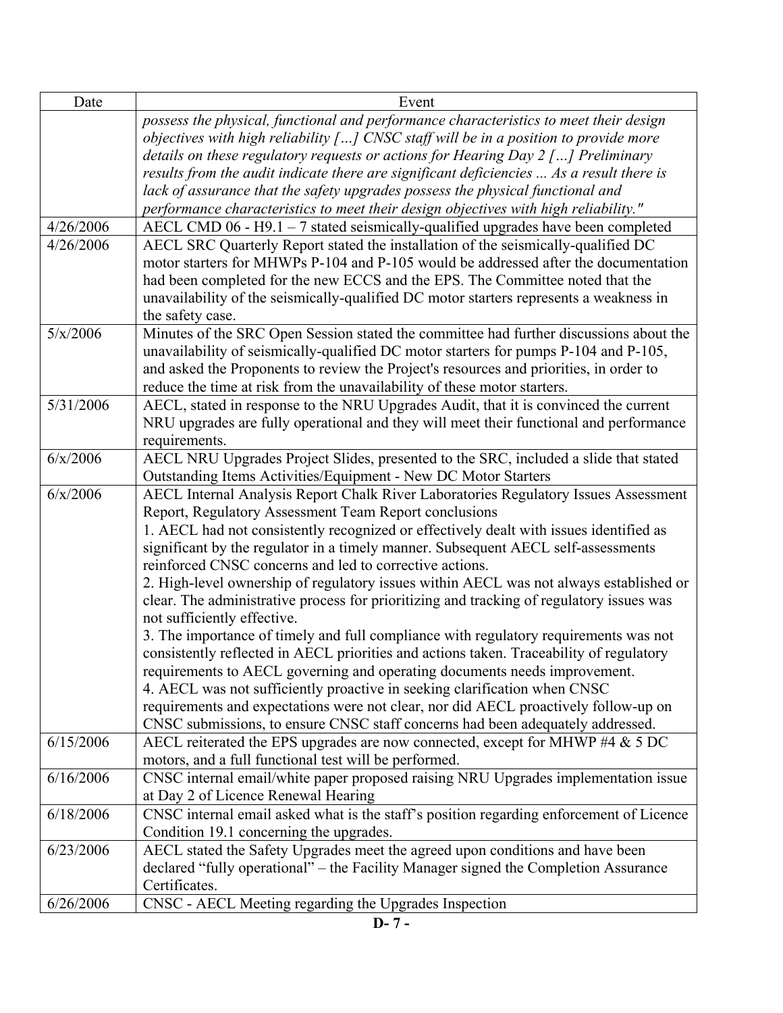| Date      | Event                                                                                                                                           |
|-----------|-------------------------------------------------------------------------------------------------------------------------------------------------|
|           | possess the physical, functional and performance characteristics to meet their design                                                           |
|           | objectives with high reliability $[]$ CNSC staff will be in a position to provide more                                                          |
|           | details on these regulatory requests or actions for Hearing Day $2$ [] Preliminary                                                              |
|           | results from the audit indicate there are significant deficiencies  As a result there is                                                        |
|           | lack of assurance that the safety upgrades possess the physical functional and                                                                  |
|           | performance characteristics to meet their design objectives with high reliability."                                                             |
| 4/26/2006 | AECL CMD $06 - H9.1 - 7$ stated seismically-qualified upgrades have been completed                                                              |
| 4/26/2006 | AECL SRC Quarterly Report stated the installation of the seismically-qualified DC                                                               |
|           | motor starters for MHWPs P-104 and P-105 would be addressed after the documentation                                                             |
|           | had been completed for the new ECCS and the EPS. The Committee noted that the                                                                   |
|           | unavailability of the seismically-qualified DC motor starters represents a weakness in                                                          |
|           | the safety case.                                                                                                                                |
| 5/x/2006  | Minutes of the SRC Open Session stated the committee had further discussions about the                                                          |
|           | unavailability of seismically-qualified DC motor starters for pumps P-104 and P-105,                                                            |
|           | and asked the Proponents to review the Project's resources and priorities, in order to                                                          |
|           | reduce the time at risk from the unavailability of these motor starters.                                                                        |
| 5/31/2006 | AECL, stated in response to the NRU Upgrades Audit, that it is convinced the current                                                            |
|           | NRU upgrades are fully operational and they will meet their functional and performance                                                          |
|           | requirements.                                                                                                                                   |
| 6/x/2006  | AECL NRU Upgrades Project Slides, presented to the SRC, included a slide that stated                                                            |
|           | Outstanding Items Activities/Equipment - New DC Motor Starters                                                                                  |
| 6/x/2006  | AECL Internal Analysis Report Chalk River Laboratories Regulatory Issues Assessment                                                             |
|           | Report, Regulatory Assessment Team Report conclusions<br>1. AECL had not consistently recognized or effectively dealt with issues identified as |
|           | significant by the regulator in a timely manner. Subsequent AECL self-assessments                                                               |
|           | reinforced CNSC concerns and led to corrective actions.                                                                                         |
|           | 2. High-level ownership of regulatory issues within AECL was not always established or                                                          |
|           | clear. The administrative process for prioritizing and tracking of regulatory issues was                                                        |
|           | not sufficiently effective.                                                                                                                     |
|           | 3. The importance of timely and full compliance with regulatory requirements was not                                                            |
|           | consistently reflected in AECL priorities and actions taken. Traceability of regulatory                                                         |
|           | requirements to AECL governing and operating documents needs improvement.                                                                       |
|           | 4. AECL was not sufficiently proactive in seeking clarification when CNSC                                                                       |
|           | requirements and expectations were not clear, nor did AECL proactively follow-up on                                                             |
|           | CNSC submissions, to ensure CNSC staff concerns had been adequately addressed.                                                                  |
| 6/15/2006 | AECL reiterated the EPS upgrades are now connected, except for MHWP #4 & 5 DC                                                                   |
|           | motors, and a full functional test will be performed.                                                                                           |
| 6/16/2006 | CNSC internal email/white paper proposed raising NRU Upgrades implementation issue                                                              |
|           | at Day 2 of Licence Renewal Hearing                                                                                                             |
| 6/18/2006 | CNSC internal email asked what is the staff's position regarding enforcement of Licence                                                         |
|           | Condition 19.1 concerning the upgrades.                                                                                                         |
| 6/23/2006 | AECL stated the Safety Upgrades meet the agreed upon conditions and have been                                                                   |
|           | declared "fully operational" – the Facility Manager signed the Completion Assurance                                                             |
|           | Certificates.                                                                                                                                   |
| 6/26/2006 | CNSC - AECL Meeting regarding the Upgrades Inspection                                                                                           |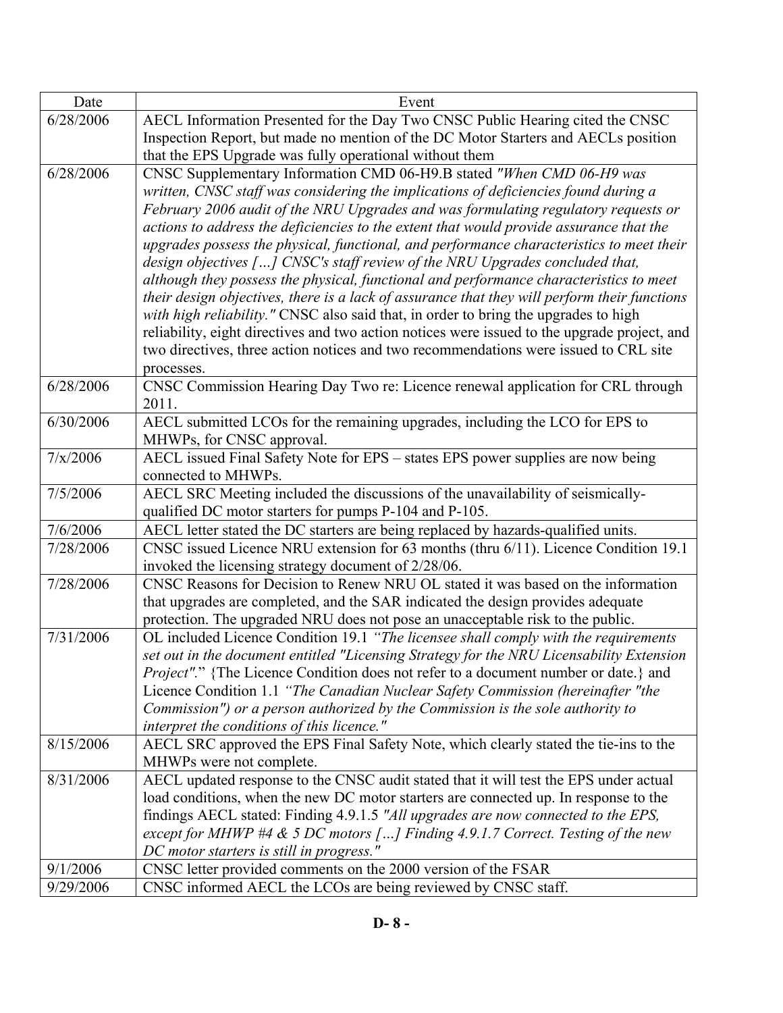| Date      | Event                                                                                                                                                                               |
|-----------|-------------------------------------------------------------------------------------------------------------------------------------------------------------------------------------|
| 6/28/2006 | AECL Information Presented for the Day Two CNSC Public Hearing cited the CNSC                                                                                                       |
|           | Inspection Report, but made no mention of the DC Motor Starters and AECLs position                                                                                                  |
|           | that the EPS Upgrade was fully operational without them                                                                                                                             |
| 6/28/2006 | CNSC Supplementary Information CMD 06-H9.B stated "When CMD 06-H9 was                                                                                                               |
|           | written, CNSC staff was considering the implications of deficiencies found during a                                                                                                 |
|           | February 2006 audit of the NRU Upgrades and was formulating regulatory requests or                                                                                                  |
|           | actions to address the deficiencies to the extent that would provide assurance that the                                                                                             |
|           | upgrades possess the physical, functional, and performance characteristics to meet their                                                                                            |
|           | design objectives [] CNSC's staff review of the NRU Upgrades concluded that,                                                                                                        |
|           | although they possess the physical, functional and performance characteristics to meet                                                                                              |
|           | their design objectives, there is a lack of assurance that they will perform their functions<br>with high reliability." CNSC also said that, in order to bring the upgrades to high |
|           | reliability, eight directives and two action notices were issued to the upgrade project, and                                                                                        |
|           | two directives, three action notices and two recommendations were issued to CRL site                                                                                                |
|           | processes.                                                                                                                                                                          |
| 6/28/2006 | CNSC Commission Hearing Day Two re: Licence renewal application for CRL through                                                                                                     |
|           | 2011.                                                                                                                                                                               |
| 6/30/2006 | AECL submitted LCOs for the remaining upgrades, including the LCO for EPS to                                                                                                        |
|           | MHWPs, for CNSC approval.                                                                                                                                                           |
| 7/x/2006  | AECL issued Final Safety Note for EPS - states EPS power supplies are now being                                                                                                     |
|           | connected to MHWPs.                                                                                                                                                                 |
| 7/5/2006  | AECL SRC Meeting included the discussions of the unavailability of seismically-                                                                                                     |
|           | qualified DC motor starters for pumps P-104 and P-105.                                                                                                                              |
| 7/6/2006  | AECL letter stated the DC starters are being replaced by hazards-qualified units.                                                                                                   |
| 7/28/2006 | CNSC issued Licence NRU extension for 63 months (thru 6/11). Licence Condition 19.1                                                                                                 |
|           | invoked the licensing strategy document of 2/28/06.                                                                                                                                 |
| 7/28/2006 | CNSC Reasons for Decision to Renew NRU OL stated it was based on the information                                                                                                    |
|           | that upgrades are completed, and the SAR indicated the design provides adequate                                                                                                     |
|           | protection. The upgraded NRU does not pose an unacceptable risk to the public.                                                                                                      |
| 7/31/2006 | OL included Licence Condition 19.1 "The licensee shall comply with the requirements                                                                                                 |
|           | set out in the document entitled "Licensing Strategy for the NRU Licensability Extension                                                                                            |
|           | <i>Project".</i> " {The Licence Condition does not refer to a document number or date.} and<br>Licence Condition 1.1 "The Canadian Nuclear Safety Commission (hereinafter "the      |
|           | Commission") or a person authorized by the Commission is the sole authority to                                                                                                      |
|           | interpret the conditions of this licence."                                                                                                                                          |
| 8/15/2006 | AECL SRC approved the EPS Final Safety Note, which clearly stated the tie-ins to the                                                                                                |
|           | MHWPs were not complete.                                                                                                                                                            |
| 8/31/2006 | AECL updated response to the CNSC audit stated that it will test the EPS under actual                                                                                               |
|           | load conditions, when the new DC motor starters are connected up. In response to the                                                                                                |
|           | findings AECL stated: Finding 4.9.1.5 "All upgrades are now connected to the EPS,                                                                                                   |
|           | except for MHWP #4 & 5 DC motors [] Finding 4.9.1.7 Correct. Testing of the new                                                                                                     |
|           | DC motor starters is still in progress."                                                                                                                                            |
| 9/1/2006  | CNSC letter provided comments on the 2000 version of the FSAR                                                                                                                       |
| 9/29/2006 | CNSC informed AECL the LCOs are being reviewed by CNSC staff.                                                                                                                       |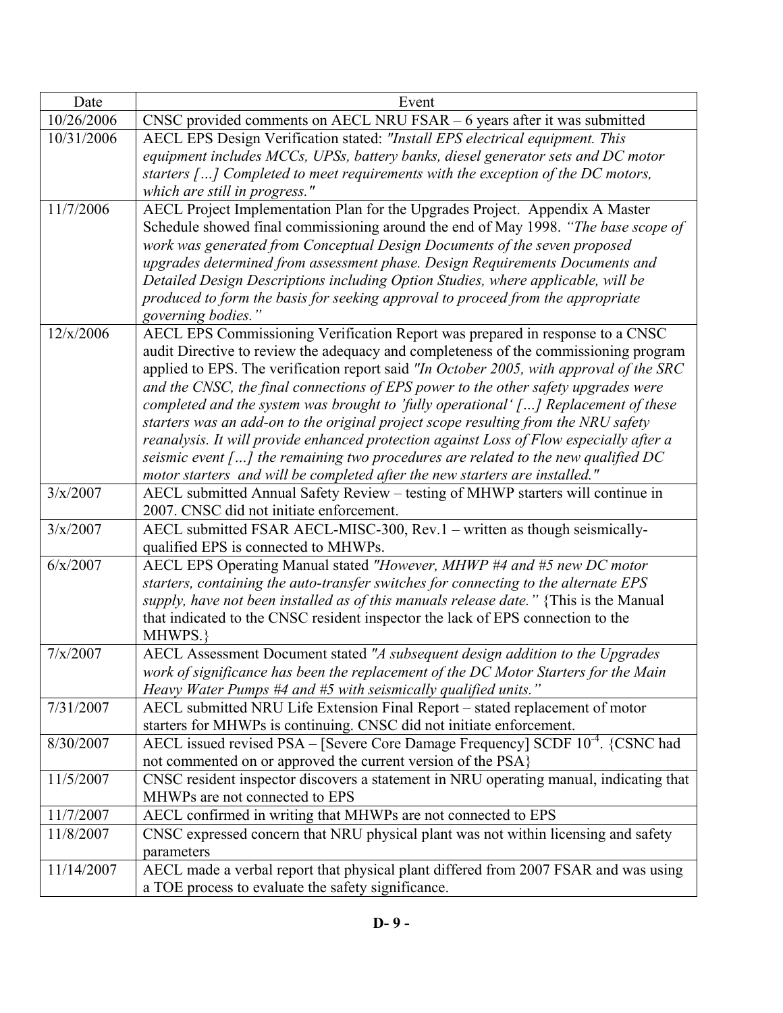| Date       | Event                                                                                                                                                                        |
|------------|------------------------------------------------------------------------------------------------------------------------------------------------------------------------------|
| 10/26/2006 | CNSC provided comments on AECL NRU FSAR $-6$ years after it was submitted                                                                                                    |
| 10/31/2006 | AECL EPS Design Verification stated: "Install EPS electrical equipment. This                                                                                                 |
|            | equipment includes MCCs, UPSs, battery banks, diesel generator sets and DC motor                                                                                             |
|            | starters $[]$ Completed to meet requirements with the exception of the DC motors,                                                                                            |
|            | which are still in progress."                                                                                                                                                |
| 11/7/2006  | AECL Project Implementation Plan for the Upgrades Project. Appendix A Master                                                                                                 |
|            | Schedule showed final commissioning around the end of May 1998. "The base scope of                                                                                           |
|            | work was generated from Conceptual Design Documents of the seven proposed                                                                                                    |
|            | upgrades determined from assessment phase. Design Requirements Documents and                                                                                                 |
|            | Detailed Design Descriptions including Option Studies, where applicable, will be                                                                                             |
|            | produced to form the basis for seeking approval to proceed from the appropriate                                                                                              |
|            | governing bodies."                                                                                                                                                           |
| 12/x/2006  | AECL EPS Commissioning Verification Report was prepared in response to a CNSC                                                                                                |
|            | audit Directive to review the adequacy and completeness of the commissioning program                                                                                         |
|            | applied to EPS. The verification report said "In October 2005, with approval of the SRC                                                                                      |
|            | and the CNSC, the final connections of EPS power to the other safety upgrades were                                                                                           |
|            | completed and the system was brought to 'fully operational' [] Replacement of these                                                                                          |
|            | starters was an add-on to the original project scope resulting from the NRU safety                                                                                           |
|            | reanalysis. It will provide enhanced protection against Loss of Flow especially after a                                                                                      |
|            | seismic event $\lceil  \rceil$ the remaining two procedures are related to the new qualified DC                                                                              |
|            | motor starters and will be completed after the new starters are installed."                                                                                                  |
| 3/x/2007   | AECL submitted Annual Safety Review - testing of MHWP starters will continue in                                                                                              |
|            | 2007. CNSC did not initiate enforcement.                                                                                                                                     |
| 3/x/2007   | AECL submitted FSAR AECL-MISC-300, Rev.1 - written as though seismically-                                                                                                    |
|            | qualified EPS is connected to MHWPs.                                                                                                                                         |
| 6/x/2007   | AECL EPS Operating Manual stated "However, MHWP #4 and #5 new DC motor                                                                                                       |
|            | starters, containing the auto-transfer switches for connecting to the alternate EPS<br>supply, have not been installed as of this manuals release date." {This is the Manual |
|            | that indicated to the CNSC resident inspector the lack of EPS connection to the                                                                                              |
|            | MHWPS.}                                                                                                                                                                      |
| 7/x/2007   | AECL Assessment Document stated "A subsequent design addition to the Upgrades                                                                                                |
|            | work of significance has been the replacement of the DC Motor Starters for the Main                                                                                          |
|            | Heavy Water Pumps #4 and #5 with seismically qualified units."                                                                                                               |
| 7/31/2007  | AECL submitted NRU Life Extension Final Report - stated replacement of motor                                                                                                 |
|            | starters for MHWPs is continuing. CNSC did not initiate enforcement.                                                                                                         |
| 8/30/2007  | AECL issued revised PSA – [Severe Core Damage Frequency] SCDF 10 <sup>-4</sup> . {CSNC had                                                                                   |
|            | not commented on or approved the current version of the PSA}                                                                                                                 |
| 11/5/2007  | CNSC resident inspector discovers a statement in NRU operating manual, indicating that                                                                                       |
|            | MHWPs are not connected to EPS                                                                                                                                               |
| 11/7/2007  | AECL confirmed in writing that MHWPs are not connected to EPS                                                                                                                |
| 11/8/2007  | CNSC expressed concern that NRU physical plant was not within licensing and safety                                                                                           |
|            | parameters                                                                                                                                                                   |
| 11/14/2007 | AECL made a verbal report that physical plant differed from 2007 FSAR and was using                                                                                          |
|            | a TOE process to evaluate the safety significance.                                                                                                                           |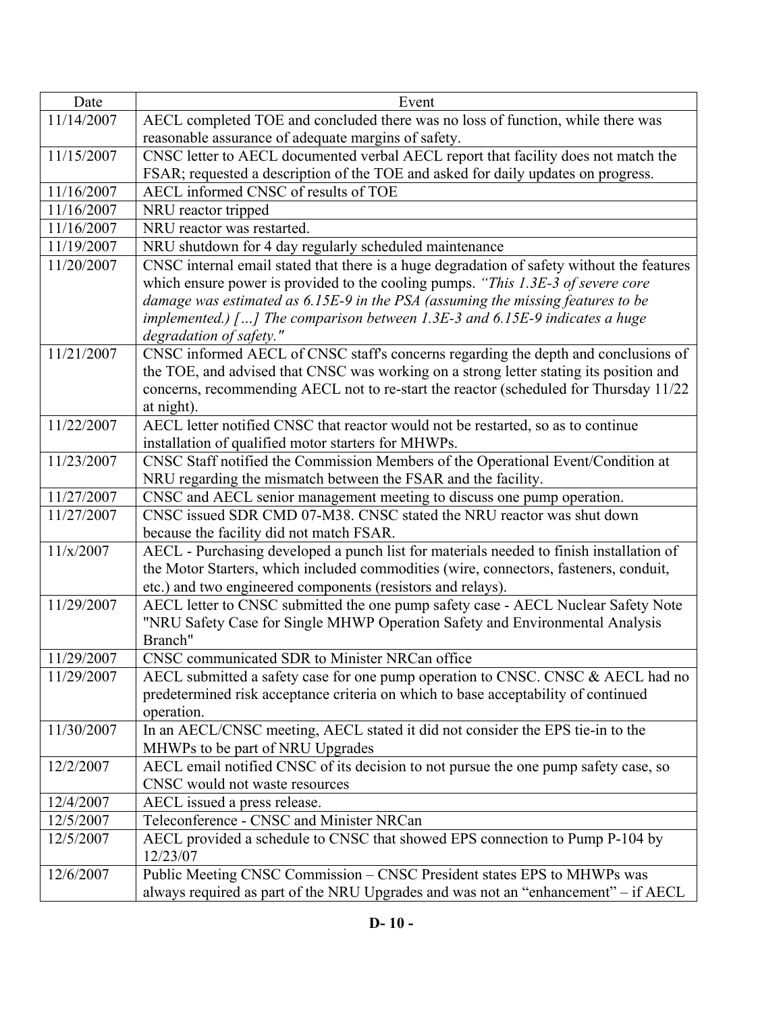| Date       | Event                                                                                      |
|------------|--------------------------------------------------------------------------------------------|
| 11/14/2007 | AECL completed TOE and concluded there was no loss of function, while there was            |
|            | reasonable assurance of adequate margins of safety.                                        |
| 11/15/2007 | CNSC letter to AECL documented verbal AECL report that facility does not match the         |
|            | FSAR; requested a description of the TOE and asked for daily updates on progress.          |
| 11/16/2007 | AECL informed CNSC of results of TOE                                                       |
| 11/16/2007 | NRU reactor tripped                                                                        |
| 11/16/2007 | NRU reactor was restarted.                                                                 |
| 11/19/2007 | NRU shutdown for 4 day regularly scheduled maintenance                                     |
| 11/20/2007 | CNSC internal email stated that there is a huge degradation of safety without the features |
|            | which ensure power is provided to the cooling pumps. "This 1.3E-3 of severe core           |
|            | damage was estimated as 6.15E-9 in the PSA (assuming the missing features to be            |
|            | implemented.) [] The comparison between 1.3E-3 and $6.15E-9$ indicates a huge              |
|            | degradation of safety."                                                                    |
| 11/21/2007 | CNSC informed AECL of CNSC staff's concerns regarding the depth and conclusions of         |
|            | the TOE, and advised that CNSC was working on a strong letter stating its position and     |
|            | concerns, recommending AECL not to re-start the reactor (scheduled for Thursday 11/22      |
|            | at night).                                                                                 |
| 11/22/2007 | AECL letter notified CNSC that reactor would not be restarted, so as to continue           |
|            | installation of qualified motor starters for MHWPs.                                        |
| 11/23/2007 | CNSC Staff notified the Commission Members of the Operational Event/Condition at           |
|            | NRU regarding the mismatch between the FSAR and the facility.                              |
| 11/27/2007 | CNSC and AECL senior management meeting to discuss one pump operation.                     |
| 11/27/2007 | CNSC issued SDR CMD 07-M38. CNSC stated the NRU reactor was shut down                      |
|            | because the facility did not match FSAR.                                                   |
| 11/x/2007  | AECL - Purchasing developed a punch list for materials needed to finish installation of    |
|            | the Motor Starters, which included commodities (wire, connectors, fasteners, conduit,      |
|            | etc.) and two engineered components (resistors and relays).                                |
| 11/29/2007 | AECL letter to CNSC submitted the one pump safety case - AECL Nuclear Safety Note          |
|            | "NRU Safety Case for Single MHWP Operation Safety and Environmental Analysis               |
|            | Branch"                                                                                    |
| 11/29/2007 | CNSC communicated SDR to Minister NRCan office                                             |
| 11/29/2007 | AECL submitted a safety case for one pump operation to CNSC. CNSC & AECL had no            |
|            | predetermined risk acceptance criteria on which to base acceptability of continued         |
|            | operation.                                                                                 |
| 11/30/2007 | In an AECL/CNSC meeting, AECL stated it did not consider the EPS tie-in to the             |
|            | MHWPs to be part of NRU Upgrades                                                           |
| 12/2/2007  | AECL email notified CNSC of its decision to not pursue the one pump safety case, so        |
|            | CNSC would not waste resources                                                             |
| 12/4/2007  | AECL issued a press release.                                                               |
| 12/5/2007  | Teleconference - CNSC and Minister NRCan                                                   |
| 12/5/2007  | AECL provided a schedule to CNSC that showed EPS connection to Pump P-104 by               |
|            | 12/23/07                                                                                   |
| 12/6/2007  | Public Meeting CNSC Commission – CNSC President states EPS to MHWPs was                    |
|            | always required as part of the NRU Upgrades and was not an "enhancement" - if AECL         |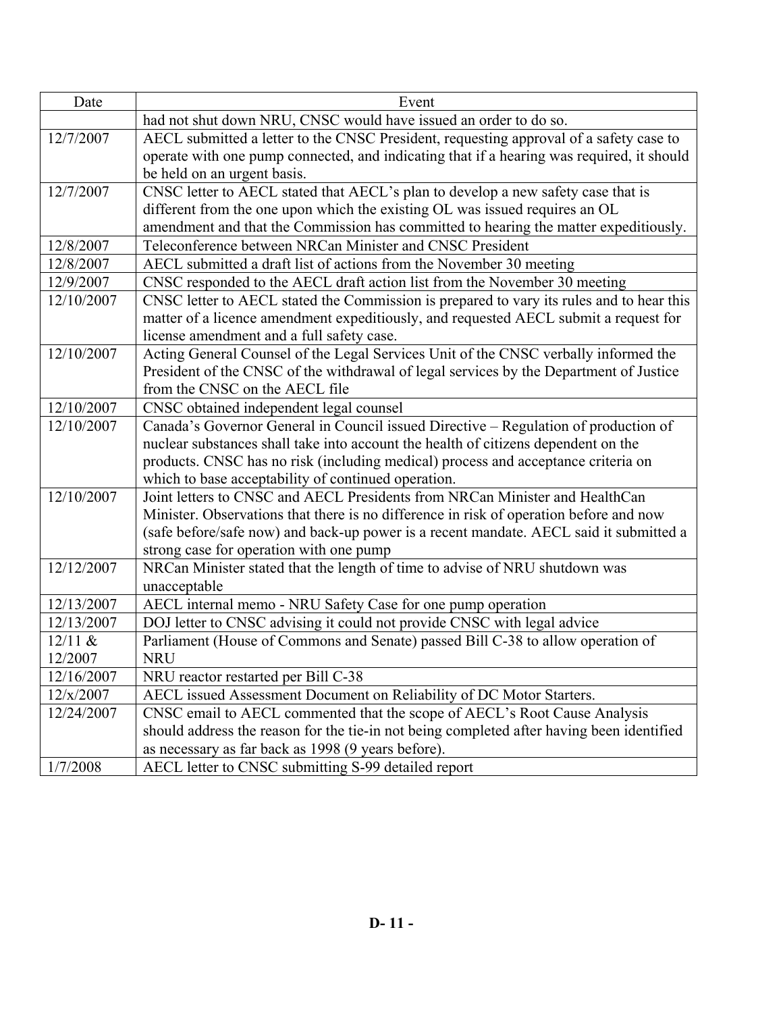| Date       | Event                                                                                     |
|------------|-------------------------------------------------------------------------------------------|
|            | had not shut down NRU, CNSC would have issued an order to do so.                          |
| 12/7/2007  | AECL submitted a letter to the CNSC President, requesting approval of a safety case to    |
|            | operate with one pump connected, and indicating that if a hearing was required, it should |
|            | be held on an urgent basis.                                                               |
| 12/7/2007  | CNSC letter to AECL stated that AECL's plan to develop a new safety case that is          |
|            | different from the one upon which the existing OL was issued requires an OL               |
|            | amendment and that the Commission has committed to hearing the matter expeditiously.      |
| 12/8/2007  | Teleconference between NRCan Minister and CNSC President                                  |
| 12/8/2007  | AECL submitted a draft list of actions from the November 30 meeting                       |
| 12/9/2007  | CNSC responded to the AECL draft action list from the November 30 meeting                 |
| 12/10/2007 | CNSC letter to AECL stated the Commission is prepared to vary its rules and to hear this  |
|            | matter of a licence amendment expeditiously, and requested AECL submit a request for      |
|            | license amendment and a full safety case.                                                 |
| 12/10/2007 | Acting General Counsel of the Legal Services Unit of the CNSC verbally informed the       |
|            | President of the CNSC of the withdrawal of legal services by the Department of Justice    |
|            | from the CNSC on the AECL file                                                            |
| 12/10/2007 | CNSC obtained independent legal counsel                                                   |
| 12/10/2007 | Canada's Governor General in Council issued Directive - Regulation of production of       |
|            | nuclear substances shall take into account the health of citizens dependent on the        |
|            | products. CNSC has no risk (including medical) process and acceptance criteria on         |
|            | which to base acceptability of continued operation.                                       |
| 12/10/2007 | Joint letters to CNSC and AECL Presidents from NRCan Minister and HealthCan               |
|            | Minister. Observations that there is no difference in risk of operation before and now    |
|            | (safe before/safe now) and back-up power is a recent mandate. AECL said it submitted a    |
|            | strong case for operation with one pump                                                   |
| 12/12/2007 | NRCan Minister stated that the length of time to advise of NRU shutdown was               |
|            | unacceptable                                                                              |
| 12/13/2007 | AECL internal memo - NRU Safety Case for one pump operation                               |
| 12/13/2007 | DOJ letter to CNSC advising it could not provide CNSC with legal advice                   |
| 12/11 &    | Parliament (House of Commons and Senate) passed Bill C-38 to allow operation of           |
| 12/2007    | <b>NRU</b>                                                                                |
| 12/16/2007 | NRU reactor restarted per Bill C-38                                                       |
| 12/x/2007  | AECL issued Assessment Document on Reliability of DC Motor Starters.                      |
| 12/24/2007 | CNSC email to AECL commented that the scope of AECL's Root Cause Analysis                 |
|            | should address the reason for the tie-in not being completed after having been identified |
|            | as necessary as far back as 1998 (9 years before).                                        |
| 1/7/2008   | AECL letter to CNSC submitting S-99 detailed report                                       |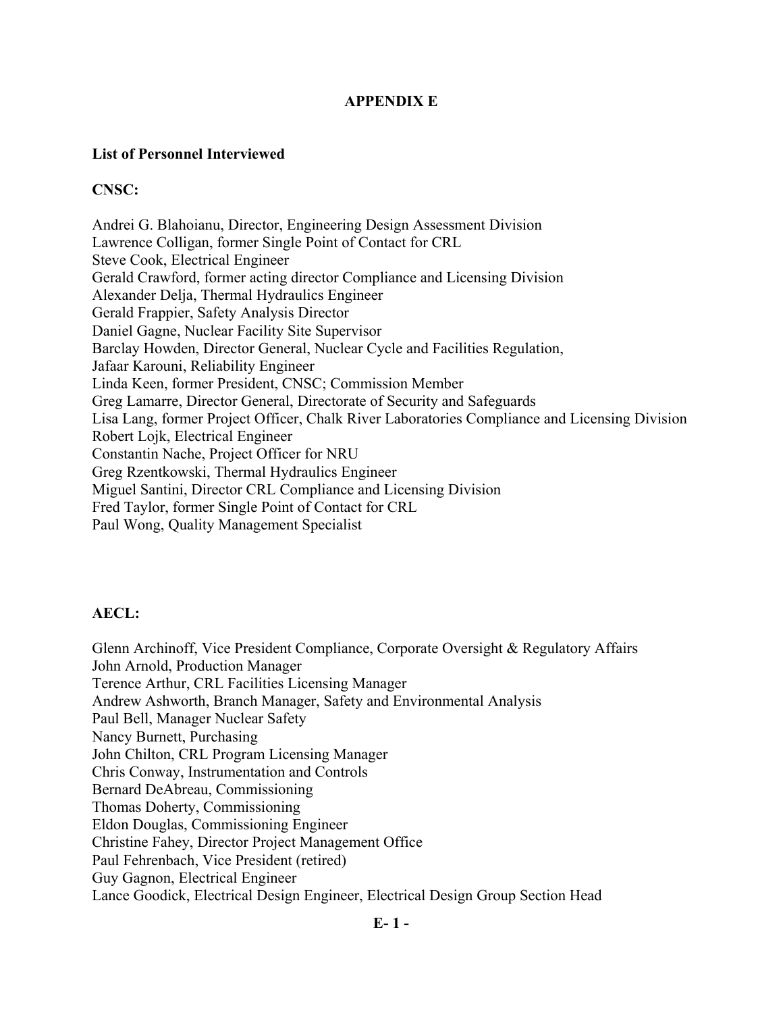## **APPENDIX E**

### **List of Personnel Interviewed**

## **CNSC:**

Andrei G. Blahoianu, Director, Engineering Design Assessment Division Lawrence Colligan, former Single Point of Contact for CRL Steve Cook, Electrical Engineer Gerald Crawford, former acting director Compliance and Licensing Division Alexander Delja, Thermal Hydraulics Engineer Gerald Frappier, Safety Analysis Director Daniel Gagne, Nuclear Facility Site Supervisor Barclay Howden, Director General, Nuclear Cycle and Facilities Regulation, Jafaar Karouni, Reliability Engineer Linda Keen, former President, CNSC; Commission Member Greg Lamarre, Director General, Directorate of Security and Safeguards Lisa Lang, former Project Officer, Chalk River Laboratories Compliance and Licensing Division Robert Lojk, Electrical Engineer Constantin Nache, Project Officer for NRU Greg Rzentkowski, Thermal Hydraulics Engineer Miguel Santini, Director CRL Compliance and Licensing Division Fred Taylor, former Single Point of Contact for CRL Paul Wong, Quality Management Specialist

## **AECL:**

Glenn Archinoff, Vice President Compliance, Corporate Oversight & Regulatory Affairs John Arnold, Production Manager Terence Arthur, CRL Facilities Licensing Manager Andrew Ashworth, Branch Manager, Safety and Environmental Analysis Paul Bell, Manager Nuclear Safety Nancy Burnett, Purchasing John Chilton, CRL Program Licensing Manager Chris Conway, Instrumentation and Controls Bernard DeAbreau, Commissioning Thomas Doherty, Commissioning Eldon Douglas, Commissioning Engineer Christine Fahey, Director Project Management Office Paul Fehrenbach, Vice President (retired) Guy Gagnon, Electrical Engineer Lance Goodick, Electrical Design Engineer, Electrical Design Group Section Head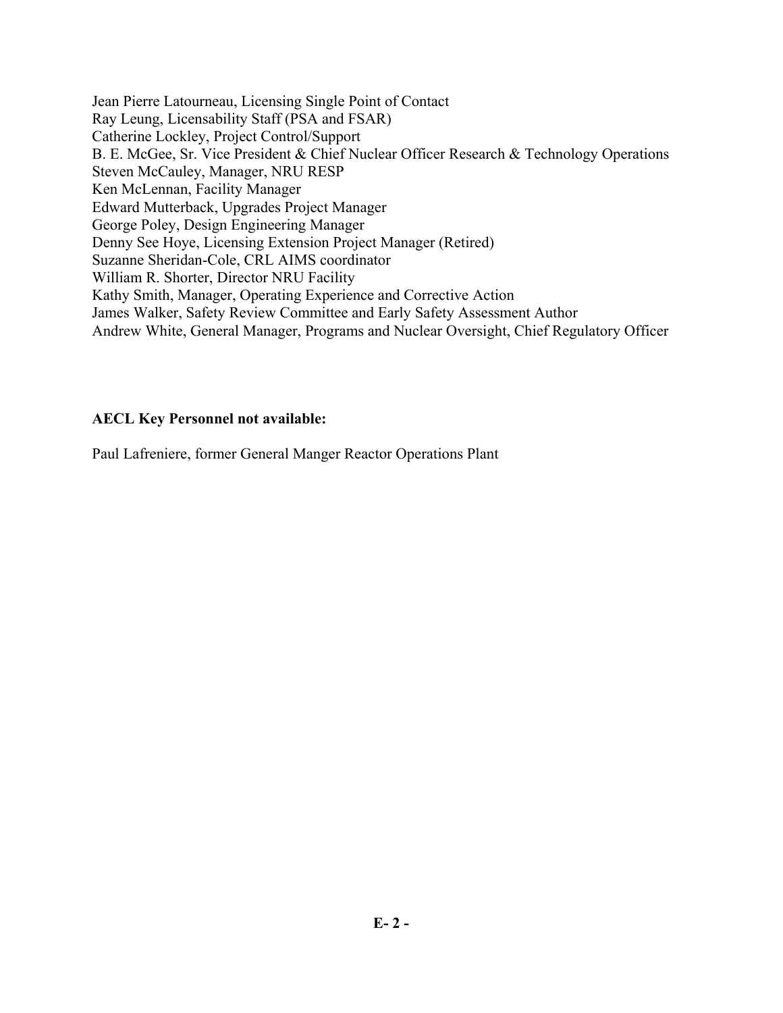Jean Pierre Latourneau, Licensing Single Point of Contact Ray Leung, Licensability Staff (PSA and FSAR) Catherine Lockley, Project Control/Support B. E. McGee, Sr. Vice President & Chief Nuclear Officer Research & Technology Operations Steven McCauley, Manager, NRU RESP Ken McLennan, Facility Manager Edward Mutterback, Upgrades Project Manager George Poley, Design Engineering Manager Denny See Hoye, Licensing Extension Project Manager (Retired) Suzanne Sheridan-Cole, CRL AIMS coordinator William R. Shorter, Director NRU Facility Kathy Smith, Manager, Operating Experience and Corrective Action James Walker, Safety Review Committee and Early Safety Assessment Author Andrew White, General Manager, Programs and Nuclear Oversight, Chief Regulatory Officer

## **AECL Key Personnel not available:**

Paul Lafreniere, former General Manger Reactor Operations Plant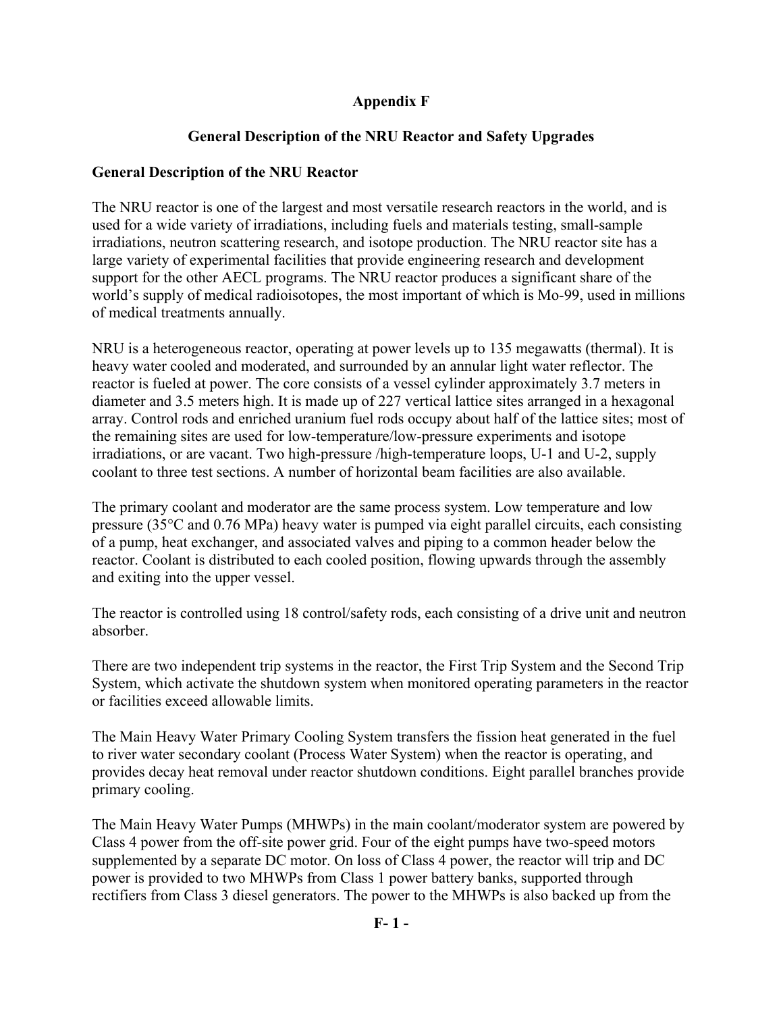## **Appendix F**

# **General Description of the NRU Reactor and Safety Upgrades**

## **General Description of the NRU Reactor**

The NRU reactor is one of the largest and most versatile research reactors in the world, and is used for a wide variety of irradiations, including fuels and materials testing, small-sample irradiations, neutron scattering research, and isotope production. The NRU reactor site has a large variety of experimental facilities that provide engineering research and development support for the other AECL programs. The NRU reactor produces a significant share of the world's supply of medical radioisotopes, the most important of which is Mo-99, used in millions of medical treatments annually.

NRU is a heterogeneous reactor, operating at power levels up to 135 megawatts (thermal). It is heavy water cooled and moderated, and surrounded by an annular light water reflector. The reactor is fueled at power. The core consists of a vessel cylinder approximately 3.7 meters in diameter and 3.5 meters high. It is made up of 227 vertical lattice sites arranged in a hexagonal array. Control rods and enriched uranium fuel rods occupy about half of the lattice sites; most of the remaining sites are used for low-temperature/low-pressure experiments and isotope irradiations, or are vacant. Two high-pressure /high-temperature loops, U-1 and U-2, supply coolant to three test sections. A number of horizontal beam facilities are also available.

The primary coolant and moderator are the same process system. Low temperature and low pressure (35°C and 0.76 MPa) heavy water is pumped via eight parallel circuits, each consisting of a pump, heat exchanger, and associated valves and piping to a common header below the reactor. Coolant is distributed to each cooled position, flowing upwards through the assembly and exiting into the upper vessel.

The reactor is controlled using 18 control/safety rods, each consisting of a drive unit and neutron absorber.

There are two independent trip systems in the reactor, the First Trip System and the Second Trip System, which activate the shutdown system when monitored operating parameters in the reactor or facilities exceed allowable limits.

The Main Heavy Water Primary Cooling System transfers the fission heat generated in the fuel to river water secondary coolant (Process Water System) when the reactor is operating, and provides decay heat removal under reactor shutdown conditions. Eight parallel branches provide primary cooling.

The Main Heavy Water Pumps (MHWPs) in the main coolant/moderator system are powered by Class 4 power from the off-site power grid. Four of the eight pumps have two-speed motors supplemented by a separate DC motor. On loss of Class 4 power, the reactor will trip and DC power is provided to two MHWPs from Class 1 power battery banks, supported through rectifiers from Class 3 diesel generators. The power to the MHWPs is also backed up from the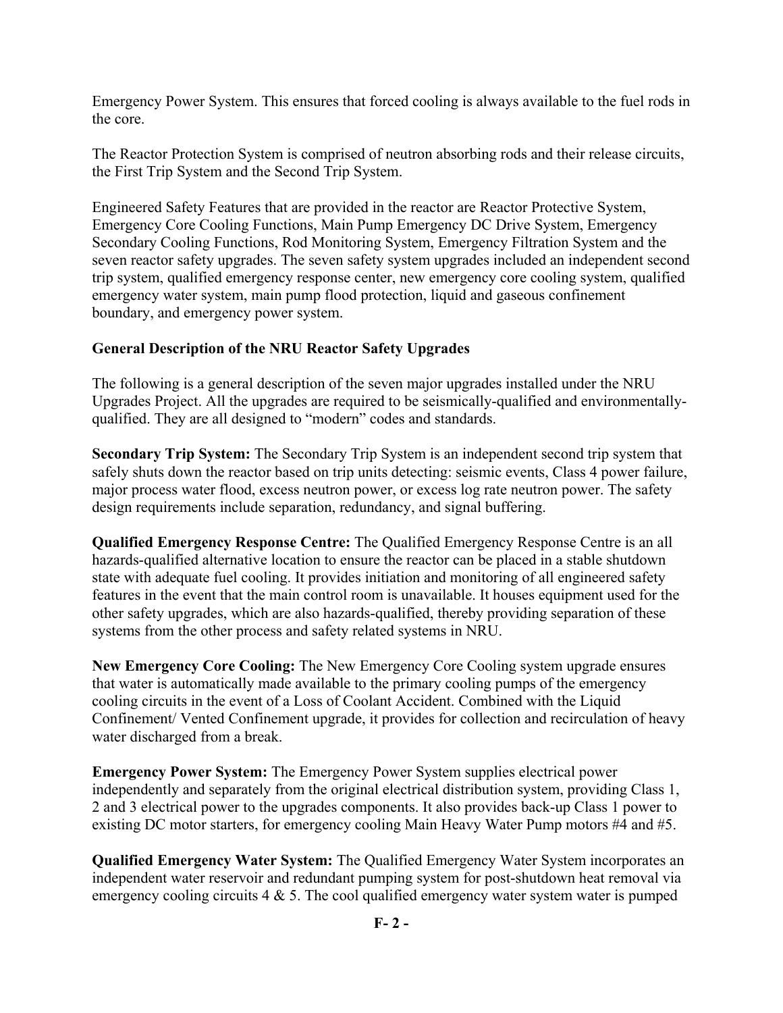Emergency Power System. This ensures that forced cooling is always available to the fuel rods in the core.

The Reactor Protection System is comprised of neutron absorbing rods and their release circuits, the First Trip System and the Second Trip System.

Engineered Safety Features that are provided in the reactor are Reactor Protective System, Emergency Core Cooling Functions, Main Pump Emergency DC Drive System, Emergency Secondary Cooling Functions, Rod Monitoring System, Emergency Filtration System and the seven reactor safety upgrades. The seven safety system upgrades included an independent second trip system, qualified emergency response center, new emergency core cooling system, qualified emergency water system, main pump flood protection, liquid and gaseous confinement boundary, and emergency power system.

## **General Description of the NRU Reactor Safety Upgrades**

The following is a general description of the seven major upgrades installed under the NRU Upgrades Project. All the upgrades are required to be seismically-qualified and environmentallyqualified. They are all designed to "modern" codes and standards.

**Secondary Trip System:** The Secondary Trip System is an independent second trip system that safely shuts down the reactor based on trip units detecting: seismic events, Class 4 power failure, major process water flood, excess neutron power, or excess log rate neutron power. The safety design requirements include separation, redundancy, and signal buffering.

**Qualified Emergency Response Centre:** The Qualified Emergency Response Centre is an all hazards-qualified alternative location to ensure the reactor can be placed in a stable shutdown state with adequate fuel cooling. It provides initiation and monitoring of all engineered safety features in the event that the main control room is unavailable. It houses equipment used for the other safety upgrades, which are also hazards-qualified, thereby providing separation of these systems from the other process and safety related systems in NRU.

**New Emergency Core Cooling:** The New Emergency Core Cooling system upgrade ensures that water is automatically made available to the primary cooling pumps of the emergency cooling circuits in the event of a Loss of Coolant Accident. Combined with the Liquid Confinement/ Vented Confinement upgrade, it provides for collection and recirculation of heavy water discharged from a break.

**Emergency Power System:** The Emergency Power System supplies electrical power independently and separately from the original electrical distribution system, providing Class 1, 2 and 3 electrical power to the upgrades components. It also provides back-up Class 1 power to existing DC motor starters, for emergency cooling Main Heavy Water Pump motors #4 and #5.

**Qualified Emergency Water System:** The Qualified Emergency Water System incorporates an independent water reservoir and redundant pumping system for post-shutdown heat removal via emergency cooling circuits  $4 \& 5$ . The cool qualified emergency water system water is pumped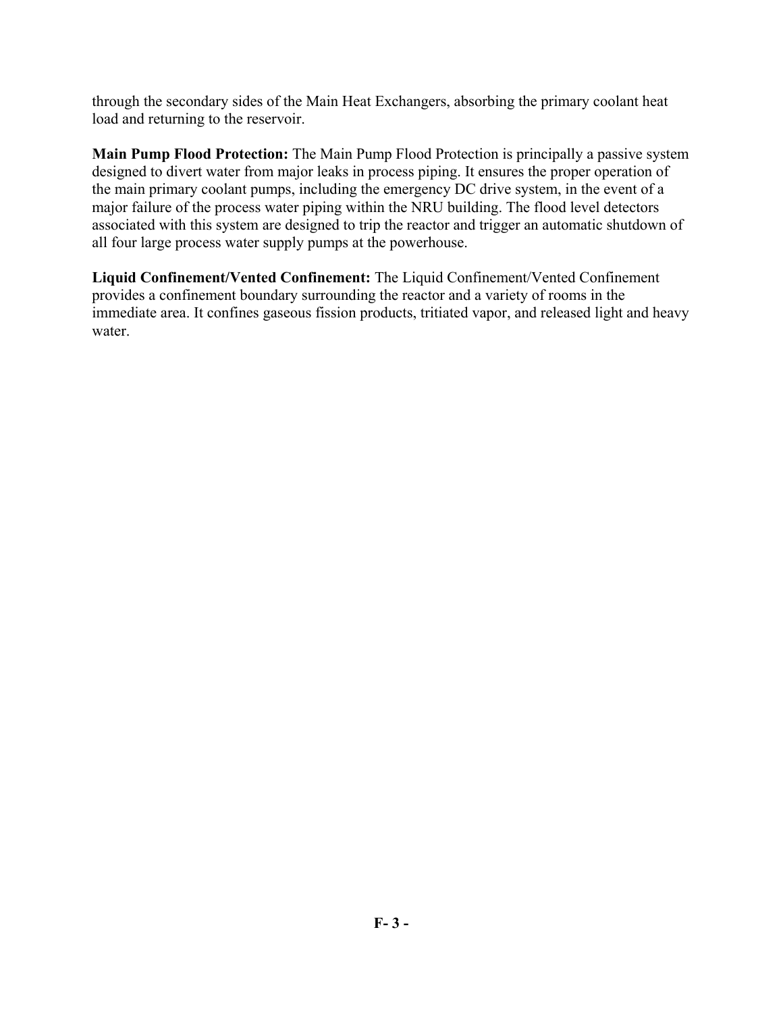through the secondary sides of the Main Heat Exchangers, absorbing the primary coolant heat load and returning to the reservoir.

**Main Pump Flood Protection:** The Main Pump Flood Protection is principally a passive system designed to divert water from major leaks in process piping. It ensures the proper operation of the main primary coolant pumps, including the emergency DC drive system, in the event of a major failure of the process water piping within the NRU building. The flood level detectors associated with this system are designed to trip the reactor and trigger an automatic shutdown of all four large process water supply pumps at the powerhouse.

**Liquid Confinement/Vented Confinement:** The Liquid Confinement/Vented Confinement provides a confinement boundary surrounding the reactor and a variety of rooms in the immediate area. It confines gaseous fission products, tritiated vapor, and released light and heavy water.